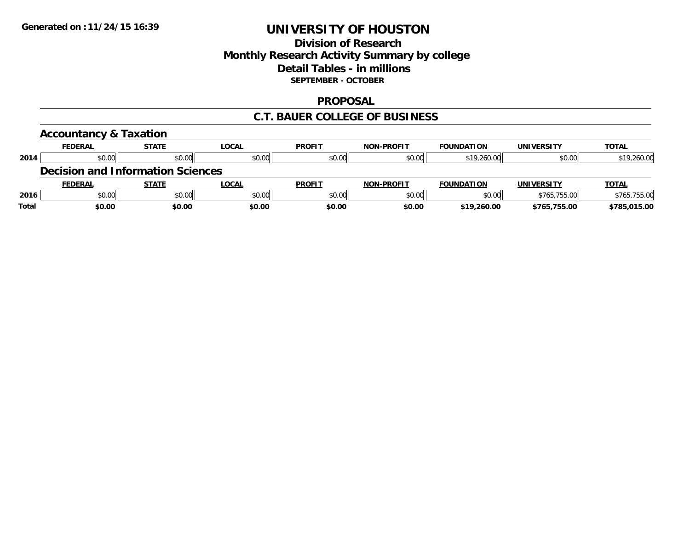## **Division of Research Monthly Research Activity Summary by college Detail Tables - in millions SEPTEMBER - OCTOBER**

#### **PROPOSAL**

#### **C.T. BAUER COLLEGE OF BUSINESS**

|              | <b>Accountancy &amp; Taxation</b>        |              |              |               |                   |                   |                   |              |
|--------------|------------------------------------------|--------------|--------------|---------------|-------------------|-------------------|-------------------|--------------|
|              | <b>FEDERAL</b>                           | <b>STATE</b> | <b>LOCAL</b> | <b>PROFIT</b> | <b>NON-PROFIT</b> | <b>FOUNDATION</b> | <b>UNIVERSITY</b> | <b>TOTAL</b> |
| 2014         | \$0.00                                   | \$0.00       | \$0.00       | \$0.00        | \$0.00            | \$19,260.00       | \$0.00            | \$19,260.00  |
|              | <b>Decision and Information Sciences</b> |              |              |               |                   |                   |                   |              |
|              | <b>FEDERAL</b>                           | <b>STATE</b> | LOCAL        | <b>PROFIT</b> | <b>NON-PROFIT</b> | <b>FOUNDATION</b> | <b>UNIVERSITY</b> | <b>TOTAL</b> |
| 2016         | \$0.00                                   | \$0.00       | \$0.00       | \$0.00        | \$0.00            | \$0.00            | \$765,755.00      | \$765,755.00 |
| <b>Total</b> | \$0.00                                   | \$0.00       | \$0.00       | \$0.00        | \$0.00            | \$19,260.00       | \$765,755.00      | \$785,015.00 |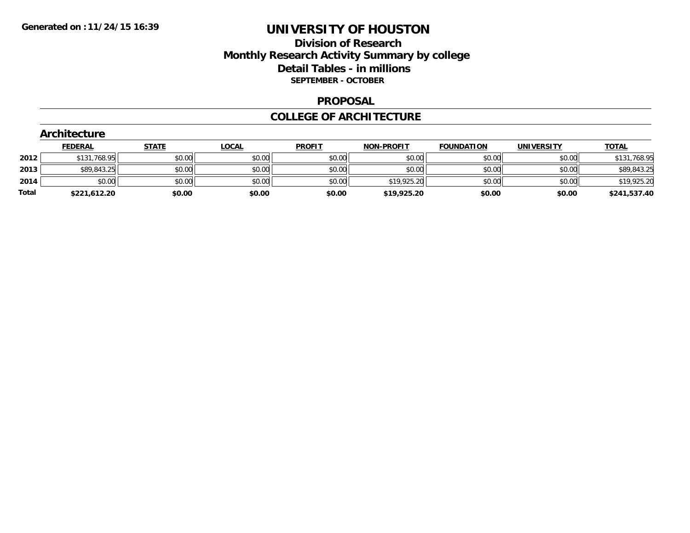## **Division of Research Monthly Research Activity Summary by college Detail Tables - in millions SEPTEMBER - OCTOBER**

#### **PROPOSAL**

#### **COLLEGE OF ARCHITECTURE**

|       | Architecture   |              |              |               |                   |                   |                   |              |  |  |  |  |  |
|-------|----------------|--------------|--------------|---------------|-------------------|-------------------|-------------------|--------------|--|--|--|--|--|
|       | <b>FEDERAL</b> | <b>STATE</b> | <b>LOCAL</b> | <b>PROFIT</b> | <b>NON-PROFIT</b> | <b>FOUNDATION</b> | <b>UNIVERSITY</b> | <b>TOTAL</b> |  |  |  |  |  |
| 2012  | \$131,768.95   | \$0.00       | \$0.00       | \$0.00        | \$0.00            | \$0.00            | \$0.00            | \$131,768.95 |  |  |  |  |  |
| 2013  | \$89,843.25    | \$0.00       | \$0.00       | \$0.00        | \$0.00            | \$0.00            | \$0.00            | \$89,843.25  |  |  |  |  |  |
| 2014  | \$0.00         | \$0.00       | \$0.00       | \$0.00        | \$19,925.20       | \$0.00            | \$0.00            | \$19,925.20  |  |  |  |  |  |
| Total | \$221,612.20   | \$0.00       | \$0.00       | \$0.00        | \$19,925.20       | \$0.00            | \$0.00            | \$241,537.40 |  |  |  |  |  |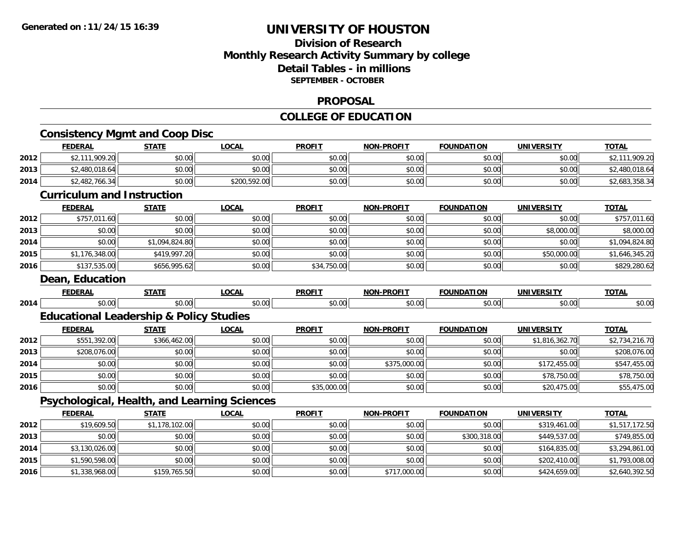## **Division of ResearchMonthly Research Activity Summary by college Detail Tables - in millions SEPTEMBER - OCTOBER**

#### **PROPOSAL**

## **COLLEGE OF EDUCATION**

|      | <b>FEDERAL</b>                                     | <b>STATE</b>   | <b>LOCAL</b> | <b>PROFIT</b> | <b>NON-PROFIT</b> | <b>FOUNDATION</b> | <b>UNIVERSITY</b> | <b>TOTAL</b>   |
|------|----------------------------------------------------|----------------|--------------|---------------|-------------------|-------------------|-------------------|----------------|
| 2012 | \$2,111,909.20                                     | \$0.00         | \$0.00       | \$0.00        | \$0.00            | \$0.00            | \$0.00            | \$2,111,909.20 |
| 2013 | \$2,480,018.64                                     | \$0.00         | \$0.00       | \$0.00        | \$0.00            | \$0.00            | \$0.00            | \$2,480,018.64 |
| 2014 | \$2,482,766.34                                     | \$0.00         | \$200,592.00 | \$0.00        | \$0.00            | \$0.00            | \$0.00            | \$2,683,358.34 |
|      | <b>Curriculum and Instruction</b>                  |                |              |               |                   |                   |                   |                |
|      | <b>FEDERAL</b>                                     | <b>STATE</b>   | <b>LOCAL</b> | <b>PROFIT</b> | <b>NON-PROFIT</b> | <b>FOUNDATION</b> | <b>UNIVERSITY</b> | <b>TOTAL</b>   |
| 2012 | \$757,011.60                                       | \$0.00         | \$0.00       | \$0.00        | \$0.00            | \$0.00            | \$0.00            | \$757,011.60   |
| 2013 | \$0.00                                             | \$0.00         | \$0.00       | \$0.00        | \$0.00            | \$0.00            | \$8,000.00        | \$8,000.00     |
| 2014 | \$0.00                                             | \$1,094,824.80 | \$0.00       | \$0.00        | \$0.00            | \$0.00            | \$0.00            | \$1,094,824.80 |
| 2015 | \$1,176,348.00                                     | \$419,997.20   | \$0.00       | \$0.00        | \$0.00            | \$0.00            | \$50,000.00       | \$1,646,345.20 |
| 2016 | \$137,535.00                                       | \$656,995.62   | \$0.00       | \$34,750.00   | \$0.00            | \$0.00            | \$0.00            | \$829,280.62   |
|      | Dean, Education                                    |                |              |               |                   |                   |                   |                |
|      | <b>FEDERAL</b>                                     | <b>STATE</b>   | <b>LOCAL</b> | <b>PROFIT</b> | <b>NON-PROFIT</b> | <b>FOUNDATION</b> | <b>UNIVERSITY</b> | <b>TOTAL</b>   |
| 2014 | \$0.00                                             | \$0.00         | \$0.00       | \$0.00        | \$0.00            | \$0.00            | \$0.00            | \$0.00         |
|      | <b>Educational Leadership &amp; Policy Studies</b> |                |              |               |                   |                   |                   |                |
|      | <b>FEDERAL</b>                                     | <b>STATE</b>   | <b>LOCAL</b> | <b>PROFIT</b> | <b>NON-PROFIT</b> | <b>FOUNDATION</b> | <b>UNIVERSITY</b> | <b>TOTAL</b>   |
| 2012 | \$551,392.00                                       | \$366,462.00   | \$0.00       | \$0.00        | \$0.00            | \$0.00            | \$1,816,362.70    | \$2,734,216.70 |
| 2013 | \$208,076.00                                       | \$0.00         | \$0.00       | \$0.00        | \$0.00            | \$0.00            | \$0.00            | \$208,076.00   |
| 2014 | \$0.00                                             | \$0.00         | \$0.00       | \$0.00        | \$375,000.00      | \$0.00            | \$172,455.00      | \$547,455.00   |
| 2015 | \$0.00                                             | \$0.00         | \$0.00       | \$0.00        | \$0.00            | \$0.00            | \$78,750.00       | \$78,750.00    |
| 2016 | \$0.00                                             | \$0.00         | \$0.00       | \$35,000.00   | \$0.00            | \$0.00            | \$20,475.00       | \$55,475.00    |
|      | Psychological, Health, and Learning Sciences       |                |              |               |                   |                   |                   |                |
|      | <b>FEDERAL</b>                                     | <b>STATE</b>   | <b>LOCAL</b> | <b>PROFIT</b> | <b>NON-PROFIT</b> | <b>FOUNDATION</b> | <b>UNIVERSITY</b> | <b>TOTAL</b>   |
| 2012 | \$19,609.50                                        | \$1,178,102.00 | \$0.00       | \$0.00        | \$0.00            | \$0.00            | \$319,461.00      | \$1,517,172.50 |
| 2013 | \$0.00                                             | \$0.00         | \$0.00       | \$0.00        | \$0.00            | \$300,318.00      | \$449,537.00      | \$749,855.00   |
| 2014 | \$3,130,026.00                                     | \$0.00         | \$0.00       | \$0.00        | \$0.00            | \$0.00            | \$164,835.00      | \$3,294,861.00 |
| 2015 | \$1,590,598.00                                     | \$0.00         | \$0.00       | \$0.00        | \$0.00            | \$0.00            | \$202,410.00      | \$1,793,008.00 |
| 2016 | \$1,338,968.00                                     | \$159,765.50   | \$0.00       | \$0.00        | \$717,000.00      | \$0.00            | \$424,659.00      | \$2,640,392.50 |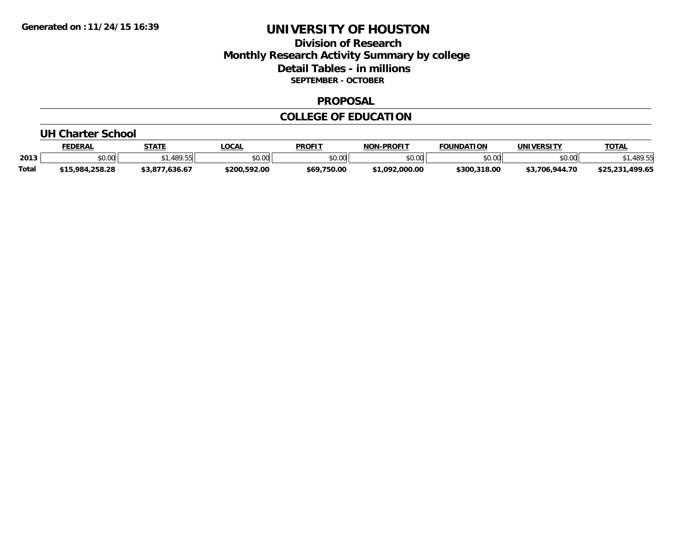## **Division of Research Monthly Research Activity Summary by college Detail Tables - in millions SEPTEMBER - OCTOBER**

#### **PROPOSAL**

#### **COLLEGE OF EDUCATION**

#### **UH Charter School**

|              | <b>FEDERAL</b>                     | <b>STATE</b>                | LOCAL        | PROFIT        | <b>J-PROFIT</b><br>NON | <b>FOUNDATION</b> | UNIVERSITY         | <b>TOTAL</b>  |
|--------------|------------------------------------|-----------------------------|--------------|---------------|------------------------|-------------------|--------------------|---------------|
| 2013         | \$0.00                             | <b>ARQ 5</b><br><b>407.</b> | \$0.00       | 0000<br>JU.UU | \$0.00                 | \$0.00            | \$0.00             | 100E          |
| <b>Total</b> | \$15.984<br>1.258.28<br><b>415</b> | ,636.6<br>.                 | \$200,592.00 | \$69,750.00   | \$1.092.000.00         | \$300,318.00      | \$3.706<br>.944.70 | 499.65<br>ぐつに |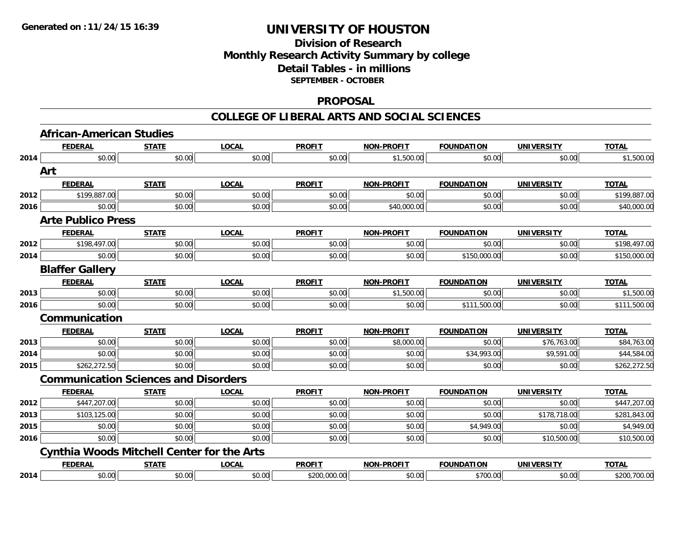## **Division of Research Monthly Research Activity Summary by college Detail Tables - in millions SEPTEMBER - OCTOBER**

#### **PROPOSAL**

|      | <b>African-American Studies</b>                   |              |              |               |                   |                   |                   |              |
|------|---------------------------------------------------|--------------|--------------|---------------|-------------------|-------------------|-------------------|--------------|
|      | <b>FEDERAL</b>                                    | <b>STATE</b> | <b>LOCAL</b> | <b>PROFIT</b> | <b>NON-PROFIT</b> | <b>FOUNDATION</b> | <b>UNIVERSITY</b> | <b>TOTAL</b> |
| 2014 | \$0.00                                            | \$0.00       | \$0.00       | \$0.00        | \$1,500.00        | \$0.00            | \$0.00            | \$1,500.00   |
|      | Art                                               |              |              |               |                   |                   |                   |              |
|      | <b>FEDERAL</b>                                    | <b>STATE</b> | <b>LOCAL</b> | <b>PROFIT</b> | <b>NON-PROFIT</b> | <b>FOUNDATION</b> | <b>UNIVERSITY</b> | <b>TOTAL</b> |
| 2012 | \$199,887.00                                      | \$0.00       | \$0.00       | \$0.00        | \$0.00            | \$0.00            | \$0.00            | \$199,887.00 |
| 2016 | \$0.00                                            | \$0.00       | \$0.00       | \$0.00        | \$40,000.00       | \$0.00            | \$0.00            | \$40,000.00  |
|      | <b>Arte Publico Press</b>                         |              |              |               |                   |                   |                   |              |
|      | <b>FEDERAL</b>                                    | <b>STATE</b> | <b>LOCAL</b> | <b>PROFIT</b> | <b>NON-PROFIT</b> | <b>FOUNDATION</b> | <b>UNIVERSITY</b> | <b>TOTAL</b> |
| 2012 | \$198,497.00                                      | \$0.00       | \$0.00       | \$0.00        | \$0.00            | \$0.00            | \$0.00            | \$198,497.00 |
| 2014 | \$0.00                                            | \$0.00       | \$0.00       | \$0.00        | \$0.00            | \$150,000.00      | \$0.00            | \$150,000.00 |
|      | <b>Blaffer Gallery</b>                            |              |              |               |                   |                   |                   |              |
|      | <b>FEDERAL</b>                                    | <b>STATE</b> | <b>LOCAL</b> | <b>PROFIT</b> | <b>NON-PROFIT</b> | <b>FOUNDATION</b> | <b>UNIVERSITY</b> | <b>TOTAL</b> |
| 2013 | \$0.00                                            | \$0.00       | \$0.00       | \$0.00        | \$1,500.00        | \$0.00            | \$0.00            | \$1,500.00   |
| 2016 | \$0.00                                            | \$0.00       | \$0.00       | \$0.00        | \$0.00            | \$111,500.00      | \$0.00            | \$111,500.00 |
|      | Communication                                     |              |              |               |                   |                   |                   |              |
|      | <b>FEDERAL</b>                                    | <b>STATE</b> | <b>LOCAL</b> | <b>PROFIT</b> | <b>NON-PROFIT</b> | <b>FOUNDATION</b> | <b>UNIVERSITY</b> | <b>TOTAL</b> |
| 2013 | \$0.00                                            | \$0.00       | \$0.00       | \$0.00        | \$8,000.00        | \$0.00            | \$76,763.00       | \$84,763.00  |
| 2014 | \$0.00                                            | \$0.00       | \$0.00       | \$0.00        | \$0.00            | \$34,993.00       | \$9,591.00        | \$44,584.00  |
| 2015 | \$262,272.50                                      | \$0.00       | \$0.00       | \$0.00        | \$0.00            | \$0.00            | \$0.00            | \$262,272.50 |
|      | <b>Communication Sciences and Disorders</b>       |              |              |               |                   |                   |                   |              |
|      | <b>FEDERAL</b>                                    | <b>STATE</b> | <b>LOCAL</b> | <b>PROFIT</b> | <b>NON-PROFIT</b> | <b>FOUNDATION</b> | <b>UNIVERSITY</b> | <b>TOTAL</b> |
| 2012 | \$447,207.00                                      | \$0.00       | \$0.00       | \$0.00        | \$0.00            | \$0.00            | \$0.00            | \$447,207.00 |
| 2013 | \$103,125.00                                      | \$0.00       | \$0.00       | \$0.00        | \$0.00            | \$0.00            | \$178,718.00      | \$281,843.00 |
| 2015 | \$0.00                                            | \$0.00       | \$0.00       | \$0.00        | \$0.00            | \$4,949.00        | \$0.00            | \$4,949.00   |
| 2016 | \$0.00                                            | \$0.00       | \$0.00       | \$0.00        | \$0.00            | \$0.00            | \$10,500.00       | \$10,500.00  |
|      | <b>Cynthia Woods Mitchell Center for the Arts</b> |              |              |               |                   |                   |                   |              |
|      | <b>FEDERAL</b>                                    | <b>STATE</b> | <b>LOCAL</b> | <b>PROFIT</b> | <b>NON-PROFIT</b> | <b>FOUNDATION</b> | <b>UNIVERSITY</b> | <b>TOTAL</b> |
| 2014 | \$0.00                                            | \$0.00       | \$0.00       | \$200,000.00  | \$0.00            | \$700.00          | \$0.00            | \$200,700.00 |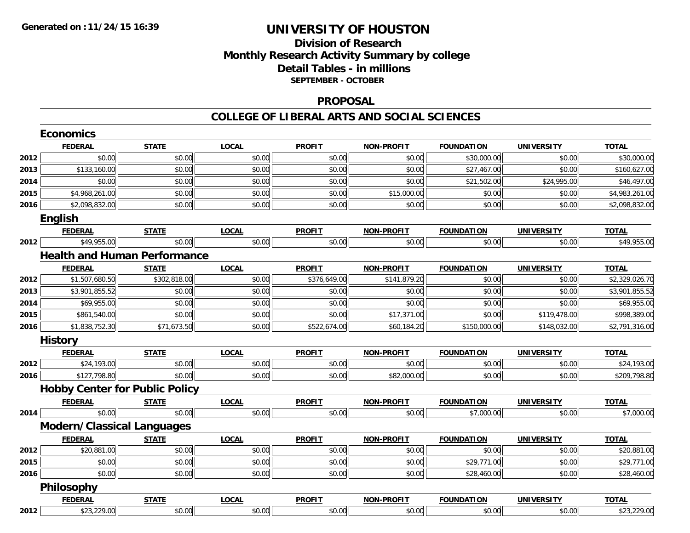## **Division of ResearchMonthly Research Activity Summary by college Detail Tables - in millions SEPTEMBER - OCTOBER**

#### **PROPOSAL**

|      | <b>Economics</b>                  |                                       |              |               |                   |                   |                   |                |
|------|-----------------------------------|---------------------------------------|--------------|---------------|-------------------|-------------------|-------------------|----------------|
|      | <b>FEDERAL</b>                    | <b>STATE</b>                          | <b>LOCAL</b> | <b>PROFIT</b> | NON-PROFIT        | <b>FOUNDATION</b> | <b>UNIVERSITY</b> | <b>TOTAL</b>   |
| 2012 | \$0.00                            | \$0.00                                | \$0.00       | \$0.00        | \$0.00            | \$30,000.00       | \$0.00            | \$30,000.00    |
| 2013 | \$133,160.00                      | \$0.00                                | \$0.00       | \$0.00        | \$0.00            | \$27,467.00       | \$0.00            | \$160,627.00   |
| 2014 | \$0.00                            | \$0.00                                | \$0.00       | \$0.00        | \$0.00            | \$21,502.00       | \$24,995.00       | \$46,497.00    |
| 2015 | \$4,968,261.00                    | \$0.00                                | \$0.00       | \$0.00        | \$15,000.00       | \$0.00            | \$0.00            | \$4,983,261.00 |
| 2016 | \$2,098,832.00                    | \$0.00                                | \$0.00       | \$0.00        | \$0.00            | \$0.00            | \$0.00            | \$2,098,832.00 |
|      | English                           |                                       |              |               |                   |                   |                   |                |
|      | <b>FEDERAL</b>                    | <b>STATE</b>                          | <b>LOCAL</b> | <b>PROFIT</b> | <b>NON-PROFIT</b> | <b>FOUNDATION</b> | <b>UNIVERSITY</b> | <b>TOTAL</b>   |
| 2012 | \$49,955.00                       | \$0.00                                | \$0.00       | \$0.00        | \$0.00            | \$0.00            | \$0.00            | \$49,955.00    |
|      |                                   | <b>Health and Human Performance</b>   |              |               |                   |                   |                   |                |
|      | <b>FEDERAL</b>                    | <b>STATE</b>                          | <b>LOCAL</b> | <b>PROFIT</b> | <b>NON-PROFIT</b> | <b>FOUNDATION</b> | <b>UNIVERSITY</b> | <b>TOTAL</b>   |
| 2012 | \$1,507,680.50                    | \$302,818.00                          | \$0.00       | \$376,649.00  | \$141,879.20      | \$0.00            | \$0.00            | \$2,329,026.70 |
| 2013 | \$3,901,855.52                    | \$0.00                                | \$0.00       | \$0.00        | \$0.00            | \$0.00            | \$0.00            | \$3,901,855.52 |
| 2014 | \$69,955.00                       | \$0.00                                | \$0.00       | \$0.00        | \$0.00            | \$0.00            | \$0.00            | \$69,955.00    |
| 2015 | \$861,540.00                      | \$0.00                                | \$0.00       | \$0.00        | \$17,371.00       | \$0.00            | \$119,478.00      | \$998,389.00   |
| 2016 | \$1,838,752.30                    | \$71,673.50                           | \$0.00       | \$522,674.00  | \$60,184.20       | \$150,000.00      | \$148,032.00      | \$2,791,316.00 |
|      | <b>History</b>                    |                                       |              |               |                   |                   |                   |                |
|      | <b>FEDERAL</b>                    | <b>STATE</b>                          | <b>LOCAL</b> | <b>PROFIT</b> | <b>NON-PROFIT</b> | <b>FOUNDATION</b> | <b>UNIVERSITY</b> | <b>TOTAL</b>   |
| 2012 | \$24,193.00                       | \$0.00                                | \$0.00       | \$0.00        | \$0.00            | \$0.00            | \$0.00            | \$24,193.00    |
| 2016 | \$127,798.80                      | \$0.00                                | \$0.00       | \$0.00        | \$82,000.00       | \$0.00            | \$0.00            | \$209,798.80   |
|      |                                   | <b>Hobby Center for Public Policy</b> |              |               |                   |                   |                   |                |
|      | <b>FEDERAL</b>                    | <b>STATE</b>                          | <b>LOCAL</b> | <b>PROFIT</b> | <b>NON-PROFIT</b> | <b>FOUNDATION</b> | <b>UNIVERSITY</b> | <b>TOTAL</b>   |
| 2014 | \$0.00                            | \$0.00                                | \$0.00       | \$0.00        | \$0.00            | \$7,000.00        | \$0.00            | \$7,000.00     |
|      | <b>Modern/Classical Languages</b> |                                       |              |               |                   |                   |                   |                |
|      | <b>FEDERAL</b>                    | <b>STATE</b>                          | <b>LOCAL</b> | <b>PROFIT</b> | <b>NON-PROFIT</b> | <b>FOUNDATION</b> | <b>UNIVERSITY</b> | <b>TOTAL</b>   |
| 2012 | \$20,881.00                       | \$0.00                                | \$0.00       | \$0.00        | \$0.00            | \$0.00            | \$0.00            | \$20,881.00    |
| 2015 | \$0.00                            | \$0.00                                | \$0.00       | \$0.00        | \$0.00            | \$29,771.00       | \$0.00            | \$29,771.00    |
| 2016 | \$0.00                            | \$0.00                                | \$0.00       | \$0.00        | \$0.00            | \$28,460.00       | \$0.00            | \$28,460.00    |
|      | Philosophy                        |                                       |              |               |                   |                   |                   |                |
|      | <b>FEDERAL</b>                    | <b>STATE</b>                          | <b>LOCAL</b> | <b>PROFIT</b> | <b>NON-PROFIT</b> | <b>FOUNDATION</b> | <b>UNIVERSITY</b> | <b>TOTAL</b>   |
| 2012 | \$23,229.00                       | \$0.00                                | \$0.00       | \$0.00        | \$0.00            | \$0.00            | \$0.00            | \$23,229.00    |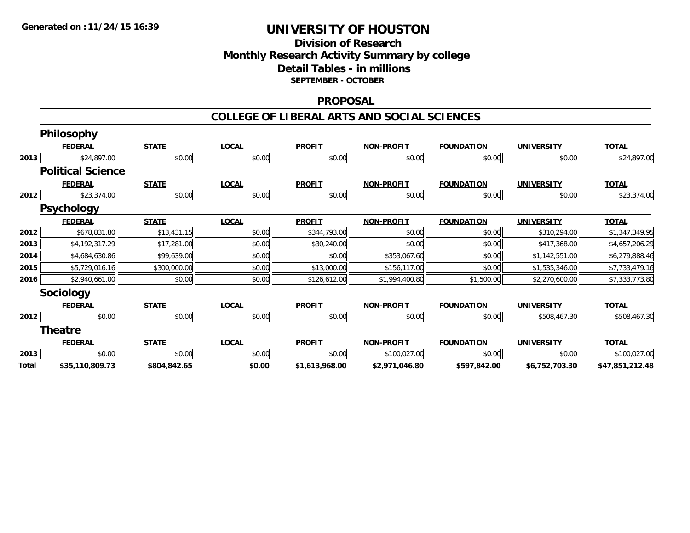## **Division of Research Monthly Research Activity Summary by college Detail Tables - in millions SEPTEMBER - OCTOBER**

#### **PROPOSAL**

|       | <b>Philosophy</b>        |              |              |                |                   |                   |                   |                 |
|-------|--------------------------|--------------|--------------|----------------|-------------------|-------------------|-------------------|-----------------|
|       | <b>FEDERAL</b>           | <b>STATE</b> | <b>LOCAL</b> | <b>PROFIT</b>  | <b>NON-PROFIT</b> | <b>FOUNDATION</b> | <b>UNIVERSITY</b> | <b>TOTAL</b>    |
| 2013  | \$24,897.00              | \$0.00       | \$0.00       | \$0.00         | \$0.00            | \$0.00            | \$0.00            | \$24,897.00     |
|       | <b>Political Science</b> |              |              |                |                   |                   |                   |                 |
|       | <b>FEDERAL</b>           | <b>STATE</b> | <b>LOCAL</b> | <b>PROFIT</b>  | <b>NON-PROFIT</b> | <b>FOUNDATION</b> | <b>UNIVERSITY</b> | <b>TOTAL</b>    |
| 2012  | \$23,374.00              | \$0.00       | \$0.00       | \$0.00         | \$0.00            | \$0.00            | \$0.00            | \$23,374.00     |
|       | <b>Psychology</b>        |              |              |                |                   |                   |                   |                 |
|       | <b>FEDERAL</b>           | <b>STATE</b> | <b>LOCAL</b> | <b>PROFIT</b>  | <b>NON-PROFIT</b> | <b>FOUNDATION</b> | <b>UNIVERSITY</b> | <b>TOTAL</b>    |
| 2012  | \$678,831.80             | \$13,431.15  | \$0.00       | \$344,793.00   | \$0.00            | \$0.00            | \$310,294.00      | \$1,347,349.95  |
| 2013  | \$4,192,317.29           | \$17,281.00  | \$0.00       | \$30,240.00    | \$0.00            | \$0.00            | \$417,368.00      | \$4,657,206.29  |
| 2014  | \$4,684,630.86           | \$99,639.00  | \$0.00       | \$0.00         | \$353,067.60      | \$0.00            | \$1,142,551.00    | \$6,279,888.46  |
| 2015  | \$5,729,016.16           | \$300,000.00 | \$0.00       | \$13,000.00    | \$156,117.00      | \$0.00            | \$1,535,346.00    | \$7,733,479.16  |
| 2016  | \$2,940,661.00           | \$0.00       | \$0.00       | \$126,612.00   | \$1,994,400.80    | \$1,500.00        | \$2,270,600.00    | \$7,333,773.80  |
|       | Sociology                |              |              |                |                   |                   |                   |                 |
|       | <b>FEDERAL</b>           | <b>STATE</b> | <b>LOCAL</b> | <b>PROFIT</b>  | <b>NON-PROFIT</b> | <b>FOUNDATION</b> | <b>UNIVERSITY</b> | <b>TOTAL</b>    |
| 2012  | \$0.00                   | \$0.00       | \$0.00       | \$0.00         | \$0.00            | \$0.00            | \$508,467.30      | \$508,467.30    |
|       | <b>Theatre</b>           |              |              |                |                   |                   |                   |                 |
|       | <b>FEDERAL</b>           | <b>STATE</b> | <b>LOCAL</b> | <b>PROFIT</b>  | <b>NON-PROFIT</b> | <b>FOUNDATION</b> | <b>UNIVERSITY</b> | <b>TOTAL</b>    |
| 2013  | \$0.00                   | \$0.00       | \$0.00       | \$0.00         | \$100,027.00      | \$0.00            | \$0.00            | \$100,027.00    |
| Total | \$35,110,809.73          | \$804,842.65 | \$0.00       | \$1,613,968.00 | \$2,971,046.80    | \$597,842.00      | \$6,752,703.30    | \$47,851,212.48 |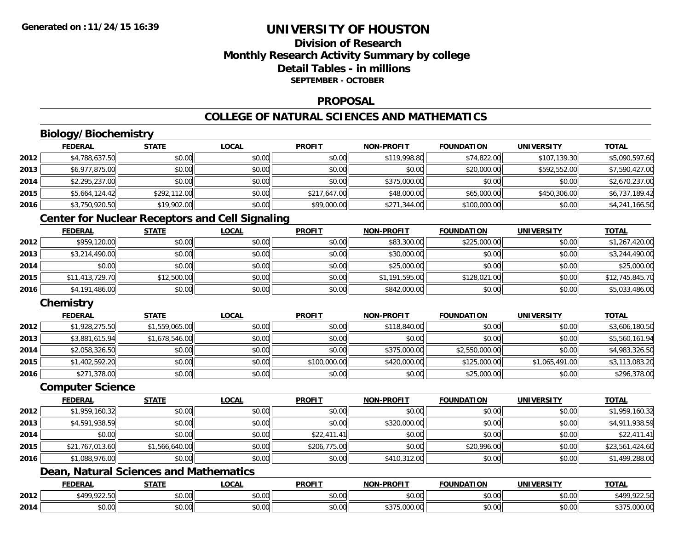## **Division of ResearchMonthly Research Activity Summary by college Detail Tables - in millionsSEPTEMBER - OCTOBER**

#### **PROPOSAL**

## **COLLEGE OF NATURAL SCIENCES AND MATHEMATICS**

# **Biology/Biochemistry**

|      | <b>FEDERAL</b> | <b>STATE</b> | <u>LOCAL</u> | <b>PROFIT</b> | <b>NON-PROFIT</b> | <b>FOUNDATION</b> | <b>UNIVERSITY</b> | <b>TOTAL</b>   |
|------|----------------|--------------|--------------|---------------|-------------------|-------------------|-------------------|----------------|
| 2012 | \$4,788,637.50 | \$0.00       | \$0.00       | \$0.00        | \$119,998.80      | \$74,822.00       | \$107.139.30      | \$5,090,597.60 |
| 2013 | \$6,977,875.00 | \$0.00       | \$0.00       | \$0.00        | \$0.00            | \$20,000.00       | \$592,552.00      | \$7,590,427.00 |
| 2014 | \$2,295,237.00 | \$0.00       | \$0.00       | \$0.00        | \$375,000.00      | \$0.00            | \$0.00            | \$2,670,237.00 |
| 2015 | \$5,664,124.42 | \$292,112,00 | \$0.00       | \$217,647.00  | \$48,000.00       | \$65,000.00       | \$450,306,00      | \$6,737,189.42 |
| 2016 | \$3,750,920.50 | \$19,902.00  | \$0.00       | \$99,000.00   | \$271,344.00      | \$100,000.00      | \$0.00            | \$4,241,166.50 |

## **Center for Nuclear Receptors and Cell Signaling**

|      | <b>FEDERAL</b>  | <b>STATE</b> | <b>LOCAL</b> | <b>PROFIT</b> | <b>NON-PROFIT</b> | <b>FOUNDATION</b> | <b>UNIVERSITY</b> | <b>TOTAL</b>    |
|------|-----------------|--------------|--------------|---------------|-------------------|-------------------|-------------------|-----------------|
| 2012 | \$959,120.00    | \$0.00       | \$0.00       | \$0.00        | \$83,300.00       | \$225,000.00      | \$0.00            | \$1,267,420.00  |
| 2013 | \$3,214,490.00  | \$0.00       | \$0.00       | \$0.00        | \$30,000.00       | \$0.00            | \$0.00            | \$3,244,490.00  |
| 2014 | \$0.00          | \$0.00       | \$0.00       | \$0.00        | \$25,000.00       | \$0.00            | \$0.00            | \$25,000.00     |
| 2015 | \$11,413,729.70 | \$12,500.00  | \$0.00       | \$0.00        | \$1,191,595.00    | \$128,021.00      | \$0.00            | \$12,745,845.70 |
| 2016 | \$4,191,486.00  | \$0.00       | \$0.00       | \$0.00        | \$842,000.00      | \$0.00            | \$0.00            | \$5,033,486.00  |

## **Chemistry**

|      | <b>FEDERAL</b> | <b>STATE</b>   | <u>LOCAL</u> | <b>PROFIT</b> | <b>NON-PROFIT</b> | <b>FOUNDATION</b> | <b>UNIVERSITY</b> | <b>TOTAL</b>   |
|------|----------------|----------------|--------------|---------------|-------------------|-------------------|-------------------|----------------|
| 2012 | \$1,928,275.50 | \$1,559,065.00 | \$0.00       | \$0.00        | \$118,840.00      | \$0.00            | \$0.00            | \$3,606,180.50 |
| 2013 | \$3,881,615.94 | \$1,678,546.00 | \$0.00       | \$0.00        | \$0.00            | \$0.00            | \$0.00            | \$5,560,161.94 |
| 2014 | \$2,058,326.50 | \$0.00         | \$0.00       | \$0.00        | \$375,000.00      | \$2,550,000.00    | \$0.00            | \$4,983,326.50 |
| 2015 | \$1,402,592.20 | \$0.00         | \$0.00       | \$100,000.00  | \$420,000.00      | \$125,000.00      | \$1,065,491.00    | \$3,113,083.20 |
| 2016 | \$271,378.00   | \$0.00         | \$0.00       | \$0.00        | \$0.00            | \$25,000.00       | \$0.00            | \$296,378.00   |

#### **Computer Science**

|      | <b>FEDERAL</b>  | <b>STATE</b>   | <b>LOCAL</b> | <b>PROFIT</b> | <b>NON-PROFIT</b> | <b>FOUNDATION</b> | <b>UNIVERSITY</b> | <b>TOTAL</b>    |
|------|-----------------|----------------|--------------|---------------|-------------------|-------------------|-------------------|-----------------|
| 2012 | \$1,959,160.32  | \$0.00         | \$0.00       | \$0.00        | \$0.00            | \$0.00            | \$0.00            | \$1,959,160.32  |
| 2013 | \$4,591,938.59  | \$0.00         | \$0.00       | \$0.00        | \$320,000.00      | \$0.00            | \$0.00            | \$4,911,938.59  |
| 2014 | \$0.00          | \$0.00         | \$0.00       | \$22,411.41   | \$0.00            | \$0.00            | \$0.00            | \$22,411.41     |
| 2015 | \$21,767,013.60 | \$1,566,640.00 | \$0.00       | \$206,775.00  | \$0.00            | \$20,996.00       | \$0.00            | \$23,561,424.60 |
| 2016 | \$1,088,976.00  | \$0.00         | \$0.00       | \$0.00        | \$410,312.00      | \$0.00            | \$0.00            | \$1,499,288.00  |

## **Dean, Natural Sciences and Mathematics**

|      | <b>FEDERA</b>         | <b>STATI</b>            | LOCAI          | <b>PROFIT</b>                                | <b>DDAEL</b><br>וחרות  | <b>FOUNDATION</b> | <b>UNIVERSITY</b> | <b>TOTA</b>                          |
|------|-----------------------|-------------------------|----------------|----------------------------------------------|------------------------|-------------------|-------------------|--------------------------------------|
| 2012 | \$499.922.50<br>12.23 | ტი იი<br>טע.טע          | 50.00<br>טט.טע | $\triangle$ $\triangle$ $\triangle$<br>vu.vu | $\sim$ $\sim$<br>vv.vv | \$0.00            | \$0.00            | $0.225$ FO<br>$*400$<br>51<br>744.99 |
| 2014 | \$0.00                | $\overline{ }$<br>טט.טע | 0.00<br>JU.UU  | 0000<br>PO.OO                                | $\sim$                 | \$0.00            | \$0.00            | ---<br>00000<br>טט.טטט, ט            |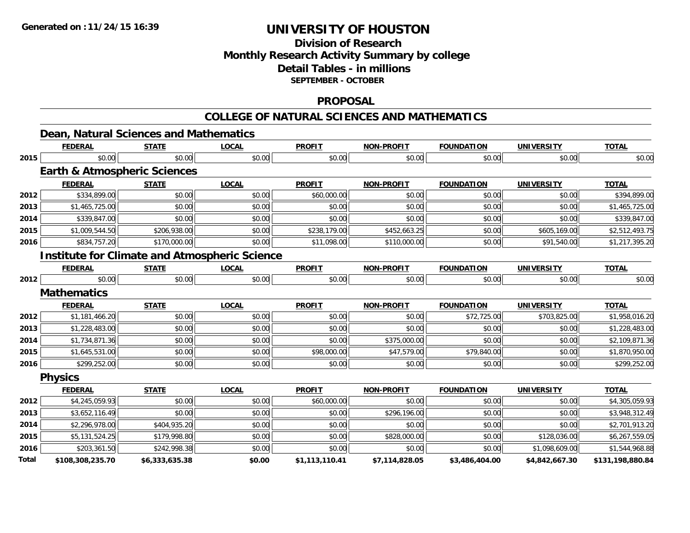## **Division of ResearchMonthly Research Activity Summary by college Detail Tables - in millions SEPTEMBER - OCTOBER**

#### **PROPOSAL**

#### **COLLEGE OF NATURAL SCIENCES AND MATHEMATICS**

|       | Dean, Natural Sciences and Mathematics               |                |              |                |                   |                   |                   |                  |
|-------|------------------------------------------------------|----------------|--------------|----------------|-------------------|-------------------|-------------------|------------------|
|       | <b>FEDERAL</b>                                       | <b>STATE</b>   | <b>LOCAL</b> | <b>PROFIT</b>  | <b>NON-PROFIT</b> | <b>FOUNDATION</b> | <b>UNIVERSITY</b> | <b>TOTAL</b>     |
| 2015  | \$0.00                                               | \$0.00         | \$0.00       | \$0.00         | \$0.00            | \$0.00            | \$0.00            | \$0.00           |
|       | <b>Earth &amp; Atmospheric Sciences</b>              |                |              |                |                   |                   |                   |                  |
|       | <b>FEDERAL</b>                                       | <b>STATE</b>   | <b>LOCAL</b> | <b>PROFIT</b>  | <b>NON-PROFIT</b> | <b>FOUNDATION</b> | <b>UNIVERSITY</b> | <b>TOTAL</b>     |
| 2012  | \$334,899.00                                         | \$0.00         | \$0.00       | \$60,000.00    | \$0.00            | \$0.00            | \$0.00            | \$394,899.00     |
| 2013  | \$1,465,725.00                                       | \$0.00         | \$0.00       | \$0.00         | \$0.00            | \$0.00            | \$0.00            | \$1,465,725.00   |
| 2014  | \$339,847.00                                         | \$0.00         | \$0.00       | \$0.00         | \$0.00            | \$0.00            | \$0.00            | \$339,847.00     |
| 2015  | \$1,009,544.50                                       | \$206,938.00   | \$0.00       | \$238,179.00   | \$452,663.25      | \$0.00            | \$605,169.00      | \$2,512,493.75   |
| 2016  | \$834,757.20                                         | \$170,000.00   | \$0.00       | \$11,098.00    | \$110,000.00      | \$0.00            | \$91,540.00       | \$1,217,395.20   |
|       | <b>Institute for Climate and Atmospheric Science</b> |                |              |                |                   |                   |                   |                  |
|       | <b>FEDERAL</b>                                       | <b>STATE</b>   | <b>LOCAL</b> | <b>PROFIT</b>  | <b>NON-PROFIT</b> | <b>FOUNDATION</b> | <b>UNIVERSITY</b> | <b>TOTAL</b>     |
| 2012  | \$0.00                                               | \$0.00         | \$0.00       | \$0.00         | \$0.00            | \$0.00            | \$0.00            | \$0.00           |
|       | <b>Mathematics</b>                                   |                |              |                |                   |                   |                   |                  |
|       | <b>FEDERAL</b>                                       | <b>STATE</b>   | <b>LOCAL</b> | <b>PROFIT</b>  | <b>NON-PROFIT</b> | <b>FOUNDATION</b> | <b>UNIVERSITY</b> | <b>TOTAL</b>     |
| 2012  | \$1,181,466.20                                       | \$0.00         | \$0.00       | \$0.00         | \$0.00            | \$72,725.00       | \$703,825.00      | \$1,958,016.20   |
| 2013  | \$1,228,483.00                                       | \$0.00         | \$0.00       | \$0.00         | \$0.00            | \$0.00            | \$0.00            | \$1,228,483.00   |
| 2014  | \$1,734,871.36                                       | \$0.00         | \$0.00       | \$0.00         | \$375,000.00      | \$0.00            | \$0.00            | \$2,109,871.36   |
| 2015  | \$1,645,531.00                                       | \$0.00         | \$0.00       | \$98,000.00    | \$47,579.00       | \$79,840.00       | \$0.00            | \$1,870,950.00   |
| 2016  | \$299,252.00                                         | \$0.00         | \$0.00       | \$0.00         | \$0.00            | \$0.00            | \$0.00            | \$299,252.00     |
|       | <b>Physics</b>                                       |                |              |                |                   |                   |                   |                  |
|       | <b>FEDERAL</b>                                       | <b>STATE</b>   | <b>LOCAL</b> | <b>PROFIT</b>  | <b>NON-PROFIT</b> | <b>FOUNDATION</b> | <b>UNIVERSITY</b> | <b>TOTAL</b>     |
| 2012  | \$4,245,059.93                                       | \$0.00         | \$0.00       | \$60,000.00    | \$0.00            | \$0.00            | \$0.00            | \$4,305,059.93   |
| 2013  | \$3,652,116.49                                       | \$0.00         | \$0.00       | \$0.00         | \$296,196.00      | \$0.00            | \$0.00            | \$3,948,312.49   |
| 2014  | \$2,296,978.00                                       | \$404,935.20   | \$0.00       | \$0.00         | \$0.00            | \$0.00            | \$0.00            | \$2,701,913.20   |
| 2015  | \$5,131,524.25                                       | \$179,998.80   | \$0.00       | \$0.00         | \$828,000.00      | \$0.00            | \$128,036.00      | \$6,267,559.05   |
| 2016  | \$203,361.50                                         | \$242,998.38   | \$0.00       | \$0.00         | \$0.00            | \$0.00            | \$1,098,609.00    | \$1,544,968.88   |
| Total | \$108,308,235.70                                     | \$6,333,635.38 | \$0.00       | \$1,113,110.41 | \$7,114,828.05    | \$3,486,404.00    | \$4,842,667.30    | \$131,198,880.84 |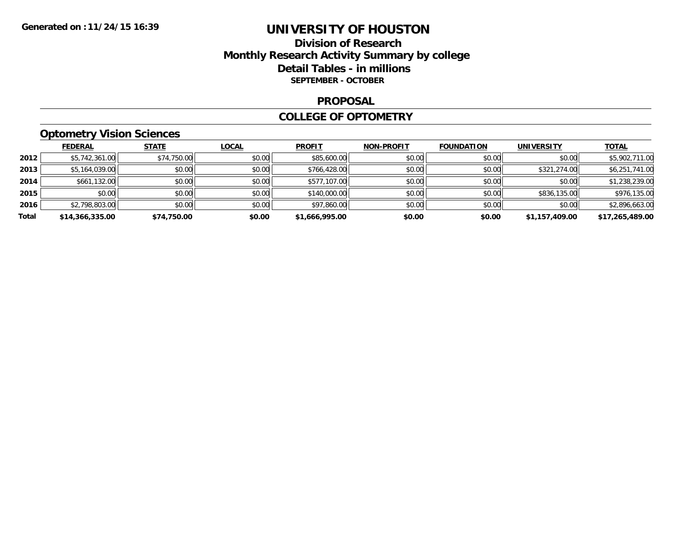## **Division of Research Monthly Research Activity Summary by college Detail Tables - in millions SEPTEMBER - OCTOBER**

#### **PROPOSAL**

#### **COLLEGE OF OPTOMETRY**

## **Optometry Vision Sciences**

|       | <b>FEDERAL</b>  | <b>STATE</b> | <b>LOCAL</b> | <b>PROFIT</b>  | <b>NON-PROFIT</b> | <b>FOUNDATION</b> | <b>UNIVERSITY</b> | <u>TOTAL</u>    |
|-------|-----------------|--------------|--------------|----------------|-------------------|-------------------|-------------------|-----------------|
| 2012  | \$5,742,361.00  | \$74,750.00  | \$0.00       | \$85,600.00    | \$0.00            | \$0.00            | \$0.00            | \$5,902,711.00  |
| 2013  | \$5,164,039.00  | \$0.00       | \$0.00       | \$766,428.00   | \$0.00            | \$0.00            | \$321,274.00      | \$6,251,741.00  |
| 2014  | \$661,132.00    | \$0.00       | \$0.00       | \$577,107.00   | \$0.00            | \$0.00            | \$0.00            | \$1,238,239.00  |
| 2015  | \$0.00          | \$0.00       | \$0.00       | \$140,000.00   | \$0.00            | \$0.00            | \$836,135.00      | \$976,135.00    |
| 2016  | \$2,798,803.00  | \$0.00       | \$0.00       | \$97,860.00    | \$0.00            | \$0.00            | \$0.00            | \$2,896,663.00  |
| Total | \$14,366,335.00 | \$74,750.00  | \$0.00       | \$1,666,995.00 | \$0.00            | \$0.00            | \$1,157,409.00    | \$17,265,489.00 |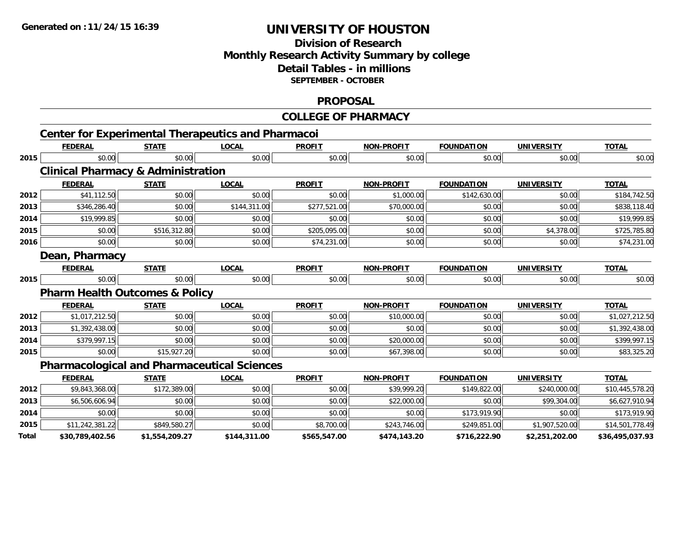## **Division of ResearchMonthly Research Activity Summary by college Detail Tables - in millions SEPTEMBER - OCTOBER**

#### **PROPOSAL**

## **COLLEGE OF PHARMACY**

|       | <b>Center for Experimental Therapeutics and Pharmacoi</b> |                |              |               |                   |                   |                   |                 |
|-------|-----------------------------------------------------------|----------------|--------------|---------------|-------------------|-------------------|-------------------|-----------------|
|       | <b>FEDERAL</b>                                            | <b>STATE</b>   | <b>LOCAL</b> | <b>PROFIT</b> | <b>NON-PROFIT</b> | <b>FOUNDATION</b> | <b>UNIVERSITY</b> | <b>TOTAL</b>    |
| 2015  | \$0.00                                                    | \$0.00         | \$0.00       | \$0.00        | \$0.00            | \$0.00            | \$0.00            | \$0.00          |
|       | <b>Clinical Pharmacy &amp; Administration</b>             |                |              |               |                   |                   |                   |                 |
|       | <b>FEDERAL</b>                                            | <b>STATE</b>   | <b>LOCAL</b> | <b>PROFIT</b> | <b>NON-PROFIT</b> | <b>FOUNDATION</b> | <b>UNIVERSITY</b> | <b>TOTAL</b>    |
| 2012  | \$41,112.50                                               | \$0.00         | \$0.00       | \$0.00        | \$1,000.00        | \$142,630.00      | \$0.00            | \$184,742.50    |
| 2013  | \$346,286.40                                              | \$0.00         | \$144,311.00 | \$277,521.00  | \$70,000.00       | \$0.00            | \$0.00            | \$838,118.40    |
| 2014  | \$19,999.85                                               | \$0.00         | \$0.00       | \$0.00        | \$0.00            | \$0.00            | \$0.00            | \$19,999.85     |
| 2015  | \$0.00                                                    | \$516,312.80   | \$0.00       | \$205,095.00  | \$0.00            | \$0.00            | \$4,378.00        | \$725,785.80    |
| 2016  | \$0.00                                                    | \$0.00         | \$0.00       | \$74,231.00   | \$0.00            | \$0.00            | \$0.00            | \$74,231.00     |
|       | Dean, Pharmacy                                            |                |              |               |                   |                   |                   |                 |
|       | <b>FEDERAL</b>                                            | <b>STATE</b>   | <b>LOCAL</b> | <b>PROFIT</b> | <b>NON-PROFIT</b> | <b>FOUNDATION</b> | <b>UNIVERSITY</b> | <b>TOTAL</b>    |
| 2015  | \$0.00                                                    | \$0.00         | \$0.00       | \$0.00        | \$0.00            | \$0.00            | \$0.00            | \$0.00          |
|       | <b>Pharm Health Outcomes &amp; Policy</b>                 |                |              |               |                   |                   |                   |                 |
|       | <b>FEDERAL</b>                                            | <b>STATE</b>   | <b>LOCAL</b> | <b>PROFIT</b> | <b>NON-PROFIT</b> | <b>FOUNDATION</b> | <b>UNIVERSITY</b> | <b>TOTAL</b>    |
| 2012  | \$1,017,212.50                                            | \$0.00         | \$0.00       | \$0.00        | \$10,000.00       | \$0.00            | \$0.00            | \$1,027,212.50  |
| 2013  | \$1,392,438.00                                            | \$0.00         | \$0.00       | \$0.00        | \$0.00            | \$0.00            | \$0.00            | \$1,392,438.00  |
| 2014  | \$379,997.15                                              | \$0.00         | \$0.00       | \$0.00        | \$20,000.00       | \$0.00            | \$0.00            | \$399,997.15    |
| 2015  | \$0.00                                                    | \$15,927.20    | \$0.00       | \$0.00        | \$67,398.00       | \$0.00            | \$0.00            | \$83,325.20     |
|       | <b>Pharmacological and Pharmaceutical Sciences</b>        |                |              |               |                   |                   |                   |                 |
|       | <b>FEDERAL</b>                                            | <b>STATE</b>   | <b>LOCAL</b> | <b>PROFIT</b> | <b>NON-PROFIT</b> | <b>FOUNDATION</b> | <b>UNIVERSITY</b> | <b>TOTAL</b>    |
| 2012  | \$9,843,368.00                                            | \$172,389.00   | \$0.00       | \$0.00        | \$39,999.20       | \$149,822.00      | \$240,000.00      | \$10,445,578.20 |
| 2013  | \$6,506,606.94                                            | \$0.00         | \$0.00       | \$0.00        | \$22,000.00       | \$0.00            | \$99,304.00       | \$6,627,910.94  |
| 2014  | \$0.00                                                    | \$0.00         | \$0.00       | \$0.00        | \$0.00            | \$173,919.90      | \$0.00            | \$173,919.90    |
| 2015  | \$11,242,381.22                                           | \$849,580.27   | \$0.00       | \$8,700.00    | \$243,746.00      | \$249,851.00      | \$1,907,520.00    | \$14,501,778.49 |
| Total | \$30,789,402.56                                           | \$1,554,209.27 | \$144,311.00 | \$565,547.00  | \$474,143.20      | \$716,222.90      | \$2,251,202.00    | \$36,495,037.93 |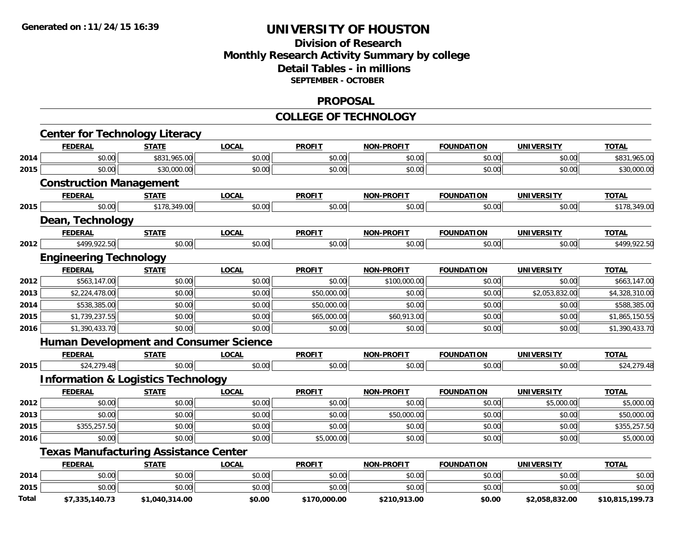## **Division of ResearchMonthly Research Activity Summary by college Detail Tables - in millions SEPTEMBER - OCTOBER**

#### **PROPOSAL**

#### **COLLEGE OF TECHNOLOGY**

|       | <b>Center for Technology Literacy</b>         |                |              |               |                   |                   |                   |                 |
|-------|-----------------------------------------------|----------------|--------------|---------------|-------------------|-------------------|-------------------|-----------------|
|       | <b>FEDERAL</b>                                | <b>STATE</b>   | <b>LOCAL</b> | <b>PROFIT</b> | <b>NON-PROFIT</b> | <b>FOUNDATION</b> | <b>UNIVERSITY</b> | <b>TOTAL</b>    |
| 2014  | \$0.00                                        | \$831,965.00   | \$0.00       | \$0.00        | \$0.00            | \$0.00            | \$0.00            | \$831,965.00    |
| 2015  | \$0.00                                        | \$30,000.00    | \$0.00       | \$0.00        | \$0.00            | \$0.00            | \$0.00            | \$30,000.00     |
|       | <b>Construction Management</b>                |                |              |               |                   |                   |                   |                 |
|       | <b>FEDERAL</b>                                | <b>STATE</b>   | <b>LOCAL</b> | <b>PROFIT</b> | <b>NON-PROFIT</b> | <b>FOUNDATION</b> | <b>UNIVERSITY</b> | <b>TOTAL</b>    |
| 2015  | \$0.00                                        | \$178,349.00   | \$0.00       | \$0.00        | \$0.00            | \$0.00            | \$0.00            | \$178,349.00    |
|       | Dean, Technology                              |                |              |               |                   |                   |                   |                 |
|       | <b>FEDERAL</b>                                | <b>STATE</b>   | <b>LOCAL</b> | <b>PROFIT</b> | <b>NON-PROFIT</b> | <b>FOUNDATION</b> | <b>UNIVERSITY</b> | <b>TOTAL</b>    |
| 2012  | \$499,922.50                                  | \$0.00         | \$0.00       | \$0.00        | \$0.00            | \$0.00            | \$0.00            | \$499,922.50    |
|       | <b>Engineering Technology</b>                 |                |              |               |                   |                   |                   |                 |
|       | <b>FEDERAL</b>                                | <b>STATE</b>   | <b>LOCAL</b> | <b>PROFIT</b> | <b>NON-PROFIT</b> | <b>FOUNDATION</b> | <b>UNIVERSITY</b> | <b>TOTAL</b>    |
| 2012  | \$563,147.00                                  | \$0.00         | \$0.00       | \$0.00        | \$100,000.00      | \$0.00            | \$0.00            | \$663,147.00    |
| 2013  | \$2,224,478.00                                | \$0.00         | \$0.00       | \$50,000.00   | \$0.00            | \$0.00            | \$2,053,832.00    | \$4,328,310.00  |
| 2014  | \$538,385.00                                  | \$0.00         | \$0.00       | \$50,000.00   | \$0.00            | \$0.00            | \$0.00            | \$588,385.00    |
| 2015  | \$1,739,237.55                                | \$0.00         | \$0.00       | \$65,000.00   | \$60,913.00       | \$0.00            | \$0.00            | \$1,865,150.55  |
| 2016  | \$1,390,433.70                                | \$0.00         | \$0.00       | \$0.00        | \$0.00            | \$0.00            | \$0.00            | \$1,390,433.70  |
|       | <b>Human Development and Consumer Science</b> |                |              |               |                   |                   |                   |                 |
|       | <b>FEDERAL</b>                                | <b>STATE</b>   | <b>LOCAL</b> | <b>PROFIT</b> | <b>NON-PROFIT</b> | <b>FOUNDATION</b> | <b>UNIVERSITY</b> | <b>TOTAL</b>    |
| 2015  | \$24,279.48                                   | \$0.00         | \$0.00       | \$0.00        | \$0.00            | \$0.00            | \$0.00            | \$24,279.48     |
|       | <b>Information &amp; Logistics Technology</b> |                |              |               |                   |                   |                   |                 |
|       | <b>FEDERAL</b>                                | <b>STATE</b>   | <b>LOCAL</b> | <b>PROFIT</b> | <b>NON-PROFIT</b> | <b>FOUNDATION</b> | <b>UNIVERSITY</b> | <b>TOTAL</b>    |
| 2012  | \$0.00                                        | \$0.00         | \$0.00       | \$0.00        | \$0.00            | \$0.00            | \$5,000.00        | \$5,000.00      |
| 2013  | \$0.00                                        | \$0.00         | \$0.00       | \$0.00        | \$50,000.00       | \$0.00            | \$0.00            | \$50,000.00     |
| 2015  | \$355,257.50                                  | \$0.00         | \$0.00       | \$0.00        | \$0.00            | \$0.00            | \$0.00            | \$355,257.50    |
| 2016  | \$0.00                                        | \$0.00         | \$0.00       | \$5,000.00    | \$0.00            | \$0.00            | \$0.00            | \$5,000.00      |
|       | <b>Texas Manufacturing Assistance Center</b>  |                |              |               |                   |                   |                   |                 |
|       | <b>FEDERAL</b>                                | <b>STATE</b>   | <b>LOCAL</b> | <b>PROFIT</b> | <b>NON-PROFIT</b> | <b>FOUNDATION</b> | <b>UNIVERSITY</b> | <b>TOTAL</b>    |
| 2014  | \$0.00                                        | \$0.00         | \$0.00       | \$0.00        | \$0.00            | \$0.00            | \$0.00            | \$0.00          |
| 2015  | \$0.00                                        | \$0.00         | \$0.00       | \$0.00        | \$0.00            | \$0.00            | \$0.00            | \$0.00          |
| Total | \$7,335,140.73                                | \$1,040,314.00 | \$0.00       | \$170,000.00  | \$210,913.00      | \$0.00            | \$2,058,832.00    | \$10,815,199.73 |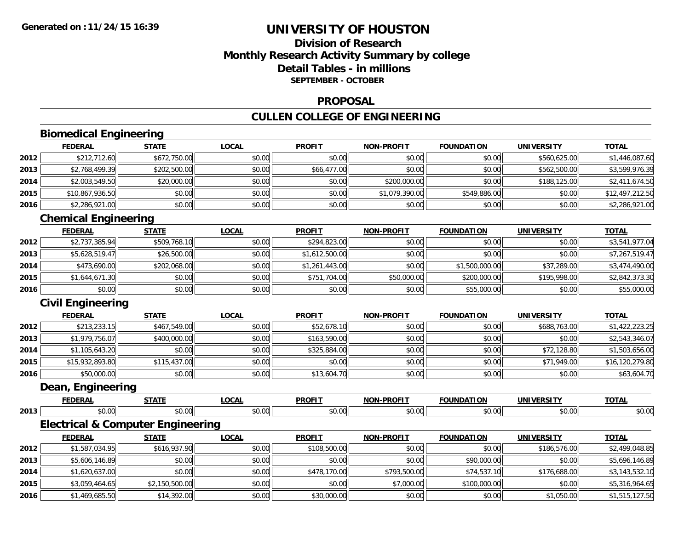## **Division of ResearchMonthly Research Activity Summary by college Detail Tables - in millionsSEPTEMBER - OCTOBER**

#### **PROPOSAL**

## **CULLEN COLLEGE OF ENGINEERING**

# **Biomedical Engineering**

|      | <b>FEDERAL</b>  | <b>STATE</b> | <b>LOCAL</b> | <b>PROFIT</b> | <b>NON-PROFIT</b> | <b>FOUNDATION</b> | <b>UNIVERSITY</b> | <b>TOTAL</b>    |
|------|-----------------|--------------|--------------|---------------|-------------------|-------------------|-------------------|-----------------|
| 2012 | \$212,712.60    | \$672,750.00 | \$0.00       | \$0.00        | \$0.00            | \$0.00            | \$560,625.00      | \$1,446,087.60  |
| 2013 | \$2,768,499.39  | \$202,500.00 | \$0.00       | \$66,477.00   | \$0.00            | \$0.00            | \$562,500.00      | \$3,599,976.39  |
| 2014 | \$2,003,549.50  | \$20,000.00  | \$0.00       | \$0.00        | \$200,000.00      | \$0.00            | \$188,125,00      | \$2,411,674.50  |
| 2015 | \$10,867,936.50 | \$0.00       | \$0.00       | \$0.00        | \$1,079,390.00    | \$549,886.00      | \$0.00            | \$12,497,212.50 |
| 2016 | \$2,286,921.00  | \$0.00       | \$0.00       | \$0.00        | \$0.00            | \$0.00            | \$0.00            | \$2,286,921.00  |

## **Chemical Engineering**

|      | <b>FEDERAL</b> | <b>STATE</b> | <u>LOCAL</u> | <b>PROFIT</b>  | <b>NON-PROFIT</b> | <b>FOUNDATION</b> | <b>UNIVERSITY</b> | <b>TOTAL</b>   |
|------|----------------|--------------|--------------|----------------|-------------------|-------------------|-------------------|----------------|
| 2012 | \$2,737,385.94 | \$509,768.10 | \$0.00       | \$294,823.00   | \$0.00            | \$0.00            | \$0.00            | \$3,541,977.04 |
| 2013 | \$5,628,519.47 | \$26,500.00  | \$0.00       | \$1,612,500.00 | \$0.00            | \$0.00            | \$0.00            | \$7,267,519.47 |
| 2014 | \$473,690.00   | \$202,068.00 | \$0.00       | \$1,261,443.00 | \$0.00            | \$1,500,000.00    | \$37,289.00       | \$3,474,490.00 |
| 2015 | \$1,644,671.30 | \$0.00       | \$0.00       | \$751,704.00   | \$50,000.00       | \$200,000.00      | \$195,998.00      | \$2,842,373.30 |
| 2016 | \$0.00         | \$0.00       | \$0.00       | \$0.00         | \$0.00            | \$55,000.00       | \$0.00            | \$55,000.00    |

## **Civil Engineering**

|      | <b>FEDERAL</b>  | <b>STATE</b> | <b>LOCAL</b> | <b>PROFIT</b> | <b>NON-PROFIT</b> | <b>FOUNDATION</b> | <b>UNIVERSITY</b> | <b>TOTAL</b>    |
|------|-----------------|--------------|--------------|---------------|-------------------|-------------------|-------------------|-----------------|
| 2012 | \$213,233.15    | \$467,549.00 | \$0.00       | \$52,678.10   | \$0.00            | \$0.00            | \$688,763.00      | \$1,422,223.25  |
| 2013 | \$1,979,756.07  | \$400,000,00 | \$0.00       | \$163,590.00  | \$0.00            | \$0.00            | \$0.00            | \$2,543,346.07  |
| 2014 | \$1,105,643.20  | \$0.00       | \$0.00       | \$325,884.00  | \$0.00            | \$0.00            | \$72,128.80       | \$1,503,656.00  |
| 2015 | \$15,932,893.80 | \$115,437.00 | \$0.00       | \$0.00        | \$0.00            | \$0.00            | \$71,949.00       | \$16,120,279.80 |
| 2016 | \$50,000.00     | \$0.00       | \$0.00       | \$13,604.70   | \$0.00            | \$0.00            | \$0.00            | \$63,604.70     |

#### **Dean, Engineering**

|      |        | ----- | $- - - -$<br>'N | <b>DDAEL</b> | . <b>. .</b><br>ורות   |                           |                           | <b>TOTA</b>            |
|------|--------|-------|-----------------|--------------|------------------------|---------------------------|---------------------------|------------------------|
| 2013 | $\sim$ |       | $\cdots$        |              | $\sim$ $\sim$<br>,,,,, | $\sim$ 0.0 $\sim$<br>J.UJ | $\sim$ 00 $\cdot$<br>ט.טע | $\sim$ $\sim$<br>JU.UU |

## **Electrical & Computer Engineering**

|      | <b>FEDERAL</b> | <b>STATE</b>   | <u>LOCAL</u> | <b>PROFIT</b> | <b>NON-PROFIT</b> | <b>FOUNDATION</b> | UNIVERSITY   | <b>TOTAL</b>   |
|------|----------------|----------------|--------------|---------------|-------------------|-------------------|--------------|----------------|
| 2012 | \$1,587,034.95 | \$616,937.90   | \$0.00       | \$108,500.00  | \$0.00            | \$0.00            | \$186,576,00 | \$2,499,048.85 |
| 2013 | \$5,606,146.89 | \$0.00         | \$0.00       | \$0.00        | \$0.00            | \$90,000.00       | \$0.00       | \$5,696,146.89 |
| 2014 | \$1,620,637.00 | \$0.00         | \$0.00       | \$478,170.00  | \$793,500.00      | \$74,537.10       | \$176,688,00 | \$3,143,532.10 |
| 2015 | \$3,059,464.65 | \$2,150,500.00 | \$0.00       | \$0.00        | \$7,000.00        | \$100,000.00      | \$0.00       | \$5,316,964.65 |
| 2016 | \$1,469,685.50 | \$14,392.00    | \$0.00       | \$30,000.00   | \$0.00            | \$0.00            | \$1,050.00   | \$1,515,127.50 |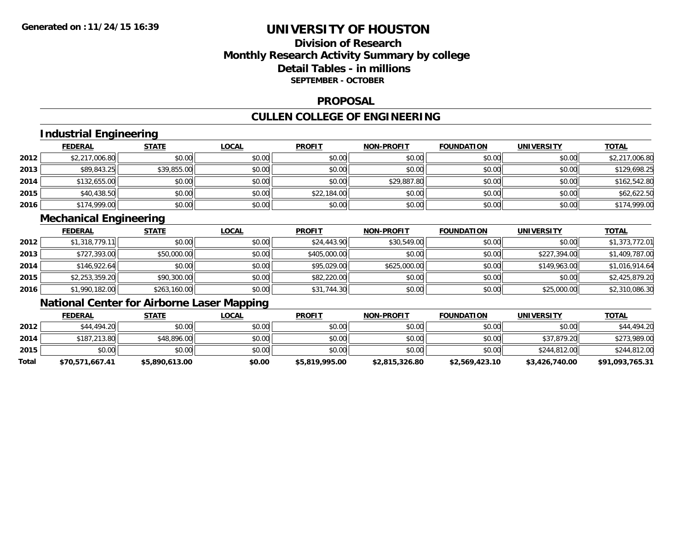## **Division of ResearchMonthly Research Activity Summary by college Detail Tables - in millions SEPTEMBER - OCTOBER**

#### **PROPOSAL**

## **CULLEN COLLEGE OF ENGINEERING**

## **Industrial Engineering**

|      | <b>FEDERAL</b> | <b>STATE</b> | <u>LOCAL</u> | <b>PROFIT</b> | <b>NON-PROFIT</b> | <b>FOUNDATION</b> | <b>UNIVERSITY</b> | <b>TOTAL</b>   |
|------|----------------|--------------|--------------|---------------|-------------------|-------------------|-------------------|----------------|
| 2012 | \$2,217,006.80 | \$0.00       | \$0.00       | \$0.00        | \$0.00            | \$0.00            | \$0.00            | \$2,217,006.80 |
| 2013 | \$89,843.25    | \$39,855.00  | \$0.00       | \$0.00        | \$0.00            | \$0.00            | \$0.00            | \$129,698.25   |
| 2014 | \$132,655.00   | \$0.00       | \$0.00       | \$0.00        | \$29,887.80       | \$0.00            | \$0.00            | \$162,542.80   |
| 2015 | \$40,438.50    | \$0.00       | \$0.00       | \$22,184.00   | \$0.00            | \$0.00            | \$0.00            | \$62,622.50    |
| 2016 | \$174,999.00   | \$0.00       | \$0.00       | \$0.00        | \$0.00            | \$0.00            | \$0.00            | \$174,999.00   |

## **Mechanical Engineering**

|      | <b>FEDERAL</b> | <b>STATE</b> | <u>LOCAL</u> | <b>PROFIT</b> | <b>NON-PROFIT</b> | <b>FOUNDATION</b> | <b>UNIVERSITY</b> | <b>TOTAL</b>   |
|------|----------------|--------------|--------------|---------------|-------------------|-------------------|-------------------|----------------|
| 2012 | \$1,318,779.11 | \$0.00       | \$0.00       | \$24,443.90   | \$30,549.00       | \$0.00            | \$0.00            | \$1,373,772.01 |
| 2013 | \$727,393.00   | \$50,000.00  | \$0.00       | \$405,000.00  | \$0.00            | \$0.00            | \$227,394.00      | \$1,409,787.00 |
| 2014 | \$146,922.64   | \$0.00       | \$0.00       | \$95,029.00   | \$625,000.00      | \$0.00            | \$149,963.00      | \$1,016,914.64 |
| 2015 | \$2,253,359.20 | \$90,300.00  | \$0.00       | \$82,220.00   | \$0.00            | \$0.00            | \$0.00            | \$2,425,879.20 |
| 2016 | \$1,990,182.00 | \$263,160.00 | \$0.00       | \$31,744.30   | \$0.00            | \$0.00            | \$25,000.00       | \$2,310,086.30 |

# **National Center for Airborne Laser Mapping**

|       | <u>FEDERAL</u>  | <u>STATE</u>   | <u>LOCAL</u> | <b>PROFIT</b>  | <b>NON-PROFIT</b> | <b>FOUNDATION</b> | <b>UNIVERSITY</b> | <b>TOTAL</b>    |
|-------|-----------------|----------------|--------------|----------------|-------------------|-------------------|-------------------|-----------------|
| 2012  | \$44,494.20     | \$0.00         | \$0.00       | \$0.00         | \$0.00            | \$0.00            | \$0.00            | \$44,494.20     |
| 2014  | \$187,213.80    | \$48,896.00    | \$0.00       | \$0.00         | \$0.00            | \$0.00            | \$37,879.20       | \$273,989.00    |
| 2015  | \$0.00          | \$0.00         | \$0.00       | \$0.00         | \$0.00            | \$0.00            | \$244,812.00      | \$244,812.00    |
| Total | \$70,571,667.41 | \$5,890,613.00 | \$0.00       | \$5,819,995.00 | \$2,815,326.80    | \$2,569,423.10    | \$3,426,740.00    | \$91,093,765.31 |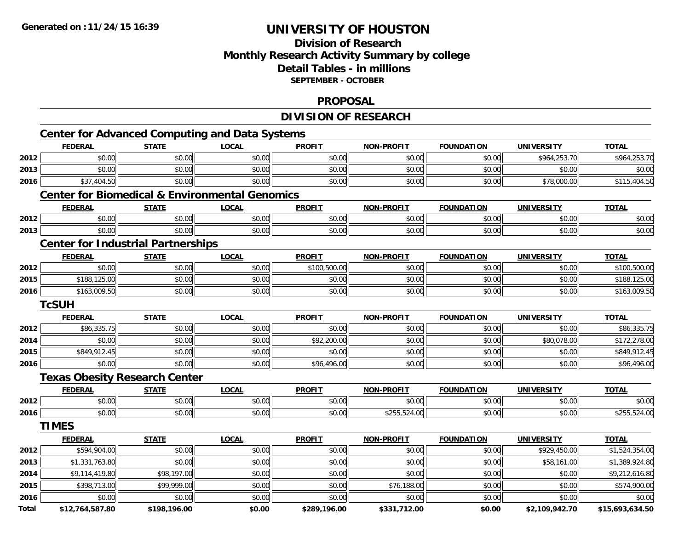## **Division of ResearchMonthly Research Activity Summary by college Detail Tables - in millions SEPTEMBER - OCTOBER**

#### **PROPOSAL**

## **DIVISION OF RESEARCH**

|              | <b>FEDERAL</b>                                            | <b>STATE</b> | <b>LOCAL</b> | <b>PROFIT</b> | <b>NON-PROFIT</b> | <b>FOUNDATION</b> | <b>UNIVERSITY</b> | <b>TOTAL</b>    |
|--------------|-----------------------------------------------------------|--------------|--------------|---------------|-------------------|-------------------|-------------------|-----------------|
| 2012         | \$0.00                                                    | \$0.00       | \$0.00       | \$0.00        | \$0.00            | \$0.00            | \$964,253.70      | \$964,253.70    |
| 2013         | \$0.00                                                    | \$0.00       | \$0.00       | \$0.00        | \$0.00            | \$0.00            | \$0.00            | \$0.00          |
| 2016         | \$37,404.50                                               | \$0.00       | \$0.00       | \$0.00        | \$0.00            | \$0.00            | \$78,000.00       | \$115,404.50    |
|              | <b>Center for Biomedical &amp; Environmental Genomics</b> |              |              |               |                   |                   |                   |                 |
|              | <b>FEDERAL</b>                                            | <b>STATE</b> | <b>LOCAL</b> | <b>PROFIT</b> | <b>NON-PROFIT</b> | <b>FOUNDATION</b> | <b>UNIVERSITY</b> | <b>TOTAL</b>    |
| 2012         | \$0.00                                                    | \$0.00       | \$0.00       | \$0.00        | \$0.00            | \$0.00            | \$0.00            | \$0.00          |
| 2013         | \$0.00                                                    | \$0.00       | \$0.00       | \$0.00        | \$0.00            | \$0.00            | \$0.00            | \$0.00          |
|              | <b>Center for Industrial Partnerships</b>                 |              |              |               |                   |                   |                   |                 |
|              | <b>FEDERAL</b>                                            | <b>STATE</b> | <b>LOCAL</b> | <b>PROFIT</b> | NON-PROFIT        | <b>FOUNDATION</b> | <b>UNIVERSITY</b> | <b>TOTAL</b>    |
| 2012         | \$0.00                                                    | \$0.00       | \$0.00       | \$100,500.00  | \$0.00            | \$0.00            | \$0.00            | \$100,500.00    |
| 2015         | \$188,125.00                                              | \$0.00       | \$0.00       | \$0.00        | \$0.00            | \$0.00            | \$0.00            | \$188,125.00    |
| 2016         | \$163,009.50                                              | \$0.00       | \$0.00       | \$0.00        | \$0.00            | \$0.00            | \$0.00            | \$163,009.50    |
|              | <b>TcSUH</b>                                              |              |              |               |                   |                   |                   |                 |
|              | <b>FEDERAL</b>                                            | <b>STATE</b> | <b>LOCAL</b> | <b>PROFIT</b> | <b>NON-PROFIT</b> | <b>FOUNDATION</b> | <b>UNIVERSITY</b> | <b>TOTAL</b>    |
| 2012         | \$86,335.75                                               | \$0.00       | \$0.00       | \$0.00        | \$0.00            | \$0.00            | \$0.00            | \$86,335.75     |
| 2014         | \$0.00                                                    | \$0.00       | \$0.00       | \$92,200.00   | \$0.00            | \$0.00            | \$80,078.00       | \$172,278.00    |
| 2015         | \$849,912.45                                              | \$0.00       | \$0.00       | \$0.00        | \$0.00            | \$0.00            | \$0.00            | \$849,912.45    |
| 2016         | \$0.00                                                    | \$0.00       | \$0.00       | \$96,496.00   | \$0.00            | \$0.00            | \$0.00            | \$96,496.00     |
|              | <b>Texas Obesity Research Center</b>                      |              |              |               |                   |                   |                   |                 |
|              | <b>FEDERAL</b>                                            | <b>STATE</b> | <b>LOCAL</b> | <b>PROFIT</b> | <b>NON-PROFIT</b> | <b>FOUNDATION</b> | UNIVERSITY        | <b>TOTAL</b>    |
| 2012         | \$0.00                                                    | \$0.00       | \$0.00       | \$0.00        | \$0.00            | \$0.00            | \$0.00            | \$0.00          |
| 2016         | \$0.00                                                    | \$0.00       | \$0.00       | \$0.00        | \$255,524.00      | \$0.00            | \$0.00            | \$255,524.00    |
|              | <b>TIMES</b>                                              |              |              |               |                   |                   |                   |                 |
|              | <b>FEDERAL</b>                                            | <b>STATE</b> | <b>LOCAL</b> | <b>PROFIT</b> | <b>NON-PROFIT</b> | <b>FOUNDATION</b> | <b>UNIVERSITY</b> | <b>TOTAL</b>    |
| 2012         | \$594,904.00                                              | \$0.00       | \$0.00       | \$0.00        | \$0.00            | \$0.00            | \$929,450.00      | \$1,524,354.00  |
| 2013         | \$1,331,763.80                                            | \$0.00       | \$0.00       | \$0.00        | \$0.00            | \$0.00            | \$58,161.00       | \$1,389,924.80  |
| 2014         | \$9,114,419.80                                            | \$98,197.00  | \$0.00       | \$0.00        | \$0.00            | \$0.00            | \$0.00            | \$9,212,616.80  |
| 2015         | \$398,713.00                                              | \$99,999.00  | \$0.00       | \$0.00        | \$76,188.00       | \$0.00            | \$0.00            | \$574,900.00    |
| 2016         | \$0.00                                                    | \$0.00       | \$0.00       | \$0.00        | \$0.00            | \$0.00            | \$0.00            | \$0.00          |
| <b>Total</b> | \$12.764.587.80                                           | \$198.196.00 | \$0.00       | \$289.196.00  | \$331.712.00      | \$0.00            | \$2.109.942.70    | \$15.693.634.50 |

**\$12,764,587.80 \$198,196.00 \$0.00 \$289,196.00 \$331,712.00 \$0.00 \$2,109,942.70 \$15,693,634.50**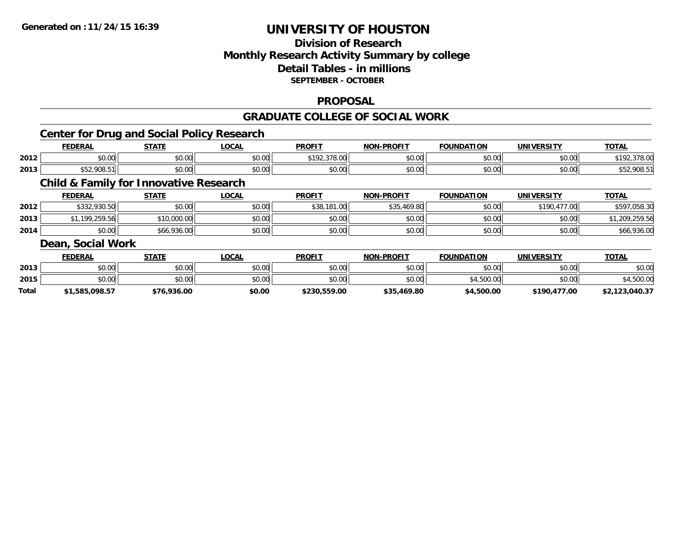## **Division of ResearchMonthly Research Activity Summary by college Detail Tables - in millions SEPTEMBER - OCTOBER**

#### **PROPOSAL**

#### **GRADUATE COLLEGE OF SOCIAL WORK**

## **Center for Drug and Social Policy Research**

|      | <b>FEDERAI</b>                                  | C T A T C | .OCAL              | <b>PROFIT</b>                                                   | <b>DDAFIT</b><br><b>MARI</b> | <b>FOUNDATION</b> | <b>UNIVERSITY</b> | <b>TOTAL</b>          |
|------|-------------------------------------------------|-----------|--------------------|-----------------------------------------------------------------|------------------------------|-------------------|-------------------|-----------------------|
| 2012 | 0000<br>JU.UU                                   | \$0.00    | $\sim$ 00<br>JU.UU | 270.00<br>$\mathsf{A} \mathsf{A} \mathsf{A} \mathsf{A}$<br>u.uu | 0 <sub>0</sub><br>JU.UU      | 0000<br>JU.UU.    | \$0.00            | 270.05<br>378.UU      |
| 2013 | 000E<br>$\mathbf{A} = \mathbf{A}$<br>992.700.91 | \$0.00    | $\sim$ 00<br>vv.vv | $\mathsf{A}\cap\mathsf{A}\cap\mathsf{A}$<br>JU.UU               | 0000<br>vv.vv                | 0000<br>JU.UU     | \$0.00            | <b>OOO E</b><br>، ے ب |

## **Child & Family for Innovative Research**

|      | <b>FEDERAL</b> | <u>STATE</u> | <u>LOCAL</u> | <b>PROFIT</b> | <b>NON-PROFIT</b> | <b>FOUNDATION</b> | <b>UNIVERSITY</b> | <b>TOTAL</b> |
|------|----------------|--------------|--------------|---------------|-------------------|-------------------|-------------------|--------------|
| 2012 | \$332,930.50   | \$0.00       | \$0.00       | \$38,181.00   | \$35,469.80       | \$0.00            | \$190,477.00      | \$597,058.30 |
| 2013 | .199.259.56    | \$10,000.00  | \$0.00       | \$0.00        | \$0.00            | \$0.00            | \$0.00            | .,209,259.56 |
| 2014 | \$0.00         | \$66,936.00  | \$0.00       | \$0.00        | \$0.00            | \$0.00            | \$0.00            | \$66,936.00  |
|      |                |              |              |               |                   |                   |                   |              |

#### **Dean, Social Work**

|       | <b>FEDERAL</b> | STATE       | <u>LOCAL</u> | <b>PROFIT</b> | <b>NON-PROFIT</b> | <b>FOUNDATION</b> | <b>UNIVERSITY</b> | <u>TOTAL</u>   |
|-------|----------------|-------------|--------------|---------------|-------------------|-------------------|-------------------|----------------|
| 2013  | \$0.00         | \$0.00      | \$0.00       | \$0.00        | \$0.00            | \$0.00            | \$0.00            | \$0.00         |
| 2015  | \$0.00         | \$0.00      | \$0.00       | \$0.00        | \$0.00            | \$4,500.00        | \$0.00            | \$4,500.00     |
| Total | \$1,585,098.57 | \$76,936.00 | \$0.00       | \$230,559.00  | \$35,469.80       | \$4,500.00        | \$190,477.00      | \$2,123,040.37 |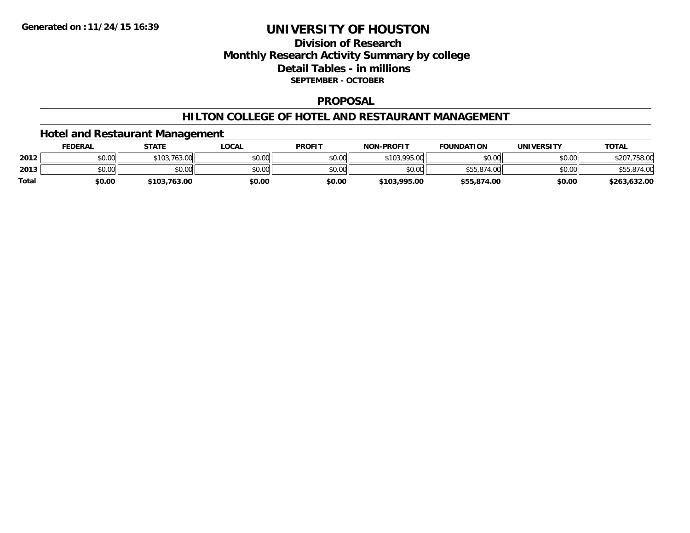## **Division of ResearchMonthly Research Activity Summary by college Detail Tables - in millions SEPTEMBER - OCTOBER**

#### **PROPOSAL**

#### **HILTON COLLEGE OF HOTEL AND RESTAURANT MANAGEMENT**

#### **Hotel and Restaurant Management**

|              | <u>FEDERAL</u> | <b>STATE</b>     | _OCAL  | <b>PROFIT</b> | <b>NON-PROFIT</b> | <b>FOUNDATION</b> | UNIVERSITY | <u>TOTAL</u>    |
|--------------|----------------|------------------|--------|---------------|-------------------|-------------------|------------|-----------------|
| 2012         | \$0.00         | 763.00<br>$*102$ | \$0.00 | \$0.00        | \$103,995.00      | \$0.00            | \$0.00     | ,758.00<br>\$20 |
| 2013         | \$0.00         | \$0.00           | \$0.00 | \$0.00        | \$0.00            |                   | \$0.00     | \$55,874.00     |
| <b>Total</b> | \$0.00         | \$103,763.00     | \$0.00 | \$0.00        | \$103,995.00      | \$55,874.00       | \$0.00     | \$263,632.00    |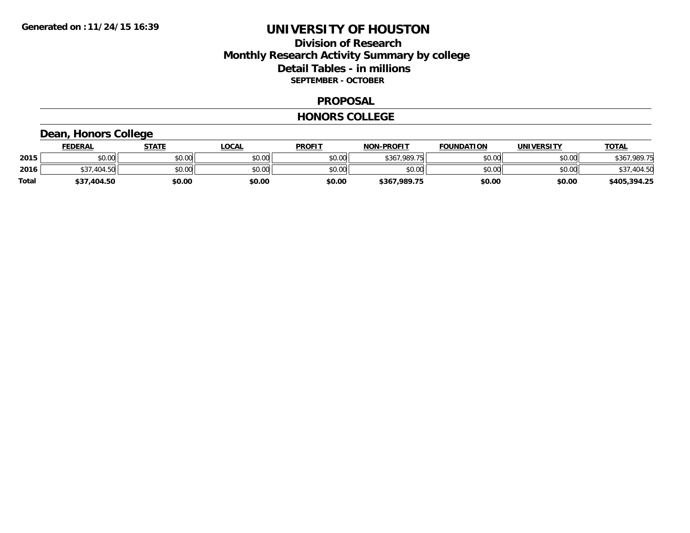## **Division of ResearchMonthly Research Activity Summary by college Detail Tables - in millions SEPTEMBER - OCTOBER**

#### **PROPOSAL**

#### **HONORS COLLEGE**

## **Dean, Honors College**

|              | <b>FEDERAL</b>  | STATE  | LOCAL  | <b>PROFIT</b> | <b>NON-PROFIT</b> | <b>FOUNDATION</b> | <b>UNIVERSITY</b> | <u>TOTAL</u> |
|--------------|-----------------|--------|--------|---------------|-------------------|-------------------|-------------------|--------------|
| 2015         | \$0.00          | \$0.00 | \$0.00 | \$0.00        | \$367.989.75      | \$0.00            | \$0.00            | \$367,989.75 |
| 2016         | 404.50<br>J.J / | \$0.00 | \$0.00 | \$0.00        | \$0.00            | \$0.00            | \$0.00            | \$37,404.50  |
| <b>Total</b> | \$37,404.50     | \$0.00 | \$0.00 | \$0.00        | \$367,989.75      | \$0.00            | \$0.00            | \$405,394.25 |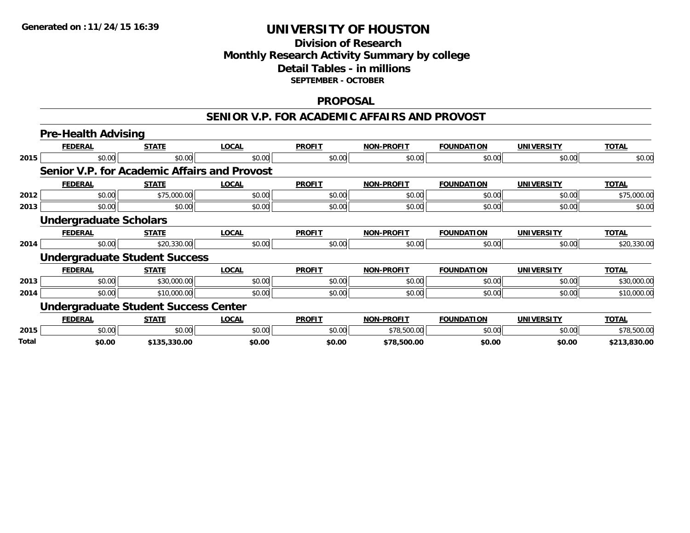## **Division of Research Monthly Research Activity Summary by college Detail Tables - in millions SEPTEMBER - OCTOBER**

#### **PROPOSAL**

#### **SENIOR V.P. FOR ACADEMIC AFFAIRS AND PROVOST**

|       | <b>Pre-Health Advising</b>                   |              |              |               |                   |                   |                   |              |
|-------|----------------------------------------------|--------------|--------------|---------------|-------------------|-------------------|-------------------|--------------|
|       | <b>FEDERAL</b>                               | <b>STATE</b> | <b>LOCAL</b> | <b>PROFIT</b> | <b>NON-PROFIT</b> | <b>FOUNDATION</b> | <b>UNIVERSITY</b> | <b>TOTAL</b> |
| 2015  | \$0.00                                       | \$0.00       | \$0.00       | \$0.00        | \$0.00            | \$0.00            | \$0.00            | \$0.00       |
|       | Senior V.P. for Academic Affairs and Provost |              |              |               |                   |                   |                   |              |
|       | <b>FEDERAL</b>                               | <b>STATE</b> | <b>LOCAL</b> | <b>PROFIT</b> | <b>NON-PROFIT</b> | <b>FOUNDATION</b> | <b>UNIVERSITY</b> | <b>TOTAL</b> |
| 2012  | \$0.00                                       | \$75,000.00  | \$0.00       | \$0.00        | \$0.00            | \$0.00            | \$0.00            | \$75,000.00  |
| 2013  | \$0.00                                       | \$0.00       | \$0.00       | \$0.00        | \$0.00            | \$0.00            | \$0.00            | \$0.00       |
|       | <b>Undergraduate Scholars</b>                |              |              |               |                   |                   |                   |              |
|       | <b>FEDERAL</b>                               | <b>STATE</b> | <b>LOCAL</b> | <b>PROFIT</b> | <b>NON-PROFIT</b> | <b>FOUNDATION</b> | <b>UNIVERSITY</b> | <b>TOTAL</b> |
| 2014  | \$0.00                                       | \$20,330.00  | \$0.00       | \$0.00        | \$0.00            | \$0.00            | \$0.00            | \$20,330.00  |
|       | <b>Undergraduate Student Success</b>         |              |              |               |                   |                   |                   |              |
|       | <b>FEDERAL</b>                               | <b>STATE</b> | <b>LOCAL</b> | <b>PROFIT</b> | <b>NON-PROFIT</b> | <b>FOUNDATION</b> | <b>UNIVERSITY</b> | <b>TOTAL</b> |
| 2013  | \$0.00                                       | \$30,000.00  | \$0.00       | \$0.00        | \$0.00            | \$0.00            | \$0.00            | \$30,000.00  |
| 2014  | \$0.00                                       | \$10,000.00  | \$0.00       | \$0.00        | \$0.00            | \$0.00            | \$0.00            | \$10,000.00  |
|       | <b>Undergraduate Student Success Center</b>  |              |              |               |                   |                   |                   |              |
|       | <b>FEDERAL</b>                               | <b>STATE</b> | <b>LOCAL</b> | <b>PROFIT</b> | <b>NON-PROFIT</b> | <b>FOUNDATION</b> | <b>UNIVERSITY</b> | <b>TOTAL</b> |
| 2015  | \$0.00                                       | \$0.00       | \$0.00       | \$0.00        | \$78,500.00       | \$0.00            | \$0.00            | \$78,500.00  |
| Total | \$0.00                                       | \$135,330.00 | \$0.00       | \$0.00        | \$78,500.00       | \$0.00            | \$0.00            | \$213,830.00 |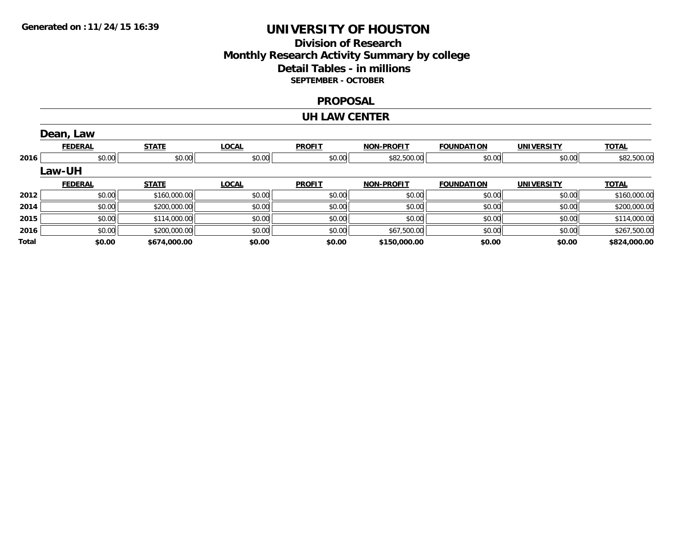## **Division of Research Monthly Research Activity Summary by college Detail Tables - in millions SEPTEMBER - OCTOBER**

#### **PROPOSAL**

#### **UH LAW CENTER**

|       | Dean, Law      |              |              |               |                   |                   |                   |              |
|-------|----------------|--------------|--------------|---------------|-------------------|-------------------|-------------------|--------------|
|       | <b>FEDERAL</b> | <b>STATE</b> | <b>LOCAL</b> | <b>PROFIT</b> | <b>NON-PROFIT</b> | <b>FOUNDATION</b> | <b>UNIVERSITY</b> | <b>TOTAL</b> |
| 2016  | \$0.00         | \$0.00       | \$0.00       | \$0.00        | \$82,500.00       | \$0.00            | \$0.00            | \$82,500.00  |
|       | <b>Law-UH</b>  |              |              |               |                   |                   |                   |              |
|       | <b>FEDERAL</b> | <b>STATE</b> | <b>LOCAL</b> | <b>PROFIT</b> | <b>NON-PROFIT</b> | <b>FOUNDATION</b> | <b>UNIVERSITY</b> | <b>TOTAL</b> |
| 2012  | \$0.00         | \$160,000.00 | \$0.00       | \$0.00        | \$0.00            | \$0.00            | \$0.00            | \$160,000.00 |
| 2014  | \$0.00         | \$200,000.00 | \$0.00       | \$0.00        | \$0.00            | \$0.00            | \$0.00            | \$200,000.00 |
| 2015  | \$0.00         | \$114,000.00 | \$0.00       | \$0.00        | \$0.00            | \$0.00            | \$0.00            | \$114,000.00 |
| 2016  | \$0.00         | \$200,000.00 | \$0.00       | \$0.00        | \$67,500.00       | \$0.00            | \$0.00            | \$267,500.00 |
| Total | \$0.00         | \$674,000.00 | \$0.00       | \$0.00        | \$150,000.00      | \$0.00            | \$0.00            | \$824,000.00 |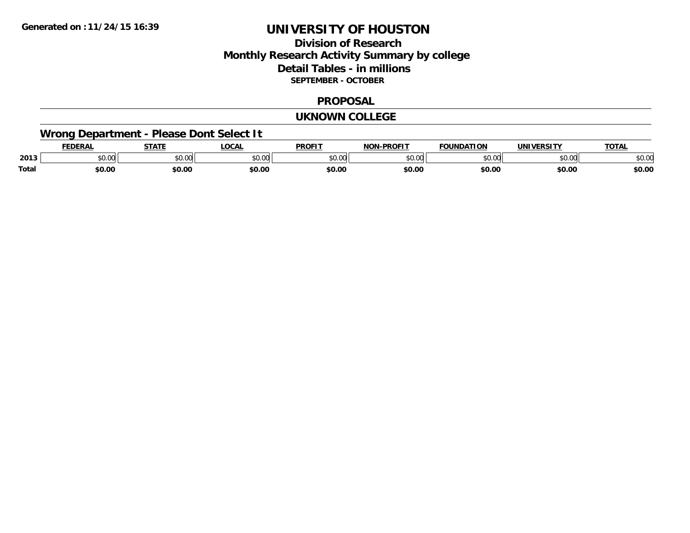## **Division of ResearchMonthly Research Activity Summary by college Detail Tables - in millions SEPTEMBER - OCTOBER**

#### **PROPOSAL**

#### **UKNOWN COLLEGE**

# **Wrong Department - Please Dont Select It**

|       |                | 27.77                   | <b>OCA</b>       | <b>PROFIT</b> | $\sim$ DDAE:<br>$\sim$ |                      |                | $T^{\sim}$   |
|-------|----------------|-------------------------|------------------|---------------|------------------------|----------------------|----------------|--------------|
| 2013  | en uu<br>JU.UL | 0 <sub>n</sub><br>JU.UU | $\sim$ 00<br>. v | 0.00          | $\sim$ 00<br>ט טע      | $\sim$ $\sim$ $\sim$ | ሶስ ስስ<br>טע.טע | 0 n<br>DU.UU |
| Total | \$0.00         | \$0.00                  | \$0.00           | \$0.00        | \$0.00                 | \$0.00               | \$0.00         | \$0.00       |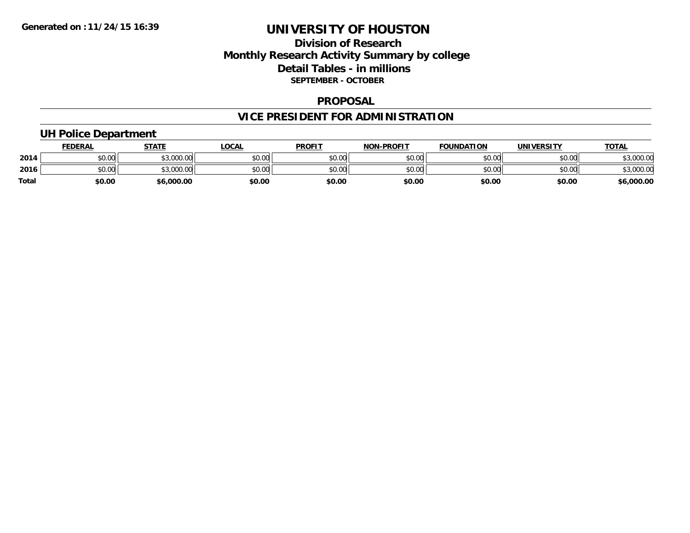## **Division of Research Monthly Research Activity Summary by college Detail Tables - in millions SEPTEMBER - OCTOBER**

#### **PROPOSAL**

# **VICE PRESIDENT FOR ADMINISTRATION**

## **UH Police Department**

|              | <b>FEDERAL</b> | <b>STATE</b>        | _OCAL  | <b>PROFIT</b> | <b>NON-PROFIT</b> | <b>FOUNDATION</b> | <b>UNIVERSITY</b> | <u>TOTAL</u>   |
|--------------|----------------|---------------------|--------|---------------|-------------------|-------------------|-------------------|----------------|
| 2014         | \$0.00         | 000000<br>DU.UUU.GC | \$0.00 | \$0.00        | \$0.00            | \$0.00            | \$0.00            | \$3,000.00     |
| 2016         | \$0.00         | \$3,000.00          | \$0.00 | \$0.00        | \$0.00            | \$0.00            | \$0.00            | ,000.00<br>. ש |
| <b>Total</b> | \$0.00         | \$6,000.00          | \$0.00 | \$0.00        | \$0.00            | \$0.00            | \$0.00            | \$6,000.00     |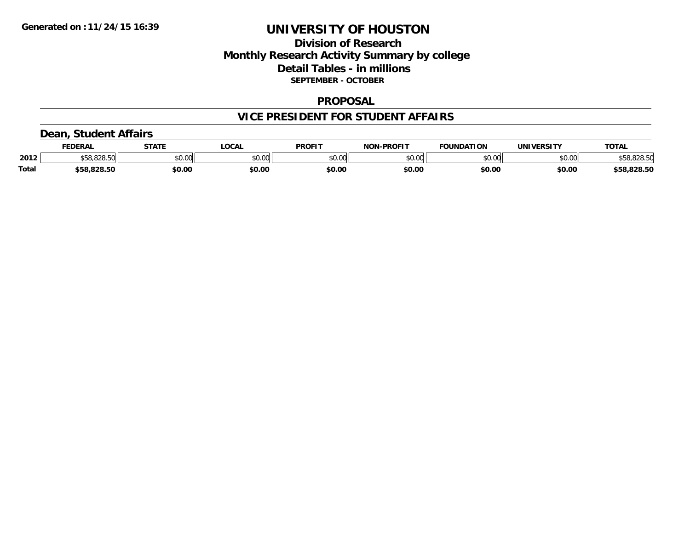## **Division of Research Monthly Research Activity Summary by college Detail Tables - in millions SEPTEMBER - OCTOBER**

#### **PROPOSAL**

#### **VICE PRESIDENT FOR STUDENT AFFAIRS**

#### **Dean, Student Affairs**

|              | FEDERAL                            | <b>STATE</b> | .OCAL  | <b>PROFIT</b> | <b>NON-PROFIT</b> | <b>FOUNDATION</b> | <b>UNIVERSITY</b> | TOTA.       |
|--------------|------------------------------------|--------------|--------|---------------|-------------------|-------------------|-------------------|-------------|
| 2012         | 0.020 E <sub>0</sub><br>.58.828.5U | \$0.00       | \$0.00 | \$0.00        | \$0.00            | \$0.00            | \$0.00            | \$58,828.50 |
| <b>Total</b> | \$58,828.50                        | \$0.00       | \$0.00 | \$0.00        | \$0.00            | \$0.00            | \$0.00            | \$58,828.50 |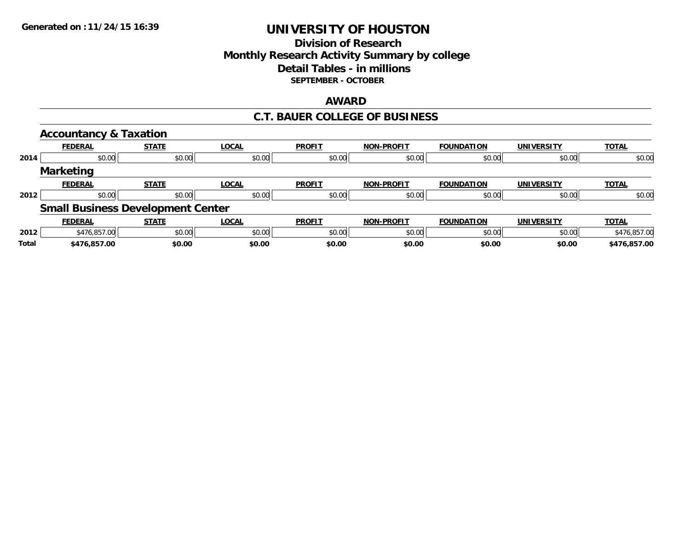## **Division of ResearchMonthly Research Activity Summary by college Detail Tables - in millions SEPTEMBER - OCTOBER**

## **AWARD**

## **C.T. BAUER COLLEGE OF BUSINESS**

|              | <b>Accountancy &amp; Taxation</b>        |              |              |               |                   |                   |                   |              |
|--------------|------------------------------------------|--------------|--------------|---------------|-------------------|-------------------|-------------------|--------------|
|              | <b>FEDERAL</b>                           | <b>STATE</b> | <b>LOCAL</b> | <b>PROFIT</b> | <b>NON-PROFIT</b> | <b>FOUNDATION</b> | <b>UNIVERSITY</b> | <b>TOTAL</b> |
| 2014         | \$0.00                                   | \$0.00       | \$0.00       | \$0.00        | \$0.00            | \$0.00            | \$0.00            | \$0.00       |
|              | <b>Marketing</b>                         |              |              |               |                   |                   |                   |              |
|              | <b>FEDERAL</b>                           | <b>STATE</b> | <b>LOCAL</b> | <b>PROFIT</b> | <b>NON-PROFIT</b> | <b>FOUNDATION</b> | <b>UNIVERSITY</b> | <b>TOTAL</b> |
| 2012         | \$0.00                                   | \$0.00       | \$0.00       | \$0.00        | \$0.00            | \$0.00            | \$0.00            | \$0.00       |
|              | <b>Small Business Development Center</b> |              |              |               |                   |                   |                   |              |
|              | <b>FEDERAL</b>                           | <b>STATE</b> | <b>LOCAL</b> | <b>PROFIT</b> | <b>NON-PROFIT</b> | <b>FOUNDATION</b> | <b>UNIVERSITY</b> | <b>TOTAL</b> |
| 2012         | \$476,857.00                             | \$0.00       | \$0.00       | \$0.00        | \$0.00            | \$0.00            | \$0.00            | \$476,857.00 |
| <b>Total</b> | \$476,857.00                             | \$0.00       | \$0.00       | \$0.00        | \$0.00            | \$0.00            | \$0.00            | \$476.857.00 |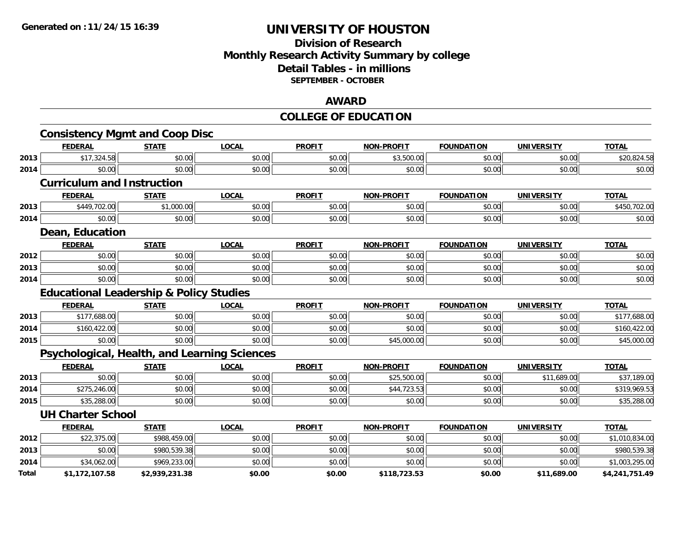## **Division of Research Monthly Research Activity Summary by college Detail Tables - in millions SEPTEMBER - OCTOBER**

#### **AWARD**

#### **COLLEGE OF EDUCATION**

|       | <b>Consistency Mgmt and Coop Disc</b>              |                |              |               |                   |                   |                   |                |
|-------|----------------------------------------------------|----------------|--------------|---------------|-------------------|-------------------|-------------------|----------------|
|       | <b>FEDERAL</b>                                     | <b>STATE</b>   | <b>LOCAL</b> | <b>PROFIT</b> | <b>NON-PROFIT</b> | <b>FOUNDATION</b> | <b>UNIVERSITY</b> | <b>TOTAL</b>   |
| 2013  | \$17,324.58                                        | \$0.00         | \$0.00       | \$0.00        | \$3,500.00        | \$0.00            | \$0.00            | \$20,824.58    |
| 2014  | \$0.00                                             | \$0.00         | \$0.00       | \$0.00        | \$0.00            | \$0.00            | \$0.00            | \$0.00         |
|       | <b>Curriculum and Instruction</b>                  |                |              |               |                   |                   |                   |                |
|       | <b>FEDERAL</b>                                     | <b>STATE</b>   | <b>LOCAL</b> | <b>PROFIT</b> | <b>NON-PROFIT</b> | <b>FOUNDATION</b> | <b>UNIVERSITY</b> | <b>TOTAL</b>   |
| 2013  | \$449,702.00                                       | \$1,000.00     | \$0.00       | \$0.00        | \$0.00            | \$0.00            | \$0.00            | \$450,702.00   |
| 2014  | \$0.00                                             | \$0.00         | \$0.00       | \$0.00        | \$0.00            | \$0.00            | \$0.00            | \$0.00         |
|       | Dean, Education                                    |                |              |               |                   |                   |                   |                |
|       | <b>FEDERAL</b>                                     | <b>STATE</b>   | <b>LOCAL</b> | <b>PROFIT</b> | <b>NON-PROFIT</b> | <b>FOUNDATION</b> | <b>UNIVERSITY</b> | <b>TOTAL</b>   |
| 2012  | \$0.00                                             | \$0.00         | \$0.00       | \$0.00        | \$0.00            | \$0.00            | \$0.00            | \$0.00         |
| 2013  | \$0.00                                             | \$0.00         | \$0.00       | \$0.00        | \$0.00            | \$0.00            | \$0.00            | \$0.00         |
| 2014  | \$0.00                                             | \$0.00         | \$0.00       | \$0.00        | \$0.00            | \$0.00            | \$0.00            | \$0.00         |
|       | <b>Educational Leadership &amp; Policy Studies</b> |                |              |               |                   |                   |                   |                |
|       | <b>FEDERAL</b>                                     | <b>STATE</b>   | <b>LOCAL</b> | <b>PROFIT</b> | <b>NON-PROFIT</b> | <b>FOUNDATION</b> | <b>UNIVERSITY</b> | <b>TOTAL</b>   |
| 2013  | \$177,688.00                                       | \$0.00         | \$0.00       | \$0.00        | \$0.00            | \$0.00            | \$0.00            | \$177,688.00   |
| 2014  | \$160,422.00                                       | \$0.00         | \$0.00       | \$0.00        | \$0.00            | \$0.00            | \$0.00            | \$160,422.00   |
| 2015  | \$0.00                                             | \$0.00         | \$0.00       | \$0.00        | \$45,000.00       | \$0.00            | \$0.00            | \$45,000.00    |
|       | Psychological, Health, and Learning Sciences       |                |              |               |                   |                   |                   |                |
|       | <b>FEDERAL</b>                                     | <b>STATE</b>   | <b>LOCAL</b> | <b>PROFIT</b> | <b>NON-PROFIT</b> | <b>FOUNDATION</b> | <b>UNIVERSITY</b> | <b>TOTAL</b>   |
| 2013  | \$0.00                                             | \$0.00         | \$0.00       | \$0.00        | \$25,500.00       | \$0.00            | \$11,689.00       | \$37,189.00    |
| 2014  | \$275,246.00                                       | \$0.00         | \$0.00       | \$0.00        | \$44,723.53       | \$0.00            | \$0.00            | \$319,969.53   |
| 2015  | \$35,288.00                                        | \$0.00         | \$0.00       | \$0.00        | \$0.00            | \$0.00            | \$0.00            | \$35,288.00    |
|       | <b>UH Charter School</b>                           |                |              |               |                   |                   |                   |                |
|       | <b>FEDERAL</b>                                     | <b>STATE</b>   | <b>LOCAL</b> | <b>PROFIT</b> | <b>NON-PROFIT</b> | <b>FOUNDATION</b> | <b>UNIVERSITY</b> | <b>TOTAL</b>   |
| 2012  | \$22,375.00                                        | \$988,459.00   | \$0.00       | \$0.00        | \$0.00            | \$0.00            | \$0.00            | \$1,010,834.00 |
| 2013  | \$0.00                                             | \$980,539.38   | \$0.00       | \$0.00        | \$0.00            | \$0.00            | \$0.00            | \$980,539.38   |
| 2014  | \$34,062.00                                        | \$969,233.00   | \$0.00       | \$0.00        | \$0.00            | \$0.00            | \$0.00            | \$1,003,295.00 |
| Total | \$1,172,107.58                                     | \$2,939,231.38 | \$0.00       | \$0.00        | \$118,723.53      | \$0.00            | \$11,689.00       | \$4,241,751.49 |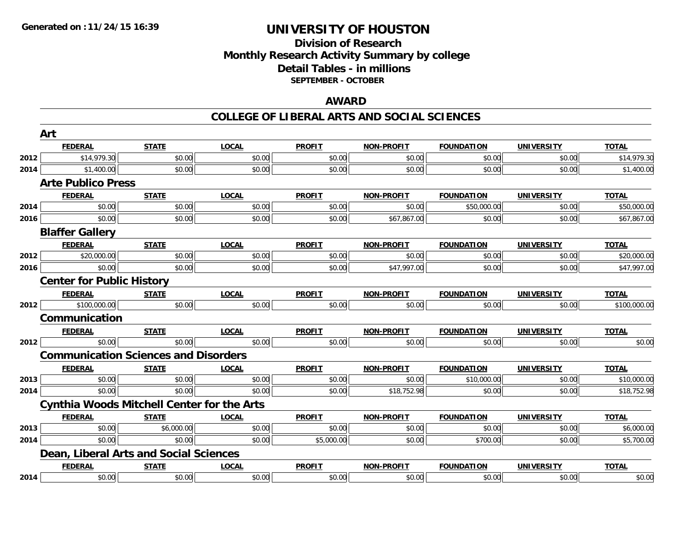## **Division of Research Monthly Research Activity Summary by college Detail Tables - in millions SEPTEMBER - OCTOBER**

#### **AWARD**

|                                                      | Art                                               |              |              |               |                   |                   |                   |              |
|------------------------------------------------------|---------------------------------------------------|--------------|--------------|---------------|-------------------|-------------------|-------------------|--------------|
|                                                      | <b>FEDERAL</b>                                    | <b>STATE</b> | <b>LOCAL</b> | <b>PROFIT</b> | <b>NON-PROFIT</b> | <b>FOUNDATION</b> | <b>UNIVERSITY</b> | <b>TOTAL</b> |
| 2012                                                 | \$14,979.30                                       | \$0.00       | \$0.00       | \$0.00        | \$0.00            | \$0.00            | \$0.00            | \$14,979.30  |
| 2014<br>2014<br>2016<br>2012<br>2016<br>2012<br>2012 | \$1,400.00                                        | \$0.00       | \$0.00       | \$0.00        | \$0.00            | \$0.00            | \$0.00            | \$1,400.00   |
|                                                      | <b>Arte Publico Press</b>                         |              |              |               |                   |                   |                   |              |
|                                                      | <b>FEDERAL</b>                                    | <b>STATE</b> | <b>LOCAL</b> | <b>PROFIT</b> | <b>NON-PROFIT</b> | <b>FOUNDATION</b> | <b>UNIVERSITY</b> | <b>TOTAL</b> |
|                                                      | \$0.00                                            | \$0.00       | \$0.00       | \$0.00        | \$0.00            | \$50,000.00       | \$0.00            | \$50,000.00  |
|                                                      | \$0.00                                            | \$0.00       | \$0.00       | \$0.00        | \$67,867.00       | \$0.00            | \$0.00            | \$67,867.00  |
|                                                      | <b>Blaffer Gallery</b>                            |              |              |               |                   |                   |                   |              |
|                                                      | <b>FEDERAL</b>                                    | <b>STATE</b> | <b>LOCAL</b> | <b>PROFIT</b> | <b>NON-PROFIT</b> | <b>FOUNDATION</b> | <b>UNIVERSITY</b> | <b>TOTAL</b> |
|                                                      | \$20,000.00                                       | \$0.00       | \$0.00       | \$0.00        | \$0.00            | \$0.00            | \$0.00            | \$20,000.00  |
|                                                      | \$0.00                                            | \$0.00       | \$0.00       | \$0.00        | \$47,997.00       | \$0.00            | \$0.00            | \$47,997.00  |
|                                                      | <b>Center for Public History</b>                  |              |              |               |                   |                   |                   |              |
|                                                      | <b>FEDERAL</b>                                    | <b>STATE</b> | <b>LOCAL</b> | <b>PROFIT</b> | <b>NON-PROFIT</b> | <b>FOUNDATION</b> | <b>UNIVERSITY</b> | <b>TOTAL</b> |
|                                                      | \$100,000.00                                      | \$0.00       | \$0.00       | \$0.00        | \$0.00            | \$0.00            | \$0.00            | \$100,000.00 |
|                                                      | Communication                                     |              |              |               |                   |                   |                   |              |
|                                                      | <b>FEDERAL</b>                                    | <b>STATE</b> | <b>LOCAL</b> | <b>PROFIT</b> | <b>NON-PROFIT</b> | <b>FOUNDATION</b> | <b>UNIVERSITY</b> | <b>TOTAL</b> |
|                                                      | \$0.00                                            | \$0.00       | \$0.00       | \$0.00        | \$0.00            | \$0.00            | \$0.00            | \$0.00       |
|                                                      | <b>Communication Sciences and Disorders</b>       |              |              |               |                   |                   |                   |              |
|                                                      | <b>FEDERAL</b>                                    | <b>STATE</b> | <b>LOCAL</b> | <b>PROFIT</b> | <b>NON-PROFIT</b> | <b>FOUNDATION</b> | <b>UNIVERSITY</b> | <b>TOTAL</b> |
| 2013                                                 | \$0.00                                            | \$0.00       | \$0.00       | \$0.00        | \$0.00            | \$10,000.00       | \$0.00            | \$10,000.00  |
| 2014                                                 | \$0.00                                            | \$0.00       | \$0.00       | \$0.00        | \$18,752.98       | \$0.00            | \$0.00            | \$18,752.98  |
|                                                      | <b>Cynthia Woods Mitchell Center for the Arts</b> |              |              |               |                   |                   |                   |              |
|                                                      | <b>FEDERAL</b>                                    | <b>STATE</b> | <b>LOCAL</b> | <b>PROFIT</b> | <b>NON-PROFIT</b> | <b>FOUNDATION</b> | <b>UNIVERSITY</b> | <b>TOTAL</b> |
| 2013                                                 | \$0.00                                            | \$6,000.00   | \$0.00       | \$0.00        | \$0.00            | \$0.00            | \$0.00            | \$6,000.00   |
| 2014                                                 | \$0.00                                            | \$0.00       | \$0.00       | \$5,000.00    | \$0.00            | \$700.00          | \$0.00            | \$5,700.00   |
|                                                      | Dean, Liberal Arts and Social Sciences            |              |              |               |                   |                   |                   |              |
|                                                      | <b>FEDERAL</b>                                    | <b>STATE</b> | <b>LOCAL</b> | <b>PROFIT</b> | <b>NON-PROFIT</b> | <b>FOUNDATION</b> | <b>UNIVERSITY</b> | <b>TOTAL</b> |
| 2014                                                 | \$0.00                                            | \$0.00       | \$0.00       | \$0.00        | \$0.00            | \$0.00            | \$0.00            | \$0.00       |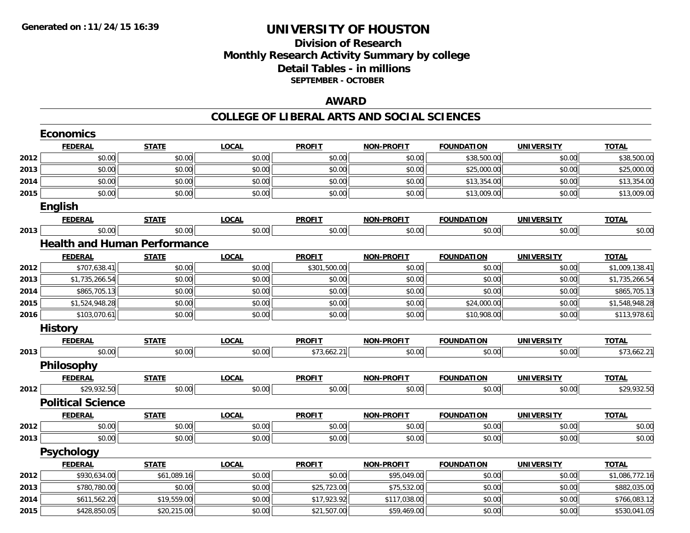## **Division of ResearchMonthly Research Activity Summary by college Detail Tables - in millions SEPTEMBER - OCTOBER**

#### **AWARD**

|      | <b>Economics</b>                    |              |              |               |                   |                   |                   |                |
|------|-------------------------------------|--------------|--------------|---------------|-------------------|-------------------|-------------------|----------------|
|      | <b>FEDERAL</b>                      | <b>STATE</b> | <b>LOCAL</b> | <b>PROFIT</b> | <b>NON-PROFIT</b> | <b>FOUNDATION</b> | <b>UNIVERSITY</b> | <b>TOTAL</b>   |
| 2012 | \$0.00                              | \$0.00       | \$0.00       | \$0.00        | \$0.00            | \$38,500.00       | \$0.00            | \$38,500.00    |
| 2013 | \$0.00                              | \$0.00       | \$0.00       | \$0.00        | \$0.00            | \$25,000.00       | \$0.00            | \$25,000.00    |
| 2014 | \$0.00                              | \$0.00       | \$0.00       | \$0.00        | \$0.00            | \$13,354.00       | \$0.00            | \$13,354.00    |
| 2015 | \$0.00                              | \$0.00       | \$0.00       | \$0.00        | \$0.00            | \$13,009.00       | \$0.00            | \$13,009.00    |
|      | <b>English</b>                      |              |              |               |                   |                   |                   |                |
|      | <b>FEDERAL</b>                      | <b>STATE</b> | <b>LOCAL</b> | <b>PROFIT</b> | <b>NON-PROFIT</b> | <b>FOUNDATION</b> | <b>UNIVERSITY</b> | <b>TOTAL</b>   |
| 2013 | \$0.00                              | \$0.00       | \$0.00       | \$0.00        | \$0.00            | \$0.00            | \$0.00            | \$0.00         |
|      | <b>Health and Human Performance</b> |              |              |               |                   |                   |                   |                |
|      | <b>FEDERAL</b>                      | <b>STATE</b> | <b>LOCAL</b> | <b>PROFIT</b> | <b>NON-PROFIT</b> | <b>FOUNDATION</b> | <b>UNIVERSITY</b> | <b>TOTAL</b>   |
| 2012 | \$707,638.41                        | \$0.00       | \$0.00       | \$301,500.00  | \$0.00            | \$0.00            | \$0.00            | \$1,009,138.41 |
| 2013 | \$1,735,266.54                      | \$0.00       | \$0.00       | \$0.00        | \$0.00            | \$0.00            | \$0.00            | \$1,735,266.54 |
| 2014 | \$865,705.13                        | \$0.00       | \$0.00       | \$0.00        | \$0.00            | \$0.00            | \$0.00            | \$865,705.13   |
| 2015 | \$1,524,948.28                      | \$0.00       | \$0.00       | \$0.00        | \$0.00            | \$24,000.00       | \$0.00            | \$1,548,948.28 |
| 2016 | \$103,070.61                        | \$0.00       | \$0.00       | \$0.00        | \$0.00            | \$10,908.00       | \$0.00            | \$113,978.61   |
|      | <b>History</b>                      |              |              |               |                   |                   |                   |                |
|      | <b>FEDERAL</b>                      | <b>STATE</b> | <b>LOCAL</b> | <b>PROFIT</b> | <b>NON-PROFIT</b> | <b>FOUNDATION</b> | <b>UNIVERSITY</b> | <b>TOTAL</b>   |
| 2013 | \$0.00                              | \$0.00       | \$0.00       | \$73,662.21   | \$0.00            | \$0.00            | \$0.00            | \$73,662.21    |
|      | <b>Philosophy</b>                   |              |              |               |                   |                   |                   |                |
|      | <b>FEDERAL</b>                      | <b>STATE</b> | <b>LOCAL</b> | <b>PROFIT</b> | <b>NON-PROFIT</b> | <b>FOUNDATION</b> | <b>UNIVERSITY</b> | <b>TOTAL</b>   |
| 2012 | \$29,932.50                         | \$0.00       | \$0.00       | \$0.00        | \$0.00            | \$0.00            | \$0.00            | \$29,932.50    |
|      | <b>Political Science</b>            |              |              |               |                   |                   |                   |                |
|      | <b>FEDERAL</b>                      | <b>STATE</b> | <b>LOCAL</b> | <b>PROFIT</b> | <b>NON-PROFIT</b> | <b>FOUNDATION</b> | <b>UNIVERSITY</b> | <b>TOTAL</b>   |
| 2012 | \$0.00                              | \$0.00       | \$0.00       | \$0.00        | \$0.00            | \$0.00            | \$0.00            | \$0.00         |
| 2013 | \$0.00                              | \$0.00       | \$0.00       | \$0.00        | \$0.00            | \$0.00            | \$0.00            | \$0.00         |
|      | <b>Psychology</b>                   |              |              |               |                   |                   |                   |                |
|      | <b>FEDERAL</b>                      | <b>STATE</b> | <b>LOCAL</b> | <b>PROFIT</b> | <b>NON-PROFIT</b> | <b>FOUNDATION</b> | <b>UNIVERSITY</b> | <b>TOTAL</b>   |
| 2012 | \$930,634.00                        | \$61,089.16  | \$0.00       | \$0.00        | \$95,049.00       | \$0.00            | \$0.00            | \$1,086,772.16 |
| 2013 | \$780,780.00                        | \$0.00       | \$0.00       | \$25,723.00   | \$75,532.00       | \$0.00            | \$0.00            | \$882,035.00   |
| 2014 | \$611,562.20                        | \$19,559.00  | \$0.00       | \$17,923.92   | \$117,038.00      | \$0.00            | \$0.00            | \$766,083.12   |
| 2015 | \$428,850.05                        | \$20,215.00  | \$0.00       | \$21,507.00   | \$59,469.00       | \$0.00            | \$0.00            | \$530,041.05   |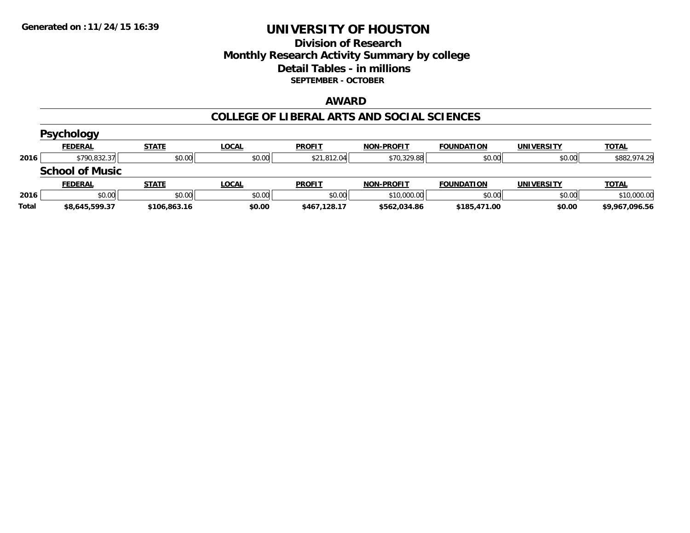## **Division of Research Monthly Research Activity Summary by college Detail Tables - in millions SEPTEMBER - OCTOBER**

#### **AWARD**

|       | <b>Psychology</b>      |              |              |               |                   |                   |                   |                |
|-------|------------------------|--------------|--------------|---------------|-------------------|-------------------|-------------------|----------------|
|       | <b>FEDERAL</b>         | <b>STATE</b> | <u>LOCAL</u> | <b>PROFIT</b> | <b>NON-PROFIT</b> | <b>FOUNDATION</b> | <b>UNIVERSITY</b> | <b>TOTAL</b>   |
| 2016  | \$790,832.37           | \$0.00       | \$0.00       | \$21,812.04   | \$70,329.88       | \$0.00            | \$0.00            | \$882,974.29   |
|       | <b>School of Music</b> |              |              |               |                   |                   |                   |                |
|       | <b>FEDERAL</b>         | <b>STATE</b> | <b>LOCAL</b> | <b>PROFIT</b> | <b>NON-PROFIT</b> | <b>FOUNDATION</b> | <b>UNIVERSITY</b> | <b>TOTAL</b>   |
| 2016  | \$0.00                 | \$0.00       | \$0.00       | \$0.00        | \$10,000.00       | \$0.00            | \$0.00            | \$10,000.00    |
| Total | \$8,645,599.37         | \$106,863.16 | \$0.00       | \$467,128.17  | \$562.034.86      | \$185,471.00      | \$0.00            | \$9,967,096.56 |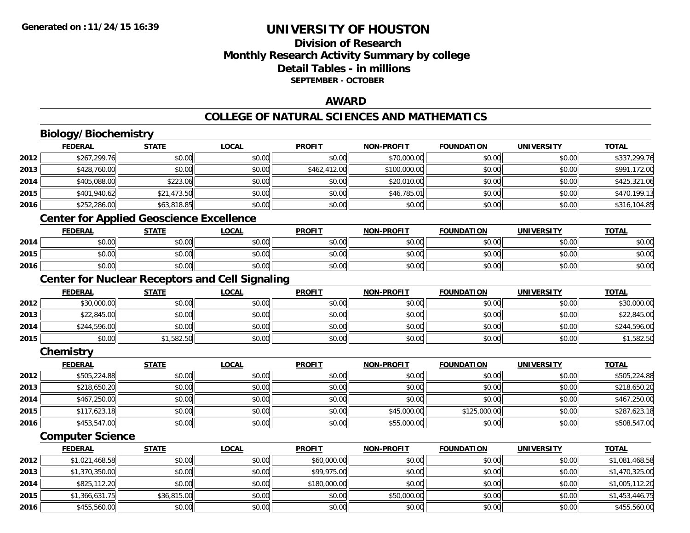## **Division of ResearchMonthly Research Activity Summary by college Detail Tables - in millions SEPTEMBER - OCTOBER**

#### **AWARD**

## **COLLEGE OF NATURAL SCIENCES AND MATHEMATICS**

# **Biology/Biochemistry**

**2015**

**2016**

|      | <b>FEDERAL</b>                                         | <b>STATE</b> | <b>LOCAL</b> | <b>PROFIT</b> | <b>NON-PROFIT</b> | <b>FOUNDATION</b> | <b>UNIVERSITY</b> | <b>TOTAL</b>   |
|------|--------------------------------------------------------|--------------|--------------|---------------|-------------------|-------------------|-------------------|----------------|
| 2012 | \$267,299.76                                           | \$0.00       | \$0.00       | \$0.00        | \$70,000.00       | \$0.00            | \$0.00            | \$337,299.76   |
| 2013 | \$428,760.00                                           | \$0.00       | \$0.00       | \$462,412.00  | \$100,000.00      | \$0.00            | \$0.00            | \$991,172.00   |
| 2014 | \$405,088.00                                           | \$223.06     | \$0.00       | \$0.00        | \$20,010.00       | \$0.00            | \$0.00            | \$425,321.06   |
| 2015 | \$401,940.62                                           | \$21,473.50  | \$0.00       | \$0.00        | \$46,785.01       | \$0.00            | \$0.00            | \$470,199.13   |
| 2016 | \$252,286.00                                           | \$63,818.85  | \$0.00       | \$0.00        | \$0.00            | \$0.00            | \$0.00            | \$316,104.85   |
|      | <b>Center for Applied Geoscience Excellence</b>        |              |              |               |                   |                   |                   |                |
|      | <b>FEDERAL</b>                                         | <b>STATE</b> | <b>LOCAL</b> | <b>PROFIT</b> | <b>NON-PROFIT</b> | <b>FOUNDATION</b> | <b>UNIVERSITY</b> | <b>TOTAL</b>   |
| 2014 | \$0.00                                                 | \$0.00       | \$0.00       | \$0.00        | \$0.00            | \$0.00            | \$0.00            | \$0.00         |
| 2015 | \$0.00                                                 | \$0.00       | \$0.00       | \$0.00        | \$0.00            | \$0.00            | \$0.00            | \$0.00         |
| 2016 | \$0.00                                                 | \$0.00       | \$0.00       | \$0.00        | \$0.00            | \$0.00            | \$0.00            | \$0.00         |
|      | <b>Center for Nuclear Receptors and Cell Signaling</b> |              |              |               |                   |                   |                   |                |
|      | <b>FEDERAL</b>                                         | <b>STATE</b> | <b>LOCAL</b> | <b>PROFIT</b> | <b>NON-PROFIT</b> | <b>FOUNDATION</b> | <b>UNIVERSITY</b> | <b>TOTAL</b>   |
| 2012 | \$30,000.00                                            | \$0.00       | \$0.00       | \$0.00        | \$0.00            | \$0.00            | \$0.00            | \$30,000.00    |
| 2013 | \$22,845.00                                            | \$0.00       | \$0.00       | \$0.00        | \$0.00            | \$0.00            | \$0.00            | \$22,845.00    |
| 2014 | \$244,596.00                                           | \$0.00       | \$0.00       | \$0.00        | \$0.00            | \$0.00            | \$0.00            | \$244,596.00   |
| 2015 | \$0.00                                                 | \$1,582.50   | \$0.00       | \$0.00        | \$0.00            | \$0.00            | \$0.00            | \$1,582.50     |
|      | Chemistry                                              |              |              |               |                   |                   |                   |                |
|      | <b>FEDERAL</b>                                         | <b>STATE</b> | <b>LOCAL</b> | <b>PROFIT</b> | <b>NON-PROFIT</b> | <b>FOUNDATION</b> | <b>UNIVERSITY</b> | <b>TOTAL</b>   |
| 2012 | \$505,224.88                                           | \$0.00       | \$0.00       | \$0.00        | \$0.00            | \$0.00            | \$0.00            | \$505,224.88   |
| 2013 | \$218,650.20                                           | \$0.00       | \$0.00       | \$0.00        | \$0.00            | \$0.00            | \$0.00            | \$218,650.20   |
| 2014 | \$467,250.00                                           | \$0.00       | \$0.00       | \$0.00        | \$0.00            | \$0.00            | \$0.00            | \$467,250.00   |
| 2015 | \$117,623.18                                           | \$0.00       | \$0.00       | \$0.00        | \$45,000.00       | \$125,000.00      | \$0.00            | \$287,623.18   |
| 2016 | \$453,547.00                                           | \$0.00       | \$0.00       | \$0.00        | \$55,000.00       | \$0.00            | \$0.00            | \$508,547.00   |
|      | <b>Computer Science</b>                                |              |              |               |                   |                   |                   |                |
|      | <b>FEDERAL</b>                                         | <b>STATE</b> | <b>LOCAL</b> | <b>PROFIT</b> | <b>NON-PROFIT</b> | <b>FOUNDATION</b> | <b>UNIVERSITY</b> | <b>TOTAL</b>   |
| 2012 | \$1,021,468.58                                         | \$0.00       | \$0.00       | \$60,000.00   | \$0.00            | \$0.00            | \$0.00            | \$1,081,468.58 |
| 2013 | \$1,370,350.00                                         | \$0.00       | \$0.00       | \$99,975.00   | \$0.00            | \$0.00            | \$0.00            | \$1,470,325.00 |
| 2014 | \$825,112.20                                           | \$0.00       | \$0.00       | \$180,000.00  | \$0.00            | \$0.00            | \$0.00            | \$1,005,112.20 |

\$1,366,631.75 \$36,815.00 \$0.00 \$0.00 \$50,000.00 \$0.00 \$0.00 \$1,453,446.75

\$455,560.00 \$0.00 \$0.00 \$0.00 \$0.00 \$0.00 \$0.00 \$455,560.00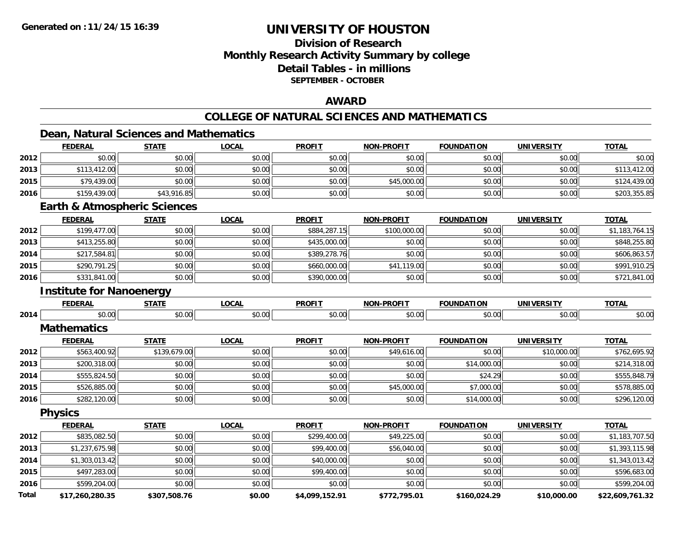## **Division of ResearchMonthly Research Activity Summary by college Detail Tables - in millions SEPTEMBER - OCTOBER**

#### **AWARD**

## **COLLEGE OF NATURAL SCIENCES AND MATHEMATICS**

## **Dean, Natural Sciences and Mathematics**

|              | <b>FEDERAL</b>                          | <b>STATE</b> | <b>LOCAL</b> | <b>PROFIT</b>  | <b>NON-PROFIT</b> | <b>FOUNDATION</b> | <b>UNIVERSITY</b> | <b>TOTAL</b>    |
|--------------|-----------------------------------------|--------------|--------------|----------------|-------------------|-------------------|-------------------|-----------------|
| 2012         | \$0.00                                  | \$0.00       | \$0.00       | \$0.00         | \$0.00            | \$0.00            | \$0.00            | \$0.00          |
| 2013         | \$113,412.00                            | \$0.00       | \$0.00       | \$0.00         | \$0.00            | \$0.00            | \$0.00            | \$113,412.00    |
| 2015         | \$79,439.00                             | \$0.00       | \$0.00       | \$0.00         | \$45,000.00       | \$0.00            | \$0.00            | \$124,439.00    |
| 2016         | \$159,439.00                            | \$43,916.85  | \$0.00       | \$0.00         | \$0.00            | \$0.00            | \$0.00            | \$203,355.85    |
|              | <b>Earth &amp; Atmospheric Sciences</b> |              |              |                |                   |                   |                   |                 |
|              | <b>FEDERAL</b>                          | <b>STATE</b> | <b>LOCAL</b> | <b>PROFIT</b>  | <b>NON-PROFIT</b> | <b>FOUNDATION</b> | <b>UNIVERSITY</b> | <b>TOTAL</b>    |
| 2012         | \$199,477.00                            | \$0.00       | \$0.00       | \$884,287.15   | \$100,000.00      | \$0.00            | \$0.00            | \$1,183,764.15  |
| 2013         | \$413,255.80                            | \$0.00       | \$0.00       | \$435,000.00   | \$0.00            | \$0.00            | \$0.00            | \$848,255.80    |
| 2014         | \$217,584.81                            | \$0.00       | \$0.00       | \$389,278.76   | \$0.00            | \$0.00            | \$0.00            | \$606,863.57    |
| 2015         | \$290,791.25                            | \$0.00       | \$0.00       | \$660,000.00   | \$41,119.00       | \$0.00            | \$0.00            | \$991,910.25    |
| 2016         | \$331,841.00                            | \$0.00       | \$0.00       | \$390,000.00   | \$0.00            | \$0.00            | \$0.00            | \$721,841.00    |
|              | <b>Institute for Nanoenergy</b>         |              |              |                |                   |                   |                   |                 |
|              | <b>FEDERAL</b>                          | <b>STATE</b> | <b>LOCAL</b> | <b>PROFIT</b>  | <b>NON-PROFIT</b> | <b>FOUNDATION</b> | <b>UNIVERSITY</b> | <b>TOTAL</b>    |
| 2014         | \$0.00                                  | \$0.00       | \$0.00       | \$0.00         | \$0.00            | \$0.00            | \$0.00            | \$0.00          |
|              | <b>Mathematics</b>                      |              |              |                |                   |                   |                   |                 |
|              | <b>FEDERAL</b>                          | <b>STATE</b> | <b>LOCAL</b> | <b>PROFIT</b>  | <b>NON-PROFIT</b> | <b>FOUNDATION</b> | <b>UNIVERSITY</b> | <b>TOTAL</b>    |
| 2012         | \$563,400.92                            | \$139,679.00 | \$0.00       | \$0.00         | \$49,616.00       | \$0.00            | \$10,000.00       | \$762,695.92    |
| 2013         | \$200,318.00                            | \$0.00       | \$0.00       | \$0.00         | \$0.00            | \$14,000.00       | \$0.00            | \$214,318.00    |
| 2014         | \$555,824.50                            | \$0.00       | \$0.00       | \$0.00         | \$0.00            | \$24.29           | \$0.00            | \$555,848.79    |
| 2015         | \$526,885.00                            | \$0.00       | \$0.00       | \$0.00         | \$45,000.00       | \$7,000.00        | \$0.00            | \$578,885.00    |
| 2016         | \$282,120.00                            | \$0.00       | \$0.00       | \$0.00         | \$0.00            | \$14,000.00       | \$0.00            | \$296,120.00    |
|              | <b>Physics</b>                          |              |              |                |                   |                   |                   |                 |
|              | <b>FEDERAL</b>                          | <b>STATE</b> | <b>LOCAL</b> | <b>PROFIT</b>  | <b>NON-PROFIT</b> | <b>FOUNDATION</b> | <b>UNIVERSITY</b> | <b>TOTAL</b>    |
| 2012         | \$835,082.50                            | \$0.00       | \$0.00       | \$299,400.00   | \$49,225.00       | \$0.00            | \$0.00            | \$1,183,707.50  |
| 2013         | \$1,237,675.98                          | \$0.00       | \$0.00       | \$99,400.00    | \$56,040.00       | \$0.00            | \$0.00            | \$1,393,115.98  |
| 2014         | \$1,303,013.42                          | \$0.00       | \$0.00       | \$40,000.00    | \$0.00            | \$0.00            | \$0.00            | \$1,343,013.42  |
| 2015         | \$497,283.00                            | \$0.00       | \$0.00       | \$99,400.00    | \$0.00            | \$0.00            | \$0.00            | \$596,683.00    |
| 2016         | \$599,204.00                            | \$0.00       | \$0.00       | \$0.00         | \$0.00            | \$0.00            | \$0.00            | \$599,204.00    |
| <b>Total</b> | \$17 260 280 35                         | \$307 508 76 | \$0.00       | \$4 099 152 91 | \$772 795 01      | \$160,024.29      | \$10,000,00       | \$22,609,761,32 |

**\$17,260,280.35 \$307,508.76 \$0.00 \$4,099,152.91 \$772,795.01 \$160,024.29 \$10,000.00 \$22,609,761.32**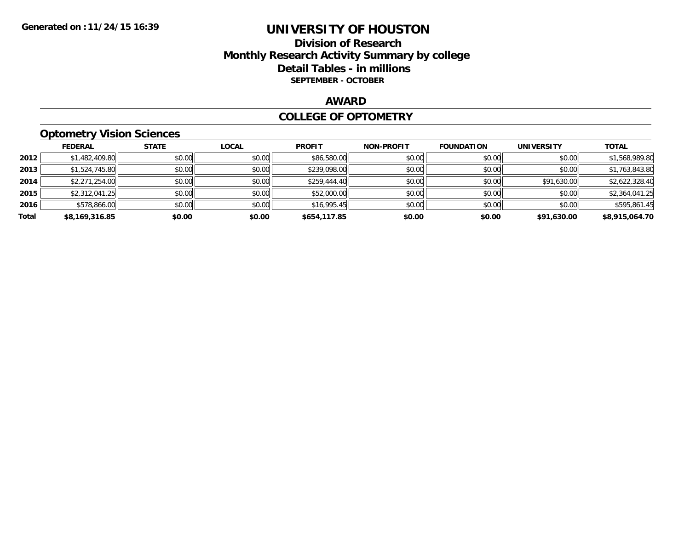## **Division of Research Monthly Research Activity Summary by college Detail Tables - in millions SEPTEMBER - OCTOBER**

#### **AWARD**

#### **COLLEGE OF OPTOMETRY**

## **Optometry Vision Sciences**

|       | <b>FEDERAL</b> | <b>STATE</b> | <b>LOCAL</b> | <b>PROFIT</b> | <b>NON-PROFIT</b> | <b>FOUNDATION</b> | <b>UNIVERSITY</b> | <u>TOTAL</u>   |
|-------|----------------|--------------|--------------|---------------|-------------------|-------------------|-------------------|----------------|
| 2012  | \$1,482,409.80 | \$0.00       | \$0.00       | \$86,580.00   | \$0.00            | \$0.00            | \$0.00            | \$1,568,989.80 |
| 2013  | \$1,524,745.80 | \$0.00       | \$0.00       | \$239,098.00  | \$0.00            | \$0.00            | \$0.00            | \$1,763,843.80 |
| 2014  | \$2,271,254.00 | \$0.00       | \$0.00       | \$259.444.40  | \$0.00            | \$0.00            | \$91,630.00       | \$2,622,328.40 |
| 2015  | \$2,312,041.25 | \$0.00       | \$0.00       | \$52,000.00   | \$0.00            | \$0.00            | \$0.00            | \$2,364,041.25 |
| 2016  | \$578,866.00   | \$0.00       | \$0.00       | \$16,995.45   | \$0.00            | \$0.00            | \$0.00            | \$595,861.45   |
| Total | \$8,169,316.85 | \$0.00       | \$0.00       | \$654,117.85  | \$0.00            | \$0.00            | \$91,630.00       | \$8,915,064.70 |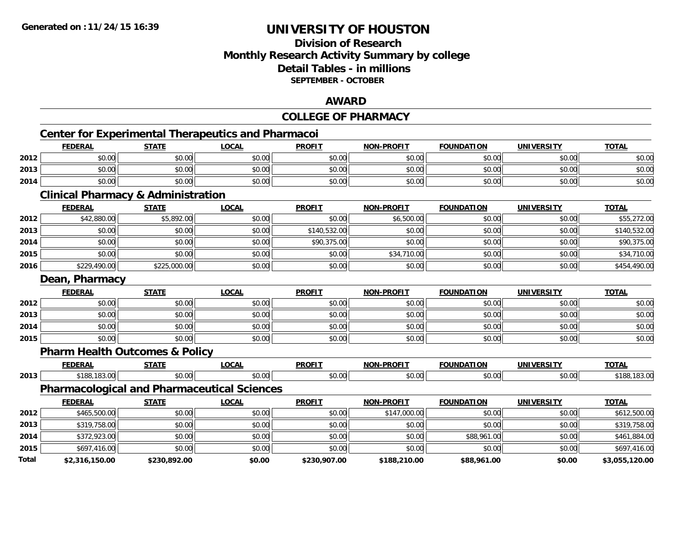## **Division of ResearchMonthly Research Activity Summary by college Detail Tables - in millionsSEPTEMBER - OCTOBER**

#### **AWARD**

#### **COLLEGE OF PHARMACYCenter for Experimental Therapeutics and Pharmacoi FEDERAL STATE LOCAL PROFIT NON-PROFIT FOUNDATION UNIVERSITY TOTALTOTAL 2012**2 | \$0.00 \$0.00 \$0.00 \$0.00 \$0.00 \$0.00 \$0.00 \$0.00 \$0.00 \$0.00 \$0.00 \$0.00 \$0.00 \$0.00 \$0.00 \$0.00 \$0.00 **2013** \$0.00 \$0.00 \$0.00 \$0.00 \$0.00 \$0.00 \$0.00 \$0.00 **2014**4 \$0.00 \$0.00 \$0.00 \$0.00 \$0.00 \$0.00 \$0.00 \$0.00 \$0.00 \$0.00 \$0.00 \$0.00 \$0.00 \$0.00 \$0.00 \$0.00 \$0.00 **Clinical Pharmacy & Administration FEDERAL STATE LOCAL PROFIT NON-PROFIT FOUNDATION UNIVERSITY TOTALTOTAL 2012**2 | \$42,880.00| \$5,892.00| \$0.00| \$0.00| \$0.00| \$0.00| \$6,500.00| \$0,500 \$0.00| \$0.00| \$0.00| \$55,272.00 **2013**3 | \$0.00| \$0.00| \$0.00| \$0.00| \$0.00| \$140,532.00| \$140,532.00| \$0.00| \$0.00| \$0.00| \$0.00| \$140,532.00 **2014**4 \$0.00 \$0.00 \$0.00 \$0.00 \$0.00 \$0.00 \$90,375.00 \$90,375.00 \$0.00 \$0.00 \$0.00 \$0.00 \$0.00 \$90,375.00 **2015** \$0.00 \$0.00 \$0.00 \$0.00 \$34,710.00 \$0.00 \$0.00 \$34,710.00 **2016** \$229,490.00 \$225,000.00 \$0.00 \$0.00 \$0.00 \$0.00 \$0.00 \$454,490.00 **Dean, Pharmacy FEDERAL STATE LOCAL PROFIT NON-PROFIT FOUNDATION UNIVERSITY TOTAL2012**2 | \$0.00 \$0.00 \$0.00 \$0.00 \$0.00 \$0.00 \$0.00 \$0.00 \$0.00 \$0.00 \$0.00 \$0.00 \$0.00 \$0.00 \$0.00 \$0.00 \$0.00 **2013** \$0.00 \$0.00 \$0.00 \$0.00 \$0.00 \$0.00 \$0.00 \$0.00 **2014**4 \$0.00 | \$0.00 | \$0.00 | \$0.00 | \$0.00 | \$0.00 | \$0.00 | \$0 **2015** \$0.00 \$0.00 \$0.00 \$0.00 \$0.00 \$0.00 \$0.00 \$0.00 **Pharm Health Outcomes & Policy FEDERAL STATE LOCAL PROFIT NON-PROFIT FOUNDATION UNIVERSITY TOTALTOTAL 2013**\$188,183.00 \$0.00 \$0.00 \$0.00 \$0.00 \$0.00 \$0.00 \$188,183.00

## **Pharmacological and Pharmaceutical Sciences**

|       | <b>FEDERAL</b> | <u>STATE</u> | <u>LOCAL</u> | <b>PROFIT</b> | <b>NON-PROFIT</b> | <b>FOUNDATION</b> | <b>UNIVERSITY</b> | <b>TOTAL</b>   |
|-------|----------------|--------------|--------------|---------------|-------------------|-------------------|-------------------|----------------|
| 2012  | \$465,500.00   | \$0.00       | \$0.00       | \$0.00        | \$147,000.00      | \$0.00            | \$0.00            | \$612,500.00   |
| 2013  | \$319,758.00   | \$0.00       | \$0.00       | \$0.00        | \$0.00            | \$0.00            | \$0.00            | \$319,758.00   |
| 2014  | \$372,923.00   | \$0.00       | \$0.00       | \$0.00        | \$0.00            | \$88,961.00       | \$0.00            | \$461,884.00   |
| 2015  | \$697,416.00   | \$0.00       | \$0.00       | \$0.00        | \$0.00            | \$0.00            | \$0.00            | \$697,416.00   |
| Total | \$2,316,150.00 | \$230,892.00 | \$0.00       | \$230,907.00  | \$188,210.00      | \$88,961.00       | \$0.00            | \$3,055,120.00 |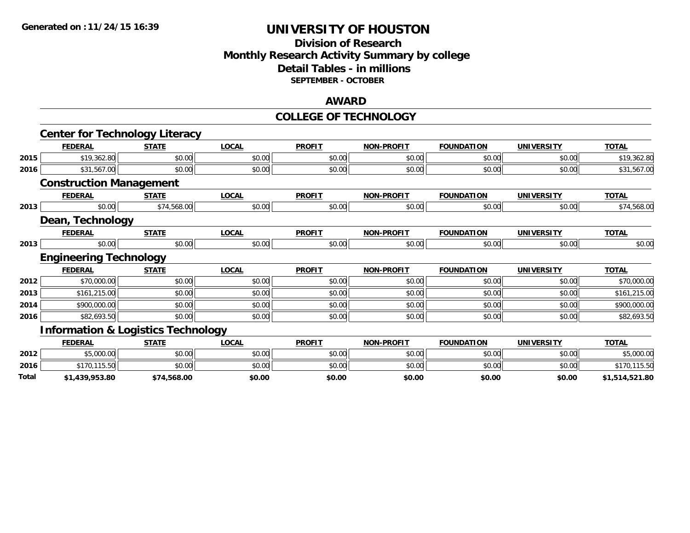#### **Division of Research Monthly Research Activity Summary by college Detail Tables - in millions SEPTEMBER - OCTOBER**

#### **AWARD**

#### **COLLEGE OF TECHNOLOGY**

|       | <b>Center for Technology Literacy</b>         |              |              |               |                   |                   |                   |                |
|-------|-----------------------------------------------|--------------|--------------|---------------|-------------------|-------------------|-------------------|----------------|
|       | <b>FEDERAL</b>                                | <b>STATE</b> | <b>LOCAL</b> | <b>PROFIT</b> | <b>NON-PROFIT</b> | <b>FOUNDATION</b> | <b>UNIVERSITY</b> | <b>TOTAL</b>   |
| 2015  | \$19,362.80                                   | \$0.00       | \$0.00       | \$0.00        | \$0.00            | \$0.00            | \$0.00            | \$19,362.80    |
| 2016  | \$31,567.00                                   | \$0.00       | \$0.00       | \$0.00        | \$0.00            | \$0.00            | \$0.00            | \$31,567.00    |
|       | <b>Construction Management</b>                |              |              |               |                   |                   |                   |                |
|       | <b>FEDERAL</b>                                | <b>STATE</b> | <b>LOCAL</b> | <b>PROFIT</b> | <b>NON-PROFIT</b> | <b>FOUNDATION</b> | <b>UNIVERSITY</b> | <b>TOTAL</b>   |
| 2013  | \$0.00                                        | \$74,568.00  | \$0.00       | \$0.00        | \$0.00            | \$0.00            | \$0.00            | \$74,568.00    |
|       | Dean, Technology                              |              |              |               |                   |                   |                   |                |
|       | <b>FEDERAL</b>                                | <b>STATE</b> | <b>LOCAL</b> | <b>PROFIT</b> | <b>NON-PROFIT</b> | <b>FOUNDATION</b> | <b>UNIVERSITY</b> | <b>TOTAL</b>   |
| 2013  | \$0.00                                        | \$0.00       | \$0.00       | \$0.00        | \$0.00            | \$0.00            | \$0.00            | \$0.00         |
|       | <b>Engineering Technology</b>                 |              |              |               |                   |                   |                   |                |
|       | <b>FEDERAL</b>                                | <b>STATE</b> | <b>LOCAL</b> | <b>PROFIT</b> | <b>NON-PROFIT</b> | <b>FOUNDATION</b> | <b>UNIVERSITY</b> | <b>TOTAL</b>   |
| 2012  | \$70,000.00                                   | \$0.00       | \$0.00       | \$0.00        | \$0.00            | \$0.00            | \$0.00            | \$70,000.00    |
| 2013  | \$161,215.00                                  | \$0.00       | \$0.00       | \$0.00        | \$0.00            | \$0.00            | \$0.00            | \$161,215.00   |
| 2014  | \$900,000.00                                  | \$0.00       | \$0.00       | \$0.00        | \$0.00            | \$0.00            | \$0.00            | \$900,000.00   |
| 2016  | \$82,693.50                                   | \$0.00       | \$0.00       | \$0.00        | \$0.00            | \$0.00            | \$0.00            | \$82,693.50    |
|       | <b>Information &amp; Logistics Technology</b> |              |              |               |                   |                   |                   |                |
|       | <b>FEDERAL</b>                                | <b>STATE</b> | <b>LOCAL</b> | <b>PROFIT</b> | <b>NON-PROFIT</b> | <b>FOUNDATION</b> | <b>UNIVERSITY</b> | <b>TOTAL</b>   |
| 2012  | \$5,000.00                                    | \$0.00       | \$0.00       | \$0.00        | \$0.00            | \$0.00            | \$0.00            | \$5,000.00     |
| 2016  | \$170,115.50                                  | \$0.00       | \$0.00       | \$0.00        | \$0.00            | \$0.00            | \$0.00            | \$170,115.50   |
| Total | \$1,439,953.80                                | \$74,568.00  | \$0.00       | \$0.00        | \$0.00            | \$0.00            | \$0.00            | \$1,514,521.80 |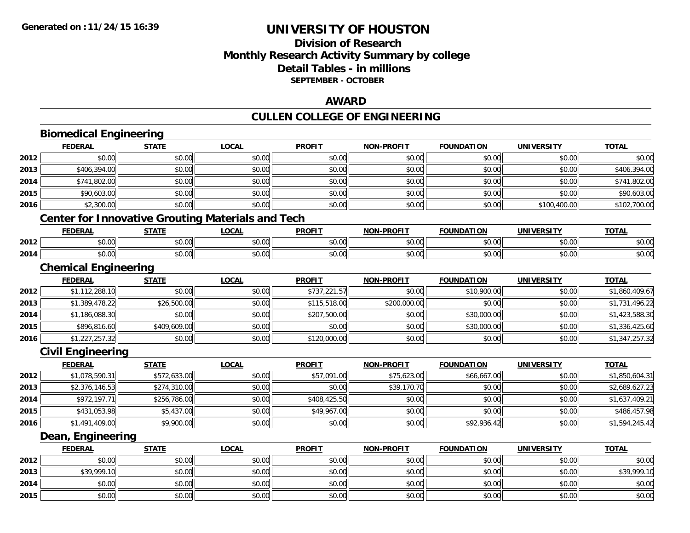## **Division of ResearchMonthly Research Activity Summary by college Detail Tables - in millions SEPTEMBER - OCTOBER**

#### **AWARD**

# **CULLEN COLLEGE OF ENGINEERING**

|      | <b>Biomedical Engineering</b> |              |                                                          |               |                   |                   |                   |                |
|------|-------------------------------|--------------|----------------------------------------------------------|---------------|-------------------|-------------------|-------------------|----------------|
|      | <b>FEDERAL</b>                | <b>STATE</b> | <b>LOCAL</b>                                             | <b>PROFIT</b> | <b>NON-PROFIT</b> | <b>FOUNDATION</b> | <b>UNIVERSITY</b> | <b>TOTAL</b>   |
| 2012 | \$0.00                        | \$0.00       | \$0.00                                                   | \$0.00        | \$0.00            | \$0.00            | \$0.00            | \$0.00         |
| 2013 | \$406,394.00                  | \$0.00       | \$0.00                                                   | \$0.00        | \$0.00            | \$0.00            | \$0.00            | \$406,394.00   |
| 2014 | \$741,802.00                  | \$0.00       | \$0.00                                                   | \$0.00        | \$0.00            | \$0.00            | \$0.00            | \$741,802.00   |
| 2015 | \$90,603.00                   | \$0.00       | \$0.00                                                   | \$0.00        | \$0.00            | \$0.00            | \$0.00            | \$90,603.00    |
| 2016 | \$2,300.00                    | \$0.00       | \$0.00                                                   | \$0.00        | \$0.00            | \$0.00            | \$100,400.00      | \$102,700.00   |
|      |                               |              | <b>Center for Innovative Grouting Materials and Tech</b> |               |                   |                   |                   |                |
|      | <b>FEDERAL</b>                | <b>STATE</b> | <b>LOCAL</b>                                             | <b>PROFIT</b> | <b>NON-PROFIT</b> | <b>FOUNDATION</b> | <b>UNIVERSITY</b> | <b>TOTAL</b>   |
| 2012 | \$0.00                        | \$0.00       | \$0.00                                                   | \$0.00        | \$0.00            | \$0.00            | \$0.00            | \$0.00         |
| 2014 | \$0.00                        | \$0.00       | \$0.00                                                   | \$0.00        | \$0.00            | \$0.00            | \$0.00            | \$0.00         |
|      | <b>Chemical Engineering</b>   |              |                                                          |               |                   |                   |                   |                |
|      | <b>FEDERAL</b>                | <b>STATE</b> | <b>LOCAL</b>                                             | <b>PROFIT</b> | <b>NON-PROFIT</b> | <b>FOUNDATION</b> | <b>UNIVERSITY</b> | <b>TOTAL</b>   |
| 2012 | \$1,112,288.10                | \$0.00       | \$0.00                                                   | \$737,221.57  | \$0.00            | \$10,900.00       | \$0.00            | \$1,860,409.67 |
| 2013 | \$1,389,478.22                | \$26,500.00  | \$0.00                                                   | \$115,518.00  | \$200,000.00      | \$0.00            | \$0.00            | \$1,731,496.22 |
| 2014 | \$1,186,088.30                | \$0.00       | \$0.00                                                   | \$207,500.00  | \$0.00            | \$30,000.00       | \$0.00            | \$1,423,588.30 |
| 2015 | \$896,816.60                  | \$409,609.00 | \$0.00                                                   | \$0.00        | \$0.00            | \$30,000.00       | \$0.00            | \$1,336,425.60 |
| 2016 | \$1,227,257.32                | \$0.00       | \$0.00                                                   | \$120,000.00  | \$0.00            | \$0.00            | \$0.00            | \$1,347,257.32 |
|      | <b>Civil Engineering</b>      |              |                                                          |               |                   |                   |                   |                |
|      | <b>FEDERAL</b>                | <b>STATE</b> | <b>LOCAL</b>                                             | <b>PROFIT</b> | <b>NON-PROFIT</b> | <b>FOUNDATION</b> | <b>UNIVERSITY</b> | <b>TOTAL</b>   |
| 2012 | \$1,078,590.31                | \$572,633.00 | \$0.00                                                   | \$57,091.00   | \$75,623.00       | \$66,667.00       | \$0.00            | \$1,850,604.31 |
| 2013 | \$2,376,146.53                | \$274,310.00 | \$0.00                                                   | \$0.00        | \$39,170.70       | \$0.00            | \$0.00            | \$2,689,627.23 |
| 2014 | \$972,197.71                  | \$256,786.00 | \$0.00                                                   | \$408,425.50  | \$0.00            | \$0.00            | \$0.00            | \$1,637,409.21 |
| 2015 | \$431,053.98                  | \$5,437.00   | \$0.00                                                   | \$49,967.00   | \$0.00            | \$0.00            | \$0.00            | \$486,457.98   |
| 2016 | \$1,491,409.00                | \$9,900.00   | \$0.00                                                   | \$0.00        | \$0.00            | \$92,936.42       | \$0.00            | \$1,594,245.42 |
|      | Dean, Engineering             |              |                                                          |               |                   |                   |                   |                |
|      | <b>FEDERAL</b>                | <b>STATE</b> | <b>LOCAL</b>                                             | <b>PROFIT</b> | <b>NON-PROFIT</b> | <b>FOUNDATION</b> | <b>UNIVERSITY</b> | <b>TOTAL</b>   |
| 2012 | \$0.00                        | \$0.00       | \$0.00                                                   | \$0.00        | \$0.00            | \$0.00            | \$0.00            | \$0.00         |
| 2013 | \$39,999.10                   | \$0.00       | \$0.00                                                   | \$0.00        | \$0.00            | \$0.00            | \$0.00            | \$39,999.10    |
| 2014 | \$0.00                        | \$0.00       | \$0.00                                                   | \$0.00        | \$0.00            | \$0.00            | \$0.00            | \$0.00         |
| 2015 | \$0.00                        | \$0.00       | \$0.00                                                   | \$0.00        | \$0.00            | \$0.00            | \$0.00            | \$0.00         |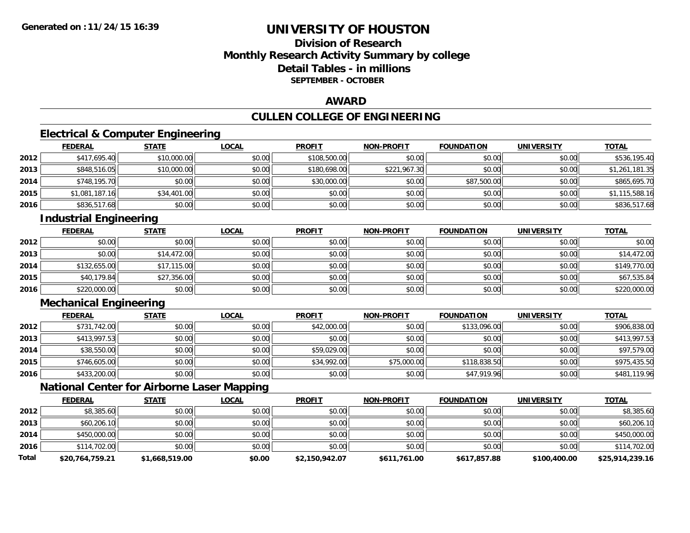## **Division of ResearchMonthly Research Activity Summary by college Detail Tables - in millionsSEPTEMBER - OCTOBER**

#### **AWARD**

## **CULLEN COLLEGE OF ENGINEERING**

## **Electrical & Computer Engineering**

|      | <b>FEDERAL</b> | <b>STATE</b> | <u>LOCAL</u> | <b>PROFIT</b> | <b>NON-PROFIT</b> | <b>FOUNDATION</b> | <b>UNIVERSITY</b> | <b>TOTAL</b>   |
|------|----------------|--------------|--------------|---------------|-------------------|-------------------|-------------------|----------------|
| 2012 | \$417,695.40   | \$10,000.00  | \$0.00       | \$108,500.00  | \$0.00            | \$0.00            | \$0.00            | \$536,195.40   |
| 2013 | \$848,516.05   | \$10,000.00  | \$0.00       | \$180,698.00  | \$221,967.30      | \$0.00            | \$0.00            | \$1,261,181.35 |
| 2014 | \$748,195.70   | \$0.00       | \$0.00       | \$30,000.00   | \$0.00            | \$87,500.00       | \$0.00            | \$865,695.70   |
| 2015 | \$1,081,187.16 | \$34,401.00  | \$0.00       | \$0.00        | \$0.00            | \$0.00            | \$0.00            | \$1,115,588.16 |
| 2016 | \$836,517.68   | \$0.00       | \$0.00       | \$0.00        | \$0.00            | \$0.00            | \$0.00            | \$836,517.68   |

## **Industrial Engineering**

|      | <b>FEDERAL</b> | <b>STATE</b> | <u>LOCAL</u> | <b>PROFIT</b> | <b>NON-PROFIT</b> | <b>FOUNDATION</b> | <b>UNIVERSITY</b> | <b>TOTAL</b> |
|------|----------------|--------------|--------------|---------------|-------------------|-------------------|-------------------|--------------|
| 2012 | \$0.00         | \$0.00       | \$0.00       | \$0.00        | \$0.00            | \$0.00            | \$0.00            | \$0.00       |
| 2013 | \$0.00         | \$14,472.00  | \$0.00       | \$0.00        | \$0.00            | \$0.00            | \$0.00            | \$14,472.00  |
| 2014 | \$132,655.00   | \$17,115.00  | \$0.00       | \$0.00        | \$0.00            | \$0.00            | \$0.00            | \$149,770.00 |
| 2015 | \$40,179.84    | \$27,356.00  | \$0.00       | \$0.00        | \$0.00            | \$0.00            | \$0.00            | \$67,535.84  |
| 2016 | \$220,000.00   | \$0.00       | \$0.00       | \$0.00        | \$0.00            | \$0.00            | \$0.00            | \$220,000.00 |

## **Mechanical Engineering**

|      | <b>FEDERAL</b> | <b>STATE</b> | <b>LOCAL</b> | <b>PROFIT</b> | <b>NON-PROFIT</b> | <b>FOUNDATION</b> | <b>UNIVERSITY</b> | <b>TOTAL</b> |
|------|----------------|--------------|--------------|---------------|-------------------|-------------------|-------------------|--------------|
| 2012 | \$731,742.00   | \$0.00       | \$0.00       | \$42,000.00   | \$0.00            | \$133,096.00      | \$0.00            | \$906,838.00 |
| 2013 | \$413,997.53   | \$0.00       | \$0.00       | \$0.00        | \$0.00            | \$0.00            | \$0.00            | \$413,997.53 |
| 2014 | \$38,550.00    | \$0.00       | \$0.00       | \$59,029.00   | \$0.00            | \$0.00            | \$0.00            | \$97,579.00  |
| 2015 | \$746,605.00   | \$0.00       | \$0.00       | \$34,992.00   | \$75,000.00       | \$118,838.50      | \$0.00            | \$975,435.50 |
| 2016 | \$433,200.00   | \$0.00       | \$0.00       | \$0.00        | \$0.00            | \$47,919.96       | \$0.00            | \$481,119.96 |

## **National Center for Airborne Laser Mapping**

|              | <u>FEDERAL</u>  | <b>STATE</b>   | <u>LOCAL</u> | <b>PROFIT</b>  | <b>NON-PROFIT</b> | <b>FOUNDATION</b> | <b>UNIVERSITY</b> | <b>TOTAL</b>    |
|--------------|-----------------|----------------|--------------|----------------|-------------------|-------------------|-------------------|-----------------|
| 2012         | \$8,385.60      | \$0.00         | \$0.00       | \$0.00         | \$0.00            | \$0.00            | \$0.00            | \$8,385.60      |
| 2013         | \$60,206.10     | \$0.00         | \$0.00       | \$0.00         | \$0.00            | \$0.00            | \$0.00            | \$60,206.10     |
| 2014         | \$450,000.00    | \$0.00         | \$0.00       | \$0.00         | \$0.00            | \$0.00            | \$0.00            | \$450,000.00    |
| 2016         | \$114,702.00    | \$0.00         | \$0.00       | \$0.00         | \$0.00            | \$0.00            | \$0.00            | \$114,702.00    |
| <b>Total</b> | \$20,764,759.21 | \$1,668,519.00 | \$0.00       | \$2,150,942.07 | \$611,761.00      | \$617,857.88      | \$100,400.00      | \$25,914,239.16 |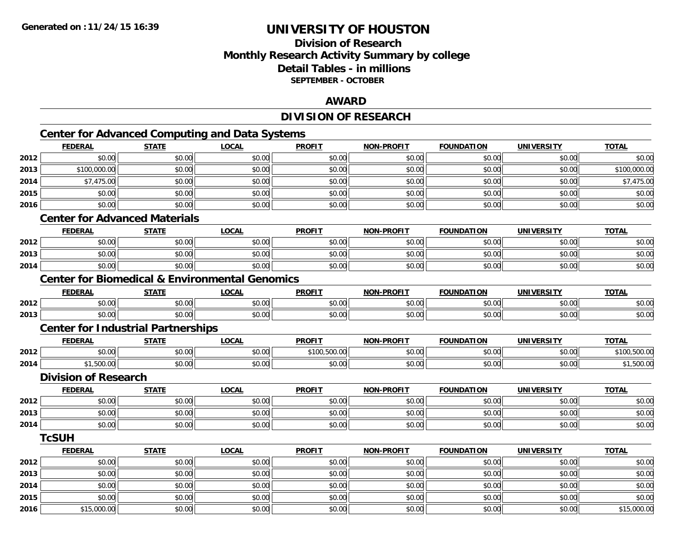**2016**

# **UNIVERSITY OF HOUSTON**

## **Division of ResearchMonthly Research Activity Summary by college Detail Tables - in millions SEPTEMBER - OCTOBER**

#### **AWARD**

## **DIVISION OF RESEARCH**

# **Center for Advanced Computing and Data Systems**

|      | <b>FEDERAL</b>              | <b>STATE</b>                                              | <b>LOCAL</b> | <b>PROFIT</b> | <b>NON-PROFIT</b> | <b>FOUNDATION</b> | <b>UNIVERSITY</b> | <b>TOTAL</b> |
|------|-----------------------------|-----------------------------------------------------------|--------------|---------------|-------------------|-------------------|-------------------|--------------|
| 2012 | \$0.00                      | \$0.00                                                    | \$0.00       | \$0.00        | \$0.00            | \$0.00            | \$0.00            | \$0.00       |
| 2013 | \$100,000.00                | \$0.00                                                    | \$0.00       | \$0.00        | \$0.00            | \$0.00            | \$0.00            | \$100,000.00 |
| 2014 | \$7,475.00                  | \$0.00                                                    | \$0.00       | \$0.00        | \$0.00            | \$0.00            | \$0.00            | \$7,475.00   |
| 2015 | \$0.00                      | \$0.00                                                    | \$0.00       | \$0.00        | \$0.00            | \$0.00            | \$0.00            | \$0.00       |
| 2016 | \$0.00                      | \$0.00                                                    | \$0.00       | \$0.00        | \$0.00            | \$0.00            | \$0.00            | \$0.00       |
|      |                             | <b>Center for Advanced Materials</b>                      |              |               |                   |                   |                   |              |
|      | <b>FEDERAL</b>              | <b>STATE</b>                                              | <b>LOCAL</b> | <b>PROFIT</b> | <b>NON-PROFIT</b> | <b>FOUNDATION</b> | <b>UNIVERSITY</b> | <b>TOTAL</b> |
| 2012 | \$0.00                      | \$0.00                                                    | \$0.00       | \$0.00        | \$0.00            | \$0.00            | \$0.00            | \$0.00       |
| 2013 | \$0.00                      | \$0.00                                                    | \$0.00       | \$0.00        | \$0.00            | \$0.00            | \$0.00            | \$0.00       |
| 2014 | \$0.00                      | \$0.00                                                    | \$0.00       | \$0.00        | \$0.00            | \$0.00            | \$0.00            | \$0.00       |
|      |                             | <b>Center for Biomedical &amp; Environmental Genomics</b> |              |               |                   |                   |                   |              |
|      | <b>FEDERAL</b>              | <b>STATE</b>                                              | <b>LOCAL</b> | <b>PROFIT</b> | <b>NON-PROFIT</b> | <b>FOUNDATION</b> | <b>UNIVERSITY</b> | <b>TOTAL</b> |
| 2012 | \$0.00                      | \$0.00                                                    | \$0.00       | \$0.00        | \$0.00            | \$0.00            | \$0.00            | \$0.00       |
| 2013 | \$0.00                      | \$0.00                                                    | \$0.00       | \$0.00        | \$0.00            | \$0.00            | \$0.00            | \$0.00       |
|      |                             | <b>Center for Industrial Partnerships</b>                 |              |               |                   |                   |                   |              |
|      | <b>FEDERAL</b>              | <b>STATE</b>                                              | <b>LOCAL</b> | <b>PROFIT</b> | <b>NON-PROFIT</b> | <b>FOUNDATION</b> | <b>UNIVERSITY</b> | <b>TOTAL</b> |
| 2012 | \$0.00                      | \$0.00                                                    | \$0.00       | \$100,500.00  | \$0.00            | \$0.00            | \$0.00            | \$100,500.00 |
| 2014 | \$1,500.00                  | \$0.00                                                    | \$0.00       | \$0.00        | \$0.00            | \$0.00            | \$0.00            | \$1,500.00   |
|      | <b>Division of Research</b> |                                                           |              |               |                   |                   |                   |              |
|      | <b>FEDERAL</b>              | <b>STATE</b>                                              | <b>LOCAL</b> | <b>PROFIT</b> | <b>NON-PROFIT</b> | <b>FOUNDATION</b> | <b>UNIVERSITY</b> | <b>TOTAL</b> |
| 2012 | \$0.00                      | \$0.00                                                    | \$0.00       | \$0.00        | \$0.00            | \$0.00            | \$0.00            | \$0.00       |
| 2013 | \$0.00                      | \$0.00                                                    | \$0.00       | \$0.00        | \$0.00            | \$0.00            | \$0.00            | \$0.00       |
| 2014 | \$0.00                      | \$0.00                                                    | \$0.00       | \$0.00        | \$0.00            | \$0.00            | \$0.00            | \$0.00       |
|      | <b>TcSUH</b>                |                                                           |              |               |                   |                   |                   |              |
|      | <b>FEDERAL</b>              | <b>STATE</b>                                              | <b>LOCAL</b> | <b>PROFIT</b> | NON-PROFIT        | <b>FOUNDATION</b> | <b>UNIVERSITY</b> | <b>TOTAL</b> |
| 2012 | \$0.00                      | \$0.00                                                    | \$0.00       | \$0.00        | \$0.00            | \$0.00            | \$0.00            | \$0.00       |
| 2013 | \$0.00                      | \$0.00                                                    | \$0.00       | \$0.00        | \$0.00            | \$0.00            | \$0.00            | \$0.00       |
| 2014 | \$0.00                      | \$0.00                                                    | \$0.00       | \$0.00        | \$0.00            | \$0.00            | \$0.00            | \$0.00       |
| 2015 | \$0.00                      | \$0.00                                                    | \$0.00       | \$0.00        | \$0.00            | \$0.00            | \$0.00            | \$0.00       |

6 \$15,000.00 \$0.00 \$0.00 \$0.00 \$0.00 \$0.00 \$0.00 \$0.00 \$0.00 \$0.00 \$0.00 \$0.00 \$0.00 \$15,000.00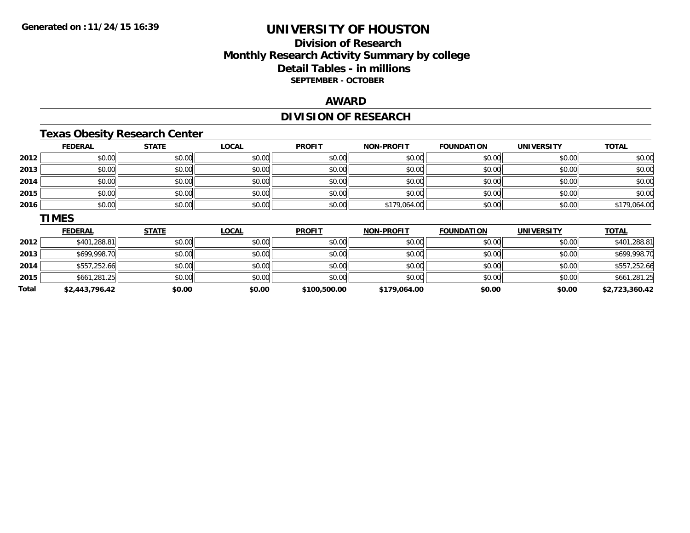### **Division of ResearchMonthly Research Activity Summary by college Detail Tables - in millions SEPTEMBER - OCTOBER**

### **AWARD**

## **DIVISION OF RESEARCH**

## **Texas Obesity Research Center**

|      | <b>FEDERAL</b> | <b>STATE</b> | <b>LOCAL</b> | <b>PROFIT</b> | <b>NON-PROFIT</b> | <b>FOUNDATION</b> | <b>UNIVERSITY</b> | <b>TOTAL</b> |
|------|----------------|--------------|--------------|---------------|-------------------|-------------------|-------------------|--------------|
| 2012 | \$0.00         | \$0.00       | \$0.00       | \$0.00        | \$0.00            | \$0.00            | \$0.00            | \$0.00       |
| 2013 | \$0.00         | \$0.00       | \$0.00       | \$0.00        | \$0.00            | \$0.00            | \$0.00            | \$0.00       |
| 2014 | \$0.00         | \$0.00       | \$0.00       | \$0.00        | \$0.00            | \$0.00            | \$0.00            | \$0.00       |
| 2015 | \$0.00         | \$0.00       | \$0.00       | \$0.00        | \$0.00            | \$0.00            | \$0.00            | \$0.00       |
| 2016 | \$0.00         | \$0.00       | \$0.00       | \$0.00        | \$179,064.00      | \$0.00            | \$0.00            | \$179,064.00 |
|      | <b>TIMES</b>   |              |              |               |                   |                   |                   |              |
|      | <b>FEDERAL</b> | <b>STATE</b> | <b>LOCAL</b> | <b>PROFIT</b> | <b>NON-PROFIT</b> | <b>FOUNDATION</b> | <b>UNIVERSITY</b> | <b>TOTAL</b> |
| 2012 | \$401,288.81   | \$0.00       | \$0.00       | \$0.00        | \$0.00            | \$0.00            | \$0.00            | \$401,288.81 |

| Total  | \$2,443,796.42 | \$0.00 | \$0.00        | \$100,500.00 | \$179,064.00 | \$0.00       | \$0.00       | \$2,723,360.42 |
|--------|----------------|--------|---------------|--------------|--------------|--------------|--------------|----------------|
| 2015   | \$661,281.25   | \$0.00 | \$0.00        | \$0.00       | \$0.00       | \$0.00       | \$0.00       | \$661,281.25   |
| 2014   | \$557,252.66   | \$0.00 | \$0.00        | \$0.00       | \$0.00       | \$0.00       | \$0.00       | \$557,252.66   |
| 2013   | \$699,998.70   | \$0.00 | \$0.00        | \$0.00       | \$0.00       | \$0.00       | \$0.00       | \$699,998.70   |
| 20 I Z | 3401,288.81    | DU.U¢  | <b>SU.UUI</b> | <b>DU.UU</b> | ง∪.∪บ        | <b>SU.UU</b> | <b>DU.UU</b> | \$401,288.81   |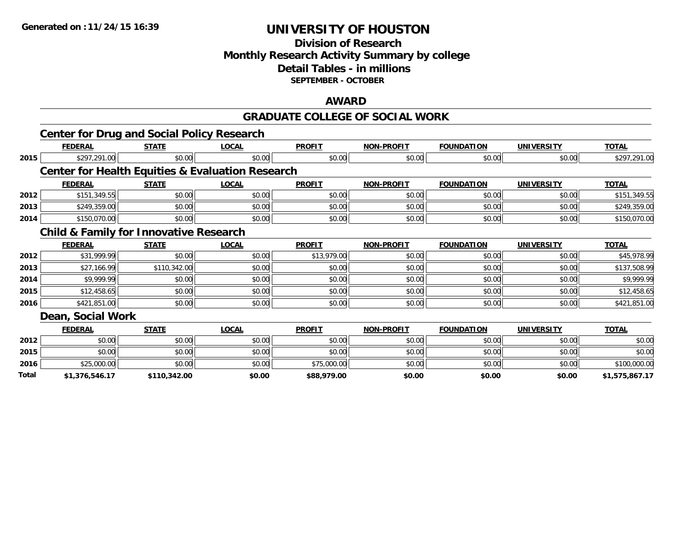### **Division of Research Monthly Research Activity Summary by college Detail Tables - in millions SEPTEMBER - OCTOBER**

#### **AWARD**

#### **GRADUATE COLLEGE OF SOCIAL WORK**

|       | <b>Center for Drug and Social Policy Research</b> |              |                                                             |               |                   |                   |                   |                |
|-------|---------------------------------------------------|--------------|-------------------------------------------------------------|---------------|-------------------|-------------------|-------------------|----------------|
|       | <b>FEDERAL</b>                                    | <b>STATE</b> | <b>LOCAL</b>                                                | <b>PROFIT</b> | <b>NON-PROFIT</b> | <b>FOUNDATION</b> | <b>UNIVERSITY</b> | <b>TOTAL</b>   |
| 2015  | \$297,291.00                                      | \$0.00       | \$0.00                                                      | \$0.00        | \$0.00            | \$0.00            | \$0.00            | \$297,291.00   |
|       |                                                   |              | <b>Center for Health Equities &amp; Evaluation Research</b> |               |                   |                   |                   |                |
|       | <b>FEDERAL</b>                                    | <b>STATE</b> | <b>LOCAL</b>                                                | <b>PROFIT</b> | <b>NON-PROFIT</b> | <b>FOUNDATION</b> | <b>UNIVERSITY</b> | <b>TOTAL</b>   |
| 2012  | \$151,349.55                                      | \$0.00       | \$0.00                                                      | \$0.00        | \$0.00            | \$0.00            | \$0.00            | \$151,349.55   |
| 2013  | \$249,359.00                                      | \$0.00       | \$0.00                                                      | \$0.00        | \$0.00            | \$0.00            | \$0.00            | \$249,359.00   |
| 2014  | \$150,070.00                                      | \$0.00       | \$0.00                                                      | \$0.00        | \$0.00            | \$0.00            | \$0.00            | \$150,070.00   |
|       | <b>Child &amp; Family for Innovative Research</b> |              |                                                             |               |                   |                   |                   |                |
|       | <b>FEDERAL</b>                                    | <b>STATE</b> | <b>LOCAL</b>                                                | <b>PROFIT</b> | <b>NON-PROFIT</b> | <b>FOUNDATION</b> | <b>UNIVERSITY</b> | <b>TOTAL</b>   |
| 2012  | \$31,999.99                                       | \$0.00       | \$0.00                                                      | \$13,979.00   | \$0.00            | \$0.00            | \$0.00            | \$45,978.99    |
| 2013  | \$27,166.99                                       | \$110,342.00 | \$0.00                                                      | \$0.00        | \$0.00            | \$0.00            | \$0.00            | \$137,508.99   |
| 2014  | \$9,999.99                                        | \$0.00       | \$0.00                                                      | \$0.00        | \$0.00            | \$0.00            | \$0.00            | \$9,999.99     |
| 2015  | \$12,458.65                                       | \$0.00       | \$0.00                                                      | \$0.00        | \$0.00            | \$0.00            | \$0.00            | \$12,458.65    |
| 2016  | \$421,851.00                                      | \$0.00       | \$0.00                                                      | \$0.00        | \$0.00            | \$0.00            | \$0.00            | \$421,851.00   |
|       | Dean, Social Work                                 |              |                                                             |               |                   |                   |                   |                |
|       | <b>FEDERAL</b>                                    | <b>STATE</b> | <b>LOCAL</b>                                                | <b>PROFIT</b> | <b>NON-PROFIT</b> | <b>FOUNDATION</b> | <b>UNIVERSITY</b> | <b>TOTAL</b>   |
| 2012  | \$0.00                                            | \$0.00       | \$0.00                                                      | \$0.00        | \$0.00            | \$0.00            | \$0.00            | \$0.00         |
| 2015  | \$0.00                                            | \$0.00       | \$0.00                                                      | \$0.00        | \$0.00            | \$0.00            | \$0.00            | \$0.00         |
| 2016  | \$25,000.00                                       | \$0.00       | \$0.00                                                      | \$75,000.00   | \$0.00            | \$0.00            | \$0.00            | \$100,000.00   |
| Total | \$1,376,546.17                                    | \$110,342.00 | \$0.00                                                      | \$88,979.00   | \$0.00            | \$0.00            | \$0.00            | \$1,575,867.17 |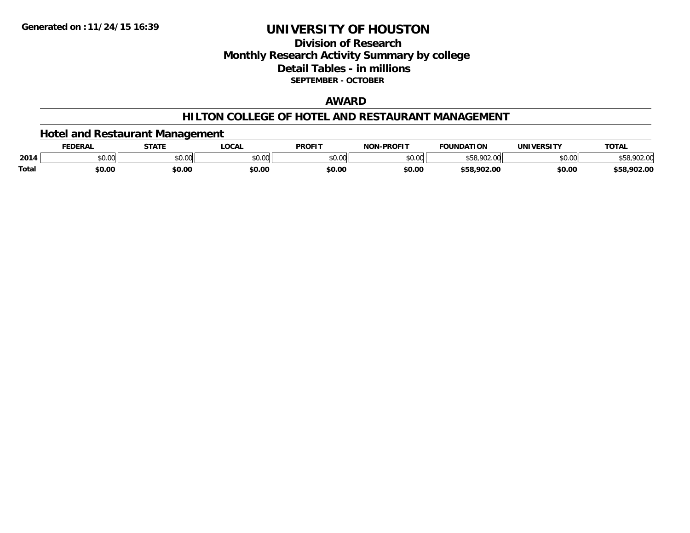### **Division of ResearchMonthly Research Activity Summary by college Detail Tables - in millions SEPTEMBER - OCTOBER**

### **AWARD**

### **HILTON COLLEGE OF HOTEL AND RESTAURANT MANAGEMENT**

### **Hotel and Restaurant Management**

|       | <b>FEDERAI</b> | <b>STATE</b>                        | <b>LOCAL</b>             | <b>PROFIT</b> | NAN BRAFIT     | <b>FOLINDATION</b><br>10B | IINIIVEDCITV               | <b>TOTAL</b> |
|-------|----------------|-------------------------------------|--------------------------|---------------|----------------|---------------------------|----------------------------|--------------|
| 2014  | 0000<br>PU.UU  | $\theta$ $\theta$ $\theta$<br>וטטוע | $n \cap \Omega$<br>DU.UU | \$0.00        | ልስ ሀህ<br>pu.uu | nn<br>ນວດ                 | $*$ $\cap$ $\cap$<br>vv.vv | 70Z.V        |
| Total | \$0.00         | \$0.00                              | \$0.00                   | \$0.00        | \$0.00         | \$58.902.00               | \$0.00                     | \$58,902.00  |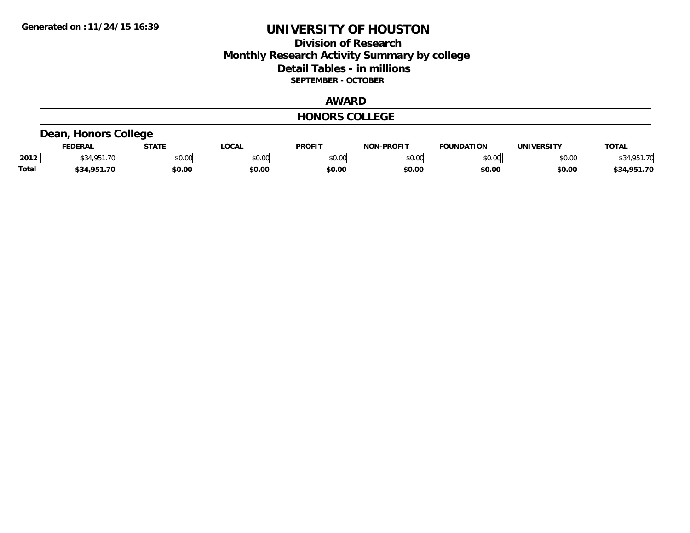### **Division of Research Monthly Research Activity Summary by college Detail Tables - in millions SEPTEMBER - OCTOBER**

### **AWARD**

#### **HONORS COLLEGE**

### **Dean, Honors College**

|              | <b>FEDERAL</b>        | <b>STATE</b> | <b>OCAL</b>   | <b>PROFIT</b> | <b>NON-PROFIT</b> | <b>FOUNDATION</b> | <b>UNIVERSITY</b> | <b>TOTAL</b> |
|--------------|-----------------------|--------------|---------------|---------------|-------------------|-------------------|-------------------|--------------|
| 2012         | <b>CO A CD</b><br>.70 | \$0.00       | 0000<br>vu.uu | \$0.00        | ልስ ሰሰ<br>pu.uu    | \$0.00            | \$0.00            | \$34.951.70  |
| <b>Total</b> | \$34.951.70           | \$0.00       | \$0.00        | \$0.00        | \$0.00            | \$0.00            | \$0.00            | \$34,951.70  |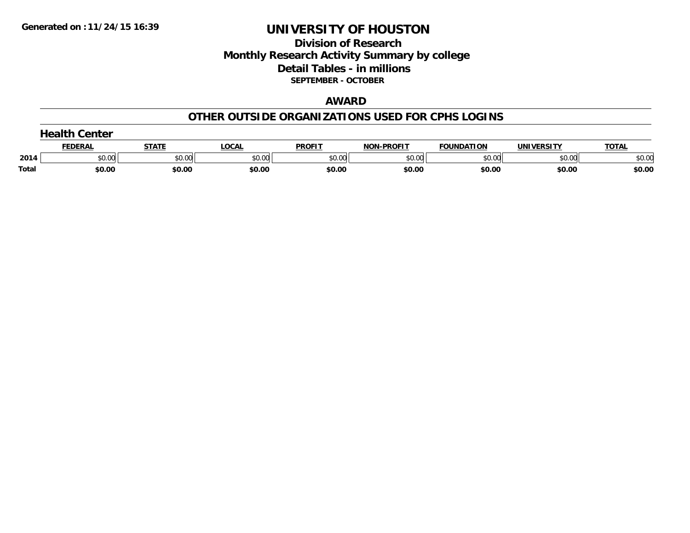### **Division of Research Monthly Research Activity Summary by college Detail Tables - in millions SEPTEMBER - OCTOBER**

#### **AWARD**

### **OTHER OUTSIDE ORGANIZATIONS USED FOR CPHS LOGINS**

|       | Center         |        |        |               |                   |                   |            |              |  |  |  |
|-------|----------------|--------|--------|---------------|-------------------|-------------------|------------|--------------|--|--|--|
|       | <b>FEDERAI</b> | STATE  | ∟OCAL  | <b>PROFIT</b> | <b>NON-PROFIT</b> | <b>FOUNDATION</b> | UNIVERSITY | <b>TOTAL</b> |  |  |  |
| 2014  | \$0.00         | \$0.00 | \$0.00 | \$0.00        | \$0.00            | \$0.00            | \$0.00     | \$0.00       |  |  |  |
| Total | \$0.00         | \$0.00 | \$0.00 | \$0.00        | \$0.00            | \$0.00            | \$0.00     | \$0.00       |  |  |  |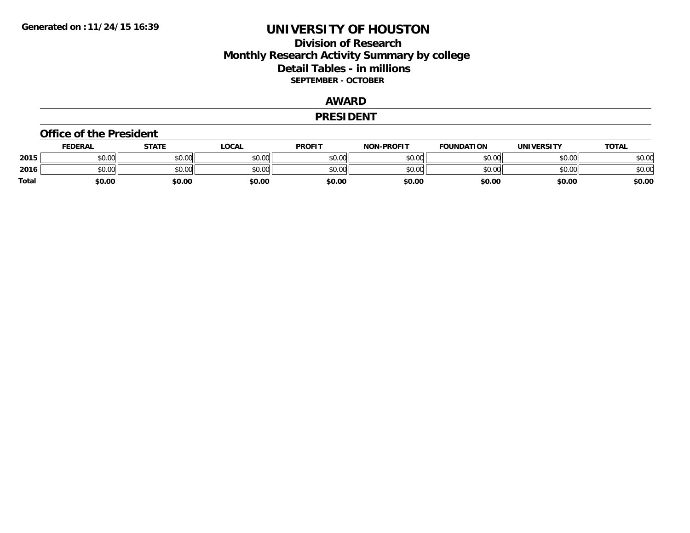### **Division of Research Monthly Research Activity Summary by college Detail Tables - in millions SEPTEMBER - OCTOBER**

### **AWARD**

#### **PRESIDENT**

#### **Office of the President**

|       | <b>FEDERAL</b> | STATE  | LOCAL  | <b>PROFIT</b> | <b>NON-PROFIT</b> | <b>FOUNDATION</b> | <b>UNIVERSITY</b> | <b>TOTAL</b> |
|-------|----------------|--------|--------|---------------|-------------------|-------------------|-------------------|--------------|
| 2015  | \$0.00         | \$0.00 | \$0.00 | \$0.00        | \$0.00            | \$0.00            | \$0.00            | \$0.00       |
| 2016  | \$0.00         | \$0.00 | \$0.00 | \$0.00        | \$0.00            | \$0.00            | \$0.00            | \$0.00       |
| Total | \$0.00         | \$0.00 | \$0.00 | \$0.00        | \$0.00            | \$0.00            | \$0.00            | \$0.00       |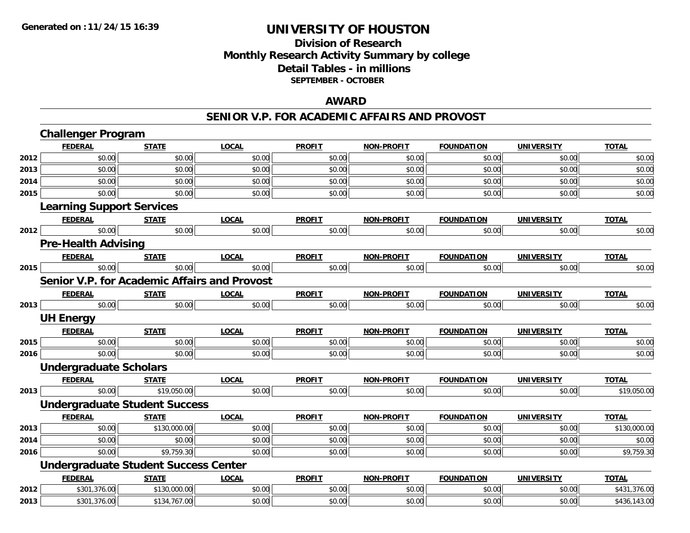### **Division of Research Monthly Research Activity Summary by college Detail Tables - in millions SEPTEMBER - OCTOBER**

### **AWARD**

#### **SENIOR V.P. FOR ACADEMIC AFFAIRS AND PROVOST**

|      | <b>Challenger Program</b>                    |              |              |               |                   |                   |                   |              |
|------|----------------------------------------------|--------------|--------------|---------------|-------------------|-------------------|-------------------|--------------|
|      | <b>FEDERAL</b>                               | <b>STATE</b> | <b>LOCAL</b> | <b>PROFIT</b> | <b>NON-PROFIT</b> | <b>FOUNDATION</b> | <b>UNIVERSITY</b> | <b>TOTAL</b> |
| 2012 | \$0.00                                       | \$0.00       | \$0.00       | \$0.00        | \$0.00            | \$0.00            | \$0.00            | \$0.00       |
| 2013 | \$0.00                                       | \$0.00       | \$0.00       | \$0.00        | \$0.00            | \$0.00            | \$0.00            | \$0.00       |
| 2014 | \$0.00                                       | \$0.00       | \$0.00       | \$0.00        | \$0.00            | \$0.00            | \$0.00            | \$0.00       |
| 2015 | \$0.00                                       | \$0.00       | \$0.00       | \$0.00        | \$0.00            | \$0.00            | \$0.00            | \$0.00       |
|      | <b>Learning Support Services</b>             |              |              |               |                   |                   |                   |              |
|      | <b>FEDERAL</b>                               | <b>STATE</b> | <b>LOCAL</b> | <b>PROFIT</b> | <b>NON-PROFIT</b> | <b>FOUNDATION</b> | <b>UNIVERSITY</b> | <b>TOTAL</b> |
| 2012 | \$0.00                                       | \$0.00       | \$0.00       | \$0.00        | \$0.00            | \$0.00            | \$0.00            | \$0.00       |
|      | <b>Pre-Health Advising</b>                   |              |              |               |                   |                   |                   |              |
|      | <b>FEDERAL</b>                               | <b>STATE</b> | <b>LOCAL</b> | <b>PROFIT</b> | <b>NON-PROFIT</b> | <b>FOUNDATION</b> | <b>UNIVERSITY</b> | <b>TOTAL</b> |
| 2015 | \$0.00                                       | \$0.00       | \$0.00       | \$0.00        | \$0.00            | \$0.00            | \$0.00            | \$0.00       |
|      | Senior V.P. for Academic Affairs and Provost |              |              |               |                   |                   |                   |              |
|      | <b>FEDERAL</b>                               | <b>STATE</b> | <b>LOCAL</b> | <b>PROFIT</b> | <b>NON-PROFIT</b> | <b>FOUNDATION</b> | <b>UNIVERSITY</b> | <b>TOTAL</b> |
| 2013 | \$0.00                                       | \$0.00       | \$0.00       | \$0.00        | \$0.00            | \$0.00            | \$0.00            | \$0.00       |
|      | <b>UH Energy</b>                             |              |              |               |                   |                   |                   |              |
|      | <b>FEDERAL</b>                               | <b>STATE</b> | <b>LOCAL</b> | <b>PROFIT</b> | <b>NON-PROFIT</b> | <b>FOUNDATION</b> | <b>UNIVERSITY</b> | <b>TOTAL</b> |
| 2015 | \$0.00                                       | \$0.00       | \$0.00       | \$0.00        | \$0.00            | \$0.00            | \$0.00            | \$0.00       |
| 2016 | \$0.00                                       | \$0.00       | \$0.00       | \$0.00        | \$0.00            | \$0.00            | \$0.00            | \$0.00       |
|      | <b>Undergraduate Scholars</b>                |              |              |               |                   |                   |                   |              |
|      | <b>FEDERAL</b>                               | <b>STATE</b> | <b>LOCAL</b> | <b>PROFIT</b> | <b>NON-PROFIT</b> | <b>FOUNDATION</b> | <b>UNIVERSITY</b> | <b>TOTAL</b> |
| 2013 | \$0.00                                       | \$19,050.00  | \$0.00       | \$0.00        | \$0.00            | \$0.00            | \$0.00            | \$19,050.00  |
|      | <b>Undergraduate Student Success</b>         |              |              |               |                   |                   |                   |              |
|      | <b>FEDERAL</b>                               | <b>STATE</b> | <b>LOCAL</b> | <b>PROFIT</b> | <b>NON-PROFIT</b> | <b>FOUNDATION</b> | <b>UNIVERSITY</b> | <b>TOTAL</b> |
| 2013 | \$0.00                                       | \$130,000.00 | \$0.00       | \$0.00        | \$0.00            | \$0.00            | \$0.00            | \$130,000.00 |
| 2014 | \$0.00                                       | \$0.00       | \$0.00       | \$0.00        | \$0.00            | \$0.00            | \$0.00            | \$0.00       |
| 2016 | \$0.00                                       | \$9,759.30   | \$0.00       | \$0.00        | \$0.00            | \$0.00            | \$0.00            | \$9,759.30   |
|      | <b>Undergraduate Student Success Center</b>  |              |              |               |                   |                   |                   |              |
|      | <b>FEDERAL</b>                               | <b>STATE</b> | <b>LOCAL</b> | <b>PROFIT</b> | <b>NON-PROFIT</b> | <b>FOUNDATION</b> | <b>UNIVERSITY</b> | <b>TOTAL</b> |
| 2012 | \$301,376.00                                 | \$130,000.00 | \$0.00       | \$0.00        | \$0.00            | \$0.00            | \$0.00            | \$431,376.00 |
| 2013 | \$301,376.00                                 | \$134,767.00 | \$0.00       | \$0.00        | \$0.00            | \$0.00            | \$0.00            | \$436,143.00 |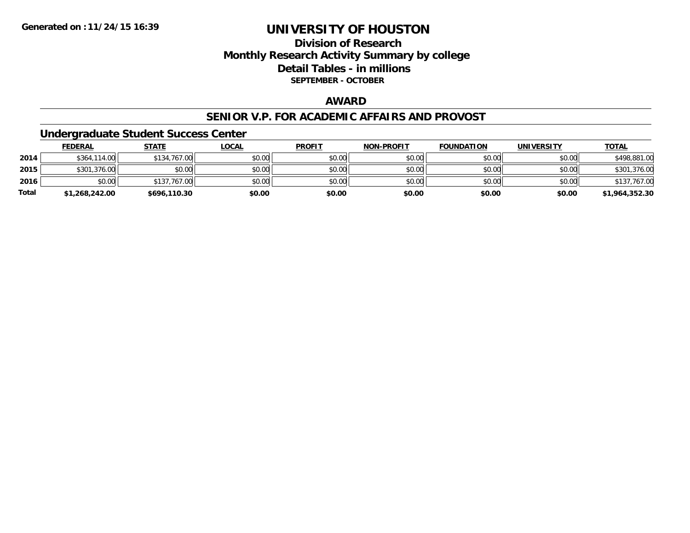### **Division of ResearchMonthly Research Activity Summary by college Detail Tables - in millions SEPTEMBER - OCTOBER**

### **AWARD**

#### **SENIOR V.P. FOR ACADEMIC AFFAIRS AND PROVOST**

### **Undergraduate Student Success Center**

|              | <b>FEDERAL</b> | <u>STATE</u> | <u>LOCAL</u> | <b>PROFIT</b> | <b>NON-PROFIT</b> | <b>FOUNDATION</b> | <b>UNIVERSITY</b> | <b>TOTAL</b>   |
|--------------|----------------|--------------|--------------|---------------|-------------------|-------------------|-------------------|----------------|
| 2014         | \$364,114.00   | \$134,767.00 | \$0.00       | \$0.00        | \$0.00            | \$0.00            | \$0.00            | \$498,881.00   |
| 2015         | \$301,376.00   | \$0.00       | \$0.00       | \$0.00        | \$0.00            | \$0.00            | \$0.00            | \$301,376.00   |
| 2016         | \$0.00         | \$137,767.00 | \$0.00       | \$0.00        | \$0.00            | \$0.00            | \$0.00            | \$137,767.00   |
| <b>Total</b> | \$1,268,242.00 | \$696,110.30 | \$0.00       | \$0.00        | \$0.00            | \$0.00            | \$0.00            | \$1,964,352.30 |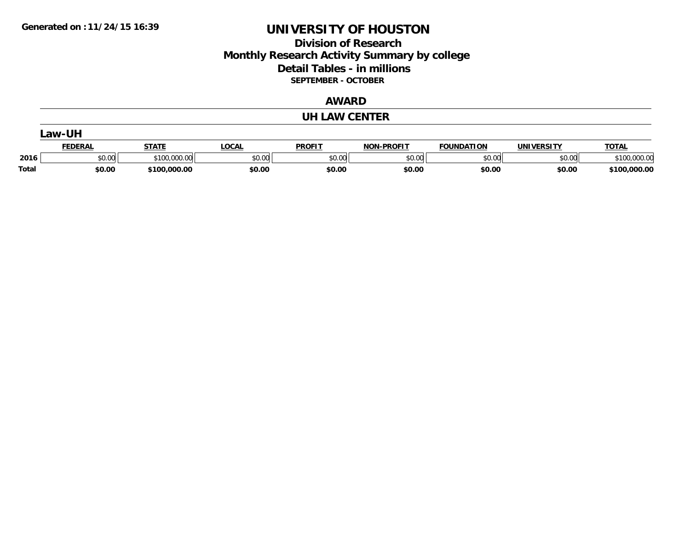### **Division of Research Monthly Research Activity Summary by college Detail Tables - in millions SEPTEMBER - OCTOBER**

#### **AWARD**

#### **UH LAW CENTER**

|       | Law-UH         |              |        |               |                   |                   |            |              |  |  |  |
|-------|----------------|--------------|--------|---------------|-------------------|-------------------|------------|--------------|--|--|--|
|       | <b>FEDERAL</b> | STATE        | LOCAL  | <b>PROFIT</b> | <b>NON-PROFIT</b> | <b>FOUNDATION</b> | UNIVERSITY | <b>TOTAL</b> |  |  |  |
| 2016  | \$0.00         | \$100,000.00 | \$0.00 | \$0.00        | \$0.00            | \$0.00            | \$0.00     | \$100,000.00 |  |  |  |
| Total | \$0.00         | \$100,000.00 | \$0.00 | \$0.00        | \$0.00            | \$0.00            | \$0.00     | \$100,000.00 |  |  |  |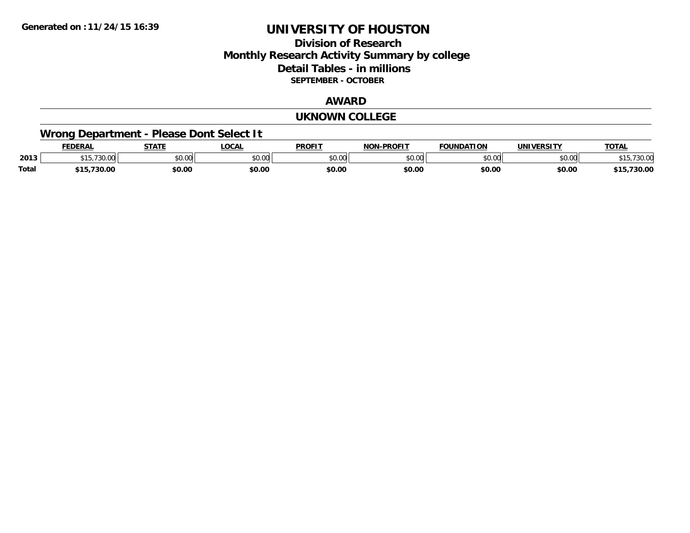### **Division of Research Monthly Research Activity Summary by college Detail Tables - in millions SEPTEMBER - OCTOBER**

#### **AWARD**

#### **UKNOWN COLLEGE**

## **Wrong Department - Please Dont Select It**

|              | EDERAI                    | <b>STATE</b> | LOCAI         | <b>PROFIT</b>      | -PROFIT<br><b>NON</b> | <b>FOUNDATION</b> | IINIIVEDCITV        | TOT.<br>IUIA. |
|--------------|---------------------------|--------------|---------------|--------------------|-----------------------|-------------------|---------------------|---------------|
| 2013         | $\neg$<br>$\sim$<br>10.VV | JU.UU        | 0000<br>JU.UU | $\sim$ 00<br>DU.UU | \$0.00                | JU.UU             | $\sim$ 00<br>וטט.טע | 730.C<br>ل ا  |
| <b>Total</b> | ,730.00<br>.              | \$0.00       | \$0.00        | \$0.00             | \$0.00                | \$0.00            | \$0.00              | 730.00        |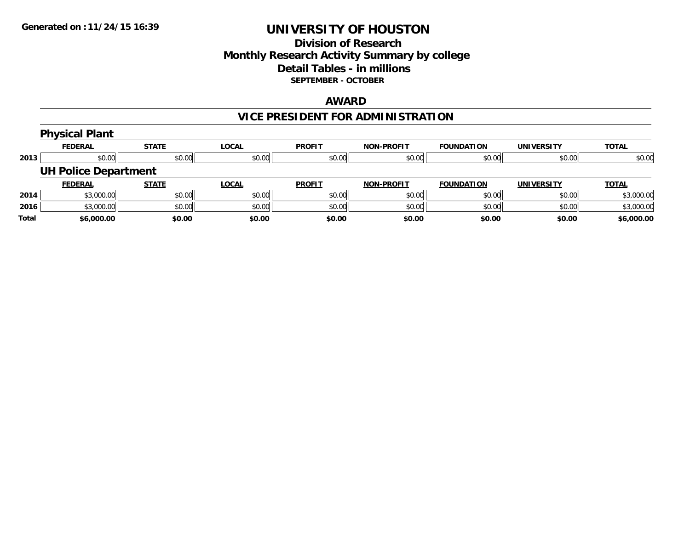### **Division of Research Monthly Research Activity Summary by college Detail Tables - in millions SEPTEMBER - OCTOBER**

### **AWARD**

## **VICE PRESIDENT FOR ADMINISTRATION**

|      | <b>Physical Plant</b>       |              |              |               |                   |                   |                   |              |
|------|-----------------------------|--------------|--------------|---------------|-------------------|-------------------|-------------------|--------------|
|      | <u>FEDERAL</u>              | <b>STATE</b> | <b>LOCAL</b> | <b>PROFIT</b> | <b>NON-PROFIT</b> | <b>FOUNDATION</b> | <b>UNIVERSITY</b> | <b>TOTAL</b> |
| 2013 | \$0.00                      | \$0.00       | \$0.00       | \$0.00        | \$0.00            | \$0.00            | \$0.00            | \$0.00       |
|      | <b>UH Police Department</b> |              |              |               |                   |                   |                   |              |
|      | <b>FEDERAL</b>              | <b>STATE</b> | <u>LOCAL</u> | <b>PROFIT</b> | <b>NON-PROFIT</b> | <b>FOUNDATION</b> | <b>UNIVERSITY</b> | <b>TOTAL</b> |
| 2014 | \$3,000.00                  | \$0.00       | \$0.00       | \$0.00        | \$0.00            | \$0.00            | \$0.00            | \$3,000.00   |
| 2016 | \$3,000.00                  | \$0.00       | \$0.00       | \$0.00        | \$0.00            | \$0.00            | \$0.00            | \$3,000.00   |
|      |                             |              |              |               |                   |                   |                   |              |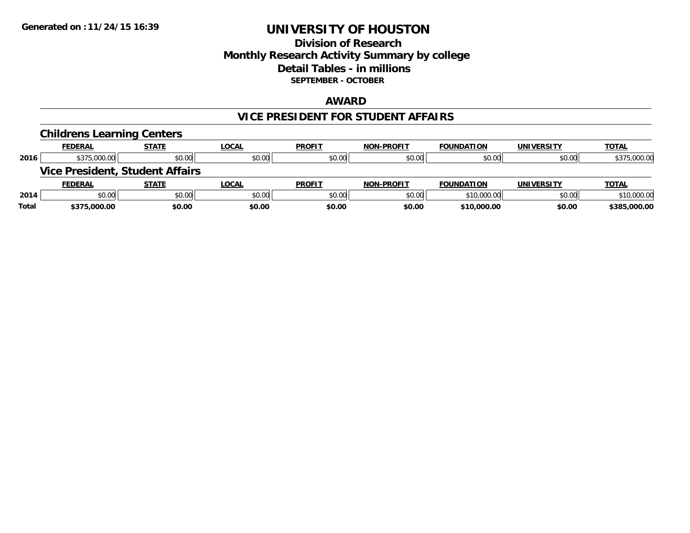### **Division of Research Monthly Research Activity Summary by college Detail Tables - in millions SEPTEMBER - OCTOBER**

#### **AWARD**

#### **VICE PRESIDENT FOR STUDENT AFFAIRS**

|       | <b>Childrens Learning Centers</b> |                                        |              |               |                   |                   |                   |              |
|-------|-----------------------------------|----------------------------------------|--------------|---------------|-------------------|-------------------|-------------------|--------------|
|       | <b>FEDERAL</b>                    | <b>STATE</b>                           | <u>LOCAL</u> | <b>PROFIT</b> | <b>NON-PROFIT</b> | <b>FOUNDATION</b> | <b>UNIVERSITY</b> | <b>TOTAL</b> |
| 2016  | \$375,000.00                      | \$0.00                                 | \$0.00       | \$0.00        | \$0.00            | \$0.00            | \$0.00            | \$375,000.00 |
|       |                                   | <b>Vice President, Student Affairs</b> |              |               |                   |                   |                   |              |
|       | <b>FEDERAL</b>                    | <b>STATE</b>                           | LOCAL        | <b>PROFIT</b> | <b>NON-PROFIT</b> | <b>FOUNDATION</b> | <b>UNIVERSITY</b> | <b>TOTAL</b> |
| 2014  | \$0.00                            | \$0.00                                 | \$0.00       | \$0.00        | \$0.00            | \$10,000.00       | \$0.00            | \$10,000.00  |
| Total | \$375,000.00                      | \$0.00                                 | \$0.00       | \$0.00        | \$0.00            | \$10,000.00       | \$0.00            | \$385,000.00 |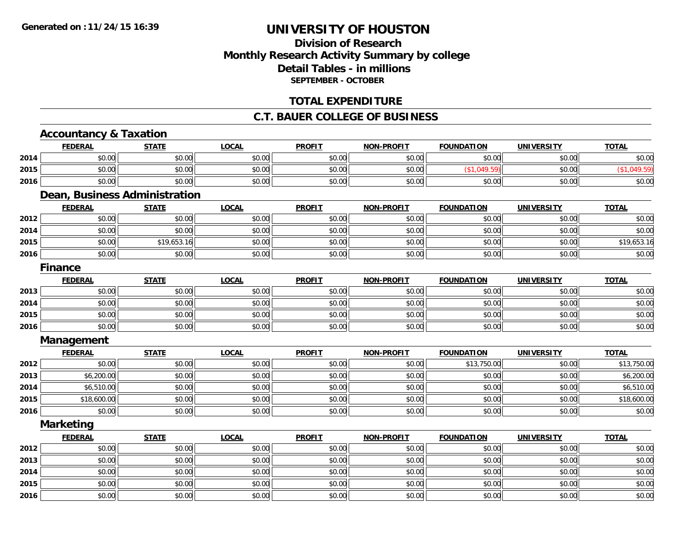### **Division of ResearchMonthly Research Activity Summary by college Detail Tables - in millions SEPTEMBER - OCTOBER**

### **TOTAL EXPENDITURE**

#### **C.T. BAUER COLLEGE OF BUSINESS**

## **Accountancy & Taxation**

**2016**

|      | <b>FEDERAL</b>   | <b>STATE</b>                  | <b>LOCAL</b> | <b>PROFIT</b> | <b>NON-PROFIT</b> | <b>FOUNDATION</b> | <b>UNIVERSITY</b> | <b>TOTAL</b> |
|------|------------------|-------------------------------|--------------|---------------|-------------------|-------------------|-------------------|--------------|
| 2014 | \$0.00           | \$0.00                        | \$0.00       | \$0.00        | \$0.00            | \$0.00            | \$0.00            | \$0.00       |
| 2015 | \$0.00           | \$0.00                        | \$0.00       | \$0.00        | \$0.00            | (\$1,049.59)      | \$0.00            | (\$1,049.59) |
| 2016 | \$0.00           | \$0.00                        | \$0.00       | \$0.00        | \$0.00            | \$0.00            | \$0.00            | \$0.00       |
|      |                  | Dean, Business Administration |              |               |                   |                   |                   |              |
|      | <b>FEDERAL</b>   | <b>STATE</b>                  | <b>LOCAL</b> | <b>PROFIT</b> | <b>NON-PROFIT</b> | <b>FOUNDATION</b> | <b>UNIVERSITY</b> | <b>TOTAL</b> |
| 2012 | \$0.00           | \$0.00                        | \$0.00       | \$0.00        | \$0.00            | \$0.00            | \$0.00            | \$0.00       |
| 2014 | \$0.00           | \$0.00                        | \$0.00       | \$0.00        | \$0.00            | \$0.00            | \$0.00            | \$0.00       |
| 2015 | \$0.00           | \$19,653.16                   | \$0.00       | \$0.00        | \$0.00            | \$0.00            | \$0.00            | \$19,653.16  |
| 2016 | \$0.00           | \$0.00                        | \$0.00       | \$0.00        | \$0.00            | \$0.00            | \$0.00            | \$0.00       |
|      | <b>Finance</b>   |                               |              |               |                   |                   |                   |              |
|      | <b>FEDERAL</b>   | <b>STATE</b>                  | <b>LOCAL</b> | <b>PROFIT</b> | <b>NON-PROFIT</b> | <b>FOUNDATION</b> | <b>UNIVERSITY</b> | <b>TOTAL</b> |
| 2013 | \$0.00           | \$0.00                        | \$0.00       | \$0.00        | \$0.00            | \$0.00            | \$0.00            | \$0.00       |
| 2014 | \$0.00           | \$0.00                        | \$0.00       | \$0.00        | \$0.00            | \$0.00            | \$0.00            | \$0.00       |
| 2015 | \$0.00           | \$0.00                        | \$0.00       | \$0.00        | \$0.00            | \$0.00            | \$0.00            | \$0.00       |
| 2016 | \$0.00           | \$0.00                        | \$0.00       | \$0.00        | \$0.00            | \$0.00            | \$0.00            | \$0.00       |
|      | Management       |                               |              |               |                   |                   |                   |              |
|      | <b>FEDERAL</b>   | <b>STATE</b>                  | <b>LOCAL</b> | <b>PROFIT</b> | <b>NON-PROFIT</b> | <b>FOUNDATION</b> | <b>UNIVERSITY</b> | <b>TOTAL</b> |
| 2012 | \$0.00           | \$0.00                        | \$0.00       | \$0.00        | \$0.00            | \$13,750.00       | \$0.00            | \$13,750.00  |
| 2013 | \$6,200.00       | \$0.00                        | \$0.00       | \$0.00        | \$0.00            | \$0.00            | \$0.00            | \$6,200.00   |
| 2014 | \$6,510.00       | \$0.00                        | \$0.00       | \$0.00        | \$0.00            | \$0.00            | \$0.00            | \$6,510.00   |
| 2015 | \$18,600.00      | \$0.00                        | \$0.00       | \$0.00        | \$0.00            | \$0.00            | \$0.00            | \$18,600.00  |
| 2016 | \$0.00           | \$0.00                        | \$0.00       | \$0.00        | \$0.00            | \$0.00            | \$0.00            | \$0.00       |
|      | <b>Marketing</b> |                               |              |               |                   |                   |                   |              |
|      | <b>FEDERAL</b>   | <b>STATE</b>                  | <b>LOCAL</b> | <b>PROFIT</b> | <b>NON-PROFIT</b> | <b>FOUNDATION</b> | <b>UNIVERSITY</b> | <b>TOTAL</b> |
| 2012 | \$0.00           | \$0.00                        | \$0.00       | \$0.00        | \$0.00            | \$0.00            | \$0.00            | \$0.00       |
| 2013 | \$0.00           | \$0.00                        | \$0.00       | \$0.00        | \$0.00            | \$0.00            | \$0.00            | \$0.00       |
| 2014 | \$0.00           | \$0.00                        | \$0.00       | \$0.00        | \$0.00            | \$0.00            | \$0.00            | \$0.00       |
| 2015 | \$0.00           | \$0.00                        | \$0.00       | \$0.00        | \$0.00            | \$0.00            | \$0.00            | \$0.00       |

6 \$0.00 \$0.00 \$0.00 \$0.00 \$0.00 \$0.00 \$0.00 \$0.00 \$0.00 \$0.00 \$0.00 \$0.00 \$0.00 \$0.00 \$0.00 \$0.00 \$0.00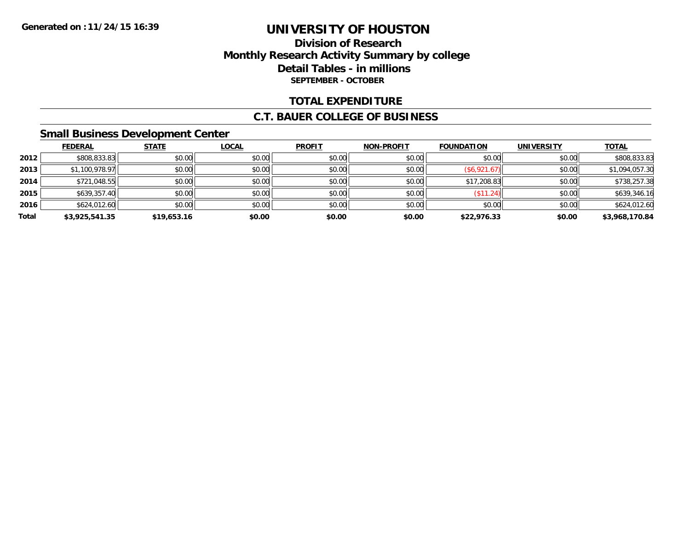### **Division of Research Monthly Research Activity Summary by college Detail Tables - in millions SEPTEMBER - OCTOBER**

### **TOTAL EXPENDITURE**

#### **C.T. BAUER COLLEGE OF BUSINESS**

### **Small Business Development Center**

|       | <b>FEDERAL</b> | <b>STATE</b> | <b>LOCAL</b> | <b>PROFIT</b> | <b>NON-PROFIT</b> | <b>FOUNDATION</b> | <b>UNIVERSITY</b> | <b>TOTAL</b>   |
|-------|----------------|--------------|--------------|---------------|-------------------|-------------------|-------------------|----------------|
| 2012  | \$808,833.83   | \$0.00       | \$0.00       | \$0.00        | \$0.00            | \$0.00            | \$0.00            | \$808,833.83   |
| 2013  | \$1,100,978.97 | \$0.00       | \$0.00       | \$0.00        | \$0.00            | (\$6,921.67)      | \$0.00            | \$1,094,057.30 |
| 2014  | \$721,048.55   | \$0.00       | \$0.00       | \$0.00        | \$0.00            | \$17,208.83       | \$0.00            | \$738,257.38   |
| 2015  | \$639,357.40   | \$0.00       | \$0.00       | \$0.00        | \$0.00            | (\$11.24)         | \$0.00            | \$639,346.16   |
| 2016  | \$624,012.60   | \$0.00       | \$0.00       | \$0.00        | \$0.00            | \$0.00            | \$0.00            | \$624,012.60   |
| Total | \$3,925,541.35 | \$19,653.16  | \$0.00       | \$0.00        | \$0.00            | \$22,976.33       | \$0.00            | \$3,968,170.84 |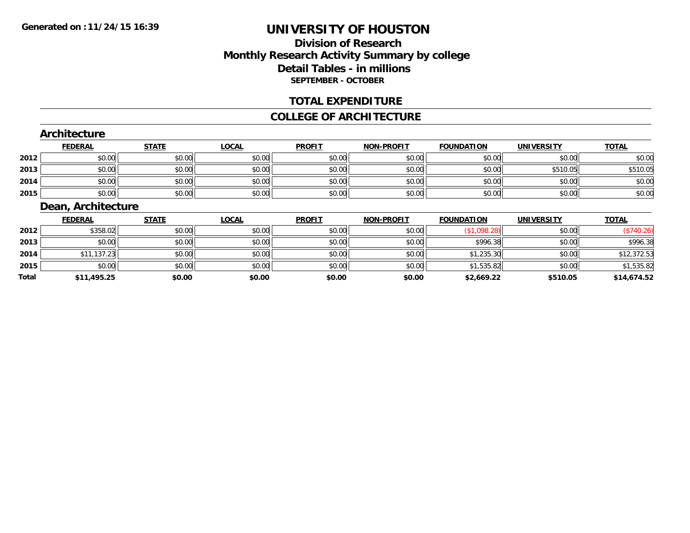### **Division of ResearchMonthly Research Activity Summary by college Detail Tables - in millions SEPTEMBER - OCTOBER**

### **TOTAL EXPENDITURE**

#### **COLLEGE OF ARCHITECTURE**

#### **Architecture**

|      | <u>FEDERAL</u> | <b>STATE</b> | <b>LOCAL</b> | <b>PROFIT</b> | <b>NON-PROFIT</b> | <b>FOUNDATION</b> | UNIVERSITY | <b>TOTAL</b> |
|------|----------------|--------------|--------------|---------------|-------------------|-------------------|------------|--------------|
| 2012 | \$0.00         | \$0.00       | \$0.00       | \$0.00        | \$0.00            | \$0.00            | \$0.00     | \$0.00       |
| 2013 | \$0.00         | \$0.00       | \$0.00       | \$0.00        | \$0.00            | \$0.00            | \$510.05   | \$510.05     |
| 2014 | \$0.00         | \$0.00       | \$0.00       | \$0.00        | \$0.00            | \$0.00            | \$0.00     | \$0.00       |
| 2015 | \$0.00         | \$0.00       | \$0.00       | \$0.00        | \$0.00            | \$0.00            | \$0.00     | \$0.00       |

### **Dean, Architecture**

|              | <b>FEDERAL</b> | <b>STATE</b> | <u>LOCAL</u> | <b>PROFIT</b> | <b>NON-PROFIT</b> | <b>FOUNDATION</b> | <b>UNIVERSITY</b> | <b>TOTAL</b> |
|--------------|----------------|--------------|--------------|---------------|-------------------|-------------------|-------------------|--------------|
| 2012         | \$358.02       | \$0.00       | \$0.00       | \$0.00        | \$0.00            | (\$1,098.28)      | \$0.00            | (\$740.26)   |
| 2013         | \$0.00         | \$0.00       | \$0.00       | \$0.00        | \$0.00            | \$996.38          | \$0.00            | \$996.38     |
| 2014         | \$11,137.23    | \$0.00       | \$0.00       | \$0.00        | \$0.00            | \$1,235.30        | \$0.00            | \$12,372.53  |
| 2015         | \$0.00         | \$0.00       | \$0.00       | \$0.00        | \$0.00            | \$1,535.82        | \$0.00            | \$1,535.82   |
| <b>Total</b> | \$11,495.25    | \$0.00       | \$0.00       | \$0.00        | \$0.00            | \$2,669.22        | \$510.05          | \$14,674.52  |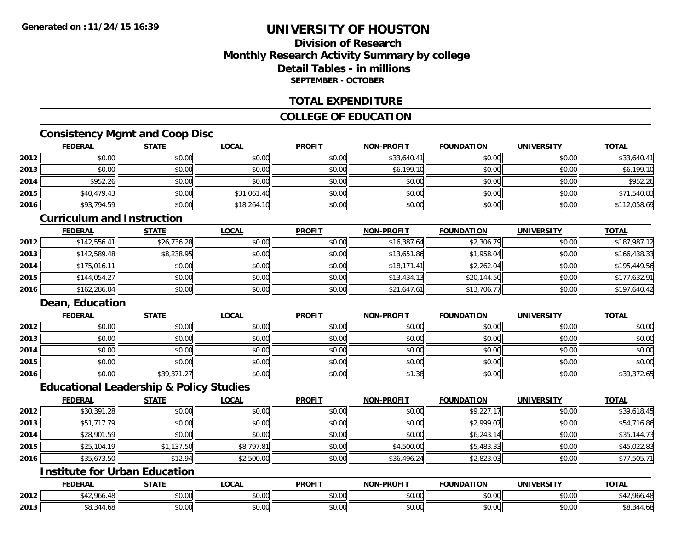### **Division of ResearchMonthly Research Activity Summary by college Detail Tables - in millionsSEPTEMBER - OCTOBER**

### **TOTAL EXPENDITURE**

### **COLLEGE OF EDUCATION**

### **Consistency Mgmt and Coop Disc**

|      | <b>FEDERAL</b> | <b>STATE</b> | <u>LOCAL</u> | <b>PROFIT</b> | <b>NON-PROFIT</b> | <b>FOUNDATION</b> | <b>UNIVERSITY</b> | <b>TOTAL</b> |
|------|----------------|--------------|--------------|---------------|-------------------|-------------------|-------------------|--------------|
| 2012 | \$0.00         | \$0.00       | \$0.00       | \$0.00        | \$33,640.41       | \$0.00            | \$0.00            | \$33,640.41  |
| 2013 | \$0.00         | \$0.00       | \$0.00       | \$0.00        | \$6,199.10        | \$0.00            | \$0.00            | \$6,199.10   |
| 2014 | \$952.26       | \$0.00       | \$0.00       | \$0.00        | \$0.00            | \$0.00            | \$0.00            | \$952.26     |
| 2015 | \$40,479.43    | \$0.00       | \$31,061.40  | \$0.00        | \$0.00            | \$0.00            | \$0.00            | \$71,540.83  |
| 2016 | \$93,794.59    | \$0.00       | \$18,264.10  | \$0.00        | \$0.00            | \$0.00            | \$0.00            | \$112,058.69 |

#### **Curriculum and Instruction**

|      | <b>FEDERAL</b> | <b>STATE</b> | <b>LOCAL</b> | <b>PROFIT</b> | <b>NON-PROFIT</b> | <b>FOUNDATION</b> | <b>UNIVERSITY</b> | <b>TOTAL</b> |
|------|----------------|--------------|--------------|---------------|-------------------|-------------------|-------------------|--------------|
| 2012 | \$142,556.41   | \$26,736.28  | \$0.00       | \$0.00        | \$16,387.64       | \$2,306.79        | \$0.00            | \$187,987.12 |
| 2013 | \$142,589.48   | \$8,238.95   | \$0.00       | \$0.00        | \$13,651.86       | \$1,958.04        | \$0.00            | \$166,438.33 |
| 2014 | \$175.016.11   | \$0.00       | \$0.00       | \$0.00        | \$18,171.41       | \$2,262.04        | \$0.00            | \$195,449.56 |
| 2015 | \$144,054.27   | \$0.00       | \$0.00       | \$0.00        | \$13,434.13       | \$20,144.50       | \$0.00            | \$177,632.91 |
| 2016 | \$162,286.04   | \$0.00       | \$0.00       | \$0.00        | \$21,647.61       | \$13,706.77       | \$0.00            | \$197,640.42 |

### **Dean, Education**

|      | <b>FEDERAL</b> | <b>STATE</b> | <u>LOCAL</u> | <b>PROFIT</b> | <b>NON-PROFIT</b> | <b>FOUNDATION</b> | <b>UNIVERSITY</b> | <b>TOTAL</b> |
|------|----------------|--------------|--------------|---------------|-------------------|-------------------|-------------------|--------------|
| 2012 | \$0.00         | \$0.00       | \$0.00       | \$0.00        | \$0.00            | \$0.00            | \$0.00            | \$0.00       |
| 2013 | \$0.00         | \$0.00       | \$0.00       | \$0.00        | \$0.00            | \$0.00            | \$0.00            | \$0.00       |
| 2014 | \$0.00         | \$0.00       | \$0.00       | \$0.00        | \$0.00            | \$0.00            | \$0.00            | \$0.00       |
| 2015 | \$0.00         | \$0.00       | \$0.00       | \$0.00        | \$0.00            | \$0.00            | \$0.00            | \$0.00       |
| 2016 | \$0.00         | \$39,371.27  | \$0.00       | \$0.00        | \$1.38            | \$0.00            | \$0.00            | \$39,372.65  |

#### **Educational Leadership & Policy Studies**

|      | <b>FEDERAL</b> | <b>STATE</b> | <u>LOCAL</u> | <b>PROFIT</b> | <b>NON-PROFIT</b> | <b>FOUNDATION</b> | <b>UNIVERSITY</b> | <b>TOTAL</b> |
|------|----------------|--------------|--------------|---------------|-------------------|-------------------|-------------------|--------------|
| 2012 | \$30,391.28    | \$0.00       | \$0.00       | \$0.00        | \$0.00            | \$9,227.17        | \$0.00            | \$39,618.45  |
| 2013 | \$51,717.79    | \$0.00       | \$0.00       | \$0.00        | \$0.00            | \$2,999.07        | \$0.00            | \$54,716.86  |
| 2014 | \$28,901.59    | \$0.00       | \$0.00       | \$0.00        | \$0.00            | \$6,243.14        | \$0.00            | \$35,144.73  |
| 2015 | \$25,104.19    | \$1,137.50   | \$8,797.81   | \$0.00        | \$4,500.00        | \$5,483.33        | \$0.00            | \$45,022.83  |
| 2016 | \$35,673.50    | \$12.94      | \$2,500.00   | \$0.00        | \$36,496.24       | \$2,823.03        | \$0.00            | \$77,505.71  |

## **Institute for Urban Education**

|      | <b>FEDERAL</b>                              | <b>CTATE</b><br>''<br>. | LOCAL  | <b>PROFIT</b>                    | <b>NON-PROFIT</b> | <b>FOUNDATION</b> | <b>UNIVERSITY</b>    | <b>TOTAL</b>    |
|------|---------------------------------------------|-------------------------|--------|----------------------------------|-------------------|-------------------|----------------------|-----------------|
| 2012 | ሶ ላ ኅ<br>$\Lambda$ $\Omega$<br>900.48<br>44 | 0000<br>JU.UU           | \$0.00 | $\uparrow$ $\uparrow$<br>JU.UU   | 0.00<br>JU.UU     | \$0.00            | 0.00<br><b>JU.UU</b> | 542.YOO.48      |
| 2013 | . OC<br>90.J                                | 0000<br>JU.UU           | \$0.00 | $\sim$<br>$\sim$ $\sim$<br>PU.UU | 0000<br>JU.UU     | 0000<br>JU.UU     | 0000<br><b>JU.UU</b> | 344.68<br>სი, ა |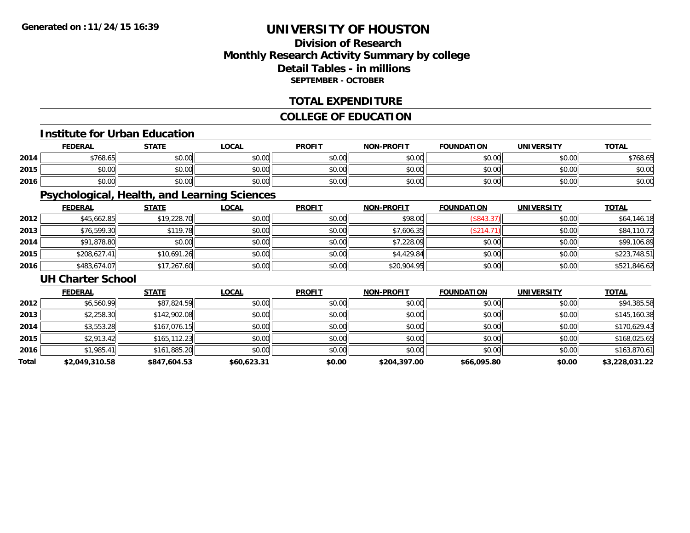### **Division of ResearchMonthly Research Activity Summary by college Detail Tables - in millions SEPTEMBER - OCTOBER**

### **TOTAL EXPENDITURE**

### **COLLEGE OF EDUCATION**

#### **Institute for Urban Education**

|      | <b>FEDERAL</b>                                       | <b>STATE</b> | .OCAL  | <b>PROFIT</b> | <b>NON-PROFIT</b> | <b>FOUNDATION</b> | UNIVERSITY     | <b>TOTAL</b> |
|------|------------------------------------------------------|--------------|--------|---------------|-------------------|-------------------|----------------|--------------|
| 2014 | \$768.65                                             | \$0.00       | \$0.00 | \$0.00        | \$0.00            | mn n¢<br>DU.UU    | mn n¢<br>PU.UU | \$768.65     |
| 2015 | $\uparrow$ $\uparrow$ $\uparrow$ $\uparrow$<br>JU.UU | \$0.00       | \$0.00 | \$0.00        | \$0.00            | \$0.00            | \$0.00         | \$0.00       |
| 2016 | 0000<br>JU.UU                                        | \$0.00       | \$0.00 | \$0.00        | \$0.00            | \$0.00            | \$0.00         | \$0.00       |

### **Psychological, Health, and Learning Sciences**

|      | <b>FEDERAL</b> | <b>STATE</b> | <u>LOCAL</u> | <b>PROFIT</b> | <b>NON-PROFIT</b> | <b>FOUNDATION</b> | <b>UNIVERSITY</b> | <b>TOTAL</b> |
|------|----------------|--------------|--------------|---------------|-------------------|-------------------|-------------------|--------------|
| 2012 | \$45,662.85    | \$19,228.70  | \$0.00       | \$0.00        | \$98.00           | (\$843.37)        | \$0.00            | \$64,146.18  |
| 2013 | \$76,599.30    | \$119.78     | \$0.00       | \$0.00        | \$7,606.35        | (\$214.71)        | \$0.00            | \$84,110.72  |
| 2014 | \$91,878.80    | \$0.00       | \$0.00       | \$0.00        | \$7,228.09        | \$0.00            | \$0.00            | \$99,106.89  |
| 2015 | \$208,627.41   | \$10,691.26  | \$0.00       | \$0.00        | \$4,429.84        | \$0.00            | \$0.00            | \$223,748.51 |
| 2016 | \$483,674.07   | \$17,267.60  | \$0.00       | \$0.00        | \$20,904.95       | \$0.00            | \$0.00            | \$521,846.62 |

#### **UH Charter School**

|       | <b>FEDERAL</b> | <b>STATE</b>  | <b>LOCAL</b> | <b>PROFIT</b> | <b>NON-PROFIT</b> | <b>FOUNDATION</b> | <b>UNIVERSITY</b> | <b>TOTAL</b>   |
|-------|----------------|---------------|--------------|---------------|-------------------|-------------------|-------------------|----------------|
| 2012  | \$6,560.99     | \$87,824.59   | \$0.00       | \$0.00        | \$0.00            | \$0.00            | \$0.00            | \$94,385.58    |
| 2013  | \$2,258.30     | \$142,902.08  | \$0.00       | \$0.00        | \$0.00            | \$0.00            | \$0.00            | \$145,160.38   |
| 2014  | \$3,553.28     | \$167,076.15  | \$0.00       | \$0.00        | \$0.00            | \$0.00            | \$0.00            | \$170,629.43   |
| 2015  | \$2,913.42     | \$165, 112.23 | \$0.00       | \$0.00        | \$0.00            | \$0.00            | \$0.00            | \$168,025.65   |
| 2016  | \$1,985.41     | \$161,885.20  | \$0.00       | \$0.00        | \$0.00            | \$0.00            | \$0.00            | \$163,870.61   |
| Total | \$2,049,310.58 | \$847,604.53  | \$60,623.31  | \$0.00        | \$204,397.00      | \$66,095.80       | \$0.00            | \$3,228,031.22 |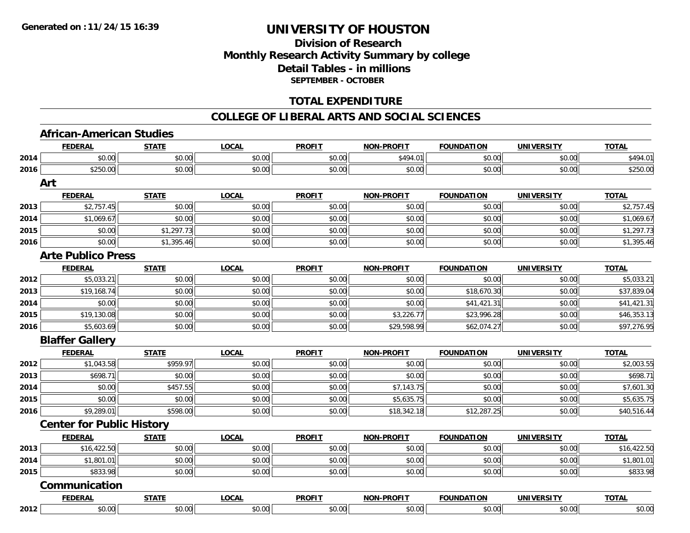### **Division of ResearchMonthly Research Activity Summary by college Detail Tables - in millions SEPTEMBER - OCTOBER**

### **TOTAL EXPENDITURE**

#### **COLLEGE OF LIBERAL ARTS AND SOCIAL SCIENCES**

### **African-American Studies**

|      | <b>FEDERAL</b>                   | <b>STATE</b> | <b>LOCAL</b> | <b>PROFIT</b> | <b>NON-PROFIT</b> | <b>FOUNDATION</b> | <b>UNIVERSITY</b> | <b>TOTAL</b> |
|------|----------------------------------|--------------|--------------|---------------|-------------------|-------------------|-------------------|--------------|
| 2014 | \$0.00                           | \$0.00       | \$0.00       | \$0.00        | \$494.01          | \$0.00            | \$0.00            | \$494.01     |
| 2016 | \$250.00                         | \$0.00       | \$0.00       | \$0.00        | \$0.00            | \$0.00            | \$0.00            | \$250.00     |
|      | Art                              |              |              |               |                   |                   |                   |              |
|      | <b>FEDERAL</b>                   | <b>STATE</b> | <b>LOCAL</b> | <b>PROFIT</b> | <b>NON-PROFIT</b> | <b>FOUNDATION</b> | <b>UNIVERSITY</b> | <b>TOTAL</b> |
| 2013 | \$2,757.45                       | \$0.00       | \$0.00       | \$0.00        | \$0.00            | \$0.00            | \$0.00            | \$2,757.45   |
| 2014 | \$1,069.67                       | \$0.00       | \$0.00       | \$0.00        | \$0.00            | \$0.00            | \$0.00            | \$1,069.67   |
| 2015 | \$0.00                           | \$1,297.73   | \$0.00       | \$0.00        | \$0.00            | \$0.00            | \$0.00            | \$1,297.73   |
| 2016 | \$0.00                           | \$1,395.46   | \$0.00       | \$0.00        | \$0.00            | \$0.00            | \$0.00            | \$1,395.46   |
|      | <b>Arte Publico Press</b>        |              |              |               |                   |                   |                   |              |
|      | <b>FEDERAL</b>                   | <b>STATE</b> | <b>LOCAL</b> | <b>PROFIT</b> | <b>NON-PROFIT</b> | <b>FOUNDATION</b> | <b>UNIVERSITY</b> | <b>TOTAL</b> |
| 2012 | \$5,033.21                       | \$0.00       | \$0.00       | \$0.00        | \$0.00            | \$0.00            | \$0.00            | \$5,033.21   |
| 2013 | \$19,168.74                      | \$0.00       | \$0.00       | \$0.00        | \$0.00            | \$18,670.30       | \$0.00            | \$37,839.04  |
| 2014 | \$0.00                           | \$0.00       | \$0.00       | \$0.00        | \$0.00            | \$41,421.31       | \$0.00            | \$41,421.31  |
| 2015 | \$19,130.08                      | \$0.00       | \$0.00       | \$0.00        | \$3,226.77        | \$23,996.28       | \$0.00            | \$46,353.13  |
| 2016 | \$5,603.69                       | \$0.00       | \$0.00       | \$0.00        | \$29,598.99       | \$62,074.27       | \$0.00            | \$97,276.95  |
|      | <b>Blaffer Gallery</b>           |              |              |               |                   |                   |                   |              |
|      | <b>FEDERAL</b>                   | <b>STATE</b> | <b>LOCAL</b> | <b>PROFIT</b> | <b>NON-PROFIT</b> | <b>FOUNDATION</b> | <b>UNIVERSITY</b> | <b>TOTAL</b> |
| 2012 | \$1,043.58                       | \$959.97     | \$0.00       | \$0.00        | \$0.00            | \$0.00            | \$0.00            | \$2,003.55   |
| 2013 | \$698.71                         | \$0.00       | \$0.00       | \$0.00        | \$0.00            | \$0.00            | \$0.00            | \$698.71     |
| 2014 | \$0.00                           | \$457.55     | \$0.00       | \$0.00        | \$7,143.75        | \$0.00            | \$0.00            | \$7,601.30   |
| 2015 | \$0.00                           | \$0.00       | \$0.00       | \$0.00        | \$5,635.75        | \$0.00            | \$0.00            | \$5,635.75   |
| 2016 | \$9,289.01                       | \$598.00     | \$0.00       | \$0.00        | \$18,342.18       | \$12,287.25       | \$0.00            | \$40,516.44  |
|      | <b>Center for Public History</b> |              |              |               |                   |                   |                   |              |
|      | <b>FEDERAL</b>                   | <b>STATE</b> | <b>LOCAL</b> | <b>PROFIT</b> | <b>NON-PROFIT</b> | <b>FOUNDATION</b> | <b>UNIVERSITY</b> | <b>TOTAL</b> |
| 2013 | \$16,422.50                      | \$0.00       | \$0.00       | \$0.00        | \$0.00            | \$0.00            | \$0.00            | \$16,422.50  |
| 2014 | \$1,801.01                       | \$0.00       | \$0.00       | \$0.00        | \$0.00            | \$0.00            | \$0.00            | \$1,801.01   |
| 2015 | \$833.98                         | \$0.00       | \$0.00       | \$0.00        | \$0.00            | \$0.00            | \$0.00            | \$833.98     |
|      | Communication                    |              |              |               |                   |                   |                   |              |
|      | <b>FEDERAL</b>                   | <b>STATE</b> | <b>LOCAL</b> | <b>PROFIT</b> | <b>NON-PROFIT</b> | <b>FOUNDATION</b> | <b>UNIVERSITY</b> | <b>TOTAL</b> |
| 2012 | \$0.00                           | \$0.00       | \$0.00       | \$0.00        | \$0.00            | \$0.00            | \$0.00            | \$0.00       |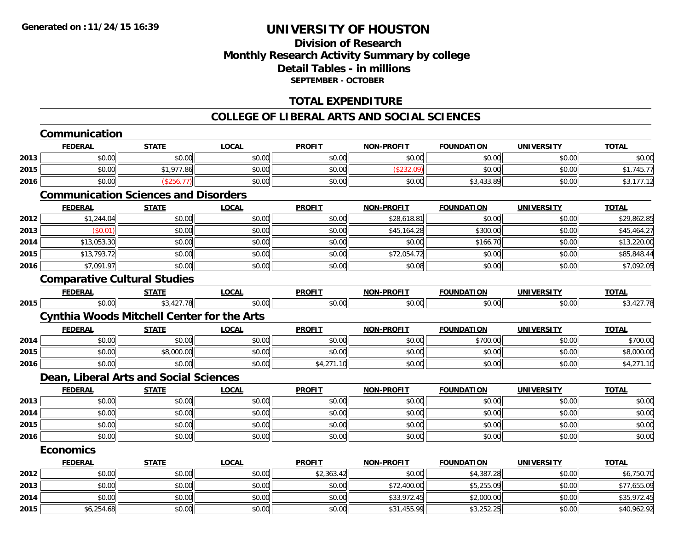### **Division of ResearchMonthly Research Activity Summary by college Detail Tables - in millions SEPTEMBER - OCTOBER**

### **TOTAL EXPENDITURE**

#### **COLLEGE OF LIBERAL ARTS AND SOCIAL SCIENCES**

|      | <b>FEDERAL</b>                                    | <b>STATE</b> | <b>LOCAL</b> | <b>PROFIT</b> | <b>NON-PROFIT</b> | <b>FOUNDATION</b> | <b>UNIVERSITY</b> | <b>TOTAL</b> |
|------|---------------------------------------------------|--------------|--------------|---------------|-------------------|-------------------|-------------------|--------------|
| 2013 | \$0.00                                            | \$0.00       | \$0.00       | \$0.00        | \$0.00            | \$0.00            | \$0.00            | \$0.00       |
| 2015 | \$0.00                                            | \$1,977.86   | \$0.00       | \$0.00        | (\$232.09)        | \$0.00            | \$0.00            | \$1,745.77   |
| 2016 | \$0.00                                            | (\$256.77)   | \$0.00       | \$0.00        | \$0.00            | \$3,433.89        | \$0.00            | \$3,177.12   |
|      | <b>Communication Sciences and Disorders</b>       |              |              |               |                   |                   |                   |              |
|      | <b>FEDERAL</b>                                    | <b>STATE</b> | <b>LOCAL</b> | <b>PROFIT</b> | NON-PROFIT        | <b>FOUNDATION</b> | <b>UNIVERSITY</b> | <b>TOTAL</b> |
| 2012 | \$1,244.04                                        | \$0.00       | \$0.00       | \$0.00        | \$28,618.81       | \$0.00            | \$0.00            | \$29,862.85  |
| 2013 | (\$0.01)                                          | \$0.00       | \$0.00       | \$0.00        | \$45,164.28       | \$300.00          | \$0.00            | \$45,464.27  |
| 2014 | \$13,053.30                                       | \$0.00       | \$0.00       | \$0.00        | \$0.00            | \$166.70          | \$0.00            | \$13,220.00  |
| 2015 | \$13,793.72                                       | \$0.00       | \$0.00       | \$0.00        | \$72,054.72       | \$0.00            | \$0.00            | \$85,848.44  |
| 2016 | \$7,091.97                                        | \$0.00       | \$0.00       | \$0.00        | \$0.08            | \$0.00            | \$0.00            | \$7,092.05   |
|      | <b>Comparative Cultural Studies</b>               |              |              |               |                   |                   |                   |              |
|      | <b>FEDERAL</b>                                    | <b>STATE</b> | <b>LOCAL</b> | <b>PROFIT</b> | <b>NON-PROFIT</b> | <b>FOUNDATION</b> | <b>UNIVERSITY</b> | <b>TOTAL</b> |
| 2015 | \$0.00                                            | \$3,427.78   | \$0.00       | \$0.00        | \$0.00            | \$0.00            | \$0.00            | \$3,427.78   |
|      | <b>Cynthia Woods Mitchell Center for the Arts</b> |              |              |               |                   |                   |                   |              |
|      | <b>FEDERAL</b>                                    | <b>STATE</b> | <b>LOCAL</b> | <b>PROFIT</b> | <b>NON-PROFIT</b> | <b>FOUNDATION</b> | <b>UNIVERSITY</b> | <b>TOTAL</b> |
| 2014 | \$0.00                                            | \$0.00       | \$0.00       | \$0.00        | \$0.00            | \$700.00          | \$0.00            | \$700.00     |
| 2015 | \$0.00                                            | \$8,000.00   | \$0.00       | \$0.00        | \$0.00            | \$0.00            | \$0.00            | \$8,000.00   |
| 2016 | \$0.00                                            | \$0.00       | \$0.00       | \$4,271.10    | \$0.00            | \$0.00            | \$0.00            | \$4,271.10   |
|      | Dean, Liberal Arts and Social Sciences            |              |              |               |                   |                   |                   |              |
|      | <b>FEDERAL</b>                                    | <b>STATE</b> | <b>LOCAL</b> | <b>PROFIT</b> | <b>NON-PROFIT</b> | <b>FOUNDATION</b> | <b>UNIVERSITY</b> | <b>TOTAL</b> |
| 2013 | \$0.00                                            | \$0.00       | \$0.00       | \$0.00        | \$0.00            | \$0.00            | \$0.00            | \$0.00       |
| 2014 | \$0.00                                            | \$0.00       | \$0.00       | \$0.00        | \$0.00            | \$0.00            | \$0.00            | \$0.00       |
| 2015 | \$0.00                                            | \$0.00       | \$0.00       | \$0.00        | \$0.00            | \$0.00            | \$0.00            | \$0.00       |
| 2016 | \$0.00                                            | \$0.00       | \$0.00       | \$0.00        | \$0.00            | \$0.00            | \$0.00            | \$0.00       |
|      | <b>Economics</b>                                  |              |              |               |                   |                   |                   |              |
|      | <b>FEDERAL</b>                                    | <b>STATE</b> | <b>LOCAL</b> | <b>PROFIT</b> | <b>NON-PROFIT</b> | <b>FOUNDATION</b> | <b>UNIVERSITY</b> | <b>TOTAL</b> |
| 2012 | \$0.00                                            | \$0.00       | \$0.00       | \$2,363.42    | \$0.00            | \$4,387.28        | \$0.00            | \$6,750.70   |
| 2013 | \$0.00                                            | \$0.00       | \$0.00       | \$0.00        | \$72,400.00       | \$5,255.09        | \$0.00            | \$77,655.09  |
| 2014 | \$0.00                                            | \$0.00       | \$0.00       | \$0.00        | \$33,972.45       | \$2,000.00        | \$0.00            | \$35,972.45  |
|      |                                                   |              |              |               | \$31,455.99       |                   |                   |              |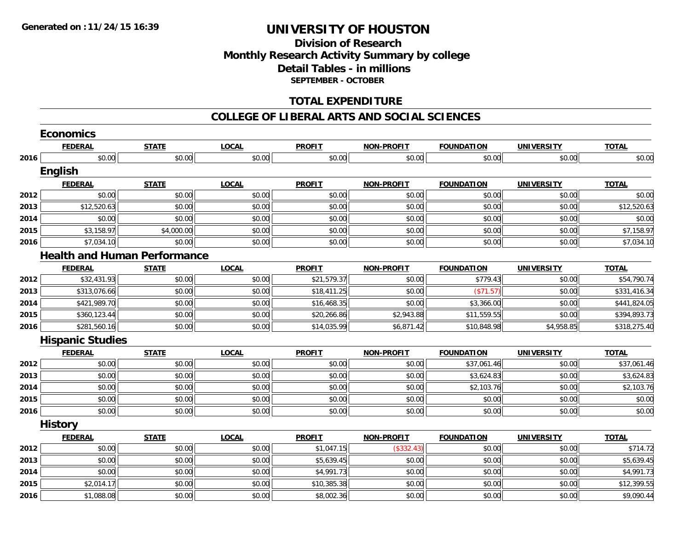### **Division of ResearchMonthly Research Activity Summary by college Detail Tables - in millions SEPTEMBER - OCTOBER**

### **TOTAL EXPENDITURE**

#### **COLLEGE OF LIBERAL ARTS AND SOCIAL SCIENCES**

|      | <b>Economics</b>        |                                     |              |               |                   |                   |                   |              |
|------|-------------------------|-------------------------------------|--------------|---------------|-------------------|-------------------|-------------------|--------------|
|      | <b>FEDERAL</b>          | <b>STATE</b>                        | <b>LOCAL</b> | <b>PROFIT</b> | <b>NON-PROFIT</b> | <b>FOUNDATION</b> | <b>UNIVERSITY</b> | <b>TOTAL</b> |
| 2016 | \$0.00                  | \$0.00                              | \$0.00       | \$0.00        | \$0.00            | \$0.00            | \$0.00            | \$0.00       |
|      | English                 |                                     |              |               |                   |                   |                   |              |
|      | <b>FEDERAL</b>          | <b>STATE</b>                        | <b>LOCAL</b> | <b>PROFIT</b> | <b>NON-PROFIT</b> | <b>FOUNDATION</b> | <b>UNIVERSITY</b> | <b>TOTAL</b> |
| 2012 | \$0.00                  | \$0.00                              | \$0.00       | \$0.00        | \$0.00            | \$0.00            | \$0.00            | \$0.00       |
| 2013 | \$12,520.63             | \$0.00                              | \$0.00       | \$0.00        | \$0.00            | \$0.00            | \$0.00            | \$12,520.63  |
| 2014 | \$0.00                  | \$0.00                              | \$0.00       | \$0.00        | \$0.00            | \$0.00            | \$0.00            | \$0.00       |
| 2015 | \$3,158.97              | \$4,000.00                          | \$0.00       | \$0.00        | \$0.00            | \$0.00            | \$0.00            | \$7,158.97   |
| 2016 | \$7,034.10              | \$0.00                              | \$0.00       | \$0.00        | \$0.00            | \$0.00            | \$0.00            | \$7,034.10   |
|      |                         | <b>Health and Human Performance</b> |              |               |                   |                   |                   |              |
|      | <b>FEDERAL</b>          | <b>STATE</b>                        | <b>LOCAL</b> | <b>PROFIT</b> | <b>NON-PROFIT</b> | <b>FOUNDATION</b> | <b>UNIVERSITY</b> | <b>TOTAL</b> |
| 2012 | \$32,431.93             | \$0.00                              | \$0.00       | \$21,579.37   | \$0.00            | \$779.43          | \$0.00            | \$54,790.74  |
| 2013 | \$313,076.66            | \$0.00                              | \$0.00       | \$18,411.25   | \$0.00            | (\$71.57)         | \$0.00            | \$331,416.34 |
| 2014 | \$421,989.70            | \$0.00                              | \$0.00       | \$16,468.35   | \$0.00            | \$3,366.00        | \$0.00            | \$441,824.05 |
| 2015 | \$360,123.44            | \$0.00                              | \$0.00       | \$20,266.86   | \$2,943.88        | \$11,559.55       | \$0.00            | \$394,893.73 |
| 2016 | \$281,560.16            | \$0.00                              | \$0.00       | \$14,035.99   | \$6,871.42        | \$10,848.98       | \$4,958.85        | \$318,275.40 |
|      | <b>Hispanic Studies</b> |                                     |              |               |                   |                   |                   |              |
|      | <b>FEDERAL</b>          | <b>STATE</b>                        | <b>LOCAL</b> | <b>PROFIT</b> | <b>NON-PROFIT</b> | <b>FOUNDATION</b> | <b>UNIVERSITY</b> | <b>TOTAL</b> |
| 2012 | \$0.00                  | \$0.00                              | \$0.00       | \$0.00        | \$0.00            | \$37,061.46       | \$0.00            | \$37,061.46  |
| 2013 | \$0.00                  | \$0.00                              | \$0.00       | \$0.00        | \$0.00            | \$3,624.83        | \$0.00            | \$3,624.83   |
| 2014 | \$0.00                  | \$0.00                              | \$0.00       | \$0.00        | \$0.00            | \$2,103.76        | \$0.00            | \$2,103.76   |
| 2015 | \$0.00                  | \$0.00                              | \$0.00       | \$0.00        | \$0.00            | \$0.00            | \$0.00            | \$0.00       |
| 2016 | \$0.00                  | \$0.00                              | \$0.00       | \$0.00        | \$0.00            | \$0.00            | \$0.00            | \$0.00       |
|      | <b>History</b>          |                                     |              |               |                   |                   |                   |              |
|      | <b>FEDERAL</b>          | <b>STATE</b>                        | <b>LOCAL</b> | <b>PROFIT</b> | <b>NON-PROFIT</b> | <b>FOUNDATION</b> | <b>UNIVERSITY</b> | <b>TOTAL</b> |
| 2012 | \$0.00                  | \$0.00                              | \$0.00       | \$1,047.15    | (\$332.43)        | \$0.00            | \$0.00            | \$714.72     |
| 2013 | \$0.00                  | \$0.00                              | \$0.00       | \$5,639.45    | \$0.00            | \$0.00            | \$0.00            | \$5,639.45   |
| 2014 | \$0.00                  | \$0.00                              | \$0.00       | \$4,991.73    | \$0.00            | \$0.00            | \$0.00            | \$4,991.73   |
| 2015 | \$2,014.17              | \$0.00                              | \$0.00       | \$10,385.38   | \$0.00            | \$0.00            | \$0.00            | \$12,399.55  |
| 2016 | \$1,088.08              | \$0.00                              | \$0.00       | \$8,002.36    | \$0.00            | \$0.00            | \$0.00            | \$9,090.44   |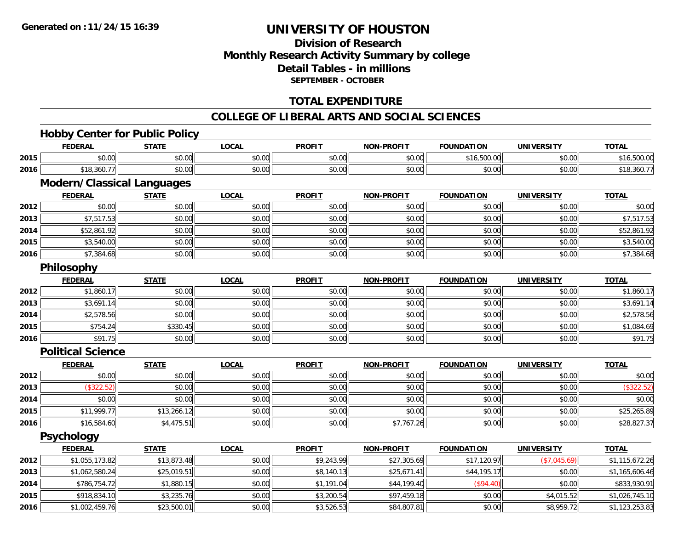### **Division of ResearchMonthly Research Activity Summary by college Detail Tables - in millions SEPTEMBER - OCTOBER**

### **TOTAL EXPENDITURE**

#### **COLLEGE OF LIBERAL ARTS AND SOCIAL SCIENCES**

### **Hobby Center for Public Policy**

|      | <b>FEDERAL</b>                    | <b>STATE</b> | <b>LOCAL</b> | <b>PROFIT</b> | <b>NON-PROFIT</b> | <b>FOUNDATION</b> | <b>UNIVERSITY</b> | <b>TOTAL</b>   |
|------|-----------------------------------|--------------|--------------|---------------|-------------------|-------------------|-------------------|----------------|
| 2015 | \$0.00                            | \$0.00       | \$0.00       | \$0.00        | \$0.00            | \$16,500.00       | \$0.00            | \$16,500.00    |
| 2016 | \$18,360.77                       | \$0.00       | \$0.00       | \$0.00        | \$0.00            | \$0.00            | \$0.00            | \$18,360.77    |
|      | <b>Modern/Classical Languages</b> |              |              |               |                   |                   |                   |                |
|      | <b>FEDERAL</b>                    | <b>STATE</b> | <b>LOCAL</b> | <b>PROFIT</b> | <b>NON-PROFIT</b> | <b>FOUNDATION</b> | <b>UNIVERSITY</b> | <b>TOTAL</b>   |
| 2012 | \$0.00                            | \$0.00       | \$0.00       | \$0.00        | \$0.00            | \$0.00            | \$0.00            | \$0.00         |
| 2013 | \$7,517.53                        | \$0.00       | \$0.00       | \$0.00        | \$0.00            | \$0.00            | \$0.00            | \$7,517.53     |
| 2014 | \$52,861.92                       | \$0.00       | \$0.00       | \$0.00        | \$0.00            | \$0.00            | \$0.00            | \$52,861.92    |
| 2015 | \$3,540.00                        | \$0.00       | \$0.00       | \$0.00        | \$0.00            | \$0.00            | \$0.00            | \$3,540.00     |
| 2016 | \$7,384.68                        | \$0.00       | \$0.00       | \$0.00        | \$0.00            | \$0.00            | \$0.00            | \$7,384.68     |
|      | Philosophy                        |              |              |               |                   |                   |                   |                |
|      | <b>FEDERAL</b>                    | <b>STATE</b> | <b>LOCAL</b> | <b>PROFIT</b> | <b>NON-PROFIT</b> | <b>FOUNDATION</b> | <b>UNIVERSITY</b> | <b>TOTAL</b>   |
| 2012 | \$1,860.17                        | \$0.00       | \$0.00       | \$0.00        | \$0.00            | \$0.00            | \$0.00            | \$1,860.17     |
| 2013 | \$3,691.14                        | \$0.00       | \$0.00       | \$0.00        | \$0.00            | \$0.00            | \$0.00            | \$3,691.14     |
| 2014 | \$2,578.56                        | \$0.00       | \$0.00       | \$0.00        | \$0.00            | \$0.00            | \$0.00            | \$2,578.56     |
| 2015 | \$754.24                          | \$330.45     | \$0.00       | \$0.00        | \$0.00            | \$0.00            | \$0.00            | \$1,084.69     |
| 2016 | \$91.75                           | \$0.00       | \$0.00       | \$0.00        | \$0.00            | \$0.00            | \$0.00            | \$91.75        |
|      | <b>Political Science</b>          |              |              |               |                   |                   |                   |                |
|      | <b>FEDERAL</b>                    | <b>STATE</b> | <b>LOCAL</b> | <b>PROFIT</b> | <b>NON-PROFIT</b> | <b>FOUNDATION</b> | <b>UNIVERSITY</b> | <b>TOTAL</b>   |
| 2012 | \$0.00                            | \$0.00       | \$0.00       | \$0.00        | \$0.00            | \$0.00            | \$0.00            | \$0.00         |
| 2013 | (\$322.52)                        | \$0.00       | \$0.00       | \$0.00        | \$0.00            | \$0.00            | \$0.00            | (\$322.52)     |
| 2014 | \$0.00                            | \$0.00       | \$0.00       | \$0.00        | \$0.00            | \$0.00            | \$0.00            | \$0.00         |
| 2015 | \$11,999.77                       | \$13,266.12  | \$0.00       | \$0.00        | \$0.00            | \$0.00            | \$0.00            | \$25,265.89    |
| 2016 | \$16,584.60                       | \$4,475.51   | \$0.00       | \$0.00        | \$7,767.26        | \$0.00            | \$0.00            | \$28,827.37    |
|      | <b>Psychology</b>                 |              |              |               |                   |                   |                   |                |
|      | <b>FEDERAL</b>                    | <b>STATE</b> | <b>LOCAL</b> | <b>PROFIT</b> | <b>NON-PROFIT</b> | <b>FOUNDATION</b> | <b>UNIVERSITY</b> | <b>TOTAL</b>   |
| 2012 | \$1,055,173.82                    | \$13,873.48  | \$0.00       | \$9,243.99    | \$27,305.69       | \$17,120.97       | (\$7,045.69)      | \$1,115,672.26 |
| 2013 | \$1,062,580.24                    | \$25,019.51  | \$0.00       | \$8,140.13    | \$25,671.41       | \$44,195.17       | \$0.00            | \$1,165,606.46 |
| 2014 | \$786,754.72                      | \$1,880.15   | \$0.00       | \$1,191.04    | \$44,199.40       | (\$94.40)         | \$0.00            | \$833,930.91   |
| 2015 | \$918,834.10                      | \$3,235.76   | \$0.00       | \$3,200.54    | \$97,459.18       | \$0.00            | \$4,015.52        | \$1,026,745.10 |
| 2016 | \$1,002,459.76                    | \$23,500.01  | \$0.00       | \$3,526.53    | \$84,807.81       | \$0.00            | \$8,959.72        | \$1,123,253.83 |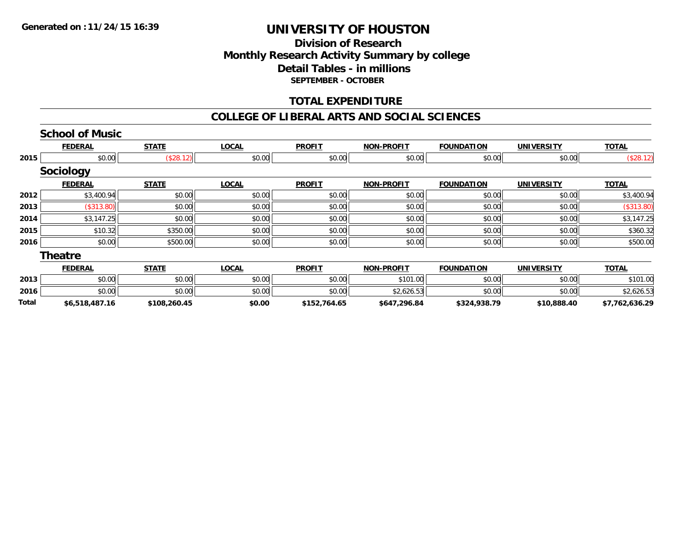### **Division of ResearchMonthly Research Activity Summary by college Detail Tables - in millions SEPTEMBER - OCTOBER**

### **TOTAL EXPENDITURE**

#### **COLLEGE OF LIBERAL ARTS AND SOCIAL SCIENCES**

|       | <b>School of Music</b> |              |              |               |                   |                   |                   |                |
|-------|------------------------|--------------|--------------|---------------|-------------------|-------------------|-------------------|----------------|
|       | <b>FEDERAL</b>         | <b>STATE</b> | <b>LOCAL</b> | <b>PROFIT</b> | <b>NON-PROFIT</b> | <b>FOUNDATION</b> | <b>UNIVERSITY</b> | <b>TOTAL</b>   |
| 2015  | \$0.00                 | (\$28.12)    | \$0.00       | \$0.00        | \$0.00            | \$0.00            | \$0.00            | (\$28.12)      |
|       | Sociology              |              |              |               |                   |                   |                   |                |
|       | <b>FEDERAL</b>         | <b>STATE</b> | <b>LOCAL</b> | <b>PROFIT</b> | <b>NON-PROFIT</b> | <b>FOUNDATION</b> | <b>UNIVERSITY</b> | <b>TOTAL</b>   |
| 2012  | \$3,400.94             | \$0.00       | \$0.00       | \$0.00        | \$0.00            | \$0.00            | \$0.00            | \$3,400.94     |
| 2013  | (\$313.80)             | \$0.00       | \$0.00       | \$0.00        | \$0.00            | \$0.00            | \$0.00            | (\$313.80)     |
| 2014  | \$3,147.25             | \$0.00       | \$0.00       | \$0.00        | \$0.00            | \$0.00            | \$0.00            | \$3,147.25     |
| 2015  | \$10.32                | \$350.00     | \$0.00       | \$0.00        | \$0.00            | \$0.00            | \$0.00            | \$360.32       |
| 2016  | \$0.00                 | \$500.00     | \$0.00       | \$0.00        | \$0.00            | \$0.00            | \$0.00            | \$500.00       |
|       | Theatre                |              |              |               |                   |                   |                   |                |
|       | <b>FEDERAL</b>         | <b>STATE</b> | <b>LOCAL</b> | <b>PROFIT</b> | <b>NON-PROFIT</b> | <b>FOUNDATION</b> | <b>UNIVERSITY</b> | <b>TOTAL</b>   |
| 2013  | \$0.00                 | \$0.00       | \$0.00       | \$0.00        | \$101.00          | \$0.00            | \$0.00            | \$101.00       |
| 2016  | \$0.00                 | \$0.00       | \$0.00       | \$0.00        | \$2,626.53        | \$0.00            | \$0.00            | \$2,626.53     |
| Total | \$6,518,487.16         | \$108,260.45 | \$0.00       | \$152,764.65  | \$647,296.84      | \$324,938.79      | \$10,888.40       | \$7,762,636.29 |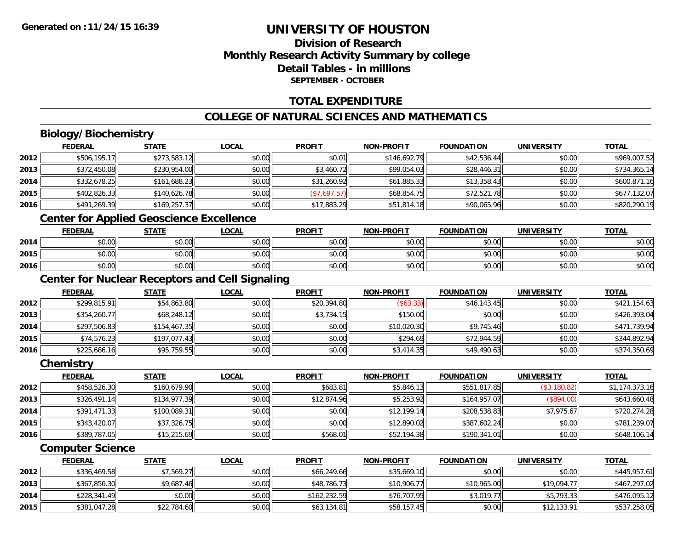### **Division of ResearchMonthly Research Activity Summary by college Detail Tables - in millionsSEPTEMBER - OCTOBER**

### **TOTAL EXPENDITURE**

### **COLLEGE OF NATURAL SCIENCES AND MATHEMATICS**

### **Biology/Biochemistry**

|      | <b>FEDERAL</b> | <b>STATE</b> | <b>LOCAL</b> | <b>PROFIT</b> | <b>NON-PROFIT</b> | <b>FOUNDATION</b> | <b>UNIVERSITY</b> | <b>TOTAL</b> |
|------|----------------|--------------|--------------|---------------|-------------------|-------------------|-------------------|--------------|
| 2012 | \$506,195.17   | \$273,583.12 | \$0.00       | \$0.01        | \$146,692.79      | \$42,536.44       | \$0.00            | \$969,007.52 |
| 2013 | \$372,450.08   | \$230,954.00 | \$0.00       | \$3,460.72    | \$99,054.03       | \$28,446.31       | \$0.00            | \$734,365.14 |
| 2014 | \$332,678.25   | \$161,688.23 | \$0.00       | \$31,260.92   | \$61,885.33       | \$13,358.43       | \$0.00            | \$600,871.16 |
| 2015 | \$402,826.33   | \$140,626.78 | \$0.00       | (\$7,697.57)  | \$68,854.75       | \$72,521.78       | \$0.00            | \$677,132.07 |
| 2016 | \$491,269.39   | \$169,257.37 | \$0.00       | \$17,883.29   | \$51,814.18       | \$90,065.96       | \$0.00            | \$820,290.19 |
|      |                |              |              |               |                   |                   |                   |              |

### **Center for Applied Geoscience Excellence**

|      | <b>FEDERAL</b>                           | <b>STATE</b>                       | <u>LOCAL</u> | <b>PROFIT</b> | <b>NON-PROFIT</b> | <b>FOUNDATION</b> | <b>UNIVERSITY</b> | <b>TOTAL</b> |
|------|------------------------------------------|------------------------------------|--------------|---------------|-------------------|-------------------|-------------------|--------------|
| 2014 | ሖ ∩<br>$\sim$<br>vv.vv                   | \$0.00                             | \$0.00       | \$0.00        | \$0.00            | \$0.00            | \$0.00            | \$0.00       |
| 2015 | ሖ ∩<br>$\sim$<br>JU.UU                   | \$0.00                             | \$0.00       | \$0.00        | \$0.00            | \$0.00            | \$0.00            | \$0.00       |
| 2016 | $\uparrow$ $\uparrow$<br>$\sim$<br>pu.uu | $\uparrow$ $\cap$ $\cap$<br>\$U.UU | \$0.00       | \$0.00        | \$0.00            | \$0.00            | \$0.00            | \$0.00       |

### **Center for Nuclear Receptors and Cell Signaling**

|      | <b>FEDERAL</b> | <b>STATE</b> | <u>LOCAL</u> | <b>PROFIT</b> | <b>NON-PROFIT</b> | <b>FOUNDATION</b> | <b>UNIVERSITY</b> | <b>TOTAL</b> |
|------|----------------|--------------|--------------|---------------|-------------------|-------------------|-------------------|--------------|
| 2012 | \$299,815.91   | \$54,863.80  | \$0.00       | \$20,394.80   | (\$63.33)         | \$46,143.45       | \$0.00            | \$421,154.63 |
| 2013 | \$354,260.77   | \$68,248.12  | \$0.00       | \$3,734.15    | \$150.00          | \$0.00            | \$0.00            | \$426,393.04 |
| 2014 | \$297,506.83   | \$154,467.35 | \$0.00       | \$0.00        | \$10,020.30       | \$9,745.46        | \$0.00            | \$471,739.94 |
| 2015 | \$74,576.23    | \$197,077.43 | \$0.00       | \$0.00        | \$294.69          | \$72,944.59       | \$0.00            | \$344,892.94 |
| 2016 | \$225,686.16   | \$95,759.55  | \$0.00       | \$0.00        | \$3,414.35        | \$49,490.63       | \$0.00            | \$374,350.69 |

#### **Chemistry**

|      | <b>FEDERAL</b> | <b>STATE</b> | <u>LOCAL</u> | <b>PROFIT</b> | <b>NON-PROFIT</b> | <b>FOUNDATION</b> | <b>UNIVERSITY</b> | <b>TOTAL</b>   |
|------|----------------|--------------|--------------|---------------|-------------------|-------------------|-------------------|----------------|
| 2012 | \$458,526.30   | \$160,679.90 | \$0.00       | \$683.81      | \$5,846.13        | \$551,817.85      | (\$3,180.82)      | \$1,174,373.16 |
| 2013 | \$326,491.14   | \$134,977.39 | \$0.00       | \$12,874.96   | \$5,253.92        | \$164,957.07      | (\$894.00)        | \$643,660.48   |
| 2014 | \$391,471.33   | \$100,089.31 | \$0.00       | \$0.00        | \$12,199.14       | \$208,538.83      | \$7,975.67        | \$720,274.28   |
| 2015 | \$343,420.07   | \$37,326.75  | \$0.00       | \$0.00        | \$12,890.02       | \$387,602.24      | \$0.00            | \$781,239.07   |
| 2016 | \$389,787.05   | \$15,215.69  | \$0.00       | \$568.01      | \$52,194.38       | \$190,341.01      | \$0.00            | \$648,106.14   |

### **Computer Science**

|      | <b>FEDERAL</b> | <u>STATE</u> | <u>LOCAL</u> | <b>PROFIT</b> | <b>NON-PROFIT</b> | <b>FOUNDATION</b> | UNIVERSITY  | <b>TOTAL</b> |
|------|----------------|--------------|--------------|---------------|-------------------|-------------------|-------------|--------------|
| 2012 | \$336,469.58   | \$7,569.27   | \$0.00       | \$66,249.66   | \$35,669.10       | \$0.00            | \$0.00      | \$445,957.61 |
| 2013 | \$367,856.30   | \$9,687.46   | \$0.00       | \$48,786.73   | \$10,906.77       | \$10,965.00       | \$19,094.77 | \$467,297.02 |
| 2014 | \$228,341.49   | \$0.00       | \$0.00       | \$162,232.59  | \$76,707.95       | \$3,019.77        | \$5,793.33  | \$476,095.12 |
| 2015 | \$381,047.28   | \$22,784.60  | \$0.00       | \$63,134.81   | \$58,157.45       | \$0.00            | \$12,133.91 | \$537,258.05 |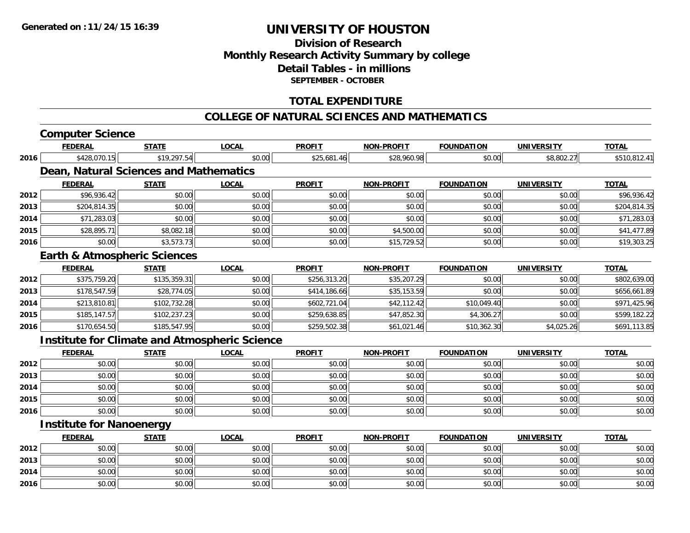### **Division of Research Monthly Research Activity Summary by college Detail Tables - in millions SEPTEMBER - OCTOBER**

### **TOTAL EXPENDITURE**

#### **COLLEGE OF NATURAL SCIENCES AND MATHEMATICS**

## **Computer Science**

|                                                                                                                      | <b>FEDERAL</b>                  | <b>STATE</b>                                         | LOCAL        | <b>PROFIT</b> | <b>NON-PROFIT</b> | <b>FOUNDATION</b> | UNIVERSITY        | <u>TOTAL</u> |
|----------------------------------------------------------------------------------------------------------------------|---------------------------------|------------------------------------------------------|--------------|---------------|-------------------|-------------------|-------------------|--------------|
| 2016<br>2012<br>2013<br>2014<br>2015<br>2016<br>2012<br>2013<br>2014<br>2015<br>2016<br>2012<br>2013<br>2014<br>2015 | \$428,070.15                    | \$19,297.54                                          | \$0.00       | \$25,681.46   | \$28,960.98       | \$0.00            | \$8,802.27        | \$510,812.41 |
|                                                                                                                      |                                 | Dean, Natural Sciences and Mathematics               |              |               |                   |                   |                   |              |
|                                                                                                                      | <b>FEDERAL</b>                  | <b>STATE</b>                                         | <b>LOCAL</b> | <b>PROFIT</b> | <b>NON-PROFIT</b> | <b>FOUNDATION</b> | <b>UNIVERSITY</b> | <b>TOTAL</b> |
|                                                                                                                      | \$96,936.42                     | \$0.00                                               | \$0.00       | \$0.00        | \$0.00            | \$0.00            | \$0.00            | \$96,936.42  |
|                                                                                                                      | \$204,814.35                    | \$0.00                                               | \$0.00       | \$0.00        | \$0.00            | \$0.00            | \$0.00            | \$204,814.35 |
|                                                                                                                      | \$71,283.03                     | \$0.00                                               | \$0.00       | \$0.00        | \$0.00            | \$0.00            | \$0.00            | \$71,283.03  |
|                                                                                                                      | \$28,895.71                     | \$8,082.18                                           | \$0.00       | \$0.00        | \$4,500.00        | \$0.00            | \$0.00            | \$41,477.89  |
|                                                                                                                      | \$0.00                          | \$3,573.73                                           | \$0.00       | \$0.00        | \$15,729.52       | \$0.00            | \$0.00            | \$19,303.25  |
|                                                                                                                      |                                 | <b>Earth &amp; Atmospheric Sciences</b>              |              |               |                   |                   |                   |              |
|                                                                                                                      | <b>FEDERAL</b>                  | <b>STATE</b>                                         | <b>LOCAL</b> | <b>PROFIT</b> | <b>NON-PROFIT</b> | <b>FOUNDATION</b> | <b>UNIVERSITY</b> | <b>TOTAL</b> |
|                                                                                                                      | \$375,759.20                    | \$135,359.31                                         | \$0.00       | \$256,313.20  | \$35,207.29       | \$0.00            | \$0.00            | \$802,639.00 |
|                                                                                                                      | \$178,547.59                    | \$28,774.05                                          | \$0.00       | \$414,186.66  | \$35,153.59       | \$0.00            | \$0.00            | \$656,661.89 |
|                                                                                                                      | \$213,810.81                    | \$102,732.28                                         | \$0.00       | \$602,721.04  | \$42,112.42       | \$10,049.40       | \$0.00            | \$971,425.96 |
|                                                                                                                      | \$185,147.57                    | \$102,237.23                                         | \$0.00       | \$259,638.85  | \$47,852.30       | \$4,306.27        | \$0.00            | \$599,182.22 |
|                                                                                                                      | \$170,654.50                    | \$185,547.95                                         | \$0.00       | \$259,502.38  | \$61,021.46       | \$10,362.30       | \$4,025.26        | \$691,113.85 |
|                                                                                                                      |                                 | <b>Institute for Climate and Atmospheric Science</b> |              |               |                   |                   |                   |              |
|                                                                                                                      | <b>FEDERAL</b>                  | <b>STATE</b>                                         | <b>LOCAL</b> | <b>PROFIT</b> | <b>NON-PROFIT</b> | <b>FOUNDATION</b> | <b>UNIVERSITY</b> | <b>TOTAL</b> |
|                                                                                                                      | \$0.00                          | \$0.00                                               | \$0.00       | \$0.00        | \$0.00            | \$0.00            | \$0.00            | \$0.00       |
|                                                                                                                      | \$0.00                          | \$0.00                                               | \$0.00       | \$0.00        | \$0.00            | \$0.00            | \$0.00            | \$0.00       |
|                                                                                                                      | \$0.00                          | \$0.00                                               | \$0.00       | \$0.00        | \$0.00            | \$0.00            | \$0.00            | \$0.00       |
|                                                                                                                      | \$0.00                          | \$0.00                                               | \$0.00       | \$0.00        | \$0.00            | \$0.00            | \$0.00            | \$0.00       |
| 2016                                                                                                                 | \$0.00                          | \$0.00                                               | \$0.00       | \$0.00        | \$0.00            | \$0.00            | \$0.00            | \$0.00       |
|                                                                                                                      | <b>Institute for Nanoenergy</b> |                                                      |              |               |                   |                   |                   |              |
|                                                                                                                      |                                 |                                                      |              |               |                   |                   |                   |              |

|      | <b>FEDERAL</b> | <b>STATE</b> | <u>LOCAL</u> | <b>PROFIT</b> | <b>NON-PROFIT</b> | <b>FOUNDATION</b> | UNIVERSITY | <b>TOTAL</b> |
|------|----------------|--------------|--------------|---------------|-------------------|-------------------|------------|--------------|
| 2012 | \$0.00         | \$0.00       | \$0.00       | \$0.00        | \$0.00            | \$0.00            | \$0.00     | \$0.00       |
| 2013 | \$0.00         | \$0.00       | \$0.00       | \$0.00        | \$0.00            | \$0.00            | \$0.00     | \$0.00       |
| 2014 | \$0.00         | \$0.00       | \$0.00       | \$0.00        | \$0.00            | \$0.00            | \$0.00     | \$0.00       |
| 2016 | \$0.00         | \$0.00       | \$0.00       | \$0.00        | \$0.00            | \$0.00            | \$0.00     | \$0.00       |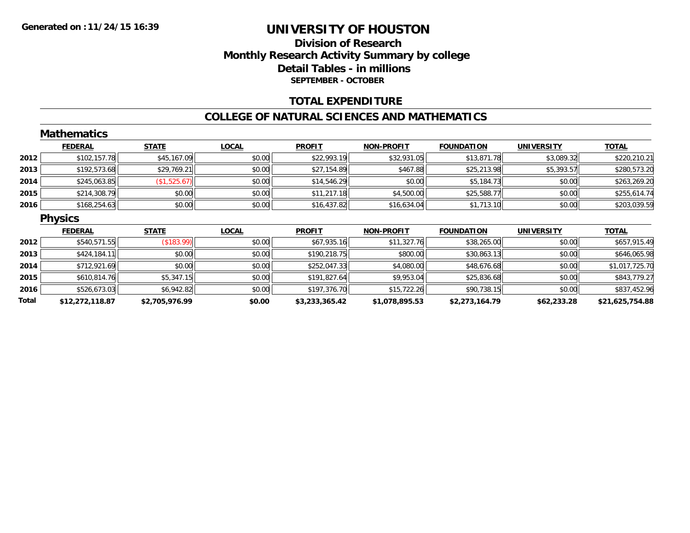### **Division of ResearchMonthly Research Activity Summary by college Detail Tables - in millions SEPTEMBER - OCTOBER**

### **TOTAL EXPENDITURE**

#### **COLLEGE OF NATURAL SCIENCES AND MATHEMATICS**

|       | <b>Mathematics</b> |                |              |                |                   |                   |                   |                 |
|-------|--------------------|----------------|--------------|----------------|-------------------|-------------------|-------------------|-----------------|
|       | <b>FEDERAL</b>     | <b>STATE</b>   | <b>LOCAL</b> | <b>PROFIT</b>  | <b>NON-PROFIT</b> | <b>FOUNDATION</b> | <b>UNIVERSITY</b> | <b>TOTAL</b>    |
| 2012  | \$102,157.78       | \$45,167.09    | \$0.00       | \$22,993.19    | \$32,931.05       | \$13,871.78       | \$3,089.32        | \$220,210.21    |
| 2013  | \$192,573.68       | \$29,769.21    | \$0.00       | \$27,154.89    | \$467.88          | \$25,213.98       | \$5,393.57        | \$280,573.20    |
| 2014  | \$245,063.85       | (\$1,525.67)   | \$0.00       | \$14,546.29    | \$0.00            | \$5,184.73        | \$0.00            | \$263,269.20    |
| 2015  | \$214,308.79       | \$0.00         | \$0.00       | \$11,217.18    | \$4,500.00        | \$25,588.77       | \$0.00            | \$255,614.74    |
| 2016  | \$168,254.63       | \$0.00         | \$0.00       | \$16,437.82    | \$16,634.04       | \$1,713.10        | \$0.00            | \$203,039.59    |
|       | <b>Physics</b>     |                |              |                |                   |                   |                   |                 |
|       | <b>FEDERAL</b>     | <b>STATE</b>   | <b>LOCAL</b> | <b>PROFIT</b>  | <b>NON-PROFIT</b> | <b>FOUNDATION</b> | <b>UNIVERSITY</b> | <b>TOTAL</b>    |
| 2012  | \$540,571.55       | (\$183.99)     | \$0.00       | \$67,935.16    | \$11,327.76       | \$38,265.00       | \$0.00            | \$657,915.49    |
| 2013  | \$424,184.11       | \$0.00         | \$0.00       | \$190,218.75   | \$800.00          | \$30,863.13       | \$0.00            | \$646,065.98    |
| 2014  | \$712,921.69       | \$0.00         | \$0.00       | \$252,047.33   | \$4,080.00        | \$48,676.68       | \$0.00            | \$1,017,725.70  |
| 2015  | \$610,814.76       | \$5,347.15     | \$0.00       | \$191,827.64   | \$9,953.04        | \$25,836.68       | \$0.00            | \$843,779.27    |
| 2016  | \$526,673.03       | \$6,942.82     | \$0.00       | \$197,376.70   | \$15,722.26       | \$90,738.15       | \$0.00            | \$837,452.96    |
| Total | \$12,272,118.87    | \$2,705,976.99 | \$0.00       | \$3,233,365.42 | \$1,078,895.53    | \$2,273,164.79    | \$62,233.28       | \$21,625,754.88 |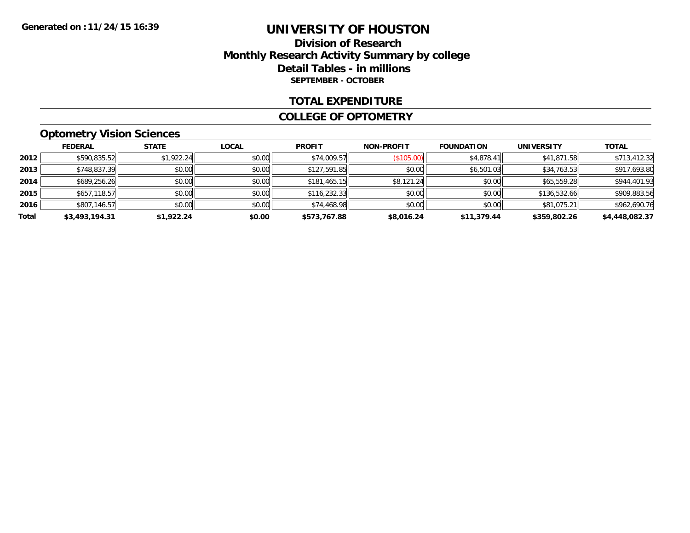### **Division of Research Monthly Research Activity Summary by college Detail Tables - in millions SEPTEMBER - OCTOBER**

#### **TOTAL EXPENDITURE**

#### **COLLEGE OF OPTOMETRY**

### **Optometry Vision Sciences**

|       | <b>FEDERAL</b> | <b>STATE</b> | <b>LOCAL</b> | <b>PROFIT</b> | <b>NON-PROFIT</b> | <b>FOUNDATION</b> | <b>UNIVERSITY</b> | <b>TOTAL</b>   |
|-------|----------------|--------------|--------------|---------------|-------------------|-------------------|-------------------|----------------|
| 2012  | \$590,835.52   | \$1,922.24   | \$0.00       | \$74,009.57   | (\$105.00)        | \$4,878.41        | \$41,871.58       | \$713,412.32   |
| 2013  | \$748,837.39   | \$0.00       | \$0.00       | \$127,591.85  | \$0.00            | \$6,501.03        | \$34,763.53       | \$917,693.80   |
| 2014  | \$689,256.26   | \$0.00       | \$0.00       | \$181,465.15  | \$8,121.24        | \$0.00            | \$65,559.28       | \$944,401.93   |
| 2015  | \$657,118.57   | \$0.00       | \$0.00       | \$116,232.33  | \$0.00            | \$0.00            | \$136,532.66      | \$909,883.56   |
| 2016  | \$807,146.57   | \$0.00       | \$0.00       | \$74,468.98   | \$0.00            | \$0.00            | \$81,075.21       | \$962,690.76   |
| Total | \$3,493,194.31 | \$1,922.24   | \$0.00       | \$573,767.88  | \$8,016.24        | \$11,379.44       | \$359,802.26      | \$4,448,082.37 |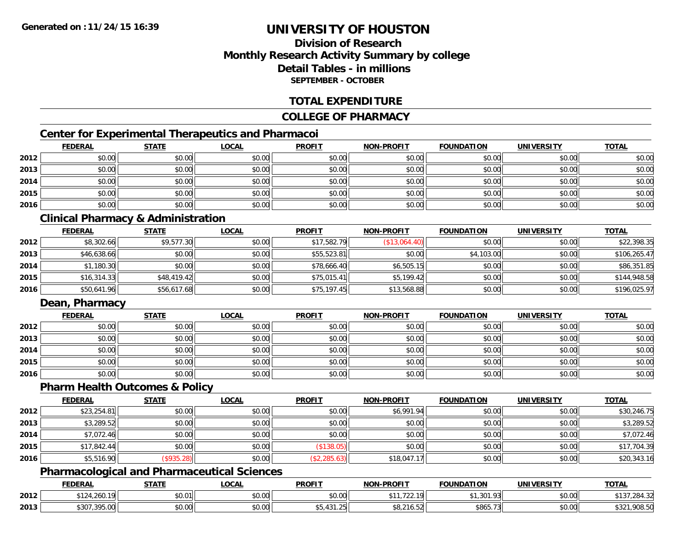### **Division of ResearchMonthly Research Activity Summary by college Detail Tables - in millionsSEPTEMBER - OCTOBER**

### **TOTAL EXPENDITURE**

### **COLLEGE OF PHARMACY**

### **Center for Experimental Therapeutics and Pharmacoi**

|      | <b>FEDERAL</b> | <b>STATE</b> | <u>LOCAL</u> | <b>PROFIT</b> | <b>NON-PROFIT</b> | <b>FOUNDATION</b> | <b>UNIVERSITY</b> | <b>TOTAL</b> |
|------|----------------|--------------|--------------|---------------|-------------------|-------------------|-------------------|--------------|
| 2012 | \$0.00         | \$0.00       | \$0.00       | \$0.00        | \$0.00            | \$0.00            | \$0.00            | \$0.00       |
| 2013 | \$0.00         | \$0.00       | \$0.00       | \$0.00        | \$0.00            | \$0.00            | \$0.00            | \$0.00       |
| 2014 | \$0.00         | \$0.00       | \$0.00       | \$0.00        | \$0.00            | \$0.00            | \$0.00            | \$0.00       |
| 2015 | \$0.00         | \$0.00       | \$0.00       | \$0.00        | \$0.00            | \$0.00            | \$0.00            | \$0.00       |
| 2016 | \$0.00         | \$0.00       | \$0.00       | \$0.00        | \$0.00            | \$0.00            | \$0.00            | \$0.00       |

### **Clinical Pharmacy & Administration**

|      | <b>FEDERAL</b> | <b>STATE</b> | <u>LOCAL</u> | <b>PROFIT</b> | <b>NON-PROFIT</b> | <b>FOUNDATION</b> | <b>UNIVERSITY</b> | <b>TOTAL</b> |
|------|----------------|--------------|--------------|---------------|-------------------|-------------------|-------------------|--------------|
| 2012 | \$8,302.66     | \$9,577.30   | \$0.00       | \$17,582.79   | (S13,064.40)      | \$0.00            | \$0.00            | \$22,398.35  |
| 2013 | \$46,638.66    | \$0.00       | \$0.00       | \$55,523.81   | \$0.00            | \$4,103.00        | \$0.00            | \$106,265.47 |
| 2014 | \$1,180.30     | \$0.00       | \$0.00       | \$78,666.40   | \$6,505.15        | \$0.00            | \$0.00            | \$86,351.85  |
| 2015 | \$16,314.33    | \$48,419.42  | \$0.00       | \$75,015.41   | \$5,199.42        | \$0.00            | \$0.00            | \$144,948.58 |
| 2016 | \$50,641.96    | \$56,617.68  | \$0.00       | \$75,197.45   | \$13,568.88       | \$0.00            | \$0.00            | \$196,025.97 |

### **Dean, Pharmacy**

|      | <b>FEDERAL</b> | <b>STATE</b> | <u>LOCAL</u> | <b>PROFIT</b> | <b>NON-PROFIT</b> | <b>FOUNDATION</b> | <b>UNIVERSITY</b> | <b>TOTAL</b> |
|------|----------------|--------------|--------------|---------------|-------------------|-------------------|-------------------|--------------|
| 2012 | \$0.00         | \$0.00       | \$0.00       | \$0.00        | \$0.00            | \$0.00            | \$0.00            | \$0.00       |
| 2013 | \$0.00         | \$0.00       | \$0.00       | \$0.00        | \$0.00            | \$0.00            | \$0.00            | \$0.00       |
| 2014 | \$0.00         | \$0.00       | \$0.00       | \$0.00        | \$0.00            | \$0.00            | \$0.00            | \$0.00       |
| 2015 | \$0.00         | \$0.00       | \$0.00       | \$0.00        | \$0.00            | \$0.00            | \$0.00            | \$0.00       |
| 2016 | \$0.00         | \$0.00       | \$0.00       | \$0.00        | \$0.00            | \$0.00            | \$0.00            | \$0.00       |

#### **Pharm Health Outcomes & Policy**

|      | <b>FEDERAL</b> | <b>STATE</b> | <b>LOCAL</b> | <b>PROFIT</b>     | <b>NON-PROFIT</b> | <b>FOUNDATION</b> | <b>UNIVERSITY</b> | <b>TOTAL</b> |
|------|----------------|--------------|--------------|-------------------|-------------------|-------------------|-------------------|--------------|
| 2012 | \$23,254.81    | \$0.00       | \$0.00       | \$0.00            | \$6,991.94        | \$0.00            | \$0.00            | \$30,246.75  |
| 2013 | \$3,289.52     | \$0.00       | \$0.00       | \$0.00            | \$0.00            | \$0.00            | \$0.00            | \$3,289.52   |
| 2014 | \$7,072.46     | \$0.00       | \$0.00       | \$0.00            | \$0.00            | \$0.00            | \$0.00            | \$7,072.46   |
| 2015 | \$17,842.44    | \$0.00       | \$0.00       | $($ \$138.05) $ $ | \$0.00            | \$0.00            | \$0.00            | \$17,704.39  |
| 2016 | \$5,516.90     | (\$935.28)   | \$0.00       | (\$2,285.63)      | \$18,047.17       | \$0.00            | \$0.00            | \$20,343.16  |

### **Pharmacological and Pharmaceutical Sciences**

|      | <b>FEDERAL</b>                           | <b>STATE</b>  | _OCAL              | <b>PROFIT</b>                          | <b>NON-PROFIT</b>                                       | <b>FOUNDATION</b>          | UNIVERSITY | <b>TOTAL</b>                       |
|------|------------------------------------------|---------------|--------------------|----------------------------------------|---------------------------------------------------------|----------------------------|------------|------------------------------------|
| 2012 | $\bullet$<br>$\sim$<br>⊦.∠60. l<br>- 147 | \$0.01        | $\sim$ 00<br>vu.uu | 0.00<br>JU.UU                          | .                                                       | $^{\circ}$ ,301.<br>$\sim$ | \$0.00     | 2 ט. די                            |
| 2013 | <b>\$307,305,00</b><br>DJU<br>759.UU     | 0000<br>JU.UU | $\sim$ 00<br>JU.UU | $\overline{\phantom{a}}$<br>\$0,451.ZO | <b>¢ი ኅ</b> 1<br>$\sim$<br>$\overline{a}$<br>.<br>ے ، ب | \$865.73                   | \$0.00     | <b>ሰገገ</b><br>000E<br>51<br>yuo.uu |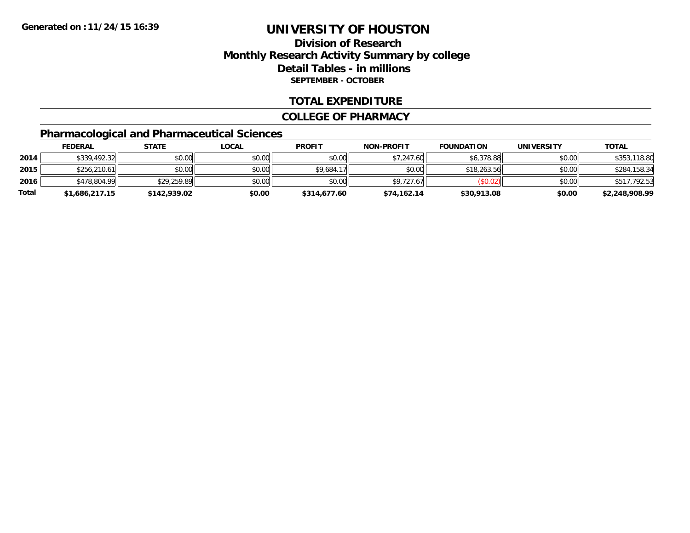### **Division of ResearchMonthly Research Activity Summary by college Detail Tables - in millions SEPTEMBER - OCTOBER**

### **TOTAL EXPENDITURE**

#### **COLLEGE OF PHARMACY**

### **Pharmacological and Pharmaceutical Sciences**

|       | <u>FEDERAL</u> | <u>STATE</u> | <u>LOCAL</u> | <b>PROFIT</b> | <b>NON-PROFIT</b> | <b>FOUNDATION</b> | <b>UNIVERSITY</b> | <b>TOTAL</b>   |
|-------|----------------|--------------|--------------|---------------|-------------------|-------------------|-------------------|----------------|
| 2014  | \$339,492.32   | \$0.00       | \$0.00       | \$0.00        | \$7,247.60        | \$6,378.88        | \$0.00            | \$353,118.80   |
| 2015  | \$256,210.61   | \$0.00       | \$0.00       | \$9,684.17    | \$0.00            | \$18,263.56       | \$0.00            | \$284,158.34   |
| 2016  | \$478,804.99   | \$29,259.89  | \$0.00       | \$0.00        | \$9,727.67        | (S0.02)           | \$0.00            | \$517,792.53   |
| Total | \$1,686,217.15 | \$142,939.02 | \$0.00       | \$314,677.60  | \$74,162.14       | \$30,913.08       | \$0.00            | \$2,248,908.99 |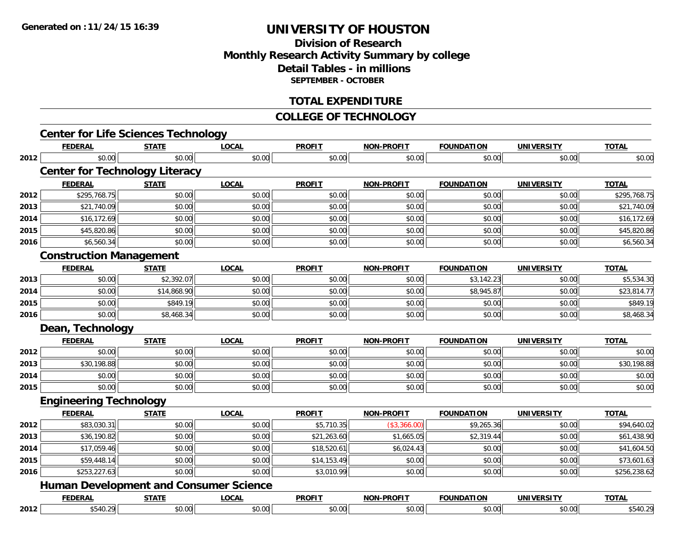### **Division of ResearchMonthly Research Activity Summary by college Detail Tables - in millions SEPTEMBER - OCTOBER**

### **TOTAL EXPENDITURE**

#### **COLLEGE OF TECHNOLOGY**

|      | <b>Center for Life Sciences Technology</b>    |              |              |               |                   |                   |                   |              |
|------|-----------------------------------------------|--------------|--------------|---------------|-------------------|-------------------|-------------------|--------------|
|      | <b>FEDERAL</b>                                | <b>STATE</b> | <b>LOCAL</b> | <b>PROFIT</b> | <b>NON-PROFIT</b> | <b>FOUNDATION</b> | <b>UNIVERSITY</b> | <b>TOTAL</b> |
| 2012 | \$0.00                                        | \$0.00       | \$0.00       | \$0.00        | \$0.00            | \$0.00            | \$0.00            | \$0.00       |
|      | <b>Center for Technology Literacy</b>         |              |              |               |                   |                   |                   |              |
|      | <b>FEDERAL</b>                                | <b>STATE</b> | <b>LOCAL</b> | <b>PROFIT</b> | <b>NON-PROFIT</b> | <b>FOUNDATION</b> | <b>UNIVERSITY</b> | <b>TOTAL</b> |
| 2012 | \$295,768.75                                  | \$0.00       | \$0.00       | \$0.00        | \$0.00            | \$0.00            | \$0.00            | \$295,768.75 |
| 2013 | \$21,740.09                                   | \$0.00       | \$0.00       | \$0.00        | \$0.00            | \$0.00            | \$0.00            | \$21,740.09  |
| 2014 | \$16,172.69                                   | \$0.00       | \$0.00       | \$0.00        | \$0.00            | \$0.00            | \$0.00            | \$16,172.69  |
| 2015 | \$45,820.86                                   | \$0.00       | \$0.00       | \$0.00        | \$0.00            | \$0.00            | \$0.00            | \$45,820.86  |
| 2016 | \$6,560.34                                    | \$0.00       | \$0.00       | \$0.00        | \$0.00            | \$0.00            | \$0.00            | \$6,560.34   |
|      | <b>Construction Management</b>                |              |              |               |                   |                   |                   |              |
|      | <b>FEDERAL</b>                                | <b>STATE</b> | <b>LOCAL</b> | <b>PROFIT</b> | <b>NON-PROFIT</b> | <b>FOUNDATION</b> | <b>UNIVERSITY</b> | <b>TOTAL</b> |
| 2013 | \$0.00                                        | \$2,392.07   | \$0.00       | \$0.00        | \$0.00            | \$3,142.23        | \$0.00            | \$5,534.30   |
| 2014 | \$0.00                                        | \$14,868.90  | \$0.00       | \$0.00        | \$0.00            | \$8,945.87        | \$0.00            | \$23,814.77  |
| 2015 | \$0.00                                        | \$849.19     | \$0.00       | \$0.00        | \$0.00            | \$0.00            | \$0.00            | \$849.19     |
| 2016 | \$0.00                                        | \$8,468.34   | \$0.00       | \$0.00        | \$0.00            | \$0.00            | \$0.00            | \$8,468.34   |
|      | Dean, Technology                              |              |              |               |                   |                   |                   |              |
|      | <b>FEDERAL</b>                                | <b>STATE</b> | <b>LOCAL</b> | <b>PROFIT</b> | <b>NON-PROFIT</b> | <b>FOUNDATION</b> | <b>UNIVERSITY</b> | <b>TOTAL</b> |
| 2012 | \$0.00                                        | \$0.00       | \$0.00       | \$0.00        | \$0.00            | \$0.00            | \$0.00            | \$0.00       |
| 2013 | \$30,198.88                                   | \$0.00       | \$0.00       | \$0.00        | \$0.00            | \$0.00            | \$0.00            | \$30,198.88  |
| 2014 | \$0.00                                        | \$0.00       | \$0.00       | \$0.00        | \$0.00            | \$0.00            | \$0.00            | \$0.00       |
| 2015 | \$0.00                                        | \$0.00       | \$0.00       | \$0.00        | \$0.00            | \$0.00            | \$0.00            | \$0.00       |
|      | <b>Engineering Technology</b>                 |              |              |               |                   |                   |                   |              |
|      | <b>FEDERAL</b>                                | <b>STATE</b> | <b>LOCAL</b> | <b>PROFIT</b> | <b>NON-PROFIT</b> | <b>FOUNDATION</b> | <b>UNIVERSITY</b> | <b>TOTAL</b> |
| 2012 | \$83,030.31                                   | \$0.00       | \$0.00       | \$5,710.35    | (\$3,366.00)      | \$9,265.36        | \$0.00            | \$94,640.02  |
| 2013 | \$36,190.82                                   | \$0.00       | \$0.00       | \$21,263.60   | \$1,665.05        | \$2,319.44        | \$0.00            | \$61,438.90  |
| 2014 | \$17,059.46                                   | \$0.00       | \$0.00       | \$18,520.61   | \$6,024.43        | \$0.00            | \$0.00            | \$41,604.50  |
| 2015 | \$59,448.14                                   | \$0.00       | \$0.00       | \$14,153.49   | \$0.00            | \$0.00            | \$0.00            | \$73,601.63  |
| 2016 | \$253,227.63                                  | \$0.00       | \$0.00       | \$3,010.99    | \$0.00            | \$0.00            | \$0.00            | \$256,238.62 |
|      | <b>Human Development and Consumer Science</b> |              |              |               |                   |                   |                   |              |
|      | <b>FEDERAL</b>                                | <b>STATE</b> | <b>LOCAL</b> | <b>PROFIT</b> | <b>NON-PROFIT</b> | <b>FOUNDATION</b> | <b>UNIVERSITY</b> | <b>TOTAL</b> |
| 2012 | \$540.29                                      | \$0.00       | \$0.00       | \$0.00        | \$0.00            | \$0.00            | \$0.00            | \$540.29     |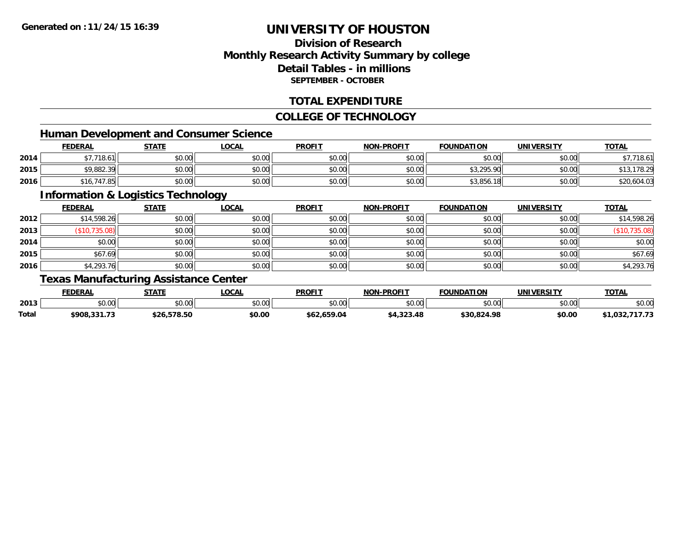### **Division of ResearchMonthly Research Activity Summary by college Detail Tables - in millionsSEPTEMBER - OCTOBER**

### **TOTAL EXPENDITURE**

### **COLLEGE OF TECHNOLOGY**

### **Human Development and Consumer Science**

|      | <b>FEDERAL</b> | <b>STATE</b> | <u>LOCAL</u> | <b>PROFIT</b> | <b>NON-PROFIT</b> | <b>FOUNDATION</b> | <b>UNIVERSITY</b> | <b>TOTAL</b>  |
|------|----------------|--------------|--------------|---------------|-------------------|-------------------|-------------------|---------------|
| 2014 | 07710          | \$0.00       | \$0.00       | \$0.00        | \$0.00            | \$0.00            | \$0.00            | 18.61         |
| 2015 | \$9,882.39     | \$0.00       | \$0.00       | \$0.00        | \$0.00            | \$3,295.90        | \$0.00            | 178.29<br>. ل |
| 2016 | \$16,747.85    | \$0.00       | \$0.00       | \$0.00        | \$0.00            | \$3,856<br>ୀ 8    | \$0.00            | \$20,604.03   |

<u> 1989 - Johann Stoff, deutscher Stoffen und der Stoffen und der Stoffen und der Stoffen und der Stoffen und der</u>

### **Information & Logistics Technology**

|      | <b>FEDERAL</b> | <b>STATE</b> | <b>LOCAL</b> | <b>PROFIT</b> | <b>NON-PROFIT</b> | <b>FOUNDATION</b> | <b>UNIVERSITY</b> | <b>TOTAL</b>  |
|------|----------------|--------------|--------------|---------------|-------------------|-------------------|-------------------|---------------|
| 2012 | \$14,598.26    | \$0.00       | \$0.00       | \$0.00        | \$0.00            | \$0.00            | \$0.00            | \$14,598.26   |
| 2013 | (\$10,735.08)  | \$0.00       | \$0.00       | \$0.00        | \$0.00            | \$0.00            | \$0.00            | (\$10,735.08) |
| 2014 | \$0.00         | \$0.00       | \$0.00       | \$0.00        | \$0.00            | \$0.00            | \$0.00            | \$0.00        |
| 2015 | \$67.69        | \$0.00       | \$0.00       | \$0.00        | \$0.00            | \$0.00            | \$0.00            | \$67.69       |
| 2016 | \$4,293.76     | \$0.00       | \$0.00       | \$0.00        | \$0.00            | \$0.00            | \$0.00            | \$4,293.76    |

### **Texas Manufacturing Assistance Center**

|       | <b>FEDERAL</b> | <b>STATE</b> | <b>LOCAL</b> | <b>PROFIT</b>        | <b>NON-PROFIT</b> | <b>FOUNDATION</b> | UNIVERSITY | <b>TOTAL</b>                          |
|-------|----------------|--------------|--------------|----------------------|-------------------|-------------------|------------|---------------------------------------|
| 2013  | ልስ ሰሰ<br>DU.UU | \$0.00       | \$0.00       | 0000<br><b>JU.UU</b> | \$0.00            | \$0.00            | \$0.00     | \$0.00                                |
| Total | \$908,331.73   | \$26,578.50  | \$0.00       | \$62.659.04          | \$4,323.48        | \$30.824.98       | \$0.00     | <b>747 79</b><br>\$1.032.7\$<br>11.13 |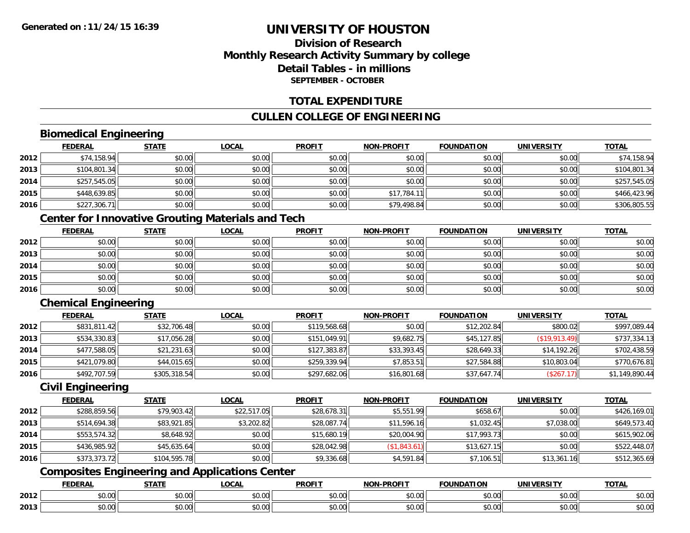### **Division of ResearchMonthly Research Activity Summary by college Detail Tables - in millionsSEPTEMBER - OCTOBER**

### **TOTAL EXPENDITURE**

### **CULLEN COLLEGE OF ENGINEERING**

### **Biomedical Engineering**

|      | <b>FEDERAL</b> | <b>STATE</b> | <b>LOCAL</b> | <b>PROFIT</b> | <b>NON-PROFIT</b> | <b>FOUNDATION</b> | <b>UNIVERSITY</b> | <b>TOTAL</b> |
|------|----------------|--------------|--------------|---------------|-------------------|-------------------|-------------------|--------------|
| 2012 | \$74,158.94    | \$0.00       | \$0.00       | \$0.00        | \$0.00            | \$0.00            | \$0.00            | \$74,158.94  |
| 2013 | \$104,801.34   | \$0.00       | \$0.00       | \$0.00        | \$0.00            | \$0.00            | \$0.00            | \$104,801.34 |
| 2014 | \$257,545.05   | \$0.00       | \$0.00       | \$0.00        | \$0.00            | \$0.00            | \$0.00            | \$257,545.05 |
| 2015 | \$448,639.85   | \$0.00       | \$0.00       | \$0.00        | \$17,784.11       | \$0.00            | \$0.00            | \$466,423.96 |
| 2016 | \$227,306.71   | \$0.00       | \$0.00       | \$0.00        | \$79,498.84       | \$0.00            | \$0.00            | \$306,805.55 |

### **Center for Innovative Grouting Materials and Tech**

|      | <b>FEDERAL</b> | <b>STATE</b> | <u>LOCAL</u> | <b>PROFIT</b> | <b>NON-PROFIT</b> | <b>FOUNDATION</b> | <b>UNIVERSITY</b> | <b>TOTAL</b> |
|------|----------------|--------------|--------------|---------------|-------------------|-------------------|-------------------|--------------|
| 2012 | \$0.00         | \$0.00       | \$0.00       | \$0.00        | \$0.00            | \$0.00            | \$0.00            | \$0.00       |
| 2013 | \$0.00         | \$0.00       | \$0.00       | \$0.00        | \$0.00            | \$0.00            | \$0.00            | \$0.00       |
| 2014 | \$0.00         | \$0.00       | \$0.00       | \$0.00        | \$0.00            | \$0.00            | \$0.00            | \$0.00       |
| 2015 | \$0.00         | \$0.00       | \$0.00       | \$0.00        | \$0.00            | \$0.00            | \$0.00            | \$0.00       |
| 2016 | \$0.00         | \$0.00       | \$0.00       | \$0.00        | \$0.00            | \$0.00            | \$0.00            | \$0.00       |

### **Chemical Engineering**

|      | <b>FEDERAL</b> | <u>STATE</u> | <b>LOCAL</b> | <b>PROFIT</b> | <b>NON-PROFIT</b> | <b>FOUNDATION</b> | <b>UNIVERSITY</b> | <b>TOTAL</b>   |
|------|----------------|--------------|--------------|---------------|-------------------|-------------------|-------------------|----------------|
| 2012 | \$831,811.42   | \$32,706.48  | \$0.00       | \$119,568.68  | \$0.00            | \$12,202.84       | \$800.02          | \$997,089.44   |
| 2013 | \$534,330.83   | \$17,056.28  | \$0.00       | \$151,049.91  | \$9,682.75        | \$45,127.85       | (S19, 913.49)     | \$737,334.13   |
| 2014 | \$477,588.05   | \$21,231.63  | \$0.00       | \$127,383.87  | \$33,393.45       | \$28,649.33       | \$14,192.26       | \$702,438.59   |
| 2015 | \$421,079.80   | \$44,015.65  | \$0.00       | \$259,339.94  | \$7,853.51        | \$27,584.88       | \$10,803.04       | \$770,676.81   |
| 2016 | \$492,707.59   | \$305,318.54 | \$0.00       | \$297,682.06  | \$16,801.68       | \$37,647.74       | (\$267.17)        | \$1,149,890.44 |

### **Civil Engineering**

|      | <b>FEDERAL</b> | <b>STATE</b> | <u>LOCAL</u> | <b>PROFIT</b> | <b>NON-PROFIT</b> | <b>FOUNDATION</b> | <b>UNIVERSITY</b> | <b>TOTAL</b> |
|------|----------------|--------------|--------------|---------------|-------------------|-------------------|-------------------|--------------|
| 2012 | \$288,859.56   | \$79,903.42  | \$22,517.05  | \$28,678.31   | \$5,551.99        | \$658.67          | \$0.00            | \$426,169.01 |
| 2013 | \$514,694.38   | \$83,921.85  | \$3,202.82   | \$28,087.74   | \$11,596.16       | \$1,032.45        | \$7,038.00        | \$649,573.40 |
| 2014 | \$553,574.32   | \$8,648.92   | \$0.00       | \$15,680.19   | \$20,004.90       | \$17,993.73       | \$0.00            | \$615,902.06 |
| 2015 | \$436,985.92   | \$45,635.64  | \$0.00       | \$28,042.98   | (\$1,843.61)      | \$13,627.15       | \$0.00            | \$522,448.07 |
| 2016 | \$373,373.72   | \$104,595.78 | \$0.00       | \$9,336.68    | \$4,591.84        | \$7,106.51        | \$13,361.16       | \$512,365.69 |

## **Composites Engineering and Applications Center**

|      | <b>DERAL</b>                     | <b>CTATI</b>          | $\bigcap$<br>.OCAI     | <b>PROFIT</b>         | <b>DDAEIT</b><br><b>NION</b> | .<br>ב נוחו<br>LION | - R.J.         | <b>TOTAL</b>   |
|------|----------------------------------|-----------------------|------------------------|-----------------------|------------------------------|---------------------|----------------|----------------|
| 2012 | $\sim$<br>$. \cup . \cup \cup$   | $\overline{ }$<br>ט.ט | $\sim$ 00<br>pu.uu     | $\sim$ 00<br>ູ∞ບ.ບບ   | 0.00<br>PO.OO                | vv.vv               | 0.001<br>vv.vv | 0000<br>\$U.UU |
| 2013 | $\sim$ $\sim$<br>$\sim$<br>,u.uu | しいい                   | $\sim$ $\sim$<br>vu.uu | $\sim$ 00<br>ັ້ນບ.ບເ∞ | 0.00<br>PO.OO                | JU.UU               | 0.00<br>PO.OO  | ስ ለሰ<br>JU.UU  |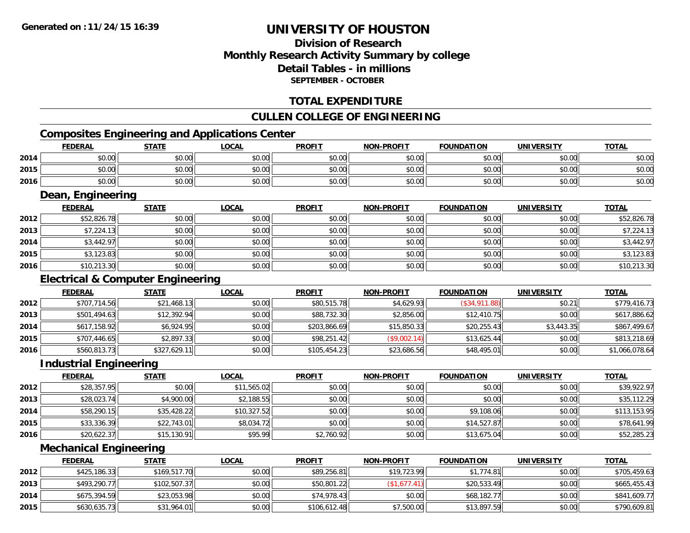### **Division of ResearchMonthly Research Activity Summary by college Detail Tables - in millionsSEPTEMBER - OCTOBER**

### **TOTAL EXPENDITURE**

### **CULLEN COLLEGE OF ENGINEERING**

### **Composites Engineering and Applications Center**

|      | <u>FEDERAL</u>    | <b>STATE</b> | <b>LOCAL</b> | <b>PROFIT</b> | <b>NON-PROFIT</b> | <b>FOUNDATION</b> | <b>UNIVERSITY</b> | <b>TOTAL</b> |  |  |
|------|-------------------|--------------|--------------|---------------|-------------------|-------------------|-------------------|--------------|--|--|
| 2014 | \$0.00            | \$0.00       | \$0.00       | \$0.00        | \$0.00            | \$0.00            | \$0.00            | \$0.00       |  |  |
| 2015 | \$0.00            | \$0.00       | \$0.00       | \$0.00        | \$0.00            | \$0.00            | \$0.00            | \$0.00       |  |  |
| 2016 | \$0.00            | \$0.00       | \$0.00       | \$0.00        | \$0.00            | \$0.00            | \$0.00            | \$0.00       |  |  |
|      | Dean, Engineering |              |              |               |                   |                   |                   |              |  |  |

|      | <b>FEDERAL</b> | <u>STATE</u> | <u>LOCAL</u> | <b>PROFIT</b> | <b>NON-PROFIT</b> | <b>FOUNDATION</b> | <b>UNIVERSITY</b> | <b>TOTAL</b> |
|------|----------------|--------------|--------------|---------------|-------------------|-------------------|-------------------|--------------|
| 2012 | \$52,826.78    | \$0.00       | \$0.00       | \$0.00        | \$0.00            | \$0.00            | \$0.00            | \$52,826.78  |
| 2013 | \$7,224.13     | \$0.00       | \$0.00       | \$0.00        | \$0.00            | \$0.00            | \$0.00            | \$7,224.13   |
| 2014 | \$3,442.97     | \$0.00       | \$0.00       | \$0.00        | \$0.00            | \$0.00            | \$0.00            | \$3,442.97   |
| 2015 | \$3,123.83     | \$0.00       | \$0.00       | \$0.00        | \$0.00            | \$0.00            | \$0.00            | \$3,123.83   |
| 2016 | \$10,213.30    | \$0.00       | \$0.00       | \$0.00        | \$0.00            | \$0.00            | \$0.00            | \$10,213.30  |

### **Electrical & Computer Engineering**

|      | <b>FEDERAL</b> | <b>STATE</b> | <b>LOCAL</b> | <b>PROFIT</b> | <b>NON-PROFIT</b> | <b>FOUNDATION</b> | UNIVERSITY | <b>TOTAL</b>   |
|------|----------------|--------------|--------------|---------------|-------------------|-------------------|------------|----------------|
| 2012 | \$707,714.56   | \$21,468.13  | \$0.00       | \$80,515.78   | \$4,629.93        | (\$34,911.88)     | \$0.21     | \$779,416.73   |
| 2013 | \$501,494.63   | \$12,392.94  | \$0.00       | \$88,732.30   | \$2,856.00        | \$12,410.75       | \$0.00     | \$617,886.62   |
| 2014 | \$617,158.92   | \$6,924.95   | \$0.00       | \$203,866.69  | \$15,850.33       | \$20,255.43       | \$3,443.35 | \$867,499.67   |
| 2015 | \$707,446.65   | \$2,897.33   | \$0.00       | \$98,251.42   | (\$9,002.14)      | \$13,625.44       | \$0.00     | \$813,218.69   |
| 2016 | \$560,813.73   | \$327,629.11 | \$0.00       | \$105,454.23  | \$23,686.56       | \$48,495.01       | \$0.00     | \$1,066,078.64 |

### **Industrial Engineering**

|      | <b>FEDERAL</b> | <b>STATE</b> | <b>LOCAL</b> | <b>PROFIT</b> | <b>NON-PROFIT</b> | <b>FOUNDATION</b> | <b>UNIVERSITY</b> | <b>TOTAL</b> |
|------|----------------|--------------|--------------|---------------|-------------------|-------------------|-------------------|--------------|
| 2012 | \$28,357.95    | \$0.00       | \$11,565.02  | \$0.00        | \$0.00            | \$0.00            | \$0.00            | \$39,922.97  |
| 2013 | \$28,023.74    | \$4,900.00   | \$2,188.55   | \$0.00        | \$0.00            | \$0.00            | \$0.00            | \$35,112.29  |
| 2014 | \$58,290.15    | \$35,428.22  | \$10,327.52  | \$0.00        | \$0.00            | \$9,108.06        | \$0.00            | \$113,153.95 |
| 2015 | \$33,336.39    | \$22,743.01  | \$8,034.72   | \$0.00        | \$0.00            | \$14,527.87       | \$0.00            | \$78,641.99  |
| 2016 | \$20,622.37    | \$15,130.91  | \$95.99      | \$2,760.92    | \$0.00            | \$13,675.04       | \$0.00            | \$52,285.23  |

### **Mechanical Engineering**

|      | <b>FEDERAL</b> | <u>STATE</u> | <u>LOCAL</u> | <b>PROFIT</b> | <b>NON-PROFIT</b> | <b>FOUNDATION</b> | UNIVERSITY | <b>TOTAL</b> |
|------|----------------|--------------|--------------|---------------|-------------------|-------------------|------------|--------------|
| 2012 | \$425,186.33   | \$169,517.70 | \$0.00       | \$89,256.81   | \$19,723.99       | \$1.774.81        | \$0.00     | \$705,459.63 |
| 2013 | \$493,290.77   | \$102,507.37 | \$0.00       | \$50,801.22   | \$1,677.41]       | \$20,533.49       | \$0.00     | \$665,455.43 |
| 2014 | \$675,394.59   | \$23,053.98  | \$0.00       | \$74,978.43   | \$0.00            | \$68,182.77       | \$0.00     | \$841,609.77 |
| 2015 | \$630,635.73   | \$31,964.01  | \$0.00       | \$106,612.48  | \$7,500.00        | \$13,897.59       | \$0.00     | \$790,609.81 |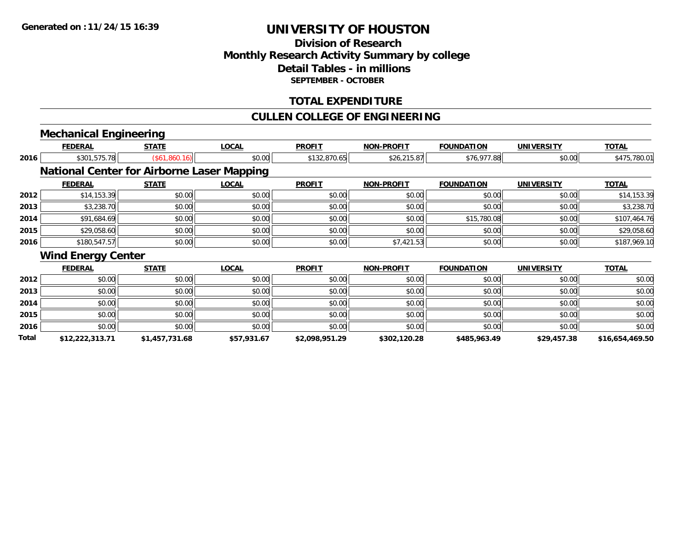### **Division of ResearchMonthly Research Activity Summary by college Detail Tables - in millions SEPTEMBER - OCTOBER**

### **TOTAL EXPENDITURE**

### **CULLEN COLLEGE OF ENGINEERING**

# **Mechanical Engineering**

|       | <b>FEDERAL</b>                                    | <b>STATE</b>   | <b>LOCAL</b> | <b>PROFIT</b>  | <b>NON-PROFIT</b> | <b>FOUNDATION</b> | <b>UNIVERSITY</b> | <b>TOTAL</b>    |
|-------|---------------------------------------------------|----------------|--------------|----------------|-------------------|-------------------|-------------------|-----------------|
| 2016  | \$301,575.78                                      | (\$61,860.16)  | \$0.00       | \$132,870.65   | \$26,215.87       | \$76,977.88       | \$0.00            | \$475,780.01    |
|       | <b>National Center for Airborne Laser Mapping</b> |                |              |                |                   |                   |                   |                 |
|       | <b>FEDERAL</b>                                    | <b>STATE</b>   | <b>LOCAL</b> | <b>PROFIT</b>  | <b>NON-PROFIT</b> | <b>FOUNDATION</b> | <b>UNIVERSITY</b> | <b>TOTAL</b>    |
| 2012  | \$14,153.39                                       | \$0.00         | \$0.00       | \$0.00         | \$0.00            | \$0.00            | \$0.00            | \$14,153.39     |
| 2013  | \$3,238.70                                        | \$0.00         | \$0.00       | \$0.00         | \$0.00            | \$0.00            | \$0.00            | \$3,238.70      |
| 2014  | \$91,684.69                                       | \$0.00         | \$0.00       | \$0.00         | \$0.00            | \$15,780.08       | \$0.00            | \$107,464.76    |
| 2015  | \$29,058.60                                       | \$0.00         | \$0.00       | \$0.00         | \$0.00            | \$0.00            | \$0.00            | \$29,058.60     |
| 2016  | \$180,547.57                                      | \$0.00         | \$0.00       | \$0.00         | \$7,421.53        | \$0.00            | \$0.00            | \$187,969.10    |
|       | <b>Wind Energy Center</b>                         |                |              |                |                   |                   |                   |                 |
|       | <b>FEDERAL</b>                                    | <b>STATE</b>   | <b>LOCAL</b> | <b>PROFIT</b>  | <b>NON-PROFIT</b> | <b>FOUNDATION</b> | <b>UNIVERSITY</b> | <b>TOTAL</b>    |
| 2012  | \$0.00                                            | \$0.00         | \$0.00       | \$0.00         | \$0.00            | \$0.00            | \$0.00            | \$0.00          |
| 2013  | \$0.00                                            | \$0.00         | \$0.00       | \$0.00         | \$0.00            | \$0.00            | \$0.00            | \$0.00          |
| 2014  | \$0.00                                            | \$0.00         | \$0.00       | \$0.00         | \$0.00            | \$0.00            | \$0.00            | \$0.00          |
| 2015  | \$0.00                                            | \$0.00         | \$0.00       | \$0.00         | \$0.00            | \$0.00            | \$0.00            | \$0.00          |
| 2016  | \$0.00                                            | \$0.00         | \$0.00       | \$0.00         | \$0.00            | \$0.00            | \$0.00            | \$0.00          |
| Total | \$12,222,313.71                                   | \$1,457,731.68 | \$57,931.67  | \$2,098,951.29 | \$302,120.28      | \$485,963.49      | \$29,457.38       | \$16,654,469.50 |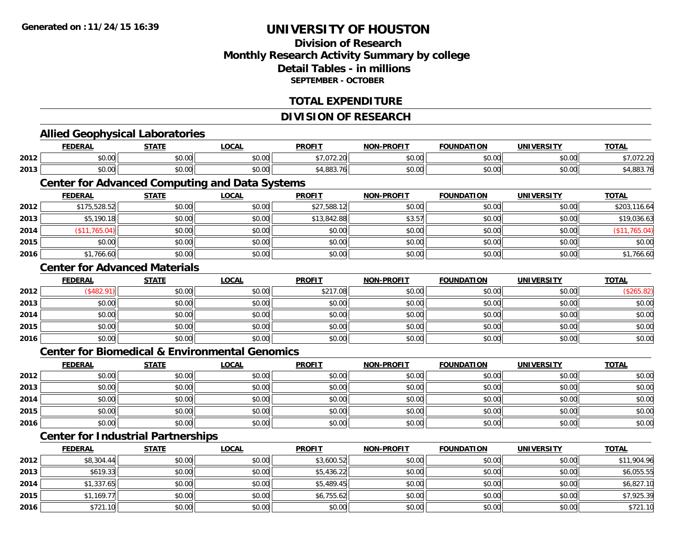### **Division of ResearchMonthly Research Activity Summary by college Detail Tables - in millionsSEPTEMBER - OCTOBER**

### **TOTAL EXPENDITURE**

#### **DIVISION OF RESEARCH**

#### **Allied Geophysical Laboratories FEDERAL STATE LOCAL PROFIT NON-PROFIT FOUNDATION UNIVERSITY TOTALTOTAL 2012** \$0.00 \$0.00 \$0.00 \$7,072.20 \$0.00 \$0.00 \$0.00 \$7,072.20 **2013** \$0.00 \$0.00 \$0.00 \$4,883.76 \$0.00 \$0.00 \$0.00 \$4,883.76 **Center for Advanced Computing and Data Systems FEDERAL STATE LOCAL PROFIT NON-PROFIT FOUNDATION UNIVERSITY TOTALTOTAL 2012** \$175,528.52 \$0.00 \$0.00 \$27,588.12 \$0.00 \$0.00 \$0.00 \$203,116.64 **2013** $\bf{3} \quad \rm{3} \quad \rm{5,190.18} \quad \rm{50.00} \quad \rm{50.00} \quad \rm{50.00} \quad \rm{50.00} \quad \rm{51,842.88} \quad \rm{51.57} \quad \rm{53.57} \quad \rm{50.00} \quad \rm{50.00} \quad \rm{51.00} \quad \rm{51.00} \quad \rm{53.5} \quad \rm{56.00} \quad \rm{57.00} \quad \rm{58.00} \quad \rm{59.00} \quad \rm{59.00} \quad \rm$ **2014** (\$11,765.04) \$0.00 \$0.00 \$0.00 \$0.00 \$0.00 \$0.00 (\$11,765.04) **2015** \$0.00 \$0.00 \$0.00 \$0.00 \$0.00 \$0.00 \$0.00 \$0.00 **2016**6 \$1,766.60 \$0.00 \$0.00 \$0.00 \$0.00 \$0.00 \$0.00 \$0.00 \$0.00 \$0.00 \$0.00 \$1,766.60 **Center for Advanced MaterialsFEDERAL STATE LOCAL PROFIT NON-PROFIT FOUNDATION UNIVERSITY TOTAL2012**2 | (\$482.91)|| \$0.00|| \$0.00|| \$217.08|| \$0.00|| \$0.00|| (\$265.82) **2013** \$0.00 \$0.00 \$0.00 \$0.00 \$0.00 \$0.00 \$0.00 \$0.00 **2014**4 \$0.00 \$0.00 \$0.00 \$0.00 \$0.00 \$0.00 \$0.00 \$0.00 \$0.00 \$0.00 \$0.00 \$0.00 \$0.00 \$0.00 \$0.00 \$0.00 \$0.00 **2015** \$0.00 \$0.00 \$0.00 \$0.00 \$0.00 \$0.00 \$0.00 \$0.00 **2016** \$0.00 \$0.00 \$0.00 \$0.00 \$0.00 \$0.00 \$0.00 \$0.00 **Center for Biomedical & Environmental GenomicsFEDERAL STATE LOCAL PROFIT NON-PROFIT FOUNDATION UNIVERSITY TOTALTOTAL 2012**2 | \$0.00 \$0.00 \$0.00 \$0.00 \$0.00 \$0.00 \$0.00 \$0.00 \$0.00 \$0.00 \$0.00 \$0.00 \$0.00 \$0.00 \$0.00 \$0.00 \$0.00 **2013** \$0.00 \$0.00 \$0.00 \$0.00 \$0.00 \$0.00 \$0.00 \$0.00 **2014**4 \$0.00 \$0.00 \$0.00 \$0.00 \$0.00 \$0.00 \$0.00 \$0.00 \$0.00 \$0.00 \$0.00 \$0.00 \$0.00 \$0.00 \$0.00 \$0.00 \$0.00 **2015** \$0.00 \$0.00 \$0.00 \$0.00 \$0.00 \$0.00 \$0.00 \$0.00 **2016** \$0.00 \$0.00 \$0.00 \$0.00 \$0.00 \$0.00 \$0.00 \$0.00 **Center for Industrial Partnerships FEDERAL STATE LOCAL PROFIT NON-PROFIT FOUNDATION UNIVERSITY TOTAL**

| 2012 | \$8,304.44 | \$0.00 | \$0.00 | \$3,600.52 | \$0.00 | \$0.00 | \$0.00 | \$11,904.96 |
|------|------------|--------|--------|------------|--------|--------|--------|-------------|
| 2013 | \$619.33   | \$0.00 | \$0.00 | \$5,436.22 | \$0.00 | \$0.00 | \$0.00 | \$6,055.55  |
| 2014 | \$1,337.65 | \$0.00 | \$0.00 | \$5,489.45 | \$0.00 | \$0.00 | \$0.00 | \$6,827.10  |
| 2015 | \$1,169.77 | \$0.00 | \$0.00 | \$6,755.62 | \$0.00 | \$0.00 | \$0.00 | \$7,925.39  |
| 2016 | \$721.10   | \$0.00 | \$0.00 | \$0.00     | \$0.00 | \$0.00 | \$0.00 | \$721.10    |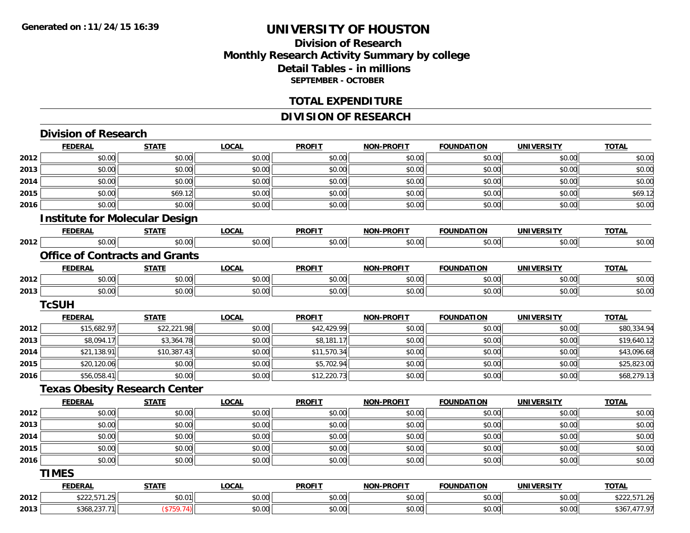### **Division of ResearchMonthly Research Activity Summary by college Detail Tables - in millions SEPTEMBER - OCTOBER**

### **TOTAL EXPENDITURE**

### **DIVISION OF RESEARCH**

|      | <b>Division of Research</b>           |              |              |               |                   |                   |                   |              |
|------|---------------------------------------|--------------|--------------|---------------|-------------------|-------------------|-------------------|--------------|
|      | <b>FEDERAL</b>                        | <b>STATE</b> | <b>LOCAL</b> | <b>PROFIT</b> | <b>NON-PROFIT</b> | <b>FOUNDATION</b> | <b>UNIVERSITY</b> | <b>TOTAL</b> |
| 2012 | \$0.00                                | \$0.00       | \$0.00       | \$0.00        | \$0.00            | \$0.00            | \$0.00            | \$0.00       |
| 2013 | \$0.00                                | \$0.00       | \$0.00       | \$0.00        | \$0.00            | \$0.00            | \$0.00            | \$0.00       |
| 2014 | \$0.00                                | \$0.00       | \$0.00       | \$0.00        | \$0.00            | \$0.00            | \$0.00            | \$0.00       |
| 2015 | \$0.00                                | \$69.12      | \$0.00       | \$0.00        | \$0.00            | \$0.00            | \$0.00            | \$69.12      |
| 2016 | \$0.00                                | \$0.00       | \$0.00       | \$0.00        | \$0.00            | \$0.00            | \$0.00            | \$0.00       |
|      | <b>Institute for Molecular Design</b> |              |              |               |                   |                   |                   |              |
|      | <b>FEDERAL</b>                        | <b>STATE</b> | <b>LOCAL</b> | <b>PROFIT</b> | <b>NON-PROFIT</b> | <b>FOUNDATION</b> | <b>UNIVERSITY</b> | <b>TOTAL</b> |
| 2012 | \$0.00                                | \$0.00       | \$0.00       | \$0.00        | \$0.00            | \$0.00            | \$0.00            | \$0.00       |
|      | <b>Office of Contracts and Grants</b> |              |              |               |                   |                   |                   |              |
|      | <b>FEDERAL</b>                        | <b>STATE</b> | <b>LOCAL</b> | <b>PROFIT</b> | <b>NON-PROFIT</b> | <b>FOUNDATION</b> | <b>UNIVERSITY</b> | <b>TOTAL</b> |
| 2012 | \$0.00                                | \$0.00       | \$0.00       | \$0.00        | \$0.00            | \$0.00            | \$0.00            | \$0.00       |
| 2013 | \$0.00                                | \$0.00       | \$0.00       | \$0.00        | \$0.00            | \$0.00            | \$0.00            | \$0.00       |
|      | <b>TcSUH</b>                          |              |              |               |                   |                   |                   |              |
|      | <b>FEDERAL</b>                        | <b>STATE</b> | <b>LOCAL</b> | <b>PROFIT</b> | <b>NON-PROFIT</b> | <b>FOUNDATION</b> | <b>UNIVERSITY</b> | <b>TOTAL</b> |
| 2012 | \$15,682.97                           | \$22,221.98  | \$0.00       | \$42,429.99   | \$0.00            | \$0.00            | \$0.00            | \$80,334.94  |
| 2013 | \$8,094.17                            | \$3,364.78   | \$0.00       | \$8,181.17    | \$0.00            | \$0.00            | \$0.00            | \$19,640.12  |
| 2014 | \$21,138.91                           | \$10,387.43  | \$0.00       | \$11,570.34   | \$0.00            | \$0.00            | \$0.00            | \$43,096.68  |
| 2015 | \$20,120.06                           | \$0.00       | \$0.00       | \$5,702.94    | \$0.00            | \$0.00            | \$0.00            | \$25,823.00  |
| 2016 | \$56,058.41                           | \$0.00       | \$0.00       | \$12,220.73   | \$0.00            | \$0.00            | \$0.00            | \$68,279.13  |
|      | <b>Texas Obesity Research Center</b>  |              |              |               |                   |                   |                   |              |
|      | <b>FEDERAL</b>                        | <b>STATE</b> | <b>LOCAL</b> | <b>PROFIT</b> | <b>NON-PROFIT</b> | <b>FOUNDATION</b> | <b>UNIVERSITY</b> | <b>TOTAL</b> |
| 2012 | \$0.00                                | \$0.00       | \$0.00       | \$0.00        | \$0.00            | \$0.00            | \$0.00            | \$0.00       |
| 2013 | \$0.00                                | \$0.00       | \$0.00       | \$0.00        | \$0.00            | \$0.00            | \$0.00            | \$0.00       |
| 2014 | \$0.00                                | \$0.00       | \$0.00       | \$0.00        | \$0.00            | \$0.00            | \$0.00            | \$0.00       |
| 2015 | \$0.00                                | \$0.00       | \$0.00       | \$0.00        | \$0.00            | \$0.00            | \$0.00            | \$0.00       |
| 2016 | \$0.00                                | \$0.00       | \$0.00       | \$0.00        | \$0.00            | \$0.00            | \$0.00            | \$0.00       |
|      | <b>TIMES</b>                          |              |              |               |                   |                   |                   |              |
|      | <b>FEDERAL</b>                        | <b>STATE</b> | <b>LOCAL</b> | <b>PROFIT</b> | <b>NON-PROFIT</b> | <b>FOUNDATION</b> | <b>UNIVERSITY</b> | <b>TOTAL</b> |
| 2012 | \$222,571.25                          | \$0.01       | \$0.00       | \$0.00        | \$0.00            | \$0.00            | \$0.00            | \$222,571.26 |
| 2013 | \$368,237.71                          | $(*759.74)$  | \$0.00       | \$0.00        | \$0.00            | \$0.00            | \$0.00            | \$367,477.97 |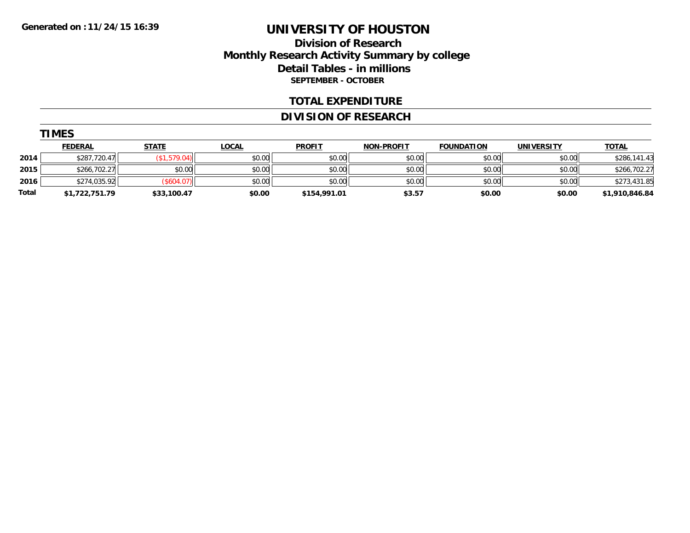### **Division of Research Monthly Research Activity Summary by college Detail Tables - in millions SEPTEMBER - OCTOBER**

#### **TOTAL EXPENDITURE**

### **DIVISION OF RESEARCH**

|       | --------       |               |              |               |                   |                   |                   |                |  |
|-------|----------------|---------------|--------------|---------------|-------------------|-------------------|-------------------|----------------|--|
|       | <b>FEDERAL</b> | <b>STATE</b>  | <u>LOCAL</u> | <b>PROFIT</b> | <b>NON-PROFIT</b> | <b>FOUNDATION</b> | <b>UNIVERSITY</b> | <b>TOTAL</b>   |  |
| 2014  | \$287,720.47   | .579.04)      | \$0.00       | \$0.00        | \$0.00            | \$0.00            | \$0.00            | \$286,141.43   |  |
| 2015  | \$266,702.27   | \$0.00        | \$0.00       | \$0.00        | \$0.00            | \$0.00            | \$0.00            | \$266,702.27   |  |
| 2016  | \$274,035.92   | $($ \$604.07) | \$0.00       | \$0.00        | \$0.00            | \$0.00            | \$0.00            | \$273,431.85   |  |
| Total | \$1,722,751.79 | \$33,100.47   | \$0.00       | \$154,991.01  | \$3.57            | \$0.00            | \$0.00            | \$1,910,846.84 |  |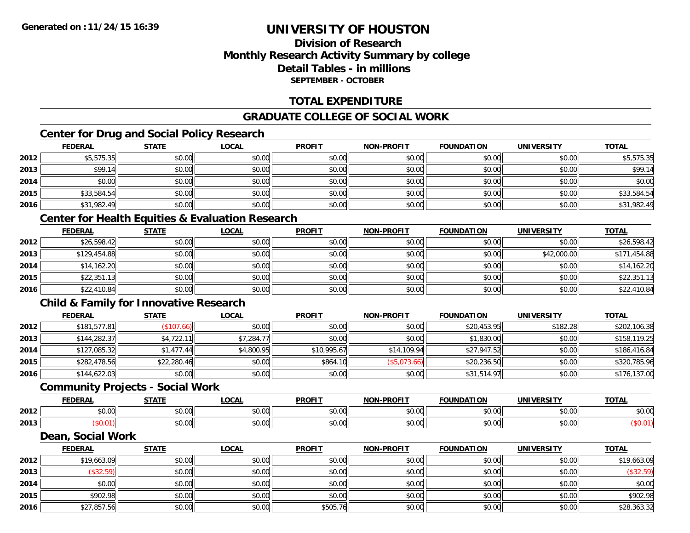## **Division of ResearchMonthly Research Activity Summary by college Detail Tables - in millionsSEPTEMBER - OCTOBER**

### **TOTAL EXPENDITURE**

## **GRADUATE COLLEGE OF SOCIAL WORK**

## **Center for Drug and Social Policy Research**

|      | <b>FEDERAL</b> | <b>STATE</b> | <b>LOCAL</b> | <b>PROFIT</b> | <b>NON-PROFIT</b> | <b>FOUNDATION</b> | <b>UNIVERSITY</b> | <b>TOTAL</b> |
|------|----------------|--------------|--------------|---------------|-------------------|-------------------|-------------------|--------------|
| 2012 | \$5,575.35     | \$0.00       | \$0.00       | \$0.00        | \$0.00            | \$0.00            | \$0.00            | \$5,575.35   |
| 2013 | \$99.14        | \$0.00       | \$0.00       | \$0.00        | \$0.00            | \$0.00            | \$0.00            | \$99.14      |
| 2014 | \$0.00         | \$0.00       | \$0.00       | \$0.00        | \$0.00            | \$0.00            | \$0.00            | \$0.00       |
| 2015 | \$33,584.54    | \$0.00       | \$0.00       | \$0.00        | \$0.00            | \$0.00            | \$0.00            | \$33,584.54  |
| 2016 | \$31,982.49    | \$0.00       | \$0.00       | \$0.00        | \$0.00            | \$0.00            | \$0.00            | \$31,982.49  |

## **Center for Health Equities & Evaluation Research**

|      | <b>FEDERAL</b> | <b>STATE</b> | <u>LOCAL</u> | <b>PROFIT</b> | <b>NON-PROFIT</b> | <b>FOUNDATION</b> | <b>UNIVERSITY</b> | <b>TOTAL</b> |
|------|----------------|--------------|--------------|---------------|-------------------|-------------------|-------------------|--------------|
| 2012 | \$26,598.42    | \$0.00       | \$0.00       | \$0.00        | \$0.00            | \$0.00            | \$0.00            | \$26,598.42  |
| 2013 | \$129,454.88   | \$0.00       | \$0.00       | \$0.00        | \$0.00            | \$0.00            | \$42,000.00       | \$171,454.88 |
| 2014 | \$14,162.20    | \$0.00       | \$0.00       | \$0.00        | \$0.00            | \$0.00            | \$0.00            | \$14,162.20  |
| 2015 | \$22,351.13    | \$0.00       | \$0.00       | \$0.00        | \$0.00            | \$0.00            | \$0.00            | \$22,351.13  |
| 2016 | \$22,410.84    | \$0.00       | \$0.00       | \$0.00        | \$0.00            | \$0.00            | \$0.00            | \$22,410.84  |

## **Child & Family for Innovative Research**

|      | <b>FEDERAL</b> | <b>STATE</b> | <b>LOCAL</b> | <b>PROFIT</b> | <b>NON-PROFIT</b> | <b>FOUNDATION</b> | <b>UNIVERSITY</b> | <b>TOTAL</b> |
|------|----------------|--------------|--------------|---------------|-------------------|-------------------|-------------------|--------------|
| 2012 | \$181,577.81   | \$107.66     | \$0.00       | \$0.00        | \$0.00            | \$20,453.95       | \$182.28          | \$202,106.38 |
| 2013 | \$144,282.37   | \$4,722.11   | \$7,284.77   | \$0.00        | \$0.00            | \$1,830.00        | \$0.00            | \$158,119.25 |
| 2014 | \$127,085.32   | \$1.477.44   | \$4,800.95   | \$10,995.67   | \$14,109.94       | \$27,947.52       | \$0.00            | \$186,416.84 |
| 2015 | \$282,478.56   | \$22,280.46  | \$0.00       | \$864.10      | (S5,073.66)       | \$20,236.50       | \$0.00            | \$320,785.96 |
| 2016 | \$144,622.03   | \$0.00       | \$0.00       | \$0.00        | \$0.00            | \$31,514.97       | \$0.00            | \$176,137.00 |

#### **Community Projects - Social Work**

|      | EENEDA<br>-ne                               | 27.77                   | $\sim$<br>.UUAI                              | <b>PROFIT</b>                          | -PROFIT<br>NON-         | <b>FOUNDATION</b>                        | <b>UNIVERSITY</b> | <b>TOTAL</b> |
|------|---------------------------------------------|-------------------------|----------------------------------------------|----------------------------------------|-------------------------|------------------------------------------|-------------------|--------------|
| 2012 | $\uparrow$ $\uparrow$ $\uparrow$<br>ิ ∪ ∪ ∪ | $\sim$ 00<br>טע, טע     | $\sim$ $\sim$<br>pu.uu                       | $\sim$ $\sim$ $\sim$<br>JU.            | 0 <sup>n</sup><br>vv.vv | 0000<br>v.vv                             | \$0.00            | \$0.00       |
| 2013 | vv.v                                        | 0 <sub>n</sub><br>טט.טע | $\triangle$ $\triangle$ $\triangle$<br>pu.uu | $\overline{a}$ $\overline{a}$<br>JU.UU | 0000<br>JU.UU           | $\uparrow$ $\uparrow$ $\uparrow$<br>∪.∪∪ | \$0.00            |              |

#### **Dean, Social Work**

|      | <u>FEDERAL</u> | <b>STATE</b> | <b>LOCAL</b> | <b>PROFIT</b> | <b>NON-PROFIT</b> | <b>FOUNDATION</b> | <b>UNIVERSITY</b> | <b>TOTAL</b> |
|------|----------------|--------------|--------------|---------------|-------------------|-------------------|-------------------|--------------|
| 2012 | \$19,663.09    | \$0.00       | \$0.00       | \$0.00        | \$0.00            | \$0.00            | \$0.00            | \$19,663.09  |
| 2013 | (\$32.59)      | \$0.00       | \$0.00       | \$0.00        | \$0.00            | \$0.00            | \$0.00            | (\$32.59)    |
| 2014 | \$0.00         | \$0.00       | \$0.00       | \$0.00        | \$0.00            | \$0.00            | \$0.00            | \$0.00       |
| 2015 | \$902.98       | \$0.00       | \$0.00       | \$0.00        | \$0.00            | \$0.00            | \$0.00            | \$902.98     |
| 2016 | \$27,857.56    | \$0.00       | \$0.00       | \$505.76      | \$0.00            | \$0.00            | \$0.00            | \$28,363.32  |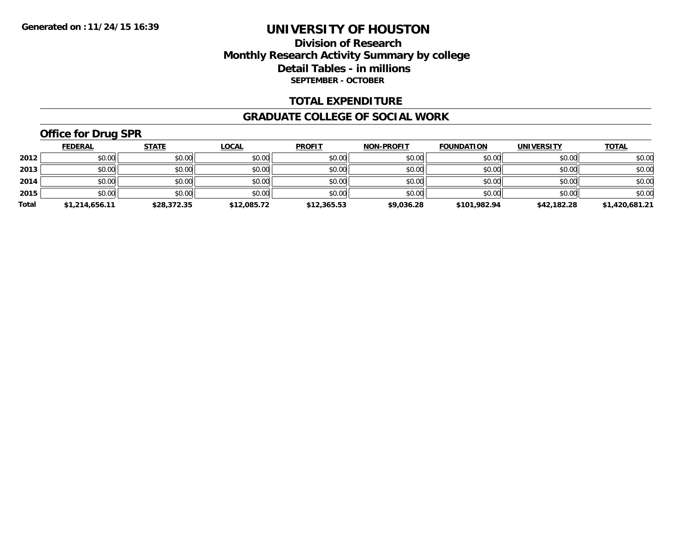### **Division of Research Monthly Research Activity Summary by college Detail Tables - in millions SEPTEMBER - OCTOBER**

#### **TOTAL EXPENDITURE**

#### **GRADUATE COLLEGE OF SOCIAL WORK**

# **Office for Drug SPR**

|       | <u>FEDERAL</u> | <b>STATE</b> | <b>LOCAL</b> | <b>PROFIT</b> | <b>NON-PROFIT</b> | <b>FOUNDATION</b> | <b>UNIVERSITY</b> | <b>TOTAL</b>   |
|-------|----------------|--------------|--------------|---------------|-------------------|-------------------|-------------------|----------------|
| 2012  | \$0.00         | \$0.00       | \$0.00       | \$0.00        | \$0.00            | \$0.00            | \$0.00            | \$0.00         |
| 2013  | \$0.00         | \$0.00       | \$0.00       | \$0.00        | \$0.00            | \$0.00            | \$0.00            | \$0.00         |
| 2014  | \$0.00         | \$0.00       | \$0.00       | \$0.00        | \$0.00            | \$0.00            | \$0.00            | \$0.00         |
| 2015  | \$0.00         | \$0.00       | \$0.00       | \$0.00        | \$0.00            | \$0.00            | \$0.00            | \$0.00         |
| Total | \$1,214,656.11 | \$28,372.35  | \$12,085.72  | \$12,365.53   | \$9,036.28        | \$101,982.94      | \$42,182.28       | \$1,420,681.21 |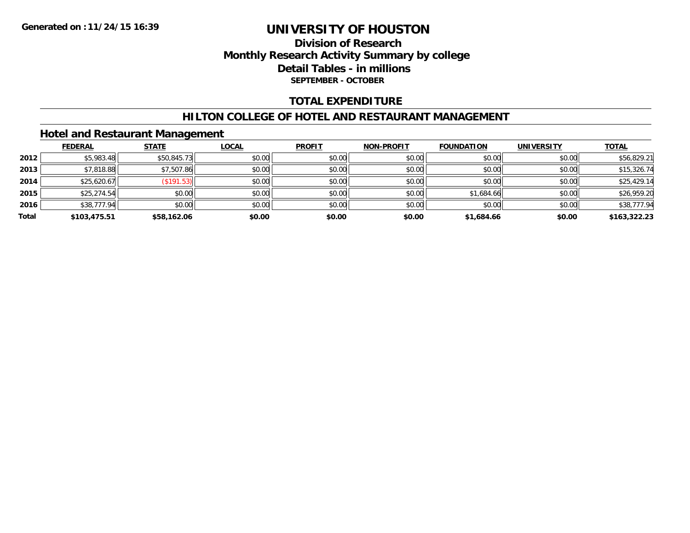## **Division of Research Monthly Research Activity Summary by college Detail Tables - in millions SEPTEMBER - OCTOBER**

### **TOTAL EXPENDITURE**

#### **HILTON COLLEGE OF HOTEL AND RESTAURANT MANAGEMENT**

#### **Hotel and Restaurant Management**

|       | <b>FEDERAL</b> | <b>STATE</b> | <b>LOCAL</b> | <b>PROFIT</b> | <b>NON-PROFIT</b> | <b>FOUNDATION</b> | <b>UNIVERSITY</b> | <b>TOTAL</b> |
|-------|----------------|--------------|--------------|---------------|-------------------|-------------------|-------------------|--------------|
| 2012  | \$5,983.48     | \$50,845.73  | \$0.00       | \$0.00        | \$0.00            | \$0.00            | \$0.00            | \$56,829.21  |
| 2013  | \$7,818.88     | \$7,507.86   | \$0.00       | \$0.00        | \$0.00            | \$0.00            | \$0.00            | \$15,326.74  |
| 2014  | \$25,620.67    | (S191.53)    | \$0.00       | \$0.00        | \$0.00            | \$0.00            | \$0.00            | \$25,429.14  |
| 2015  | \$25,274.54    | \$0.00       | \$0.00       | \$0.00        | \$0.00            | \$1,684.66        | \$0.00            | \$26,959.20  |
| 2016  | \$38,777.94    | \$0.00       | \$0.00       | \$0.00        | \$0.00            | \$0.00            | \$0.00            | \$38,777.94  |
| Total | \$103,475.51   | \$58,162.06  | \$0.00       | \$0.00        | \$0.00            | \$1,684.66        | \$0.00            | \$163,322.23 |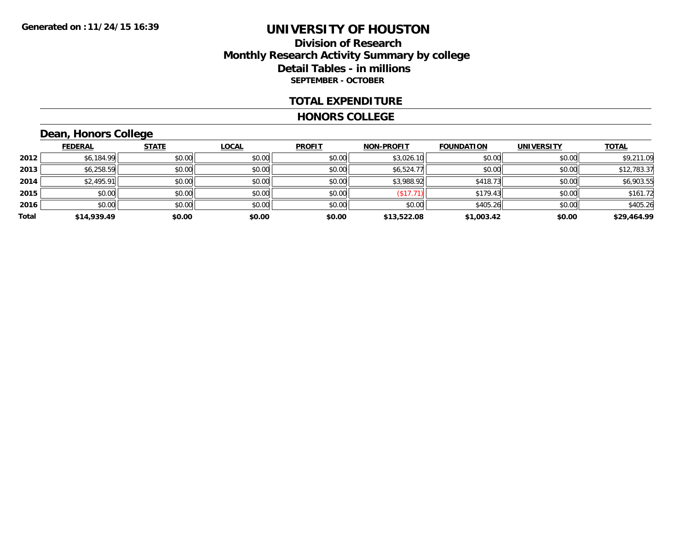### **Division of Research Monthly Research Activity Summary by college Detail Tables - in millions SEPTEMBER - OCTOBER**

#### **TOTAL EXPENDITURE**

#### **HONORS COLLEGE**

# **Dean, Honors College**

|       | <b>FEDERAL</b> | <b>STATE</b> | <b>LOCAL</b> | <b>PROFIT</b> | <b>NON-PROFIT</b> | <b>FOUNDATION</b> | <b>UNIVERSITY</b> | <b>TOTAL</b> |
|-------|----------------|--------------|--------------|---------------|-------------------|-------------------|-------------------|--------------|
| 2012  | \$6,184.99     | \$0.00       | \$0.00       | \$0.00        | \$3,026.10        | \$0.00            | \$0.00            | \$9,211.09   |
| 2013  | \$6,258.59     | \$0.00       | \$0.00       | \$0.00        | \$6,524.77        | \$0.00            | \$0.00            | \$12,783.37  |
| 2014  | \$2,495.91     | \$0.00       | \$0.00       | \$0.00        | \$3,988.92        | \$418.73          | \$0.00            | \$6,903.55   |
| 2015  | \$0.00         | \$0.00       | \$0.00       | \$0.00        | (\$17.71)         | \$179.43          | \$0.00            | \$161.72     |
| 2016  | \$0.00         | \$0.00       | \$0.00       | \$0.00        | \$0.00            | \$405.26          | \$0.00            | \$405.26     |
| Total | \$14,939.49    | \$0.00       | \$0.00       | \$0.00        | \$13,522.08       | \$1,003.42        | \$0.00            | \$29,464.99  |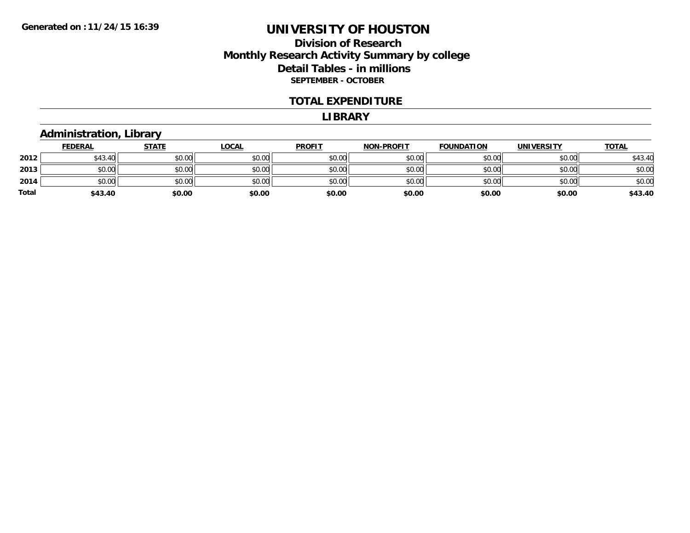### **Division of Research Monthly Research Activity Summary by college Detail Tables - in millions SEPTEMBER - OCTOBER**

#### **TOTAL EXPENDITURE**

#### **LIBRARY**

#### **Administration, Library**

|              | <b>FEDERAL</b> | <b>STATE</b> | <b>LOCAL</b> | <b>PROFIT</b> | <b>NON-PROFIT</b> | <b>FOUNDATION</b> | <b>UNIVERSITY</b> | <b>TOTAL</b> |
|--------------|----------------|--------------|--------------|---------------|-------------------|-------------------|-------------------|--------------|
| 2012         | \$43.40        | \$0.00       | \$0.00       | \$0.00        | \$0.00            | \$0.00            | \$0.00            | \$43.40      |
| 2013         | \$0.00         | \$0.00       | \$0.00       | \$0.00        | \$0.00            | \$0.00            | \$0.00            | \$0.00       |
| 2014         | \$0.00         | \$0.00       | \$0.00       | \$0.00        | \$0.00            | \$0.00            | \$0.00            | \$0.00       |
| <b>Total</b> | \$43.40        | \$0.00       | \$0.00       | \$0.00        | \$0.00            | \$0.00            | \$0.00            | \$43.40      |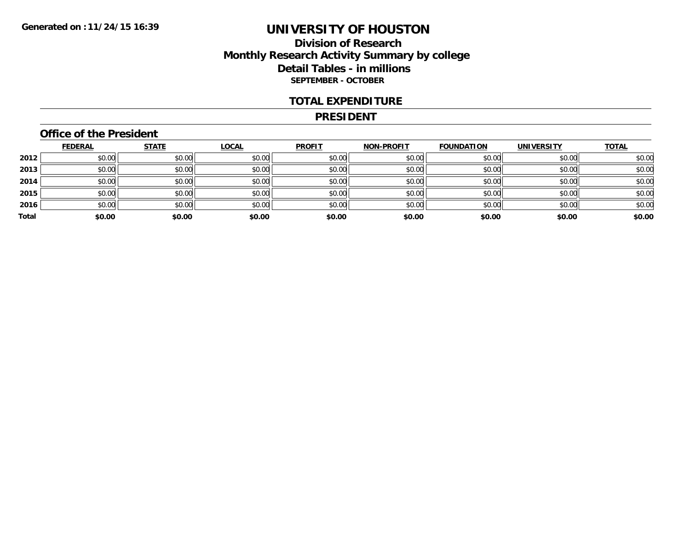### **Division of Research Monthly Research Activity Summary by college Detail Tables - in millions SEPTEMBER - OCTOBER**

#### **TOTAL EXPENDITURE**

#### **PRESIDENT**

### **Office of the President**

|       | <b>FEDERAL</b> | <b>STATE</b> | <b>LOCAL</b> | <b>PROFIT</b> | <b>NON-PROFIT</b> | <b>FOUNDATION</b> | <b>UNIVERSITY</b> | <b>TOTAL</b> |
|-------|----------------|--------------|--------------|---------------|-------------------|-------------------|-------------------|--------------|
| 2012  | \$0.00         | \$0.00       | \$0.00       | \$0.00        | \$0.00            | \$0.00            | \$0.00            | \$0.00       |
| 2013  | \$0.00         | \$0.00       | \$0.00       | \$0.00        | \$0.00            | \$0.00            | \$0.00            | \$0.00       |
| 2014  | \$0.00         | \$0.00       | \$0.00       | \$0.00        | \$0.00            | \$0.00            | \$0.00            | \$0.00       |
| 2015  | \$0.00         | \$0.00       | \$0.00       | \$0.00        | \$0.00            | \$0.00            | \$0.00            | \$0.00       |
| 2016  | \$0.00         | \$0.00       | \$0.00       | \$0.00        | \$0.00            | \$0.00            | \$0.00            | \$0.00       |
| Total | \$0.00         | \$0.00       | \$0.00       | \$0.00        | \$0.00            | \$0.00            | \$0.00            | \$0.00       |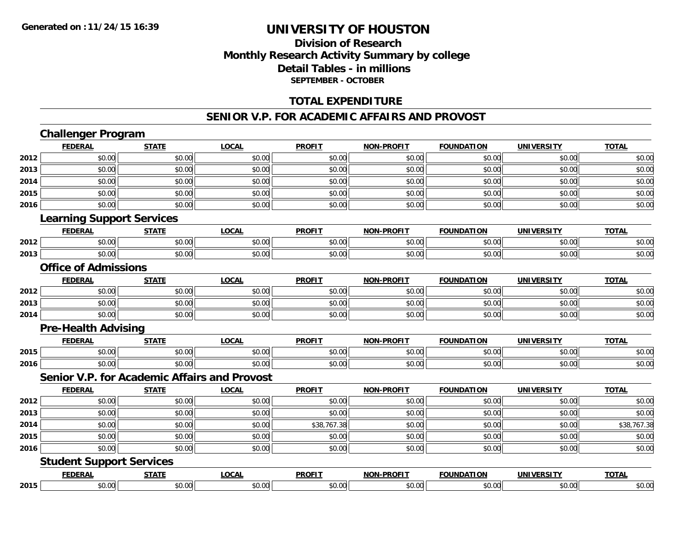### **Division of Research Monthly Research Activity Summary by college Detail Tables - in millions SEPTEMBER - OCTOBER**

### **TOTAL EXPENDITURE**

#### **SENIOR V.P. FOR ACADEMIC AFFAIRS AND PROVOST**

# **Challenger Program**

|      | <b>FEDERAL</b>                   | <b>STATE</b> | <b>LOCAL</b>                                        | <b>PROFIT</b> | <b>NON-PROFIT</b> | <b>FOUNDATION</b> | <b>UNIVERSITY</b> | <b>TOTAL</b> |
|------|----------------------------------|--------------|-----------------------------------------------------|---------------|-------------------|-------------------|-------------------|--------------|
| 2012 | \$0.00                           | \$0.00       | \$0.00                                              | \$0.00        | \$0.00            | \$0.00            | \$0.00            | \$0.00       |
| 2013 | \$0.00                           | \$0.00       | \$0.00                                              | \$0.00        | \$0.00            | \$0.00            | \$0.00            | \$0.00       |
| 2014 | \$0.00                           | \$0.00       | \$0.00                                              | \$0.00        | \$0.00            | \$0.00            | \$0.00            | \$0.00       |
| 2015 | \$0.00                           | \$0.00       | \$0.00                                              | \$0.00        | \$0.00            | \$0.00            | \$0.00            | \$0.00       |
| 2016 | \$0.00                           | \$0.00       | \$0.00                                              | \$0.00        | \$0.00            | \$0.00            | \$0.00            | \$0.00       |
|      | <b>Learning Support Services</b> |              |                                                     |               |                   |                   |                   |              |
|      | <b>FEDERAL</b>                   | <b>STATE</b> | <b>LOCAL</b>                                        | <b>PROFIT</b> | <b>NON-PROFIT</b> | <b>FOUNDATION</b> | <b>UNIVERSITY</b> | <b>TOTAL</b> |
| 2012 | \$0.00                           | \$0.00       | \$0.00                                              | \$0.00        | \$0.00            | \$0.00            | \$0.00            | \$0.00       |
| 2013 | \$0.00                           | \$0.00       | \$0.00                                              | \$0.00        | \$0.00            | \$0.00            | \$0.00            | \$0.00       |
|      | <b>Office of Admissions</b>      |              |                                                     |               |                   |                   |                   |              |
|      | <b>FEDERAL</b>                   | <b>STATE</b> | <b>LOCAL</b>                                        | <b>PROFIT</b> | <b>NON-PROFIT</b> | <b>FOUNDATION</b> | <b>UNIVERSITY</b> | <b>TOTAL</b> |
| 2012 | \$0.00                           | \$0.00       | \$0.00                                              | \$0.00        | \$0.00            | \$0.00            | \$0.00            | \$0.00       |
| 2013 | \$0.00                           | \$0.00       | \$0.00                                              | \$0.00        | \$0.00            | \$0.00            | \$0.00            | \$0.00       |
| 2014 | \$0.00                           | \$0.00       | \$0.00                                              | \$0.00        | \$0.00            | \$0.00            | \$0.00            | \$0.00       |
|      | <b>Pre-Health Advising</b>       |              |                                                     |               |                   |                   |                   |              |
|      | <b>FEDERAL</b>                   | <b>STATE</b> | <b>LOCAL</b>                                        | <b>PROFIT</b> | <b>NON-PROFIT</b> | <b>FOUNDATION</b> | <b>UNIVERSITY</b> | <b>TOTAL</b> |
| 2015 | \$0.00                           | \$0.00       | \$0.00                                              | \$0.00        | \$0.00            | \$0.00            | \$0.00            | \$0.00       |
| 2016 | \$0.00                           | \$0.00       | \$0.00                                              | \$0.00        | \$0.00            | \$0.00            | \$0.00            | \$0.00       |
|      |                                  |              | <b>Senior V.P. for Academic Affairs and Provost</b> |               |                   |                   |                   |              |
|      | <b>FEDERAL</b>                   | <b>STATE</b> | <b>LOCAL</b>                                        | <b>PROFIT</b> | <b>NON-PROFIT</b> | <b>FOUNDATION</b> | <b>UNIVERSITY</b> | <b>TOTAL</b> |
| 2012 | \$0.00                           | \$0.00       | \$0.00                                              | \$0.00        | \$0.00            | \$0.00            | \$0.00            | \$0.00       |
| 2013 | \$0.00                           | \$0.00       | \$0.00                                              | \$0.00        | \$0.00            | \$0.00            | \$0.00            | \$0.00       |
| 2014 | \$0.00                           | \$0.00       | \$0.00                                              | \$38,767.38   | \$0.00            | \$0.00            | \$0.00            | \$38,767.38  |
| 2015 | \$0.00                           | \$0.00       | \$0.00                                              | \$0.00        | \$0.00            | \$0.00            | \$0.00            | \$0.00       |
| 2016 | \$0.00                           | \$0.00       | \$0.00                                              | \$0.00        | \$0.00            | \$0.00            | \$0.00            | \$0.00       |
|      | <b>Student Support Services</b>  |              |                                                     |               |                   |                   |                   |              |
|      | <b>FEDERAL</b>                   | <b>STATE</b> | <b>LOCAL</b>                                        | <b>PROFIT</b> | <b>NON-PROFIT</b> | <b>FOUNDATION</b> | <b>UNIVERSITY</b> | <b>TOTAL</b> |
| 2015 | \$0.00                           | \$0.00       | \$0.00                                              | \$0.00        | \$0.00            | \$0.00            | \$0.00            | \$0.00       |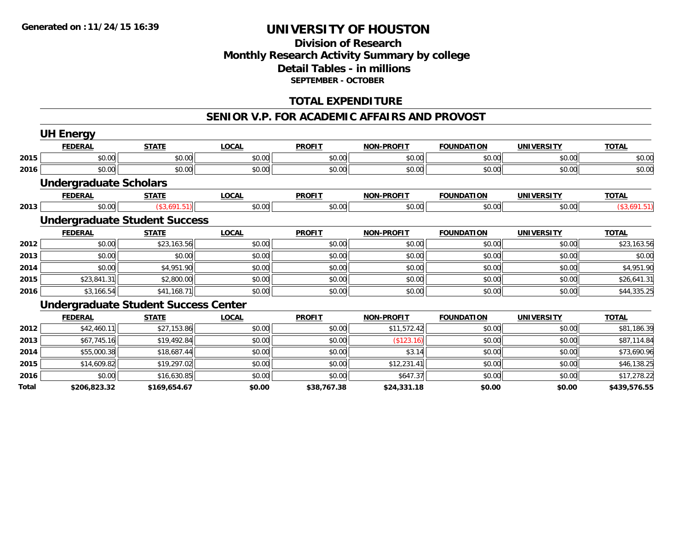### **Division of Research Monthly Research Activity Summary by college Detail Tables - in millions SEPTEMBER - OCTOBER**

### **TOTAL EXPENDITURE**

#### **SENIOR V.P. FOR ACADEMIC AFFAIRS AND PROVOST**

|       | <b>UH Energy</b>                            |              |              |               |                   |                   |                   |              |
|-------|---------------------------------------------|--------------|--------------|---------------|-------------------|-------------------|-------------------|--------------|
|       | <b>FEDERAL</b>                              | <b>STATE</b> | <b>LOCAL</b> | <b>PROFIT</b> | <b>NON-PROFIT</b> | <b>FOUNDATION</b> | <b>UNIVERSITY</b> | <b>TOTAL</b> |
| 2015  | \$0.00                                      | \$0.00       | \$0.00       | \$0.00        | \$0.00            | \$0.00            | \$0.00            | \$0.00       |
| 2016  | \$0.00                                      | \$0.00       | \$0.00       | \$0.00        | \$0.00            | \$0.00            | \$0.00            | \$0.00       |
|       | <b>Undergraduate Scholars</b>               |              |              |               |                   |                   |                   |              |
|       | <b>FEDERAL</b>                              | <b>STATE</b> | <b>LOCAL</b> | <b>PROFIT</b> | <b>NON-PROFIT</b> | <b>FOUNDATION</b> | <b>UNIVERSITY</b> | <b>TOTAL</b> |
| 2013  | \$0.00                                      | (\$3,691.51) | \$0.00       | \$0.00        | \$0.00            | \$0.00            | \$0.00            | (\$3,691.51) |
|       | <b>Undergraduate Student Success</b>        |              |              |               |                   |                   |                   |              |
|       | <b>FEDERAL</b>                              | <b>STATE</b> | <b>LOCAL</b> | <b>PROFIT</b> | <b>NON-PROFIT</b> | <b>FOUNDATION</b> | <b>UNIVERSITY</b> | <b>TOTAL</b> |
| 2012  | \$0.00                                      | \$23,163.56  | \$0.00       | \$0.00        | \$0.00            | \$0.00            | \$0.00            | \$23,163.56  |
| 2013  | \$0.00                                      | \$0.00       | \$0.00       | \$0.00        | \$0.00            | \$0.00            | \$0.00            | \$0.00       |
| 2014  | \$0.00                                      | \$4,951.90   | \$0.00       | \$0.00        | \$0.00            | \$0.00            | \$0.00            | \$4,951.90   |
| 2015  | \$23,841.31                                 | \$2,800.00   | \$0.00       | \$0.00        | \$0.00            | \$0.00            | \$0.00            | \$26,641.31  |
| 2016  | \$3,166.54                                  | \$41,168.71  | \$0.00       | \$0.00        | \$0.00            | \$0.00            | \$0.00            | \$44,335.25  |
|       | <b>Undergraduate Student Success Center</b> |              |              |               |                   |                   |                   |              |
|       | <b>FEDERAL</b>                              | <b>STATE</b> | <b>LOCAL</b> | <b>PROFIT</b> | <b>NON-PROFIT</b> | <b>FOUNDATION</b> | <b>UNIVERSITY</b> | <b>TOTAL</b> |
| 2012  | \$42,460.11                                 | \$27,153.86  | \$0.00       | \$0.00        | \$11,572.42       | \$0.00            | \$0.00            | \$81,186.39  |
| 2013  | \$67,745.16                                 | \$19,492.84  | \$0.00       | \$0.00        | (\$123.16)        | \$0.00            | \$0.00            | \$87,114.84  |
| 2014  | \$55,000.38                                 | \$18,687.44  | \$0.00       | \$0.00        | \$3.14            | \$0.00            | \$0.00            | \$73,690.96  |
| 2015  | \$14,609.82                                 | \$19,297.02  | \$0.00       | \$0.00        | \$12,231.41       | \$0.00            | \$0.00            | \$46,138.25  |
| 2016  | \$0.00                                      | \$16,630.85  | \$0.00       | \$0.00        | \$647.37          | \$0.00            | \$0.00            | \$17,278.22  |
| Total | \$206,823.32                                | \$169,654.67 | \$0.00       | \$38,767.38   | \$24,331.18       | \$0.00            | \$0.00            | \$439,576.55 |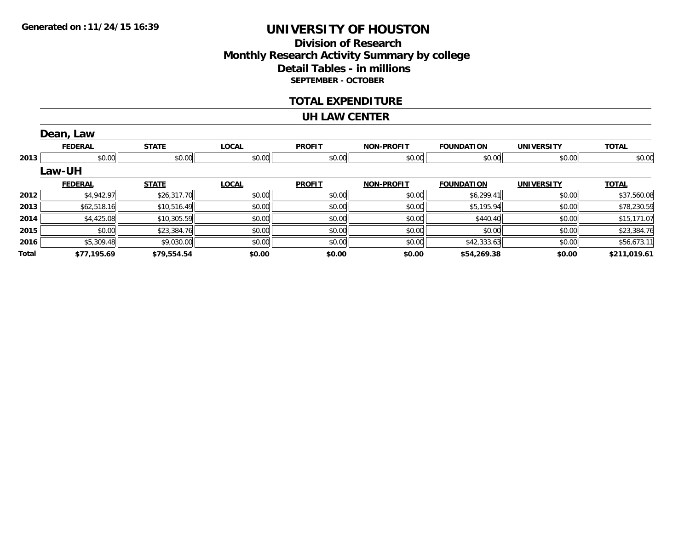## **Division of ResearchMonthly Research Activity Summary by college Detail Tables - in millions SEPTEMBER - OCTOBER**

#### **TOTAL EXPENDITURE**

#### **UH LAW CENTER**

|       | Dean, Law      |              |              |               |                   |                   |                   |              |
|-------|----------------|--------------|--------------|---------------|-------------------|-------------------|-------------------|--------------|
|       | <b>FEDERAL</b> | <b>STATE</b> | <b>LOCAL</b> | <b>PROFIT</b> | <b>NON-PROFIT</b> | <b>FOUNDATION</b> | <b>UNIVERSITY</b> | <b>TOTAL</b> |
| 2013  | \$0.00         | \$0.00       | \$0.00       | \$0.00        | \$0.00            | \$0.00            | \$0.00            | \$0.00       |
|       | Law-UH         |              |              |               |                   |                   |                   |              |
|       | <b>FEDERAL</b> | <b>STATE</b> | <b>LOCAL</b> | <b>PROFIT</b> | <b>NON-PROFIT</b> | <b>FOUNDATION</b> | <b>UNIVERSITY</b> | <b>TOTAL</b> |
| 2012  | \$4,942.97     | \$26,317.70  | \$0.00       | \$0.00        | \$0.00            | \$6,299.41        | \$0.00            | \$37,560.08  |
| 2013  | \$62,518.16    | \$10,516.49  | \$0.00       | \$0.00        | \$0.00            | \$5,195.94        | \$0.00            | \$78,230.59  |
| 2014  | \$4,425.08     | \$10,305.59  | \$0.00       | \$0.00        | \$0.00            | \$440.40          | \$0.00            | \$15,171.07  |
| 2015  | \$0.00         | \$23,384.76  | \$0.00       | \$0.00        | \$0.00            | \$0.00            | \$0.00            | \$23,384.76  |
| 2016  | \$5,309.48     | \$9,030.00   | \$0.00       | \$0.00        | \$0.00            | \$42,333.63       | \$0.00            | \$56,673.11  |
| Total | \$77,195.69    | \$79,554.54  | \$0.00       | \$0.00        | \$0.00            | \$54,269.38       | \$0.00            | \$211,019.61 |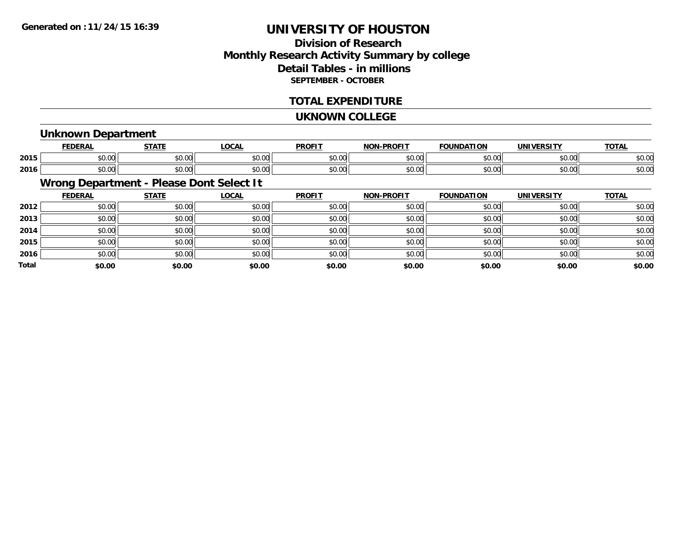## **Division of ResearchMonthly Research Activity Summary by college Detail Tables - in millions SEPTEMBER - OCTOBER**

### **TOTAL EXPENDITURE**

#### **UKNOWN COLLEGE**

#### **Unknown Department**

|      | <b>FEDERAI</b>     | <b>СТЛТЕ</b>                              | 00N<br>UUM. | <b>PROFIT</b> | <b>LDDOFIT</b><br><b>NICH</b> | <b>FOUNDATION</b><br>1 V J I | <b>INILIEDCIT</b> | <b>TOTAL</b>           |
|------|--------------------|-------------------------------------------|-------------|---------------|-------------------------------|------------------------------|-------------------|------------------------|
| 2015 | $\sim$ 00<br>טט.טע | $\uparrow$ $\uparrow$ $\uparrow$<br>PU.UU | 40.00       | 0000<br>JU.UU | 0000<br>,u.uu                 | $\sim$ 00                    | 0.00<br>vu.uu     | $\sim$ $\sim$<br>DU.UU |
| 2016 | $\sim$ 00<br>₽U.UU | 0000<br>JU.UU                             | vu.vu       | 0.00<br>vv.vv | \$0.00                        | $\sim$ 00                    | 0000<br>vv.vv     | $\sim$ $\sim$<br>ง∪.∪บ |

## **Wrong Department - Please Dont Select It**

|              | <b>FEDERAL</b> | <b>STATE</b> | <u>LOCAL</u> | <b>PROFIT</b> | <b>NON-PROFIT</b> | <b>FOUNDATION</b> | <b>UNIVERSITY</b> | <b>TOTAL</b> |
|--------------|----------------|--------------|--------------|---------------|-------------------|-------------------|-------------------|--------------|
| 2012         | \$0.00         | \$0.00       | \$0.00       | \$0.00        | \$0.00            | \$0.00            | \$0.00            | \$0.00       |
| 2013         | \$0.00         | \$0.00       | \$0.00       | \$0.00        | \$0.00            | \$0.00            | \$0.00            | \$0.00       |
| 2014         | \$0.00         | \$0.00       | \$0.00       | \$0.00        | \$0.00            | \$0.00            | \$0.00            | \$0.00       |
| 2015         | \$0.00         | \$0.00       | \$0.00       | \$0.00        | \$0.00            | \$0.00            | \$0.00            | \$0.00       |
| 2016         | \$0.00         | \$0.00       | \$0.00       | \$0.00        | \$0.00            | \$0.00            | \$0.00            | \$0.00       |
| <b>Total</b> | \$0.00         | \$0.00       | \$0.00       | \$0.00        | \$0.00            | \$0.00            | \$0.00            | \$0.00       |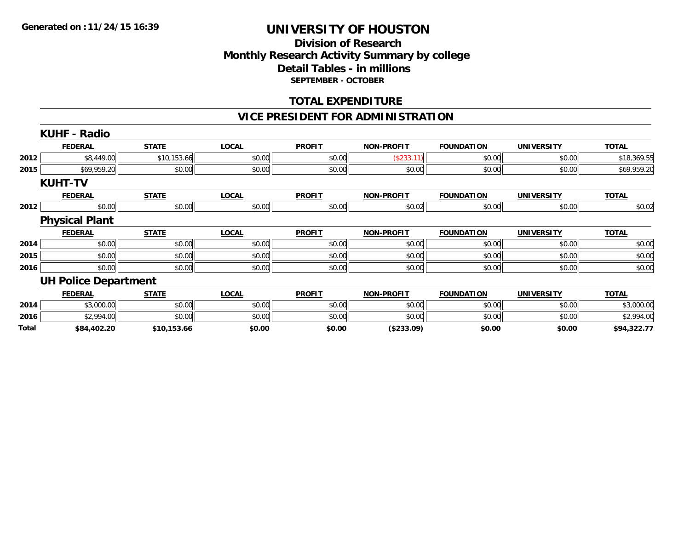### **Division of Research Monthly Research Activity Summary by college Detail Tables - in millions SEPTEMBER - OCTOBER**

### **TOTAL EXPENDITURE**

### **VICE PRESIDENT FOR ADMINISTRATION**

|              | <b>KUHF - Radio</b>         |              |              |               |                   |                   |                   |              |
|--------------|-----------------------------|--------------|--------------|---------------|-------------------|-------------------|-------------------|--------------|
|              | <b>FEDERAL</b>              | <b>STATE</b> | <b>LOCAL</b> | <b>PROFIT</b> | <b>NON-PROFIT</b> | <b>FOUNDATION</b> | <b>UNIVERSITY</b> | <b>TOTAL</b> |
| 2012         | \$8,449.00                  | \$10,153.66  | \$0.00       | \$0.00        | (\$233.11)        | \$0.00            | \$0.00            | \$18,369.55  |
| 2015         | \$69,959.20                 | \$0.00       | \$0.00       | \$0.00        | \$0.00            | \$0.00            | \$0.00            | \$69,959.20  |
|              | <b>KUHT-TV</b>              |              |              |               |                   |                   |                   |              |
|              | <b>FEDERAL</b>              | <b>STATE</b> | <b>LOCAL</b> | <b>PROFIT</b> | <b>NON-PROFIT</b> | <b>FOUNDATION</b> | <b>UNIVERSITY</b> | <b>TOTAL</b> |
| 2012         | \$0.00                      | \$0.00       | \$0.00       | \$0.00        | \$0.02            | \$0.00            | \$0.00            | \$0.02       |
|              | <b>Physical Plant</b>       |              |              |               |                   |                   |                   |              |
|              | <b>FEDERAL</b>              | <b>STATE</b> | <b>LOCAL</b> | <b>PROFIT</b> | <b>NON-PROFIT</b> | <b>FOUNDATION</b> | <b>UNIVERSITY</b> | <b>TOTAL</b> |
| 2014         | \$0.00                      | \$0.00       | \$0.00       | \$0.00        | \$0.00            | \$0.00            | \$0.00            | \$0.00       |
| 2015         | \$0.00                      | \$0.00       | \$0.00       | \$0.00        | \$0.00            | \$0.00            | \$0.00            | \$0.00       |
| 2016         | \$0.00                      | \$0.00       | \$0.00       | \$0.00        | \$0.00            | \$0.00            | \$0.00            | \$0.00       |
|              | <b>UH Police Department</b> |              |              |               |                   |                   |                   |              |
|              | <b>FEDERAL</b>              | <b>STATE</b> | <b>LOCAL</b> | <b>PROFIT</b> | <b>NON-PROFIT</b> | <b>FOUNDATION</b> | <b>UNIVERSITY</b> | <b>TOTAL</b> |
| 2014         | \$3,000.00                  | \$0.00       | \$0.00       | \$0.00        | \$0.00            | \$0.00            | \$0.00            | \$3,000.00   |
| 2016         | \$2,994.00                  | \$0.00       | \$0.00       | \$0.00        | \$0.00            | \$0.00            | \$0.00            | \$2,994.00   |
| <b>Total</b> | \$84,402.20                 | \$10,153.66  | \$0.00       | \$0.00        | (\$233.09)        | \$0.00            | \$0.00            | \$94,322.77  |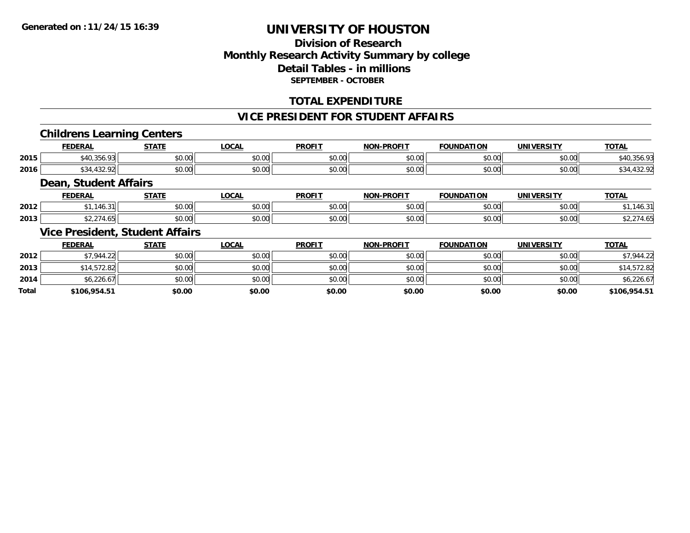## **Division of ResearchMonthly Research Activity Summary by college Detail Tables - in millions SEPTEMBER - OCTOBER**

### **TOTAL EXPENDITURE**

#### **VICE PRESIDENT FOR STUDENT AFFAIRS**

#### **Childrens Learning Centers**

|      | EENEDAI<br>DERAI                  | -----          | .OCAL                | <b>PROFIT</b>                                     | <b>-PROFIT</b><br>NON | .<br>. רמרי<br>10N | .<br>JN            | <b>TOTA</b> |
|------|-----------------------------------|----------------|----------------------|---------------------------------------------------|-----------------------|--------------------|--------------------|-------------|
| 2015 | $\sim$ $\sim$<br>$\sim$<br>590.7. | ሶስ ሰሰ<br>JU.UU | 0000<br>JU.UU        | $\mathsf{A}\cap\mathsf{A}\cap\mathsf{A}$<br>JU.UU | \$0.00                | 0000<br>JU.UU      | $\sim$ 00<br>JU.UU | 40.330.9.   |
| 2016 | $\sim$                            | ሶስ ሰሰ<br>JU.UU | 0.00<br><b>JU.UU</b> | $\sim$ $\sim$<br>JU.UU                            | \$0.00                | 0000<br>JU.UU      | 0000<br>PO.OO      | TJZ.        |

#### **Dean, Student Affairs**

|      | <b>FEDERAL</b>       | <b>STATE</b> | <b>OCAL</b>    | <b>PROFIT</b>           | -PROFIT<br><b>NIONI</b> | <b>FOUNDATION</b>  | <b>UNIVERSITY</b> | <b>TOTAL</b> |
|------|----------------------|--------------|----------------|-------------------------|-------------------------|--------------------|-------------------|--------------|
| 2012 | <b>TU.J</b>          | \$0.00       | ტი იი<br>JU.UU | 0 <sup>0</sup><br>JU.UU | 0000<br>JU.UU           | $\sim$ 00<br>JU.UU | 0.001<br>JU.UU    |              |
| 2013 | $\sim$ $\sim$ $\sim$ | \$0.00       | ტი იი<br>vv.vv | 0.00<br>PO.OO           | 0000<br>DU.UU           | $\sim$ 00<br>JU.UU | 0.001<br>JU.UU    | - 11         |

## **Vice President, Student Affairs**

|              | <b>FEDERAL</b> | <b>STATE</b> | <b>LOCAL</b> | <b>PROFIT</b> | <b>NON-PROFIT</b> | <b>FOUNDATION</b> | UNIVERSITY | <b>TOTAL</b> |
|--------------|----------------|--------------|--------------|---------------|-------------------|-------------------|------------|--------------|
| 2012         | \$7,944.22     | \$0.00       | \$0.00       | \$0.00        | \$0.00            | \$0.00            | \$0.00     | \$7,944.22   |
| 2013         | \$14,572.82    | \$0.00       | \$0.00       | \$0.00        | \$0.00            | \$0.00            | \$0.00     | \$14,572.82  |
| 2014         | \$6,226.67     | \$0.00       | \$0.00       | \$0.00        | \$0.00            | \$0.00            | \$0.00     | \$6,226.67   |
| <b>Total</b> | \$106,954.51   | \$0.00       | \$0.00       | \$0.00        | \$0.00            | \$0.00            | \$0.00     | \$106,954.51 |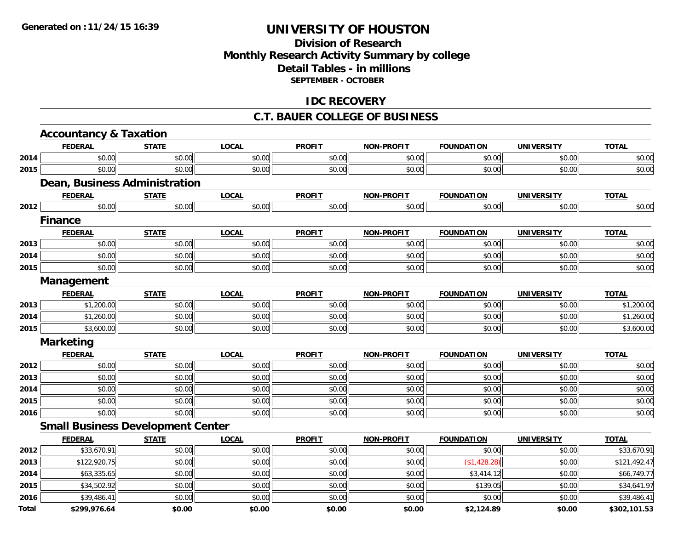## **Division of ResearchMonthly Research Activity Summary by college Detail Tables - in millions SEPTEMBER - OCTOBER**

### **IDC RECOVERY**

#### **C.T. BAUER COLLEGE OF BUSINESS**

|       | <b>Accountancy &amp; Taxation</b> |                                          |              |               |                   |                   |                   |              |
|-------|-----------------------------------|------------------------------------------|--------------|---------------|-------------------|-------------------|-------------------|--------------|
|       | <b>FEDERAL</b>                    | <b>STATE</b>                             | <b>LOCAL</b> | <b>PROFIT</b> | <b>NON-PROFIT</b> | <b>FOUNDATION</b> | <b>UNIVERSITY</b> | <b>TOTAL</b> |
| 2014  | \$0.00                            | \$0.00                                   | \$0.00       | \$0.00        | \$0.00            | \$0.00            | \$0.00            | \$0.00       |
| 2015  | \$0.00                            | \$0.00                                   | \$0.00       | \$0.00        | \$0.00            | \$0.00            | \$0.00            | \$0.00       |
|       |                                   | Dean, Business Administration            |              |               |                   |                   |                   |              |
|       | <b>FEDERAL</b>                    | <b>STATE</b>                             | <b>LOCAL</b> | <b>PROFIT</b> | <b>NON-PROFIT</b> | <b>FOUNDATION</b> | <b>UNIVERSITY</b> | <b>TOTAL</b> |
| 2012  | \$0.00                            | \$0.00                                   | \$0.00       | \$0.00        | \$0.00            | \$0.00            | \$0.00            | \$0.00       |
|       | <b>Finance</b>                    |                                          |              |               |                   |                   |                   |              |
|       | <b>FEDERAL</b>                    | <b>STATE</b>                             | <b>LOCAL</b> | <b>PROFIT</b> | NON-PROFIT        | <b>FOUNDATION</b> | <b>UNIVERSITY</b> | <b>TOTAL</b> |
| 2013  | \$0.00                            | \$0.00                                   | \$0.00       | \$0.00        | \$0.00            | \$0.00            | \$0.00            | \$0.00       |
| 2014  | \$0.00                            | \$0.00                                   | \$0.00       | \$0.00        | \$0.00            | \$0.00            | \$0.00            | \$0.00       |
| 2015  | \$0.00                            | \$0.00                                   | \$0.00       | \$0.00        | \$0.00            | \$0.00            | \$0.00            | \$0.00       |
|       | Management                        |                                          |              |               |                   |                   |                   |              |
|       | <b>FEDERAL</b>                    | <b>STATE</b>                             | <b>LOCAL</b> | <b>PROFIT</b> | <b>NON-PROFIT</b> | <b>FOUNDATION</b> | <b>UNIVERSITY</b> | <b>TOTAL</b> |
| 2013  | \$1,200.00                        | \$0.00                                   | \$0.00       | \$0.00        | \$0.00            | \$0.00            | \$0.00            | \$1,200.00   |
| 2014  | \$1,260.00                        | \$0.00                                   | \$0.00       | \$0.00        | \$0.00            | \$0.00            | \$0.00            | \$1,260.00   |
| 2015  | \$3,600.00                        | \$0.00                                   | \$0.00       | \$0.00        | \$0.00            | \$0.00            | \$0.00            | \$3,600.00   |
|       | <b>Marketing</b>                  |                                          |              |               |                   |                   |                   |              |
|       | <b>FEDERAL</b>                    | <b>STATE</b>                             | <b>LOCAL</b> | <b>PROFIT</b> | <b>NON-PROFIT</b> | <b>FOUNDATION</b> | <b>UNIVERSITY</b> | <b>TOTAL</b> |
| 2012  | \$0.00                            | \$0.00                                   | \$0.00       | \$0.00        | \$0.00            | \$0.00            | \$0.00            | \$0.00       |
| 2013  | \$0.00                            | \$0.00                                   | \$0.00       | \$0.00        | \$0.00            | \$0.00            | \$0.00            | \$0.00       |
| 2014  | \$0.00                            | \$0.00                                   | \$0.00       | \$0.00        | \$0.00            | \$0.00            | \$0.00            | \$0.00       |
| 2015  | \$0.00                            | \$0.00                                   | \$0.00       | \$0.00        | \$0.00            | \$0.00            | \$0.00            | \$0.00       |
| 2016  | \$0.00                            | \$0.00                                   | \$0.00       | \$0.00        | \$0.00            | \$0.00            | \$0.00            | \$0.00       |
|       |                                   | <b>Small Business Development Center</b> |              |               |                   |                   |                   |              |
|       | <b>FEDERAL</b>                    | <b>STATE</b>                             | <b>LOCAL</b> | <b>PROFIT</b> | <b>NON-PROFIT</b> | <b>FOUNDATION</b> | <b>UNIVERSITY</b> | <b>TOTAL</b> |
| 2012  | \$33,670.91                       | \$0.00                                   | \$0.00       | \$0.00        | \$0.00            | \$0.00            | \$0.00            | \$33,670.91  |
| 2013  | \$122,920.75                      | \$0.00                                   | \$0.00       | \$0.00        | \$0.00            | (\$1,428.28)      | \$0.00            | \$121,492.47 |
| 2014  | \$63,335.65                       | \$0.00                                   | \$0.00       | \$0.00        | \$0.00            | \$3,414.12        | \$0.00            | \$66,749.77  |
| 2015  | \$34,502.92                       | \$0.00                                   | \$0.00       | \$0.00        | \$0.00            | \$139.05          | \$0.00            | \$34,641.97  |
| 2016  | \$39,486.41                       | \$0.00                                   | \$0.00       | \$0.00        | \$0.00            | \$0.00            | \$0.00            | \$39,486.41  |
| Total | \$299,976.64                      | \$0.00                                   | \$0.00       | \$0.00        | \$0.00            | \$2,124.89        | \$0.00            | \$302,101.53 |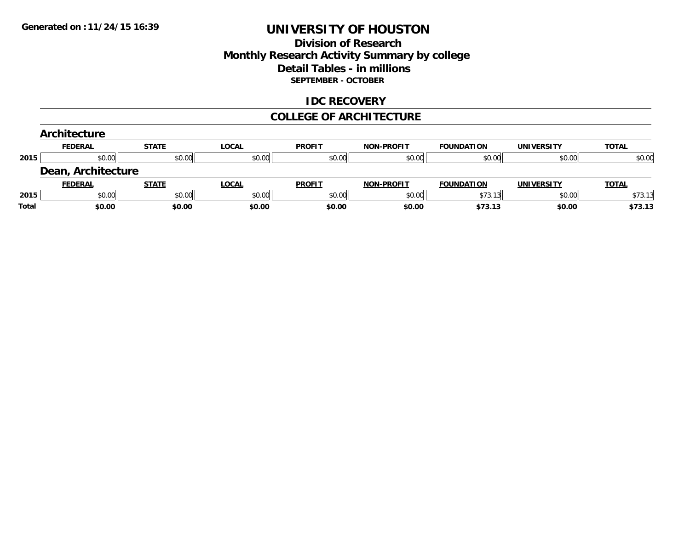### **Division of Research Monthly Research Activity Summary by college Detail Tables - in millions SEPTEMBER - OCTOBER**

### **IDC RECOVERY**

#### **COLLEGE OF ARCHITECTURE**

|       | Architecture          |              |              |               |                   |                   |                   |              |
|-------|-----------------------|--------------|--------------|---------------|-------------------|-------------------|-------------------|--------------|
|       | <b>FEDERAL</b>        | <b>STATE</b> | <b>LOCAL</b> | <b>PROFIT</b> | <b>NON-PROFIT</b> | <b>FOUNDATION</b> | <b>UNIVERSITY</b> | <b>TOTAL</b> |
| 2015  | \$0.00                | \$0.00       | \$0.00       | \$0.00        | \$0.00            | \$0.00            | \$0.00            | \$0.00       |
|       | Architecture<br>Dean, |              |              |               |                   |                   |                   |              |
|       | <b>FEDERAL</b>        | <b>STATE</b> | <b>LOCAL</b> | <b>PROFIT</b> | <b>NON-PROFIT</b> | <b>FOUNDATION</b> | <b>UNIVERSITY</b> | <b>TOTAL</b> |
| 2015  | \$0.00                | \$0.00       | \$0.00       | \$0.00        | \$0.00            | \$73.13           | \$0.00            | \$73.13      |
| Total | \$0.00                | \$0.00       | \$0.00       | \$0.00        | \$0.00            | \$73.13           | \$0.00            | \$73.13      |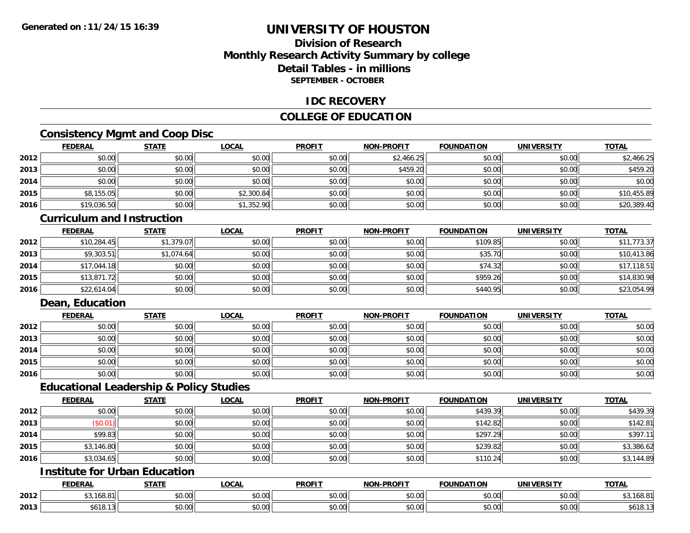## **Division of ResearchMonthly Research Activity Summary by college Detail Tables - in millionsSEPTEMBER - OCTOBER**

#### **IDC RECOVERY**

### **COLLEGE OF EDUCATION**

## **Consistency Mgmt and Coop Disc**

|      | <u>FEDERAL</u> | <b>STATE</b> | <b>LOCAL</b> | <b>PROFIT</b> | NON-PROFIT | <b>FOUNDATION</b> | <b>UNIVERSITY</b> | <b>TOTAL</b> |
|------|----------------|--------------|--------------|---------------|------------|-------------------|-------------------|--------------|
| 2012 | \$0.00         | \$0.00       | \$0.00       | \$0.00        | \$2,466.25 | \$0.00            | \$0.00            | \$2,466.25   |
| 2013 | \$0.00         | \$0.00       | \$0.00       | \$0.00        | \$459.20   | \$0.00            | \$0.00            | \$459.20     |
| 2014 | \$0.00         | \$0.00       | \$0.00       | \$0.00        | \$0.00     | \$0.00            | \$0.00            | \$0.00       |
| 2015 | \$8,155.05     | \$0.00       | \$2,300.84   | \$0.00        | \$0.00     | \$0.00            | \$0.00            | \$10,455.89  |
| 2016 | \$19,036.50    | \$0.00       | \$1,352.90   | \$0.00        | \$0.00     | \$0.00            | \$0.00            | \$20,389.40  |

#### **Curriculum and Instruction**

|      | <b>FEDERAL</b> | <b>STATE</b> | <u>LOCAL</u> | <b>PROFIT</b> | <b>NON-PROFIT</b> | <b>FOUNDATION</b> | <b>UNIVERSITY</b> | <b>TOTAL</b> |
|------|----------------|--------------|--------------|---------------|-------------------|-------------------|-------------------|--------------|
| 2012 | \$10,284.45    | \$1,379.07   | \$0.00       | \$0.00        | \$0.00            | \$109.85          | \$0.00            | \$11,773.37  |
| 2013 | \$9,303.51     | \$1,074.64   | \$0.00       | \$0.00        | \$0.00            | \$35.70           | \$0.00            | \$10,413.86  |
| 2014 | \$17,044.18    | \$0.00       | \$0.00       | \$0.00        | \$0.00            | \$74.32           | \$0.00            | \$17,118.51  |
| 2015 | \$13,871.72    | \$0.00       | \$0.00       | \$0.00        | \$0.00            | \$959.26          | \$0.00            | \$14,830.98  |
| 2016 | \$22,614.04    | \$0.00       | \$0.00       | \$0.00        | \$0.00            | \$440.95          | \$0.00            | \$23,054.99  |

### **Dean, Education**

|      | <b>FEDERAL</b> | <b>STATE</b> | <u>LOCAL</u> | <b>PROFIT</b> | <b>NON-PROFIT</b> | <b>FOUNDATION</b> | <b>UNIVERSITY</b> | <b>TOTAL</b> |
|------|----------------|--------------|--------------|---------------|-------------------|-------------------|-------------------|--------------|
| 2012 | \$0.00         | \$0.00       | \$0.00       | \$0.00        | \$0.00            | \$0.00            | \$0.00            | \$0.00       |
| 2013 | \$0.00         | \$0.00       | \$0.00       | \$0.00        | \$0.00            | \$0.00            | \$0.00            | \$0.00       |
| 2014 | \$0.00         | \$0.00       | \$0.00       | \$0.00        | \$0.00            | \$0.00            | \$0.00            | \$0.00       |
| 2015 | \$0.00         | \$0.00       | \$0.00       | \$0.00        | \$0.00            | \$0.00            | \$0.00            | \$0.00       |
| 2016 | \$0.00         | \$0.00       | \$0.00       | \$0.00        | \$0.00            | \$0.00            | \$0.00            | \$0.00       |

#### **Educational Leadership & Policy Studies**

|      | <b>FEDERAL</b> | <b>STATE</b> | <u>LOCAL</u> | <b>PROFIT</b> | <b>NON-PROFIT</b> | <b>FOUNDATION</b> | <b>UNIVERSITY</b> | <b>TOTAL</b> |
|------|----------------|--------------|--------------|---------------|-------------------|-------------------|-------------------|--------------|
| 2012 | \$0.00         | \$0.00       | \$0.00       | \$0.00        | \$0.00            | \$439.39          | \$0.00            | \$439.39     |
| 2013 | \$0.01         | \$0.00       | \$0.00       | \$0.00        | \$0.00            | \$142.82          | \$0.00            | \$142.81     |
| 2014 | \$99.83        | \$0.00       | \$0.00       | \$0.00        | \$0.00            | \$297.29          | \$0.00            | \$397.1      |
| 2015 | \$3,146.80     | \$0.00       | \$0.00       | \$0.00        | \$0.00            | \$239.82          | \$0.00            | \$3,386.62   |
| 2016 | \$3,034.65     | \$0.00       | \$0.00       | \$0.00        | \$0.00            | \$110.24          | \$0.00            | \$3,144.89   |

# **Institute for Urban Education**

|      | <b>FEDERAL</b>                                                 | <b>CTATE</b>          | <b>LOCAL</b>                             | <b>PROFIT</b>  | -PROFIT<br>NON. | <b>FOUNDATION</b> | UNIVERSITY                    | <b>TOTAL</b>  |
|------|----------------------------------------------------------------|-----------------------|------------------------------------------|----------------|-----------------|-------------------|-------------------------------|---------------|
| 2012 | $\uparrow$ $\uparrow$ $\uparrow$ $\uparrow$<br>1 UU . U<br>,,, | \$0.00                | $\sim$<br>$\sim$<br>₽∪.∪∪                | ტი იი<br>DU.UU | 0000<br>pu.uu   | 0.00<br>JU.UU     | $\sim$ $\sim$<br><b>JU.UU</b> | ר ה<br>100.01 |
| 2013 | 0.140<br>DO 10.                                                | $\sim$ $\sim$<br>0.00 | $\uparrow$ $\uparrow$<br>$\sim$<br>vu.uu | 0000<br>DU.UG  | 0000<br>JU.UU   | 0000<br>wu.uu     | 0.00<br><b>JU.UU</b>          | \$618.1?      |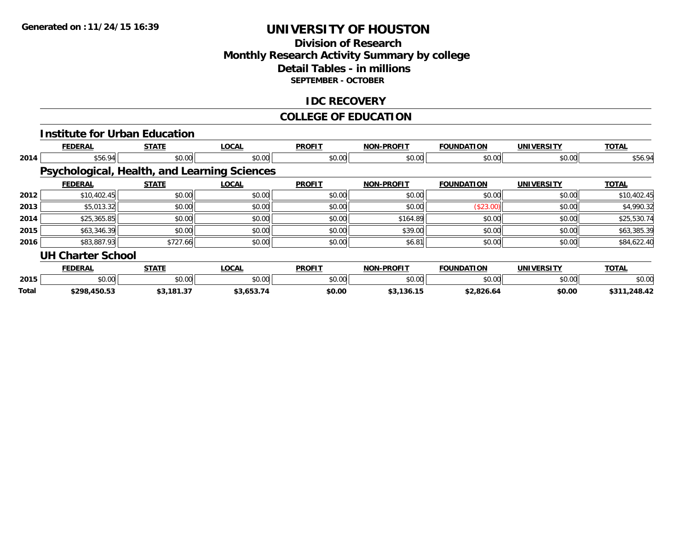### **Division of Research Monthly Research Activity Summary by college Detail Tables - in millions SEPTEMBER - OCTOBER**

### **IDC RECOVERY**

#### **COLLEGE OF EDUCATION**

|       |                          | <b>Institute for Urban Education</b> |                                                     |               |                   |                   |                   |              |
|-------|--------------------------|--------------------------------------|-----------------------------------------------------|---------------|-------------------|-------------------|-------------------|--------------|
|       | <b>FEDERAL</b>           | <b>STATE</b>                         | <b>LOCAL</b>                                        | <b>PROFIT</b> | <b>NON-PROFIT</b> | <b>FOUNDATION</b> | <b>UNIVERSITY</b> | <b>TOTAL</b> |
| 2014  | \$56.94                  | \$0.00                               | \$0.00                                              | \$0.00        | \$0.00            | \$0.00            | \$0.00            | \$56.94      |
|       |                          |                                      | <b>Psychological, Health, and Learning Sciences</b> |               |                   |                   |                   |              |
|       | <b>FEDERAL</b>           | <b>STATE</b>                         | <b>LOCAL</b>                                        | <b>PROFIT</b> | <b>NON-PROFIT</b> | <b>FOUNDATION</b> | <b>UNIVERSITY</b> | <b>TOTAL</b> |
| 2012  | \$10,402.45              | \$0.00                               | \$0.00                                              | \$0.00        | \$0.00            | \$0.00            | \$0.00            | \$10,402.45  |
| 2013  | \$5,013.32               | \$0.00                               | \$0.00                                              | \$0.00        | \$0.00            | (\$23.00)         | \$0.00            | \$4,990.32   |
| 2014  | \$25,365.85              | \$0.00                               | \$0.00                                              | \$0.00        | \$164.89          | \$0.00            | \$0.00            | \$25,530.74  |
| 2015  | \$63,346.39              | \$0.00                               | \$0.00                                              | \$0.00        | \$39.00           | \$0.00            | \$0.00            | \$63,385.39  |
| 2016  | \$83,887.93              | \$727.66                             | \$0.00                                              | \$0.00        | \$6.81            | \$0.00            | \$0.00            | \$84,622.40  |
|       | <b>UH Charter School</b> |                                      |                                                     |               |                   |                   |                   |              |
|       | <b>FEDERAL</b>           | <b>STATE</b>                         | <b>LOCAL</b>                                        | <b>PROFIT</b> | <b>NON-PROFIT</b> | <b>FOUNDATION</b> | <b>UNIVERSITY</b> | <b>TOTAL</b> |
| 2015  | \$0.00                   | \$0.00                               | \$0.00                                              | \$0.00        | \$0.00            | \$0.00            | \$0.00            | \$0.00       |
| Total | \$298,450.53             | \$3,181.37                           | \$3,653.74                                          | \$0.00        | \$3,136.15        | \$2,826.64        | \$0.00            | \$311,248.42 |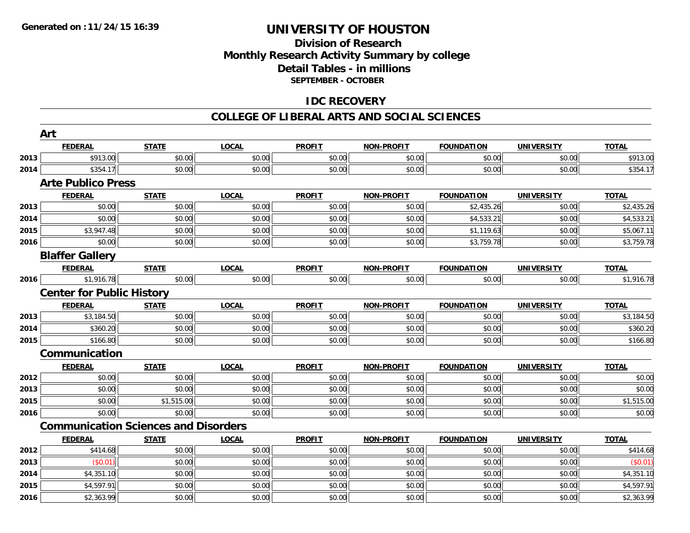### **Division of Research Monthly Research Activity Summary by college Detail Tables - in millions SEPTEMBER - OCTOBER**

### **IDC RECOVERY**

#### **COLLEGE OF LIBERAL ARTS AND SOCIAL SCIENCES**

|      | Art                                         |              |              |               |                   |                   |                   |              |
|------|---------------------------------------------|--------------|--------------|---------------|-------------------|-------------------|-------------------|--------------|
|      | <b>FEDERAL</b>                              | <b>STATE</b> | <b>LOCAL</b> | <b>PROFIT</b> | <b>NON-PROFIT</b> | <b>FOUNDATION</b> | <b>UNIVERSITY</b> | <b>TOTAL</b> |
| 2013 | \$913.00                                    | \$0.00       | \$0.00       | \$0.00        | \$0.00            | \$0.00            | \$0.00            | \$913.00     |
| 2014 | \$354.17                                    | \$0.00       | \$0.00       | \$0.00        | \$0.00            | \$0.00            | \$0.00            | \$354.17     |
|      | <b>Arte Publico Press</b>                   |              |              |               |                   |                   |                   |              |
|      | <b>FEDERAL</b>                              | <b>STATE</b> | <b>LOCAL</b> | <b>PROFIT</b> | <b>NON-PROFIT</b> | <b>FOUNDATION</b> | <b>UNIVERSITY</b> | <b>TOTAL</b> |
| 2013 | \$0.00                                      | \$0.00       | \$0.00       | \$0.00        | \$0.00            | \$2,435.26        | \$0.00            | \$2,435.26   |
| 2014 | \$0.00                                      | \$0.00       | \$0.00       | \$0.00        | \$0.00            | \$4,533.21        | \$0.00            | \$4,533.21   |
| 2015 | \$3,947.48                                  | \$0.00       | \$0.00       | \$0.00        | \$0.00            | \$1,119.63        | \$0.00            | \$5,067.11   |
| 2016 | \$0.00                                      | \$0.00       | \$0.00       | \$0.00        | \$0.00            | \$3,759.78        | \$0.00            | \$3,759.78   |
|      | <b>Blaffer Gallery</b>                      |              |              |               |                   |                   |                   |              |
|      | <b>FEDERAL</b>                              | <b>STATE</b> | <b>LOCAL</b> | <b>PROFIT</b> | <b>NON-PROFIT</b> | <b>FOUNDATION</b> | <b>UNIVERSITY</b> | <b>TOTAL</b> |
| 2016 | \$1,916.78                                  | \$0.00       | \$0.00       | \$0.00        | \$0.00            | \$0.00            | \$0.00            | \$1,916.78   |
|      | <b>Center for Public History</b>            |              |              |               |                   |                   |                   |              |
|      | <b>FEDERAL</b>                              | <b>STATE</b> | <b>LOCAL</b> | <b>PROFIT</b> | NON-PROFIT        | <b>FOUNDATION</b> | <b>UNIVERSITY</b> | <b>TOTAL</b> |
| 2013 | \$3,184.50                                  | \$0.00       | \$0.00       | \$0.00        | \$0.00            | \$0.00            | \$0.00            | \$3,184.50   |
| 2014 | \$360.20                                    | \$0.00       | \$0.00       | \$0.00        | \$0.00            | \$0.00            | \$0.00            | \$360.20     |
| 2015 | \$166.80                                    | \$0.00       | \$0.00       | \$0.00        | \$0.00            | \$0.00            | \$0.00            | \$166.80     |
|      | Communication                               |              |              |               |                   |                   |                   |              |
|      | <b>FEDERAL</b>                              | <b>STATE</b> | <b>LOCAL</b> | <b>PROFIT</b> | <b>NON-PROFIT</b> | <b>FOUNDATION</b> | <b>UNIVERSITY</b> | <b>TOTAL</b> |
| 2012 | \$0.00                                      | \$0.00       | \$0.00       | \$0.00        | \$0.00            | \$0.00            | \$0.00            | \$0.00       |
| 2013 | \$0.00                                      | \$0.00       | \$0.00       | \$0.00        | \$0.00            | \$0.00            | \$0.00            | \$0.00       |
| 2015 | \$0.00                                      | \$1,515.00   | \$0.00       | \$0.00        | \$0.00            | \$0.00            | \$0.00            | \$1,515.00   |
| 2016 | \$0.00                                      | \$0.00       | \$0.00       | \$0.00        | \$0.00            | \$0.00            | \$0.00            | \$0.00       |
|      | <b>Communication Sciences and Disorders</b> |              |              |               |                   |                   |                   |              |
|      | <b>FEDERAL</b>                              | <b>STATE</b> | <b>LOCAL</b> | <b>PROFIT</b> | <b>NON-PROFIT</b> | <b>FOUNDATION</b> | <b>UNIVERSITY</b> | <b>TOTAL</b> |
| 2012 | \$414.68                                    | \$0.00       | \$0.00       | \$0.00        | \$0.00            | \$0.00            | \$0.00            | \$414.68     |
| 2013 | (\$0.01)                                    | \$0.00       | \$0.00       | \$0.00        | \$0.00            | \$0.00            | \$0.00            | (\$0.01)     |
| 2014 | \$4,351.10                                  | \$0.00       | \$0.00       | \$0.00        | \$0.00            | \$0.00            | \$0.00            | \$4,351.10   |
| 2015 | \$4,597.91                                  | \$0.00       | \$0.00       | \$0.00        | \$0.00            | \$0.00            | \$0.00            | \$4,597.91   |
| 2016 | \$2,363.99                                  | \$0.00       | \$0.00       | \$0.00        | \$0.00            | \$0.00            | \$0.00            | \$2,363.99   |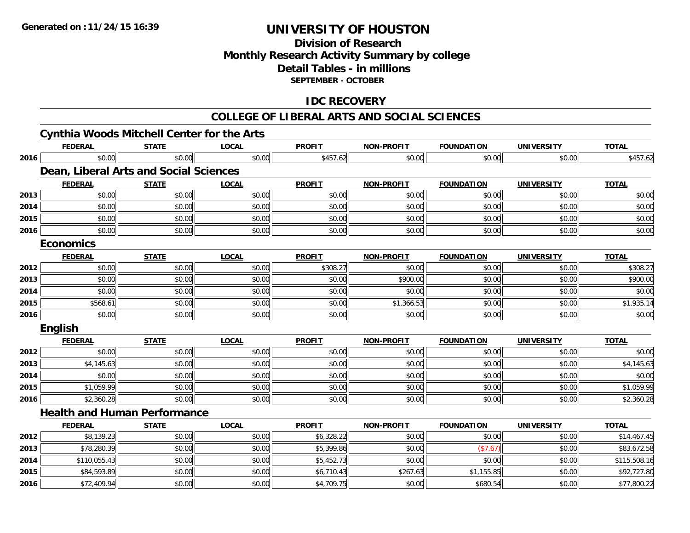**2016**

# **UNIVERSITY OF HOUSTON**

## **Division of ResearchMonthly Research Activity Summary by college Detail Tables - in millions SEPTEMBER - OCTOBER**

## **IDC RECOVERY**

#### **COLLEGE OF LIBERAL ARTS AND SOCIAL SCIENCES**

|      |                  | <b>Cynthia Woods Mitchell Center for the Arts</b> |              |               |                   |                   |                   |              |
|------|------------------|---------------------------------------------------|--------------|---------------|-------------------|-------------------|-------------------|--------------|
|      | <b>FEDERAL</b>   | <b>STATE</b>                                      | LOCAL        | <b>PROFIT</b> | <b>NON-PROFIT</b> | <b>FOUNDATION</b> | <b>UNIVERSITY</b> | <b>TOTAL</b> |
| 2016 | \$0.00           | \$0.00                                            | \$0.00       | \$457.62      | \$0.00            | \$0.00            | \$0.00            | \$457.62     |
|      |                  | Dean, Liberal Arts and Social Sciences            |              |               |                   |                   |                   |              |
|      | <b>FEDERAL</b>   | <b>STATE</b>                                      | LOCAL        | <b>PROFIT</b> | <b>NON-PROFIT</b> | <b>FOUNDATION</b> | <b>UNIVERSITY</b> | <b>TOTAL</b> |
| 2013 | \$0.00           | \$0.00                                            | \$0.00       | \$0.00        | \$0.00            | \$0.00            | \$0.00            | \$0.00       |
| 2014 | \$0.00           | \$0.00                                            | \$0.00       | \$0.00        | \$0.00            | \$0.00            | \$0.00            | \$0.00       |
| 2015 | \$0.00           | \$0.00                                            | \$0.00       | \$0.00        | \$0.00            | \$0.00            | \$0.00            | \$0.00       |
| 2016 | \$0.00           | \$0.00                                            | \$0.00       | \$0.00        | \$0.00            | \$0.00            | \$0.00            | \$0.00       |
|      | <b>Economics</b> |                                                   |              |               |                   |                   |                   |              |
|      | <b>FEDERAL</b>   | <b>STATE</b>                                      | <b>LOCAL</b> | <b>PROFIT</b> | <b>NON-PROFIT</b> | <b>FOUNDATION</b> | <b>UNIVERSITY</b> | <b>TOTAL</b> |
| 2012 | \$0.00           | \$0.00                                            | \$0.00       | \$308.27      | \$0.00            | \$0.00            | \$0.00            | \$308.27     |
| 2013 | \$0.00           | \$0.00                                            | \$0.00       | \$0.00        | \$900.00          | \$0.00            | \$0.00            | \$900.00     |
| 2014 | \$0.00           | \$0.00                                            | \$0.00       | \$0.00        | \$0.00            | \$0.00            | \$0.00            | \$0.00       |
| 2015 | \$568.61         | \$0.00                                            | \$0.00       | \$0.00        | \$1,366.53        | \$0.00            | \$0.00            | \$1,935.14   |
| 2016 | \$0.00           | \$0.00                                            | \$0.00       | \$0.00        | \$0.00            | \$0.00            | \$0.00            | \$0.00       |
|      | English          |                                                   |              |               |                   |                   |                   |              |
|      | <b>FEDERAL</b>   | <b>STATE</b>                                      | <b>LOCAL</b> | <b>PROFIT</b> | <b>NON-PROFIT</b> | <b>FOUNDATION</b> | <b>UNIVERSITY</b> | <b>TOTAL</b> |
| 2012 | \$0.00           | \$0.00                                            | \$0.00       | \$0.00        | \$0.00            | \$0.00            | \$0.00            | \$0.00       |
| 2013 | \$4,145.63       | \$0.00                                            | \$0.00       | \$0.00        | \$0.00            | \$0.00            | \$0.00            | \$4,145.63   |
| 2014 | \$0.00           | \$0.00                                            | \$0.00       | \$0.00        | \$0.00            | \$0.00            | \$0.00            | \$0.00       |
| 2015 | \$1,059.99       | \$0.00                                            | \$0.00       | \$0.00        | \$0.00            | \$0.00            | \$0.00            | \$1,059.99   |
| 2016 | \$2,360.28       | \$0.00                                            | \$0.00       | \$0.00        | \$0.00            | \$0.00            | \$0.00            | \$2,360.28   |
|      |                  | <b>Health and Human Performance</b>               |              |               |                   |                   |                   |              |
|      | <b>FEDERAL</b>   | <b>STATE</b>                                      | <b>LOCAL</b> | <b>PROFIT</b> | <b>NON-PROFIT</b> | <b>FOUNDATION</b> | <b>UNIVERSITY</b> | <b>TOTAL</b> |
| 2012 | \$8,139.23       | \$0.00                                            | \$0.00       | \$6,328.22    | \$0.00            | \$0.00            | \$0.00            | \$14,467.45  |
| 2013 | \$78,280.39      | \$0.00                                            | \$0.00       | \$5,399.86    | \$0.00            | (\$7.67)          | \$0.00            | \$83,672.58  |
| 2014 | \$110,055.43     | \$0.00                                            | \$0.00       | \$5,452.73    | \$0.00            | \$0.00            | \$0.00            | \$115,508.16 |
| 2015 | \$84,593.89      | \$0.00                                            | \$0.00       | \$6,710.43    | \$267.63          | \$1,155.85        | \$0.00            | \$92,727.80  |

6 \$12,409.94 \$0.00 \$0.00 \$0.00 \$0.00 \$0.00 \$4,709.75 \$4,709.75 \$0.00 \$0.00 \$680.54 \$0.00 \$0.00 \$77,800.22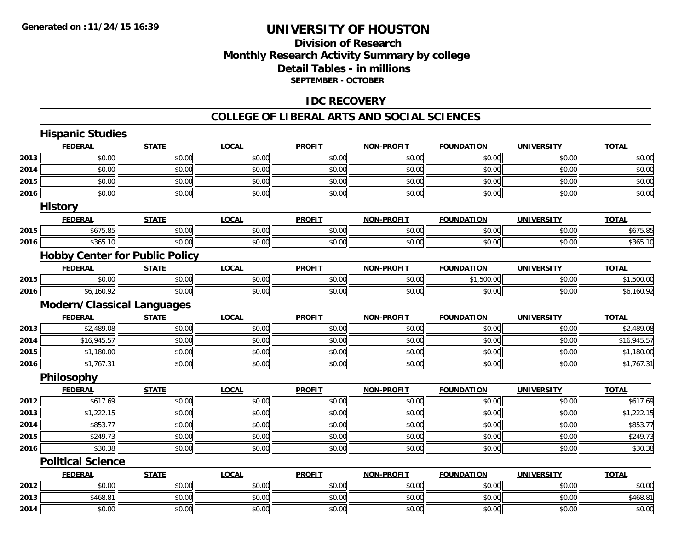## **Division of ResearchMonthly Research Activity Summary by college Detail Tables - in millions SEPTEMBER - OCTOBER**

### **IDC RECOVERY**

#### **COLLEGE OF LIBERAL ARTS AND SOCIAL SCIENCES**

|      | <b>Hispanic Studies</b>               |              |              |               |                   |                   |                   |              |
|------|---------------------------------------|--------------|--------------|---------------|-------------------|-------------------|-------------------|--------------|
|      | <b>FEDERAL</b>                        | <b>STATE</b> | <b>LOCAL</b> | <b>PROFIT</b> | <b>NON-PROFIT</b> | <b>FOUNDATION</b> | <b>UNIVERSITY</b> | <b>TOTAL</b> |
| 2013 | \$0.00                                | \$0.00       | \$0.00       | \$0.00        | \$0.00            | \$0.00            | \$0.00            | \$0.00       |
| 2014 | \$0.00                                | \$0.00       | \$0.00       | \$0.00        | \$0.00            | \$0.00            | \$0.00            | \$0.00       |
| 2015 | \$0.00                                | \$0.00       | \$0.00       | \$0.00        | \$0.00            | \$0.00            | \$0.00            | \$0.00       |
| 2016 | \$0.00                                | \$0.00       | \$0.00       | \$0.00        | \$0.00            | \$0.00            | \$0.00            | \$0.00       |
|      | <b>History</b>                        |              |              |               |                   |                   |                   |              |
|      | <b>FEDERAL</b>                        | <b>STATE</b> | <b>LOCAL</b> | <b>PROFIT</b> | <b>NON-PROFIT</b> | <b>FOUNDATION</b> | <b>UNIVERSITY</b> | <b>TOTAL</b> |
| 2015 | \$675.85                              | \$0.00       | \$0.00       | \$0.00        | \$0.00            | \$0.00            | \$0.00            | \$675.85     |
| 2016 | \$365.10                              | \$0.00       | \$0.00       | \$0.00        | \$0.00            | \$0.00            | \$0.00            | \$365.10     |
|      | <b>Hobby Center for Public Policy</b> |              |              |               |                   |                   |                   |              |
|      | <b>FEDERAL</b>                        | <b>STATE</b> | <b>LOCAL</b> | <b>PROFIT</b> | <b>NON-PROFIT</b> | <b>FOUNDATION</b> | <b>UNIVERSITY</b> | <b>TOTAL</b> |
| 2015 | \$0.00                                | \$0.00       | \$0.00       | \$0.00        | \$0.00            | \$1,500.00        | \$0.00            | \$1,500.00   |
| 2016 | \$6,160.92                            | \$0.00       | \$0.00       | \$0.00        | \$0.00            | \$0.00            | \$0.00            | \$6,160.92   |
|      | <b>Modern/Classical Languages</b>     |              |              |               |                   |                   |                   |              |
|      | <b>FEDERAL</b>                        | <b>STATE</b> | <b>LOCAL</b> | <b>PROFIT</b> | <b>NON-PROFIT</b> | <b>FOUNDATION</b> | <b>UNIVERSITY</b> | <b>TOTAL</b> |
| 2013 | \$2,489.08                            | \$0.00       | \$0.00       | \$0.00        | \$0.00            | \$0.00            | \$0.00            | \$2,489.08   |
| 2014 | \$16,945.57                           | \$0.00       | \$0.00       | \$0.00        | \$0.00            | \$0.00            | \$0.00            | \$16,945.57  |
| 2015 | \$1,180.00                            | \$0.00       | \$0.00       | \$0.00        | \$0.00            | \$0.00            | \$0.00            | \$1,180.00   |
| 2016 | \$1,767.31                            | \$0.00       | \$0.00       | \$0.00        | \$0.00            | \$0.00            | \$0.00            | \$1,767.31   |
|      | Philosophy                            |              |              |               |                   |                   |                   |              |
|      | <b>FEDERAL</b>                        | <b>STATE</b> | <b>LOCAL</b> | <b>PROFIT</b> | <b>NON-PROFIT</b> | <b>FOUNDATION</b> | <b>UNIVERSITY</b> | <b>TOTAL</b> |
| 2012 | \$617.69                              | \$0.00       | \$0.00       | \$0.00        | \$0.00            | \$0.00            | \$0.00            | \$617.69     |
| 2013 | \$1,222.15                            | \$0.00       | \$0.00       | \$0.00        | \$0.00            | \$0.00            | \$0.00            | \$1,222.15   |
| 2014 | \$853.77                              | \$0.00       | \$0.00       | \$0.00        | \$0.00            | \$0.00            | \$0.00            | \$853.77     |
| 2015 | \$249.73                              | \$0.00       | \$0.00       | \$0.00        | \$0.00            | \$0.00            | \$0.00            | \$249.73     |
| 2016 | \$30.38                               | \$0.00       | \$0.00       | \$0.00        | \$0.00            | \$0.00            | \$0.00            | \$30.38      |
|      | <b>Political Science</b>              |              |              |               |                   |                   |                   |              |
|      | <b>FEDERAL</b>                        | <b>STATE</b> | <b>LOCAL</b> | <b>PROFIT</b> | <b>NON-PROFIT</b> | <b>FOUNDATION</b> | <b>UNIVERSITY</b> | <b>TOTAL</b> |
| 2012 | \$0.00                                | \$0.00       | \$0.00       | \$0.00        | \$0.00            | \$0.00            | \$0.00            | \$0.00       |
| 2013 | \$468.81                              | \$0.00       | \$0.00       | \$0.00        | \$0.00            | \$0.00            | \$0.00            | \$468.81     |
| 2014 | \$0.00                                | \$0.00       | \$0.00       | \$0.00        | \$0.00            | \$0.00            | \$0.00            | \$0.00       |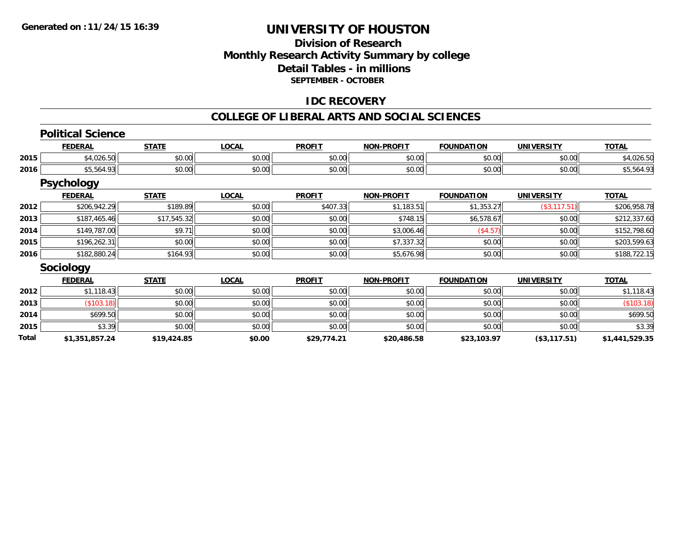### **Division of Research Monthly Research Activity Summary by college Detail Tables - in millions SEPTEMBER - OCTOBER**

### **IDC RECOVERY**

#### **COLLEGE OF LIBERAL ARTS AND SOCIAL SCIENCES**

|       | <b>Political Science</b> |              |              |               |                   |                   |                   |                |
|-------|--------------------------|--------------|--------------|---------------|-------------------|-------------------|-------------------|----------------|
|       | <b>FEDERAL</b>           | <b>STATE</b> | <b>LOCAL</b> | <b>PROFIT</b> | <b>NON-PROFIT</b> | <b>FOUNDATION</b> | <b>UNIVERSITY</b> | <b>TOTAL</b>   |
| 2015  | \$4,026.50               | \$0.00       | \$0.00       | \$0.00        | \$0.00            | \$0.00            | \$0.00            | \$4,026.50     |
| 2016  | \$5,564.93               | \$0.00       | \$0.00       | \$0.00        | \$0.00            | \$0.00            | \$0.00            | \$5,564.93     |
|       | <b>Psychology</b>        |              |              |               |                   |                   |                   |                |
|       | <b>FEDERAL</b>           | <b>STATE</b> | <b>LOCAL</b> | <b>PROFIT</b> | <b>NON-PROFIT</b> | <b>FOUNDATION</b> | <b>UNIVERSITY</b> | <b>TOTAL</b>   |
| 2012  | \$206,942.29             | \$189.89     | \$0.00       | \$407.33      | \$1,183.51        | \$1,353.27        | (\$3,117.51)      | \$206,958.78   |
| 2013  | \$187,465.46             | \$17,545.32  | \$0.00       | \$0.00        | \$748.15          | \$6,578.67        | \$0.00            | \$212,337.60   |
| 2014  | \$149,787.00             | \$9.71       | \$0.00       | \$0.00        | \$3,006.46        | (\$4.57)          | \$0.00            | \$152,798.60   |
| 2015  | \$196,262.31             | \$0.00       | \$0.00       | \$0.00        | \$7,337.32        | \$0.00            | \$0.00            | \$203,599.63   |
| 2016  | \$182,880.24             | \$164.93     | \$0.00       | \$0.00        | \$5,676.98        | \$0.00            | \$0.00            | \$188,722.15   |
|       | Sociology                |              |              |               |                   |                   |                   |                |
|       | <b>FEDERAL</b>           | <b>STATE</b> | <b>LOCAL</b> | <b>PROFIT</b> | <b>NON-PROFIT</b> | <b>FOUNDATION</b> | <b>UNIVERSITY</b> | <b>TOTAL</b>   |
| 2012  | \$1,118.43               | \$0.00       | \$0.00       | \$0.00        | \$0.00            | \$0.00            | \$0.00            | \$1,118.43     |
| 2013  | (\$103.18)               | \$0.00       | \$0.00       | \$0.00        | \$0.00            | \$0.00            | \$0.00            | (\$103.18)     |
| 2014  | \$699.50                 | \$0.00       | \$0.00       | \$0.00        | \$0.00            | \$0.00            | \$0.00            | \$699.50       |
| 2015  | \$3.39                   | \$0.00       | \$0.00       | \$0.00        | \$0.00            | \$0.00            | \$0.00            | \$3.39         |
| Total | \$1,351,857.24           | \$19,424.85  | \$0.00       | \$29,774.21   | \$20,486.58       | \$23,103.97       | (\$3,117.51)      | \$1,441,529.35 |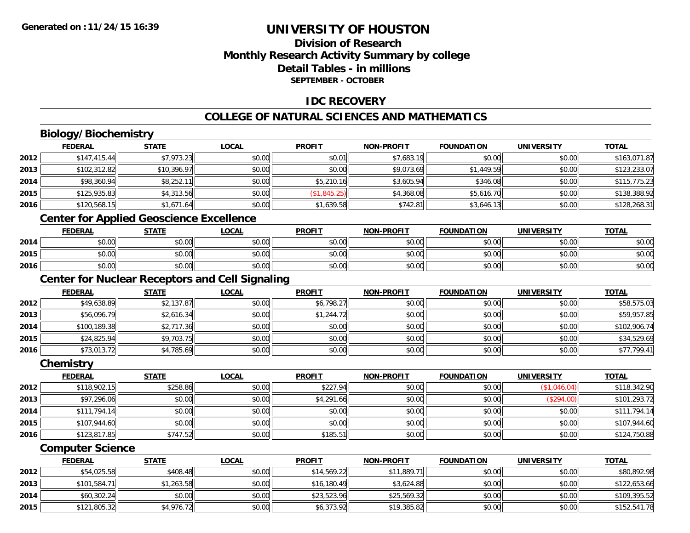## **Division of ResearchMonthly Research Activity Summary by college Detail Tables - in millionsSEPTEMBER - OCTOBER**

### **IDC RECOVERY**

## **COLLEGE OF NATURAL SCIENCES AND MATHEMATICS**

# **Biology/Biochemistry**

|      | <b>FEDERAL</b> | <b>STATE</b> | <b>LOCAL</b> | <b>PROFIT</b> | <b>NON-PROFIT</b> | <b>FOUNDATION</b> | <b>UNIVERSITY</b> | <b>TOTAL</b> |
|------|----------------|--------------|--------------|---------------|-------------------|-------------------|-------------------|--------------|
| 2012 | \$147,415.44   | \$7,973.23   | \$0.00       | \$0.01        | \$7,683.19        | \$0.00            | \$0.00            | \$163,071.87 |
| 2013 | \$102,312.82   | \$10,396.97  | \$0.00       | \$0.00        | \$9,073.69        | \$1,449.59        | \$0.00            | \$123,233.07 |
| 2014 | \$98,360.94    | \$8,252.11   | \$0.00       | \$5,210.16    | \$3,605.94        | \$346.08          | \$0.00            | \$115,775.23 |
| 2015 | \$125,935.83   | \$4,313.56   | \$0.00       | (\$1,845.25)  | \$4,368.08        | \$5,616.70        | \$0.00            | \$138,388.92 |
| 2016 | \$120,568.15   | \$1,671.64   | \$0.00       | \$1,639.58    | \$742.81          | \$3,646.13        | \$0.00            | \$128,268.31 |
|      |                |              |              |               |                   |                   |                   |              |

#### **Center for Applied Geoscience Excellence**

|      | <b>FEDERAL</b> | <b>STATE</b> | <u>LOCAL</u> | <b>PROFIT</b> | <b>NON-PROFIT</b> | <b>FOUNDATION</b> | UNIVERSITY | <b>TOTAL</b> |
|------|----------------|--------------|--------------|---------------|-------------------|-------------------|------------|--------------|
| 2014 | ተ በ<br>DU.UU   | \$0.00       | \$0.00       | \$0.00        | \$0.00            | \$0.00            | \$0.00     | \$0.00       |
| 2015 | \$0.00         | \$0.00       | \$0.00       | \$0.00        | \$0.00            | \$0.00            | \$0.00     | \$0.00       |
| 2016 | \$0.00         | \$0.00       | \$0.00       | \$0.00        | \$0.00            | \$0.00            | \$0.00     | \$0.00       |

### **Center for Nuclear Receptors and Cell Signaling**

|      | <b>FEDERAL</b> | <u>STATE</u> | <u>LOCAL</u> | <b>PROFIT</b> | <b>NON-PROFIT</b> | <b>FOUNDATION</b> | <b>UNIVERSITY</b> | <b>TOTAL</b> |
|------|----------------|--------------|--------------|---------------|-------------------|-------------------|-------------------|--------------|
| 2012 | \$49,638.89    | \$2,137.87   | \$0.00       | \$6,798.27    | \$0.00            | \$0.00            | \$0.00            | \$58,575.03  |
| 2013 | \$56,096.79    | \$2,616.34   | \$0.00       | \$1,244.72    | \$0.00            | \$0.00            | \$0.00            | \$59,957.85  |
| 2014 | \$100.189.38   | \$2,717.36   | \$0.00       | \$0.00        | \$0.00            | \$0.00            | \$0.00            | \$102,906.74 |
| 2015 | \$24,825.94    | \$9,703.75   | \$0.00       | \$0.00        | \$0.00            | \$0.00            | \$0.00            | \$34,529.69  |
| 2016 | \$73,013.72    | \$4,785.69   | \$0.00       | \$0.00        | \$0.00            | \$0.00            | \$0.00            | \$77,799.41  |

#### **Chemistry**

|      | <b>FEDERAL</b> | <b>STATE</b> | <u>LOCAL</u> | <b>PROFIT</b> | <b>NON-PROFIT</b> | <b>FOUNDATION</b> | <b>UNIVERSITY</b> | <b>TOTAL</b> |
|------|----------------|--------------|--------------|---------------|-------------------|-------------------|-------------------|--------------|
| 2012 | \$118,902.15   | \$258.86     | \$0.00       | \$227.94      | \$0.00            | \$0.00            | (\$1,046.04)      | \$118,342.90 |
| 2013 | \$97,296.06    | \$0.00       | \$0.00       | \$4,291.66    | \$0.00            | \$0.00            | (\$294.00)        | \$101,293.72 |
| 2014 | \$111,794.14   | \$0.00       | \$0.00       | \$0.00        | \$0.00            | \$0.00            | \$0.00            | \$111,794.14 |
| 2015 | \$107,944.60   | \$0.00       | \$0.00       | \$0.00        | \$0.00            | \$0.00            | \$0.00            | \$107,944.60 |
| 2016 | \$123,817.85   | \$747.52     | \$0.00       | \$185.51      | \$0.00            | \$0.00            | \$0.00            | \$124,750.88 |

### **Computer Science**

|      | <b>FEDERAL</b> | <u>STATE</u> | <u>LOCAL</u> | <b>PROFIT</b> | <b>NON-PROFIT</b> | <b>FOUNDATION</b> | UNIVERSITY | <b>TOTAL</b> |
|------|----------------|--------------|--------------|---------------|-------------------|-------------------|------------|--------------|
| 2012 | \$54,025.58    | \$408.48     | \$0.00       | \$14,569.22   | \$11,889.71       | \$0.00            | \$0.00     | \$80,892.98  |
| 2013 | \$101,584.71   | \$1,263.58   | \$0.00       | \$16,180.49   | \$3,624.88        | \$0.00            | \$0.00     | \$122,653.66 |
| 2014 | \$60,302.24    | \$0.00       | \$0.00       | \$23,523.96   | \$25,569.32       | \$0.00            | \$0.00     | \$109,395.52 |
| 2015 | \$121,805.32   | \$4,976.72   | \$0.00       | \$6,373.92    | \$19,385.82       | \$0.00            | \$0.00     | \$152,541.78 |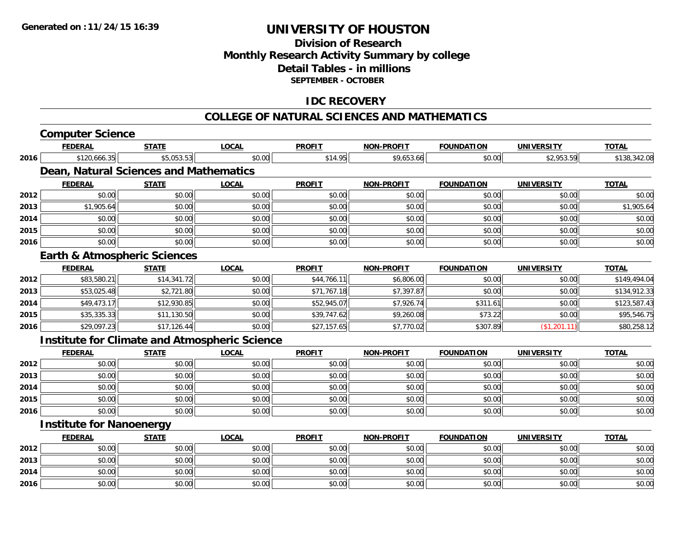**2016**

# **UNIVERSITY OF HOUSTON**

## **Division of ResearchMonthly Research Activity Summary by college Detail Tables - in millions SEPTEMBER - OCTOBER**

### **IDC RECOVERY**

#### **COLLEGE OF NATURAL SCIENCES AND MATHEMATICS**

|      | <b>Computer Science</b>         |                                         |                                                      |               |                   |                   |                   |              |
|------|---------------------------------|-----------------------------------------|------------------------------------------------------|---------------|-------------------|-------------------|-------------------|--------------|
|      | <b>FEDERAL</b>                  | <b>STATE</b>                            | <b>LOCAL</b>                                         | <b>PROFIT</b> | <b>NON-PROFIT</b> | <b>FOUNDATION</b> | <b>UNIVERSITY</b> | <b>TOTAL</b> |
| 2016 | \$120,666.35                    | \$5,053.53                              | \$0.00                                               | \$14.95       | \$9,653.66        | \$0.00            | \$2,953.59        | \$138,342.08 |
|      |                                 | Dean, Natural Sciences and Mathematics  |                                                      |               |                   |                   |                   |              |
|      | <b>FEDERAL</b>                  | <b>STATE</b>                            | <b>LOCAL</b>                                         | <b>PROFIT</b> | <b>NON-PROFIT</b> | <b>FOUNDATION</b> | <b>UNIVERSITY</b> | <b>TOTAL</b> |
| 2012 | \$0.00                          | \$0.00                                  | \$0.00                                               | \$0.00        | \$0.00            | \$0.00            | \$0.00            | \$0.00       |
| 2013 | \$1,905.64                      | \$0.00                                  | \$0.00                                               | \$0.00        | \$0.00            | \$0.00            | \$0.00            | \$1,905.64   |
| 2014 | \$0.00                          | \$0.00                                  | \$0.00                                               | \$0.00        | \$0.00            | \$0.00            | \$0.00            | \$0.00       |
| 2015 | \$0.00                          | \$0.00                                  | \$0.00                                               | \$0.00        | \$0.00            | \$0.00            | \$0.00            | \$0.00       |
| 2016 | \$0.00                          | \$0.00                                  | \$0.00                                               | \$0.00        | \$0.00            | \$0.00            | \$0.00            | \$0.00       |
|      |                                 | <b>Earth &amp; Atmospheric Sciences</b> |                                                      |               |                   |                   |                   |              |
|      | <b>FEDERAL</b>                  | <b>STATE</b>                            | <b>LOCAL</b>                                         | <b>PROFIT</b> | <b>NON-PROFIT</b> | <b>FOUNDATION</b> | <b>UNIVERSITY</b> | <b>TOTAL</b> |
| 2012 | \$83,580.21                     | \$14,341.72                             | \$0.00                                               | \$44,766.11   | \$6,806.00        | \$0.00            | \$0.00            | \$149,494.04 |
| 2013 | \$53,025.48                     | \$2,721.80                              | \$0.00                                               | \$71,767.18   | \$7,397.87        | \$0.00            | \$0.00            | \$134,912.33 |
| 2014 | \$49,473.17                     | \$12,930.85                             | \$0.00                                               | \$52,945.07   | \$7,926.74        | \$311.61          | \$0.00            | \$123,587.43 |
| 2015 | \$35,335.33                     | \$11,130.50                             | \$0.00                                               | \$39,747.62   | \$9,260.08        | \$73.22           | \$0.00            | \$95,546.75  |
| 2016 | \$29,097.23                     | \$17,126.44                             | \$0.00                                               | \$27,157.65   | \$7,770.02        | \$307.89          | (\$1,201.11)      | \$80,258.12  |
|      |                                 |                                         | <b>Institute for Climate and Atmospheric Science</b> |               |                   |                   |                   |              |
|      | <b>FEDERAL</b>                  | <b>STATE</b>                            | <b>LOCAL</b>                                         | <b>PROFIT</b> | <b>NON-PROFIT</b> | <b>FOUNDATION</b> | <b>UNIVERSITY</b> | <b>TOTAL</b> |
| 2012 | \$0.00                          | \$0.00                                  | \$0.00                                               | \$0.00        | \$0.00            | \$0.00            | \$0.00            | \$0.00       |
| 2013 | \$0.00                          | \$0.00                                  | \$0.00                                               | \$0.00        | \$0.00            | \$0.00            | \$0.00            | \$0.00       |
| 2014 | \$0.00                          | \$0.00                                  | \$0.00                                               | \$0.00        | \$0.00            | \$0.00            | \$0.00            | \$0.00       |
| 2015 | \$0.00                          | \$0.00                                  | \$0.00                                               | \$0.00        | \$0.00            | \$0.00            | \$0.00            | \$0.00       |
| 2016 | \$0.00                          | \$0.00                                  | \$0.00                                               | \$0.00        | \$0.00            | \$0.00            | \$0.00            | \$0.00       |
|      | <b>Institute for Nanoenergy</b> |                                         |                                                      |               |                   |                   |                   |              |
|      | <b>FEDERAL</b>                  | <b>STATE</b>                            | <b>LOCAL</b>                                         | <b>PROFIT</b> | <b>NON-PROFIT</b> | <b>FOUNDATION</b> | <b>UNIVERSITY</b> | <b>TOTAL</b> |
| 2012 | \$0.00                          | \$0.00                                  | \$0.00                                               | \$0.00        | \$0.00            | \$0.00            | \$0.00            | \$0.00       |
| 2013 | \$0.00                          | \$0.00                                  | \$0.00                                               | \$0.00        | \$0.00            | \$0.00            | \$0.00            | \$0.00       |
| 2014 | \$0.00                          | \$0.00                                  | \$0.00                                               | \$0.00        | \$0.00            | \$0.00            | \$0.00            | \$0.00       |

\$0.00 \$0.00 \$0.00 \$0.00 \$0.00 \$0.00 \$0.00 \$0.00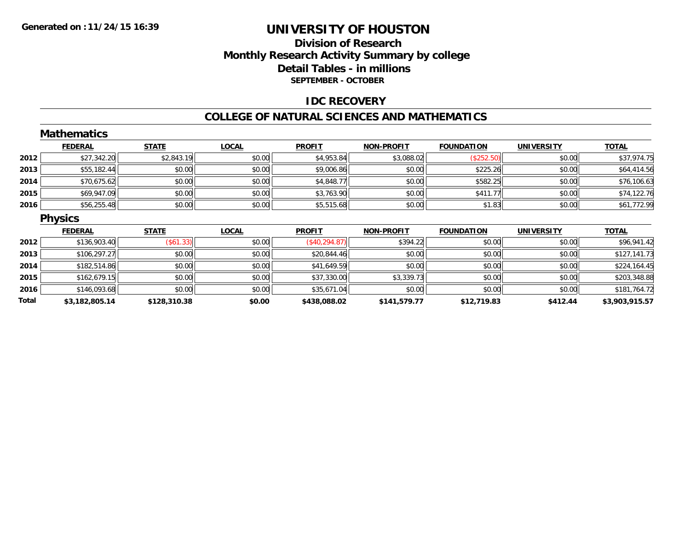### **Division of Research Monthly Research Activity Summary by college Detail Tables - in millions SEPTEMBER - OCTOBER**

### **IDC RECOVERY**

#### **COLLEGE OF NATURAL SCIENCES AND MATHEMATICS**

|       | <b>Mathematics</b> |              |              |                |                   |                   |                   |                |
|-------|--------------------|--------------|--------------|----------------|-------------------|-------------------|-------------------|----------------|
|       | <b>FEDERAL</b>     | <b>STATE</b> | <b>LOCAL</b> | <b>PROFIT</b>  | <b>NON-PROFIT</b> | <b>FOUNDATION</b> | <b>UNIVERSITY</b> | <b>TOTAL</b>   |
| 2012  | \$27,342.20        | \$2,843.19   | \$0.00       | \$4,953.84     | \$3,088.02        | (\$252.50)        | \$0.00            | \$37,974.75    |
| 2013  | \$55,182.44        | \$0.00       | \$0.00       | \$9,006.86     | \$0.00            | \$225.26          | \$0.00            | \$64,414.56    |
| 2014  | \$70,675.62        | \$0.00       | \$0.00       | \$4,848.77     | \$0.00            | \$582.25          | \$0.00            | \$76,106.63    |
| 2015  | \$69,947.09        | \$0.00       | \$0.00       | \$3,763.90     | \$0.00            | \$411.77          | \$0.00            | \$74,122.76    |
| 2016  | \$56,255.48        | \$0.00       | \$0.00       | \$5,515.68     | \$0.00            | \$1.83            | \$0.00            | \$61,772.99    |
|       | <b>Physics</b>     |              |              |                |                   |                   |                   |                |
|       | <b>FEDERAL</b>     | <b>STATE</b> | <b>LOCAL</b> | <b>PROFIT</b>  | <b>NON-PROFIT</b> | <b>FOUNDATION</b> | <b>UNIVERSITY</b> | <b>TOTAL</b>   |
| 2012  | \$136,903.40       | (\$61.33)    | \$0.00       | (\$40, 294.87) | \$394.22          | \$0.00            | \$0.00            | \$96,941.42    |
| 2013  | \$106,297.27       | \$0.00       | \$0.00       | \$20,844.46    | \$0.00            | \$0.00            | \$0.00            | \$127,141.73   |
| 2014  | \$182,514.86       | \$0.00       | \$0.00       | \$41,649.59    | \$0.00            | \$0.00            | \$0.00            | \$224,164.45   |
| 2015  | \$162,679.15       | \$0.00       | \$0.00       | \$37,330.00    | \$3,339.73        | \$0.00            | \$0.00            | \$203,348.88   |
| 2016  | \$146,093.68       | \$0.00       | \$0.00       | \$35,671.04    | \$0.00            | \$0.00            | \$0.00            | \$181,764.72   |
| Total | \$3,182,805.14     | \$128,310.38 | \$0.00       | \$438,088.02   | \$141,579.77      | \$12,719.83       | \$412.44          | \$3,903,915.57 |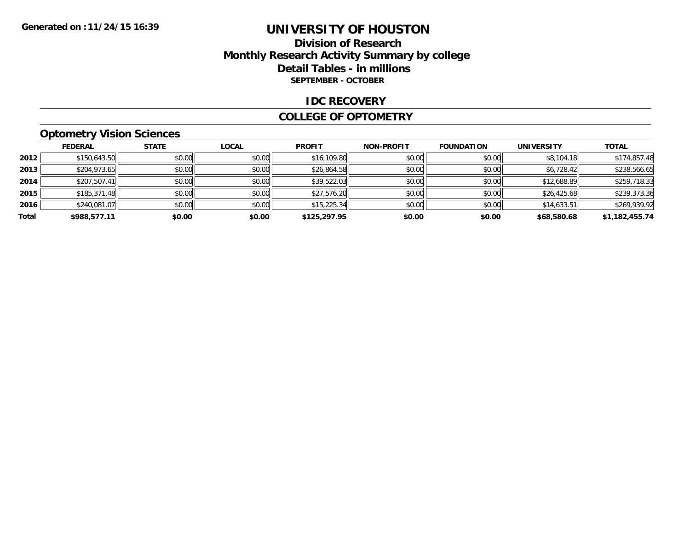### **Division of Research Monthly Research Activity Summary by college Detail Tables - in millions SEPTEMBER - OCTOBER**

#### **IDC RECOVERY**

#### **COLLEGE OF OPTOMETRY**

## **Optometry Vision Sciences**

|       | <b>FEDERAL</b> | <b>STATE</b> | LOCAL  | <b>PROFIT</b> | <b>NON-PROFIT</b> | <b>FOUNDATION</b> | <b>UNIVERSITY</b> | <b>TOTAL</b>   |
|-------|----------------|--------------|--------|---------------|-------------------|-------------------|-------------------|----------------|
| 2012  | \$150,643.50   | \$0.00       | \$0.00 | \$16,109.80   | \$0.00            | \$0.00            | \$8,104.18        | \$174,857.48   |
| 2013  | \$204,973.65   | \$0.00       | \$0.00 | \$26,864.58   | \$0.00            | \$0.00            | \$6,728.42        | \$238,566.65   |
| 2014  | \$207,507.41   | \$0.00       | \$0.00 | \$39,522.03   | \$0.00            | \$0.00            | \$12,688.89       | \$259,718.33   |
| 2015  | \$185,371.48   | \$0.00       | \$0.00 | \$27,576.20   | \$0.00            | \$0.00            | \$26,425.68       | \$239,373.36   |
| 2016  | \$240,081.07   | \$0.00       | \$0.00 | \$15,225.34   | \$0.00            | \$0.00            | \$14,633.51       | \$269,939.92   |
| Total | \$988,577.11   | \$0.00       | \$0.00 | \$125,297.95  | \$0.00            | \$0.00            | \$68,580.68       | \$1,182,455.74 |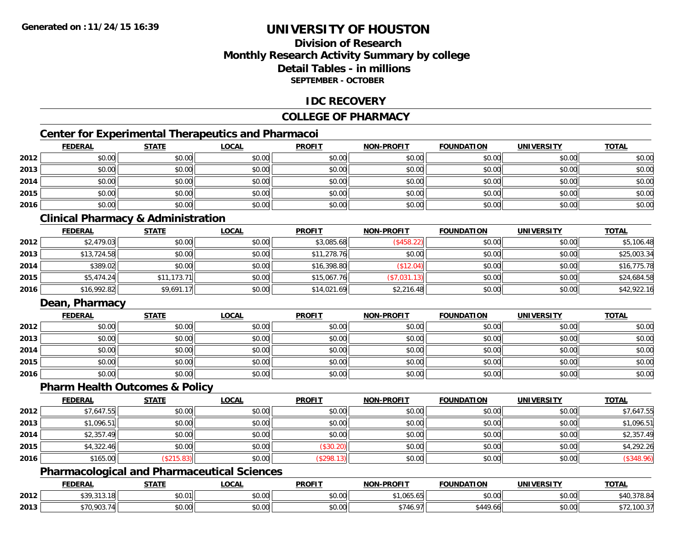## **Division of ResearchMonthly Research Activity Summary by college Detail Tables - in millionsSEPTEMBER - OCTOBER**

### **IDC RECOVERY**

### **COLLEGE OF PHARMACY**

## **Center for Experimental Therapeutics and Pharmacoi**

|      | <b>FEDERAL</b> | <b>STATE</b> | <b>LOCAL</b> | <b>PROFIT</b> | <b>NON-PROFIT</b> | <b>FOUNDATION</b> | <b>UNIVERSITY</b> | <b>TOTAL</b> |
|------|----------------|--------------|--------------|---------------|-------------------|-------------------|-------------------|--------------|
| 2012 | \$0.00         | \$0.00       | \$0.00       | \$0.00        | \$0.00            | \$0.00            | \$0.00            | \$0.00       |
| 2013 | \$0.00         | \$0.00       | \$0.00       | \$0.00        | \$0.00            | \$0.00            | \$0.00            | \$0.00       |
| 2014 | \$0.00         | \$0.00       | \$0.00       | \$0.00        | \$0.00            | \$0.00            | \$0.00            | \$0.00       |
| 2015 | \$0.00         | \$0.00       | \$0.00       | \$0.00        | \$0.00            | \$0.00            | \$0.00            | \$0.00       |
| 2016 | \$0.00         | \$0.00       | \$0.00       | \$0.00        | \$0.00            | \$0.00            | \$0.00            | \$0.00       |

## **Clinical Pharmacy & Administration**

|      | <b>FEDERAL</b> | <b>STATE</b> | <u>LOCAL</u> | <b>PROFIT</b> | <b>NON-PROFIT</b> | <b>FOUNDATION</b> | <b>UNIVERSITY</b> | <b>TOTAL</b> |
|------|----------------|--------------|--------------|---------------|-------------------|-------------------|-------------------|--------------|
| 2012 | \$2,479.03     | \$0.00       | \$0.00       | \$3,085.68    | (\$458.22)        | \$0.00            | \$0.00            | \$5,106.48   |
| 2013 | \$13,724.58    | \$0.00       | \$0.00       | \$11,278.76   | \$0.00            | \$0.00            | \$0.00            | \$25,003.34  |
| 2014 | \$389.02       | \$0.00       | \$0.00       | \$16,398.80   | \$12.04)          | \$0.00            | \$0.00            | \$16,775.78  |
| 2015 | \$5,474.24     | \$11,173.71  | \$0.00       | \$15,067.76   | \$7,031.13]       | \$0.00            | \$0.00            | \$24,684.58  |
| 2016 | \$16,992.82    | \$9,691.17   | \$0.00       | \$14,021.69   | \$2,216.48        | \$0.00            | \$0.00            | \$42,922.16  |

### **Dean, Pharmacy**

|      | <b>FEDERAL</b> | <b>STATE</b> | <u>LOCAL</u> | <b>PROFIT</b> | <b>NON-PROFIT</b> | <b>FOUNDATION</b> | <b>UNIVERSITY</b> | <b>TOTAL</b> |
|------|----------------|--------------|--------------|---------------|-------------------|-------------------|-------------------|--------------|
| 2012 | \$0.00         | \$0.00       | \$0.00       | \$0.00        | \$0.00            | \$0.00            | \$0.00            | \$0.00       |
| 2013 | \$0.00         | \$0.00       | \$0.00       | \$0.00        | \$0.00            | \$0.00            | \$0.00            | \$0.00       |
| 2014 | \$0.00         | \$0.00       | \$0.00       | \$0.00        | \$0.00            | \$0.00            | \$0.00            | \$0.00       |
| 2015 | \$0.00         | \$0.00       | \$0.00       | \$0.00        | \$0.00            | \$0.00            | \$0.00            | \$0.00       |
| 2016 | \$0.00         | \$0.00       | \$0.00       | \$0.00        | \$0.00            | \$0.00            | \$0.00            | \$0.00       |

#### **Pharm Health Outcomes & Policy**

|      | <b>FEDERAL</b> | <b>STATE</b> | <u>LOCAL</u> | <b>PROFIT</b> | <b>NON-PROFIT</b> | <b>FOUNDATION</b> | <b>UNIVERSITY</b> | <b>TOTAL</b> |
|------|----------------|--------------|--------------|---------------|-------------------|-------------------|-------------------|--------------|
| 2012 | \$7,647.55     | \$0.00       | \$0.00       | \$0.00        | \$0.00            | \$0.00            | \$0.00            | \$7,647.55   |
| 2013 | \$1,096.51     | \$0.00       | \$0.00       | \$0.00        | \$0.00            | \$0.00            | \$0.00            | \$1,096.51   |
| 2014 | \$2,357.49     | \$0.00       | \$0.00       | \$0.00        | \$0.00            | \$0.00            | \$0.00            | \$2,357.49   |
| 2015 | \$4,322.46     | \$0.00       | \$0.00       | (\$30.20)     | \$0.00            | \$0.00            | \$0.00            | \$4,292.26   |
| 2016 | \$165.00       | \$215.83)    | \$0.00       | \$298.13      | \$0.00            | \$0.00            | \$0.00            | $(*348.96)$  |

### **Pharmacological and Pharmaceutical Sciences**

|      | <b>EDERAL</b>               | <b>STATE</b>       | <b>_OCAL</b>       | <b>PROFIT</b> | NON-<br><b>LPROFIT</b>              | <b>FOUNDATION</b> | <b>UNIVERSITY</b>             | <b>TOTAL</b>           |
|------|-----------------------------|--------------------|--------------------|---------------|-------------------------------------|-------------------|-------------------------------|------------------------|
| 2012 | 0.0000<br><b>JJ7,JIJ.IO</b> | \$0.01             | $\sim$ 00<br>JU.UU | 0000<br>JU.UU | $+1.01F$<br>$\epsilon$ E<br>,uuj.uj | 0000<br>JU.UU     | $\sim$ $\sim$<br><b>DU.UG</b> | $\sim$<br>40.370.C     |
| 2013 | <b>\$70.903.7.</b>          | $\sim$ 00<br>JU.UU | $\sim$ 00<br>JU.UU | 0.00<br>JU.UU | $\uparrow$<br>റാ                    | \$449.66          | 0.00<br><b>DU.UG</b>          | 100.37<br>$\mathbf{r}$ |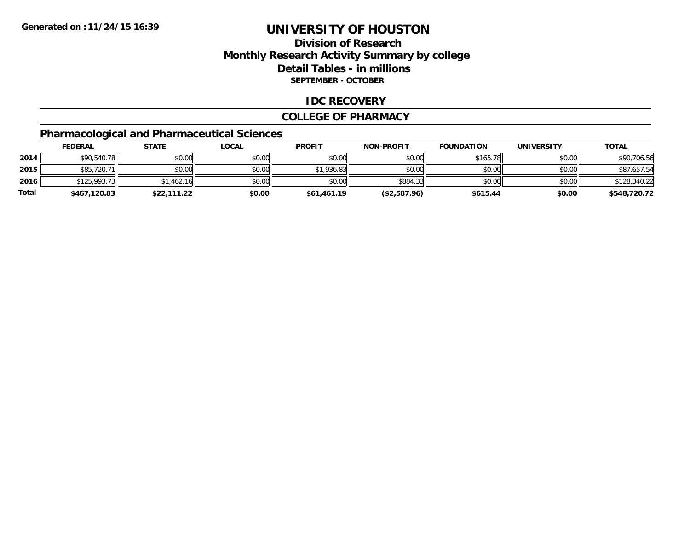## **Division of ResearchMonthly Research Activity Summary by college Detail Tables - in millions SEPTEMBER - OCTOBER**

### **IDC RECOVERY**

#### **COLLEGE OF PHARMACY**

## **Pharmacological and Pharmaceutical Sciences**

|       | <u>FEDERAL</u> | <b>STATE</b> | <u>LOCAL</u> | <b>PROFIT</b> | <b>NON-PROFIT</b> | <b>FOUNDATION</b> | <b>UNIVERSITY</b> | <b>TOTAL</b> |
|-------|----------------|--------------|--------------|---------------|-------------------|-------------------|-------------------|--------------|
| 2014  | \$90,540.78    | \$0.00       | \$0.00       | \$0.00        | \$0.00            | \$165.78          | \$0.00            | \$90,706.56  |
| 2015  | \$85,720.71    | \$0.00       | \$0.00       | \$1,936.83    | \$0.00            | \$0.00            | \$0.00            | \$87.657.54  |
| 2016  | \$125,993.73   | \$1,462.16   | \$0.00       | \$0.00        | \$884.33          | \$0.00            | \$0.00            | \$128,340.22 |
| Total | \$467,120.83   | \$22,111.22  | \$0.00       | \$61,461.19   | (\$2,587.96)      | \$615.44          | \$0.00            | \$548,720.72 |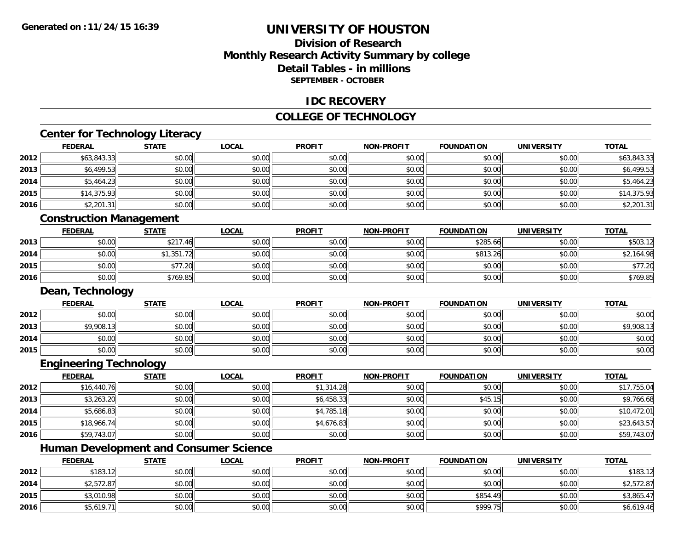## **Division of ResearchMonthly Research Activity Summary by college Detail Tables - in millionsSEPTEMBER - OCTOBER**

#### **IDC RECOVERY**

### **COLLEGE OF TECHNOLOGY**

# **Center for Technology Literacy**

|      | <b>FEDERAL</b>          | <b>STATE</b> | <b>LOCAL</b> | <b>PROFIT</b> | <b>NON-PROFIT</b> | <b>FOUNDATION</b> | <b>UNIVERSITY</b> | <b>TOTAL</b> |
|------|-------------------------|--------------|--------------|---------------|-------------------|-------------------|-------------------|--------------|
| 2012 | \$63,843.33             | \$0.00       | \$0.00       | \$0.00        | \$0.00            | \$0.00            | \$0.00            | \$63,843.33  |
| 2013 | \$6,499.53              | \$0.00       | \$0.00       | \$0.00        | \$0.00            | \$0.00            | \$0.00            | \$6,499.53   |
| 2014 | \$5,464.23              | \$0.00       | \$0.00       | \$0.00        | \$0.00            | \$0.00            | \$0.00            | \$5,464.23   |
| 2015 | \$14,375.93             | \$0.00       | \$0.00       | \$0.00        | \$0.00            | \$0.00            | \$0.00            | \$14,375.93  |
| 2016 | \$2,201.31              | \$0.00       | \$0.00       | \$0.00        | \$0.00            | \$0.00            | \$0.00            | \$2,201.31   |
|      | Construction Managomont |              |              |               |                   |                   |                   |              |

#### **Construction Management**

|      | <u>FEDERAL</u> | <b>STATE</b>                           | <b>LOCAL</b> | <b>PROFIT</b> | <b>NON-PROFIT</b> | <b>FOUNDATION</b> | UNIVERSITY | <b>TOTAL</b> |
|------|----------------|----------------------------------------|--------------|---------------|-------------------|-------------------|------------|--------------|
| 2013 | \$0.00         | \$217.46                               | \$0.00       | \$0.00        | \$0.00            | \$285.66          | \$0.00     | \$503.12     |
| 2014 | \$0.00         | \$1,351.72<br>$\overline{\phantom{a}}$ | \$0.00       | \$0.00        | \$0.00            | \$813.26          | \$0.00     | .164.98      |
| 2015 | \$0.00         | \$77.20                                | \$0.00       | \$0.00        | \$0.00            | \$0.00            | \$0.00     | \$77.20      |
| 2016 | \$0.00         | \$769.85                               | \$0.00       | \$0.00        | \$0.00            | \$0.00            | \$0.00     | \$769.85     |

## **Dean, Technology**

|      | <u>FEDERAL</u> | <b>STATE</b> | <u>LOCAL</u> | <b>PROFIT</b> | <b>NON-PROFIT</b> | <b>FOUNDATION</b> | <b>UNIVERSITY</b> | <b>TOTAL</b> |
|------|----------------|--------------|--------------|---------------|-------------------|-------------------|-------------------|--------------|
| 2012 | \$0.00         | \$0.00       | \$0.00       | \$0.00        | \$0.00            | \$0.00            | \$0.00            | \$0.00       |
| 2013 | \$9,908.13     | \$0.00       | \$0.00       | \$0.00        | \$0.00            | \$0.00            | \$0.00            | \$9,908.13   |
| 2014 | \$0.00         | \$0.00       | \$0.00       | \$0.00        | \$0.00            | \$0.00            | \$0.00            | \$0.00       |
| 2015 | \$0.00         | \$0.00       | \$0.00       | \$0.00        | \$0.00            | \$0.00            | \$0.00            | \$0.00       |

## **Engineering Technology**

|      | <u>FEDERAL</u> | <b>STATE</b> | <u>LOCAL</u> | <b>PROFIT</b> | <b>NON-PROFIT</b> | <b>FOUNDATION</b> | <b>UNIVERSITY</b> | <b>TOTAL</b> |
|------|----------------|--------------|--------------|---------------|-------------------|-------------------|-------------------|--------------|
| 2012 | \$16,440.76    | \$0.00       | \$0.00       | \$1,314.28    | \$0.00            | \$0.00            | \$0.00            | \$17,755.04  |
| 2013 | \$3,263.20     | \$0.00       | \$0.00       | \$6,458.33    | \$0.00            | \$45.15           | \$0.00            | \$9,766.68   |
| 2014 | \$5,686.83     | \$0.00       | \$0.00       | \$4,785.18    | \$0.00            | \$0.00            | \$0.00            | \$10,472.01  |
| 2015 | \$18,966.74    | \$0.00       | \$0.00       | \$4,676.83    | \$0.00            | \$0.00            | \$0.00            | \$23,643.57  |
| 2016 | \$59,743.07    | \$0.00       | \$0.00       | \$0.00        | \$0.00            | \$0.00            | \$0.00            | \$59,743.07  |

# **Human Development and Consumer Science**

|      | <u>FEDERAL</u> | <b>STATE</b> | <u>LOCAL</u> | <b>PROFIT</b> | <b>NON-PROFIT</b> | <b>FOUNDATION</b> | <b>UNIVERSITY</b> | <b>TOTAL</b> |
|------|----------------|--------------|--------------|---------------|-------------------|-------------------|-------------------|--------------|
| 2012 | \$183.12       | \$0.00       | \$0.00       | \$0.00        | \$0.00            | \$0.00            | \$0.00            | \$183.12     |
| 2014 | \$2,572.87     | \$0.00       | \$0.00       | \$0.00        | \$0.00            | \$0.00            | \$0.00            | \$2,572.87   |
| 2015 | \$3,010.98     | \$0.00       | \$0.00       | \$0.00        | \$0.00            | \$854.49          | \$0.00            | \$3,865.47   |
| 2016 | \$5,619.71     | \$0.00       | \$0.00       | \$0.00        | \$0.00            | \$999.75          | \$0.00            | \$6,619.46   |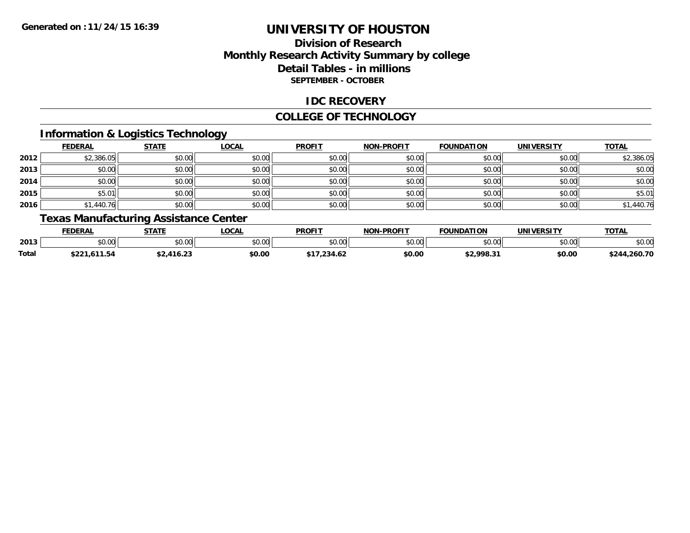## **Division of ResearchMonthly Research Activity Summary by college Detail Tables - in millions SEPTEMBER - OCTOBER**

### **IDC RECOVERY**

#### **COLLEGE OF TECHNOLOGY**

## **Information & Logistics Technology**

|      | <b>FEDERAL</b> | <b>STATE</b> | <b>LOCAL</b> | <b>PROFIT</b> | <b>NON-PROFIT</b> | <b>FOUNDATION</b> | <b>UNIVERSITY</b> | <b>TOTAL</b> |
|------|----------------|--------------|--------------|---------------|-------------------|-------------------|-------------------|--------------|
| 2012 | \$2,386.05     | \$0.00       | \$0.00       | \$0.00        | \$0.00            | \$0.00            | \$0.00            | \$2,386.05   |
| 2013 | \$0.00         | \$0.00       | \$0.00       | \$0.00        | \$0.00            | \$0.00            | \$0.00            | \$0.00       |
| 2014 | \$0.00         | \$0.00       | \$0.00       | \$0.00        | \$0.00            | \$0.00            | \$0.00            | \$0.00       |
| 2015 | \$5.01         | \$0.00       | \$0.00       | \$0.00        | \$0.00            | \$0.00            | \$0.00            | \$5.01       |
| 2016 | \$1,440.76     | \$0.00       | \$0.00       | \$0.00        | \$0.00            | \$0.00            | \$0.00            | \$1,440.76   |

## **Texas Manufacturing Assistance Center**

|       | FEDERAL                | <b>CTATE</b><br>.         | <b>LOCAL</b>  | <b>PROFIT</b> | <b>L-PROFIT</b><br><b>NON</b> | <b>FOUNDATION</b>  | UNIVERSITY         | $T$ $\cap$ $T$ $\wedge$<br>OIA |
|-------|------------------------|---------------------------|---------------|---------------|-------------------------------|--------------------|--------------------|--------------------------------|
| 2013  | $\cdots$<br>JU.UU      | \$0.00                    | 0.00<br>JU.UU | \$0.00        | \$0.00                        | $\sim$ 00<br>JU.UU | $\sim$ 00<br>DU.UG | \$0.00                         |
| Total | 11.54<br>のへつっ<br>DZZ I | $\sim$ $\sim$<br>່ 416.2ວ | \$0.00        | .234.62       | \$0.00                        | \$2,998.31         | \$0.00             | \$244,260.70                   |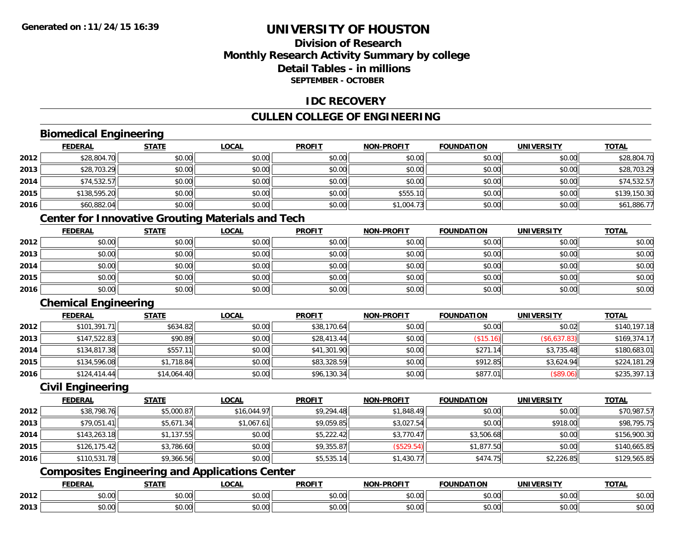## **Division of ResearchMonthly Research Activity Summary by college Detail Tables - in millionsSEPTEMBER - OCTOBER**

### **IDC RECOVERY**

## **CULLEN COLLEGE OF ENGINEERING**

## **Biomedical Engineering**

|      | <b>FEDERAL</b> | <b>STATE</b> | <b>LOCAL</b> | <b>PROFIT</b> | NON-PROFIT | <b>FOUNDATION</b> | <b>UNIVERSITY</b> | <b>TOTAL</b> |
|------|----------------|--------------|--------------|---------------|------------|-------------------|-------------------|--------------|
| 2012 | \$28,804.70    | \$0.00       | \$0.00       | \$0.00        | \$0.00     | \$0.00            | \$0.00            | \$28,804.70  |
| 2013 | \$28,703.29    | \$0.00       | \$0.00       | \$0.00        | \$0.00     | \$0.00            | \$0.00            | \$28,703.29  |
| 2014 | \$74,532.57    | \$0.00       | \$0.00       | \$0.00        | \$0.00     | \$0.00            | \$0.00            | \$74,532.57  |
| 2015 | \$138,595.20   | \$0.00       | \$0.00       | \$0.00        | \$555.10   | \$0.00            | \$0.00            | \$139,150.30 |
| 2016 | \$60,882.04    | \$0.00       | \$0.00       | \$0.00        | \$1,004.73 | \$0.00            | \$0.00            | \$61,886.77  |

## **Center for Innovative Grouting Materials and Tech**

|      | <b>FEDERAL</b> | <b>STATE</b> | <u>LOCAL</u> | <b>PROFIT</b> | <b>NON-PROFIT</b> | <b>FOUNDATION</b> | <b>UNIVERSITY</b> | <b>TOTAL</b> |
|------|----------------|--------------|--------------|---------------|-------------------|-------------------|-------------------|--------------|
| 2012 | \$0.00         | \$0.00       | \$0.00       | \$0.00        | \$0.00            | \$0.00            | \$0.00            | \$0.00       |
| 2013 | \$0.00         | \$0.00       | \$0.00       | \$0.00        | \$0.00            | \$0.00            | \$0.00            | \$0.00       |
| 2014 | \$0.00         | \$0.00       | \$0.00       | \$0.00        | \$0.00            | \$0.00            | \$0.00            | \$0.00       |
| 2015 | \$0.00         | \$0.00       | \$0.00       | \$0.00        | \$0.00            | \$0.00            | \$0.00            | \$0.00       |
| 2016 | \$0.00         | \$0.00       | \$0.00       | \$0.00        | \$0.00            | \$0.00            | \$0.00            | \$0.00       |

## **Chemical Engineering**

|      | <b>FEDERAL</b> | <b>STATE</b> | <b>LOCAL</b> | <b>PROFIT</b> | <b>NON-PROFIT</b> | <b>FOUNDATION</b> | <b>UNIVERSITY</b> | <b>TOTAL</b> |
|------|----------------|--------------|--------------|---------------|-------------------|-------------------|-------------------|--------------|
| 2012 | \$101,391.71   | \$634.82     | \$0.00       | \$38,170.64   | \$0.00            | \$0.00            | \$0.02            | \$140,197.18 |
| 2013 | \$147,522.83   | \$90.89      | \$0.00       | \$28,413.44   | \$0.00            | (\$15.16)         | (\$6,637.83)      | \$169,374.17 |
| 2014 | \$134,817.38   | \$557.1      | \$0.00       | \$41,301.90   | \$0.00            | \$271<br>14 I     | \$3,735.48        | \$180,683.01 |
| 2015 | \$134,596.08   | \$1,718.84   | \$0.00       | \$83,328.59   | \$0.00            | \$912.85          | \$3,624.94        | \$224,181.29 |
| 2016 | \$124,414.44   | \$14,064.40  | \$0.00       | \$96,130.34   | \$0.00            | \$877.01          | (\$89.06)         | \$235,397.13 |

#### **Civil Engineering**

|      | <b>FEDERAL</b> | <u>STATE</u> | <u>LOCAL</u> | <b>PROFIT</b> | <b>NON-PROFIT</b> | <b>FOUNDATION</b> | <b>UNIVERSITY</b> | <b>TOTAL</b> |
|------|----------------|--------------|--------------|---------------|-------------------|-------------------|-------------------|--------------|
| 2012 | \$38,798.76    | \$5,000.87   | \$16,044.97  | \$9,294.48    | \$1,848.49        | \$0.00            | \$0.00            | \$70,987.57  |
| 2013 | \$79,051.41    | \$5,671.34   | \$1,067.61   | \$9,059.85    | \$3,027.54        | \$0.00            | \$918.00          | \$98,795.75  |
| 2014 | \$143,263.18   | \$1,137.55   | \$0.00       | \$5,222.42    | \$3,770.47        | \$3,506.68        | \$0.00            | \$156,900.30 |
| 2015 | \$126, 175.42  | \$3,786.60   | \$0.00       | \$9,355.87    | (\$529.54)        | \$1,877.50        | \$0.00            | \$140,665.85 |
| 2016 | \$110,531.78   | \$9,366.56   | \$0.00       | \$5,535.14    | \$1,430.77        | \$474.75          | \$2,226.85        | \$129,565.85 |

# **Composites Engineering and Applications Center**

|      | ומם ח<br>ERA   | <b>CTATI</b>       | <b>_OCAI</b>       | <b>PROFIT</b>      | <b>DDAEIT</b><br><b>NON</b><br>зĸ.            | <b>INDA</b><br>.                           | i INIT<br>w     | <b>TOTAL</b> |
|------|----------------|--------------------|--------------------|--------------------|-----------------------------------------------|--------------------------------------------|-----------------|--------------|
| 2012 | 0.00           | $\sim$<br>טט.טע    | $\sim$ 00<br>pv.uu | $\sim$ 00<br>pu.uu | $\mathfrak{g}$ $\mathfrak{g}$<br><b>DU.UU</b> | $\mathsf{A} \cap \mathsf{A} \cap$<br>JU.UU | ADAO<br>vu.vu   | JU.UU        |
| 2013 | $\sim$<br>0.00 | $\triangle$<br>ט.ט | ሶስ ሰሰ<br>PU.UU     | $\sim$ 00<br>JU.UU | \$0.00                                        | $\cdots$<br>JU.UU                          | امہ مہ<br>vv.vv | JU.UL        |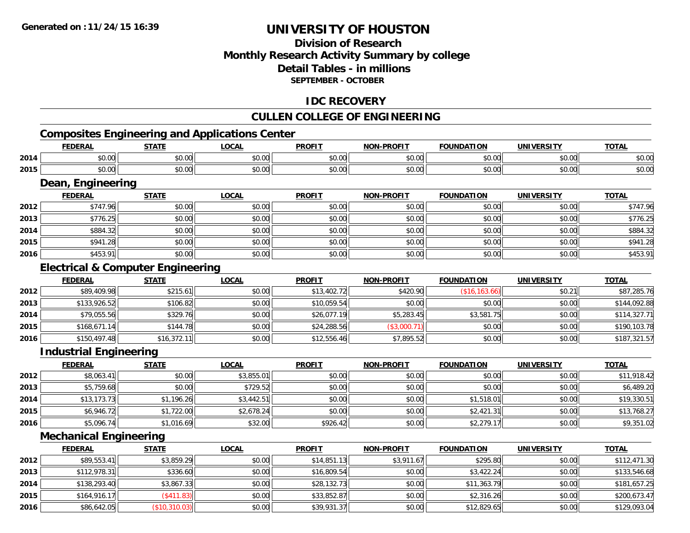## **Division of ResearchMonthly Research Activity Summary by college Detail Tables - in millionsSEPTEMBER - OCTOBER**

### **IDC RECOVERY**

## **CULLEN COLLEGE OF ENGINEERING**

# **Composites Engineering and Applications Center**

|      | <b>FEDERAL</b>                               | <b>STATE</b> | <b>LOCAL</b> | <b>PROFIT</b> | <b>NON-PROFIT</b> | <b>FOUNDATION</b> | <b>UNIVERSITY</b> | <b>TOTAL</b> |
|------|----------------------------------------------|--------------|--------------|---------------|-------------------|-------------------|-------------------|--------------|
| 2014 | \$0.00                                       | \$0.00       | \$0.00       | \$0.00        | \$0.00            | \$0.00            | \$0.00            | \$0.00       |
| 2015 | \$0.00                                       | \$0.00       | \$0.00       | \$0.00        | \$0.00            | \$0.00            | \$0.00            | \$0.00       |
|      | Dean, Engineering                            |              |              |               |                   |                   |                   |              |
|      | <b>FEDERAL</b>                               | <b>STATE</b> | <b>LOCAL</b> | <b>PROFIT</b> | <b>NON-PROFIT</b> | <b>FOUNDATION</b> | <b>UNIVERSITY</b> | <b>TOTAL</b> |
| 2012 | \$747.96                                     | \$0.00       | \$0.00       | \$0.00        | \$0.00            | \$0.00            | \$0.00            | \$747.96     |
| 2013 | \$776.25                                     | \$0.00       | \$0.00       | \$0.00        | \$0.00            | \$0.00            | \$0.00            | \$776.25     |
| 2014 | \$884.32                                     | \$0.00       | \$0.00       | \$0.00        | \$0.00            | \$0.00            | \$0.00            | \$884.32     |
| 2015 | \$941.28                                     | \$0.00       | \$0.00       | \$0.00        | \$0.00            | \$0.00            | \$0.00            | \$941.28     |
| 2016 | \$453.91                                     | \$0.00       | \$0.00       | \$0.00        | \$0.00            | \$0.00            | \$0.00            | \$453.91     |
|      | <b>Electrical &amp; Computer Engineering</b> |              |              |               |                   |                   |                   |              |
|      | <b>FEDERAL</b>                               | <b>STATE</b> | <b>LOCAL</b> | <b>PROFIT</b> | <b>NON-PROFIT</b> | <b>FOUNDATION</b> | <b>UNIVERSITY</b> | <b>TOTAL</b> |
| 2012 | \$89,409.98                                  | \$215.61     | \$0.00       | \$13,402.72   | \$420.90          | (\$16, 163.66)    | \$0.21            | \$87,285.76  |
| 2013 | \$133,926.52                                 | \$106.82     | \$0.00       | \$10,059.54   | \$0.00            | \$0.00            | \$0.00            | \$144,092.88 |
| 2014 | \$79,055.56                                  | \$329.76     | \$0.00       | \$26,077.19   | \$5,283.45        | \$3,581.75        | \$0.00            | \$114,327.71 |
| 2015 | \$168,671.14                                 | \$144.78     | \$0.00       | \$24,288.56   | (\$3,000.71)      | \$0.00            | \$0.00            | \$190,103.78 |
| 2016 | \$150,497.48                                 | \$16,372.11  | \$0.00       | \$12,556.46   | \$7,895.52        | \$0.00            | \$0.00            | \$187,321.57 |
|      | <b>Industrial Engineering</b>                |              |              |               |                   |                   |                   |              |
|      | <b>FEDERAL</b>                               | <b>STATE</b> | <b>LOCAL</b> | <b>PROFIT</b> | <b>NON-PROFIT</b> | <b>FOUNDATION</b> | <b>UNIVERSITY</b> | <b>TOTAL</b> |
| 2012 | \$8,063.41                                   | \$0.00       | \$3,855.01   | \$0.00        | \$0.00            | \$0.00            | \$0.00            | \$11,918.42  |
| 2013 | \$5,759.68                                   | \$0.00       | \$729.52     | \$0.00        | \$0.00            | \$0.00            | \$0.00            | \$6,489.20   |
| 2014 | \$13,173.73                                  | \$1,196.26   | \$3,442.51   | \$0.00        | \$0.00            | \$1,518.01        | \$0.00            | \$19,330.51  |

### **Mechanical Engineering**

**2015**

**2016**

|      | <b>FEDERAL</b> | <b>STATE</b>      | <b>LOCAL</b> | <b>PROFIT</b> | <b>NON-PROFIT</b> | <b>FOUNDATION</b> | <b>UNIVERSITY</b> | <b>TOTAL</b> |
|------|----------------|-------------------|--------------|---------------|-------------------|-------------------|-------------------|--------------|
| 2012 | \$89,553.41    | \$3,859.29        | \$0.00       | \$14,851.13   | \$3,911.67        | \$295.80          | \$0.00            | \$112,471.30 |
| 2013 | \$112,978.31   | \$336.60          | \$0.00       | \$16,809.54   | \$0.00            | \$3,422.24        | \$0.00            | \$133,546.68 |
| 2014 | \$138,293.40   | \$3,867.33        | \$0.00       | \$28,132.73   | \$0.00            | \$11,363.79       | \$0.00            | \$181,657.25 |
| 2015 | \$164,916.17   | $($ \$411.83) $ $ | \$0.00       | \$33,852.87   | \$0.00            | \$2,316.26        | \$0.00            | \$200,673.47 |
| 2016 | \$86,642.05    | (\$10,310.03)     | \$0.00       | \$39,931.37   | \$0.00            | \$12,829.65       | \$0.00            | \$129,093.04 |

\$6,946.72 \$1,722.00 \$2,678.24 \$0.00 \$0.00 \$2,421.31 \$0.00 \$13,768.27

 $\bf{6}$   $\bf{5,096.74}$   $\bf{87,016.69}$   $\bf{89.51.02}$   $\bf{89.531.02}$   $\bf{89.51.02}$   $\bf{89.51.02}$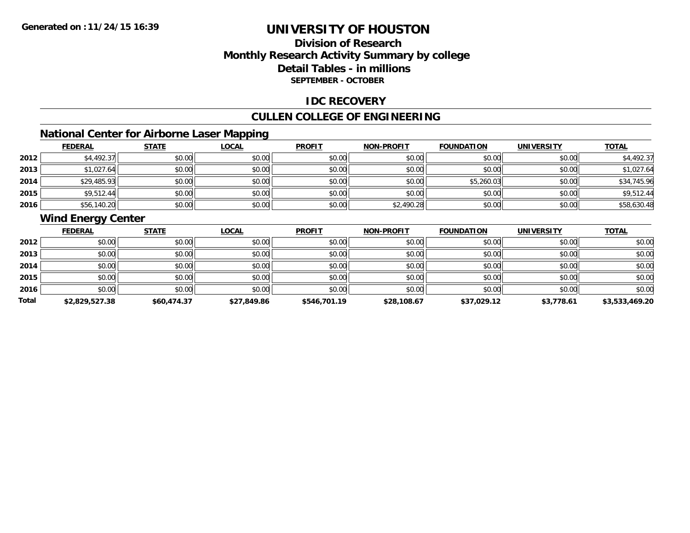## **Division of ResearchMonthly Research Activity Summary by college Detail Tables - in millions SEPTEMBER - OCTOBER**

### **IDC RECOVERY**

## **CULLEN COLLEGE OF ENGINEERING**

## **National Center for Airborne Laser Mapping**

|      | <b>FEDERAL</b> | <b>STATE</b> | <u>LOCAL</u> | <b>PROFIT</b> | <b>NON-PROFIT</b> | <b>FOUNDATION</b> | <b>UNIVERSITY</b> | <b>TOTAL</b> |
|------|----------------|--------------|--------------|---------------|-------------------|-------------------|-------------------|--------------|
| 2012 | \$4,492.37     | \$0.00       | \$0.00       | \$0.00        | \$0.00            | \$0.00            | \$0.00            | \$4,492.37   |
| 2013 | \$1,027.64     | \$0.00       | \$0.00       | \$0.00        | \$0.00            | \$0.00            | \$0.00            | \$1,027.64   |
| 2014 | \$29,485.93    | \$0.00       | \$0.00       | \$0.00        | \$0.00            | \$5,260.03        | \$0.00            | \$34,745.96  |
| 2015 | \$9,512.44     | \$0.00       | \$0.00       | \$0.00        | \$0.00            | \$0.00            | \$0.00            | \$9,512.44   |
| 2016 | \$56,140.20    | \$0.00       | \$0.00       | \$0.00        | \$2,490.28        | \$0.00            | \$0.00            | \$58,630.48  |

## **Wind Energy Center**

|       | <b>FEDERAL</b> | <b>STATE</b> | <u>LOCAL</u> | <b>PROFIT</b> | <b>NON-PROFIT</b> | <b>FOUNDATION</b> | <b>UNIVERSITY</b> | <b>TOTAL</b>   |
|-------|----------------|--------------|--------------|---------------|-------------------|-------------------|-------------------|----------------|
| 2012  | \$0.00         | \$0.00       | \$0.00       | \$0.00        | \$0.00            | \$0.00            | \$0.00            | \$0.00         |
| 2013  | \$0.00         | \$0.00       | \$0.00       | \$0.00        | \$0.00            | \$0.00            | \$0.00            | \$0.00         |
| 2014  | \$0.00         | \$0.00       | \$0.00       | \$0.00        | \$0.00            | \$0.00            | \$0.00            | \$0.00         |
| 2015  | \$0.00         | \$0.00       | \$0.00       | \$0.00        | \$0.00            | \$0.00            | \$0.00            | \$0.00         |
| 2016  | \$0.00         | \$0.00       | \$0.00       | \$0.00        | \$0.00            | \$0.00            | \$0.00            | \$0.00         |
| Total | \$2,829,527.38 | \$60,474.37  | \$27,849.86  | \$546,701.19  | \$28,108.67       | \$37,029.12       | \$3,778.61        | \$3,533,469.20 |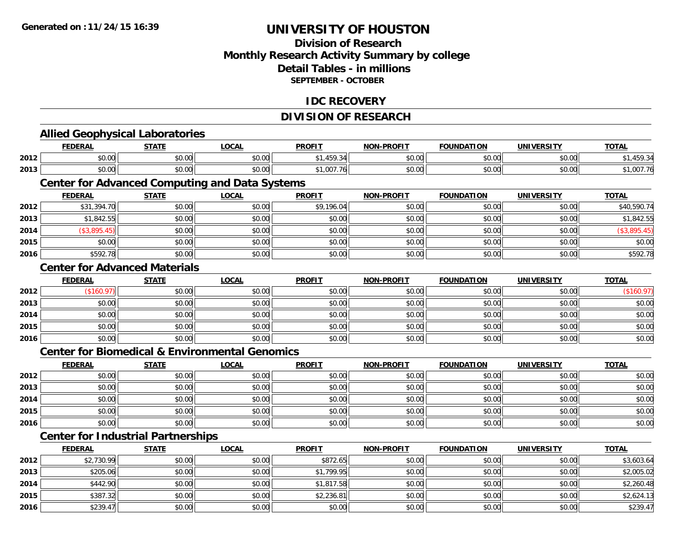**2015**

**2016**

# **UNIVERSITY OF HOUSTON**

## **Division of ResearchMonthly Research Activity Summary by college Detail Tables - in millions SEPTEMBER - OCTOBER**

### **IDC RECOVERY**

# **DIVISION OF RESEARCH**

|      | <b>Allied Geophysical Laboratories</b>                    |              |              |               |                   |                   |                   |              |
|------|-----------------------------------------------------------|--------------|--------------|---------------|-------------------|-------------------|-------------------|--------------|
|      | <b>FEDERAL</b>                                            | <b>STATE</b> | <b>LOCAL</b> | <b>PROFIT</b> | <b>NON-PROFIT</b> | <b>FOUNDATION</b> | <b>UNIVERSITY</b> | <b>TOTAL</b> |
| 2012 | \$0.00                                                    | \$0.00       | \$0.00       | \$1,459.34    | \$0.00            | \$0.00            | \$0.00            | \$1,459.34   |
| 2013 | \$0.00                                                    | \$0.00       | \$0.00       | \$1,007.76    | \$0.00            | \$0.00            | \$0.00            | \$1,007.76   |
|      | <b>Center for Advanced Computing and Data Systems</b>     |              |              |               |                   |                   |                   |              |
|      | <b>FEDERAL</b>                                            | <b>STATE</b> | <b>LOCAL</b> | <b>PROFIT</b> | <b>NON-PROFIT</b> | <b>FOUNDATION</b> | <b>UNIVERSITY</b> | <b>TOTAL</b> |
| 2012 | \$31,394.70                                               | \$0.00       | \$0.00       | \$9,196.04    | \$0.00            | \$0.00            | \$0.00            | \$40,590.74  |
| 2013 | \$1,842.55                                                | \$0.00       | \$0.00       | \$0.00        | \$0.00            | \$0.00            | \$0.00            | \$1,842.55   |
| 2014 | (\$3,895.45)                                              | \$0.00       | \$0.00       | \$0.00        | \$0.00            | \$0.00            | \$0.00            | (\$3,895.45) |
| 2015 | \$0.00                                                    | \$0.00       | \$0.00       | \$0.00        | \$0.00            | \$0.00            | \$0.00            | \$0.00       |
| 2016 | \$592.78                                                  | \$0.00       | \$0.00       | \$0.00        | \$0.00            | \$0.00            | \$0.00            | \$592.78     |
|      | <b>Center for Advanced Materials</b>                      |              |              |               |                   |                   |                   |              |
|      | <b>FEDERAL</b>                                            | <b>STATE</b> | <b>LOCAL</b> | <b>PROFIT</b> | <b>NON-PROFIT</b> | <b>FOUNDATION</b> | <b>UNIVERSITY</b> | <b>TOTAL</b> |
| 2012 | (\$160.97)                                                | \$0.00       | \$0.00       | \$0.00        | \$0.00            | \$0.00            | \$0.00            | (\$160.97)   |
| 2013 | \$0.00                                                    | \$0.00       | \$0.00       | \$0.00        | \$0.00            | \$0.00            | \$0.00            | \$0.00       |
| 2014 | \$0.00                                                    | \$0.00       | \$0.00       | \$0.00        | \$0.00            | \$0.00            | \$0.00            | \$0.00       |
| 2015 | \$0.00                                                    | \$0.00       | \$0.00       | \$0.00        | \$0.00            | \$0.00            | \$0.00            | \$0.00       |
| 2016 | \$0.00                                                    | \$0.00       | \$0.00       | \$0.00        | \$0.00            | \$0.00            | \$0.00            | \$0.00       |
|      | <b>Center for Biomedical &amp; Environmental Genomics</b> |              |              |               |                   |                   |                   |              |
|      | <b>FEDERAL</b>                                            | <b>STATE</b> | <b>LOCAL</b> | <b>PROFIT</b> | <b>NON-PROFIT</b> | <b>FOUNDATION</b> | <b>UNIVERSITY</b> | <b>TOTAL</b> |
| 2012 | \$0.00                                                    | \$0.00       | \$0.00       | \$0.00        | \$0.00            | \$0.00            | \$0.00            | \$0.00       |
| 2013 | \$0.00                                                    | \$0.00       | \$0.00       | \$0.00        | \$0.00            | \$0.00            | \$0.00            | \$0.00       |
| 2014 | \$0.00                                                    | \$0.00       | \$0.00       | \$0.00        | \$0.00            | \$0.00            | \$0.00            | \$0.00       |
| 2015 | \$0.00                                                    | \$0.00       | \$0.00       | \$0.00        | \$0.00            | \$0.00            | \$0.00            | \$0.00       |
| 2016 | \$0.00                                                    | \$0.00       | \$0.00       | \$0.00        | \$0.00            | \$0.00            | \$0.00            | \$0.00       |
|      | <b>Center for Industrial Partnerships</b>                 |              |              |               |                   |                   |                   |              |
|      | <b>FEDERAL</b>                                            | <b>STATE</b> | <b>LOCAL</b> | <b>PROFIT</b> | <b>NON-PROFIT</b> | <b>FOUNDATION</b> | <b>UNIVERSITY</b> | <b>TOTAL</b> |
| 2012 | \$2,730.99                                                | \$0.00       | \$0.00       | \$872.65      | \$0.00            | \$0.00            | \$0.00            | \$3,603.64   |
| 2013 | \$205.06                                                  | \$0.00       | \$0.00       | \$1,799.95    | \$0.00            | \$0.00            | \$0.00            | \$2,005.02   |
| 2014 | \$442.90                                                  | \$0.00       | \$0.00       | \$1,817.58    | \$0.00            | \$0.00            | \$0.00            | \$2,260.48   |

5 | \$387.32|| \$0.00|| \$0.00|| \$0.00|| \$2,236.81|| \$0.00|| \$0.00|| \$0.00|| \$0.00|| \$2,624.13

6 \$239.47 \$0.00 \$0.00 \$0.00 \$0.00 \$0.00 \$0.00 \$0.00 \$0.00 \$0.00 \$0.00 \$0.00 \$0.00 \$239.47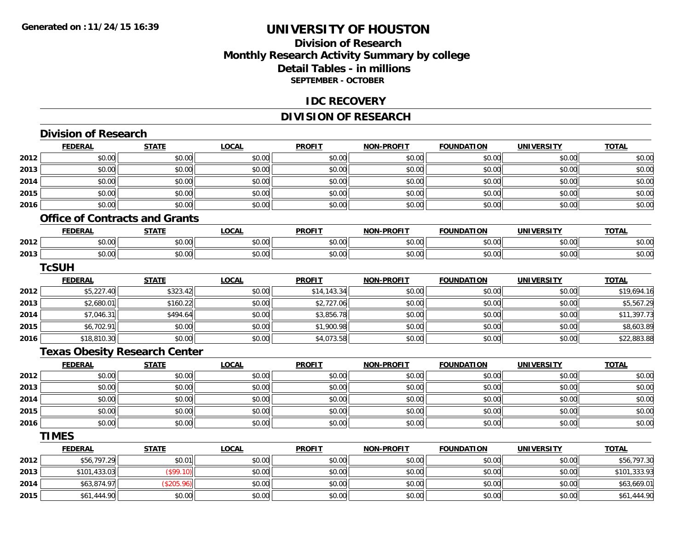## **Division of ResearchMonthly Research Activity Summary by college Detail Tables - in millions SEPTEMBER - OCTOBER**

#### **IDC RECOVERY**

## **DIVISION OF RESEARCH**

|  | <b>Division of Research</b> |
|--|-----------------------------|
|  |                             |

**2015**

|      | <b>FEDERAL</b> | <b>STATE</b>                          | <b>LOCAL</b> | <b>PROFIT</b> | <b>NON-PROFIT</b> | <b>FOUNDATION</b> | <b>UNIVERSITY</b> | <b>TOTAL</b> |
|------|----------------|---------------------------------------|--------------|---------------|-------------------|-------------------|-------------------|--------------|
| 2012 | \$0.00         | \$0.00                                | \$0.00       | \$0.00        | \$0.00            | \$0.00            | \$0.00            | \$0.00       |
| 2013 | \$0.00         | \$0.00                                | \$0.00       | \$0.00        | \$0.00            | \$0.00            | \$0.00            | \$0.00       |
| 2014 | \$0.00         | \$0.00                                | \$0.00       | \$0.00        | \$0.00            | \$0.00            | \$0.00            | \$0.00       |
| 2015 | \$0.00         | \$0.00                                | \$0.00       | \$0.00        | \$0.00            | \$0.00            | \$0.00            | \$0.00       |
| 2016 | \$0.00         | \$0.00                                | \$0.00       | \$0.00        | \$0.00            | \$0.00            | \$0.00            | \$0.00       |
|      |                | <b>Office of Contracts and Grants</b> |              |               |                   |                   |                   |              |
|      | <b>FEDERAL</b> | <b>STATE</b>                          | <b>LOCAL</b> | <b>PROFIT</b> | <b>NON-PROFIT</b> | <b>FOUNDATION</b> | <b>UNIVERSITY</b> | <b>TOTAL</b> |
| 2012 | \$0.00         | \$0.00                                | \$0.00       | \$0.00        | \$0.00            | \$0.00            | \$0.00            | \$0.00       |
| 2013 | \$0.00         | \$0.00                                | \$0.00       | \$0.00        | \$0.00            | \$0.00            | \$0.00            | \$0.00       |
|      | <b>TcSUH</b>   |                                       |              |               |                   |                   |                   |              |
|      | <b>FEDERAL</b> | <b>STATE</b>                          | <b>LOCAL</b> | <b>PROFIT</b> | <b>NON-PROFIT</b> | <b>FOUNDATION</b> | <b>UNIVERSITY</b> | <b>TOTAL</b> |
| 2012 | \$5,227.40     | \$323.42                              | \$0.00       | \$14,143.34   | \$0.00            | \$0.00            | \$0.00            | \$19,694.16  |
| 2013 | \$2,680.01     | \$160.22                              | \$0.00       | \$2,727.06    | \$0.00            | \$0.00            | \$0.00            | \$5,567.29   |
| 2014 | \$7,046.31     | \$494.64                              | \$0.00       | \$3,856.78    | \$0.00            | \$0.00            | \$0.00            | \$11,397.73  |
| 2015 | \$6,702.91     | \$0.00                                | \$0.00       | \$1,900.98    | \$0.00            | \$0.00            | \$0.00            | \$8,603.89   |
| 2016 | \$18,810.30    | \$0.00                                | \$0.00       | \$4,073.58    | \$0.00            | \$0.00            | \$0.00            | \$22,883.88  |
|      |                | <b>Texas Obesity Research Center</b>  |              |               |                   |                   |                   |              |
|      | <b>FEDERAL</b> | <b>STATE</b>                          | <b>LOCAL</b> | <b>PROFIT</b> | <b>NON-PROFIT</b> | <b>FOUNDATION</b> | <b>UNIVERSITY</b> | <b>TOTAL</b> |
| 2012 | \$0.00         | \$0.00                                | \$0.00       | \$0.00        | \$0.00            | \$0.00            | \$0.00            | \$0.00       |
| 2013 | \$0.00         | \$0.00                                | \$0.00       | \$0.00        | \$0.00            | \$0.00            | \$0.00            | \$0.00       |
| 2014 | \$0.00         | \$0.00                                | \$0.00       | \$0.00        | \$0.00            | \$0.00            | \$0.00            | \$0.00       |
| 2015 | \$0.00         | \$0.00                                | \$0.00       | \$0.00        | \$0.00            | \$0.00            | \$0.00            | \$0.00       |
| 2016 | \$0.00         | \$0.00                                | \$0.00       | \$0.00        | \$0.00            | \$0.00            | \$0.00            | \$0.00       |
|      | <b>TIMES</b>   |                                       |              |               |                   |                   |                   |              |
|      | <b>FEDERAL</b> | <b>STATE</b>                          | <b>LOCAL</b> | <b>PROFIT</b> | <b>NON-PROFIT</b> | <b>FOUNDATION</b> | <b>UNIVERSITY</b> | <b>TOTAL</b> |
| 2012 | \$56,797.29    | \$0.01                                | \$0.00       | \$0.00        | \$0.00            | \$0.00            | \$0.00            | \$56,797.30  |
| 2013 | \$101,433.03   | (\$99.10)                             | \$0.00       | \$0.00        | \$0.00            | \$0.00            | \$0.00            | \$101,333.93 |
| 2014 | \$63,874.97    | (\$205.96)                            | \$0.00       | \$0.00        | \$0.00            | \$0.00            | \$0.00            | \$63,669.01  |

\$61,444.90 \$0.00 \$0.00 \$0.00 \$0.00 \$0.00 \$0.00 \$61,444.90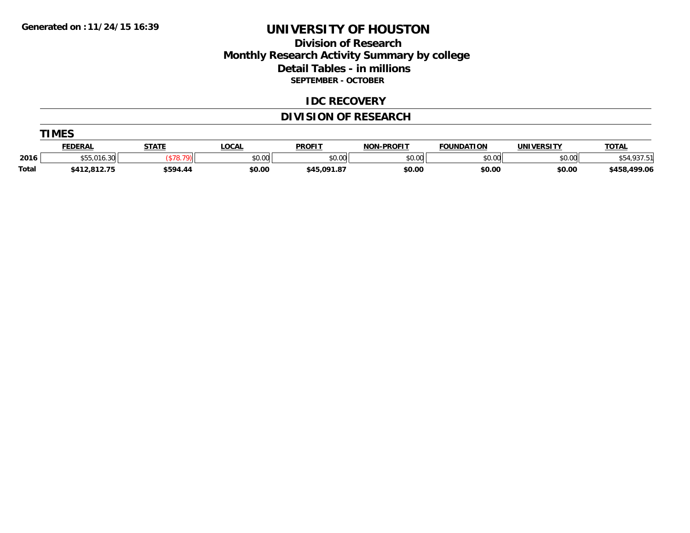### **Division of Research Monthly Research Activity Summary by college Detail Tables - in millions SEPTEMBER - OCTOBER**

#### **IDC RECOVERY**

## **DIVISION OF RESEARCH**

|              | <b>TIMES</b>   |              |             |               |                   |                   |            |              |
|--------------|----------------|--------------|-------------|---------------|-------------------|-------------------|------------|--------------|
|              | <u>FEDERAL</u> | <b>STATE</b> | <b>OCAL</b> | <b>PROFIT</b> | <b>NON-PROFIT</b> | <b>FOUNDATION</b> | UNIVERSITY | <b>TOTAL</b> |
| 2016         | \$55,016.30    |              | \$0.00      | \$0.00        | \$0.00            | \$0.00            | \$0.00     | \$54,937.51  |
| <b>Total</b> | \$412,812.75   | \$594.44     | \$0.00      | \$45,091.87   | \$0.00            | \$0.00            | \$0.00     | \$458,499.06 |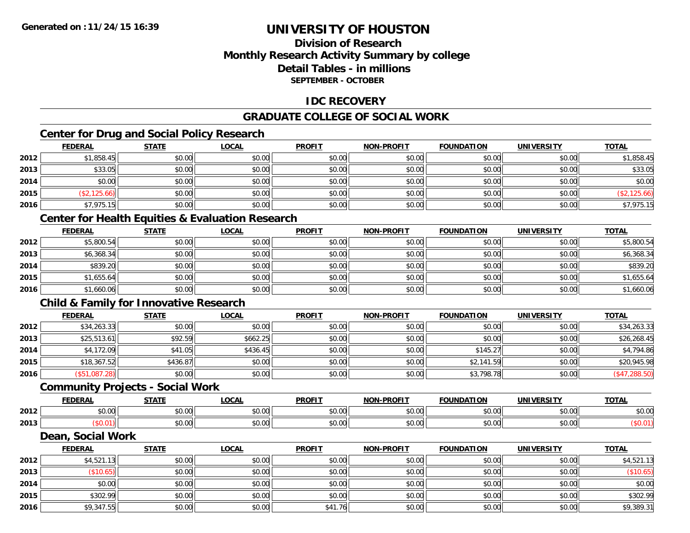## **Division of ResearchMonthly Research Activity Summary by college Detail Tables - in millionsSEPTEMBER - OCTOBER**

### **IDC RECOVERY**

## **GRADUATE COLLEGE OF SOCIAL WORK**

## **Center for Drug and Social Policy Research**

|      | <b>FEDERAL</b> | <b>STATE</b> | <u>LOCAL</u> | <b>PROFIT</b> | <b>NON-PROFIT</b> | <b>FOUNDATION</b> | <b>UNIVERSITY</b> | <b>TOTAL</b> |
|------|----------------|--------------|--------------|---------------|-------------------|-------------------|-------------------|--------------|
| 2012 | \$1,858.45     | \$0.00       | \$0.00       | \$0.00        | \$0.00            | \$0.00            | \$0.00            | \$1,858.45   |
| 2013 | \$33.05        | \$0.00       | \$0.00       | \$0.00        | \$0.00            | \$0.00            | \$0.00            | \$33.05      |
| 2014 | \$0.00         | \$0.00       | \$0.00       | \$0.00        | \$0.00            | \$0.00            | \$0.00            | \$0.00       |
| 2015 | \$2,125.66     | \$0.00       | \$0.00       | \$0.00        | \$0.00            | \$0.00            | \$0.00            | \$2,125.66   |
| 2016 | \$7,975.15     | \$0.00       | \$0.00       | \$0.00        | \$0.00            | \$0.00            | \$0.00            | \$7,975.15   |

## **Center for Health Equities & Evaluation Research**

|      | <b>FEDERAL</b> | <b>STATE</b> | <b>LOCAL</b> | <b>PROFIT</b> | <b>NON-PROFIT</b> | <b>FOUNDATION</b> | <b>UNIVERSITY</b> | <b>TOTAL</b> |
|------|----------------|--------------|--------------|---------------|-------------------|-------------------|-------------------|--------------|
| 2012 | \$5,800.54     | \$0.00       | \$0.00       | \$0.00        | \$0.00            | \$0.00            | \$0.00            | \$5,800.54   |
| 2013 | \$6,368.34     | \$0.00       | \$0.00       | \$0.00        | \$0.00            | \$0.00            | \$0.00            | \$6,368.34   |
| 2014 | \$839.20       | \$0.00       | \$0.00       | \$0.00        | \$0.00            | \$0.00            | \$0.00            | \$839.20     |
| 2015 | \$1,655.64     | \$0.00       | \$0.00       | \$0.00        | \$0.00            | \$0.00            | \$0.00            | \$1,655.64   |
| 2016 | \$1,660.06     | \$0.00       | \$0.00       | \$0.00        | \$0.00            | \$0.00            | \$0.00            | \$1,660.06   |

## **Child & Family for Innovative Research**

|      | <b>FEDERAL</b> | <b>STATE</b> | <b>LOCAL</b> | <b>PROFIT</b> | <b>NON-PROFIT</b> | <b>FOUNDATION</b> | <b>UNIVERSITY</b> | <b>TOTAL</b>  |
|------|----------------|--------------|--------------|---------------|-------------------|-------------------|-------------------|---------------|
| 2012 | \$34,263.33    | \$0.00       | \$0.00       | \$0.00        | \$0.00            | \$0.00            | \$0.00            | \$34,263.33   |
| 2013 | \$25,513.61    | \$92.59      | \$662.25     | \$0.00        | \$0.00            | \$0.00            | \$0.00            | \$26,268.45   |
| 2014 | \$4,172.09     | \$41.05      | \$436.45     | \$0.00        | \$0.00            | \$145.27          | \$0.00            | \$4,794.86    |
| 2015 | \$18,367.52    | \$436.87     | \$0.00       | \$0.00        | \$0.00            | \$2,141.59        | \$0.00            | \$20,945.98   |
| 2016 | \$51,087.28]   | \$0.00       | \$0.00       | \$0.00        | \$0.00            | \$3,798.78        | \$0.00            | (\$47,288.50) |

#### **Community Projects - Social Work**

|      | EENEDA<br>.            | C T A T T              | $\sim$<br>.UCAL | <b>PROFIT</b>         | <b>LPROFIT</b><br>NON. | <b>FOUNDATION</b>      | UNIVERSITY                                         | <b>TOTAL</b>  |
|------|------------------------|------------------------|-----------------|-----------------------|------------------------|------------------------|----------------------------------------------------|---------------|
| 2012 | $\sim$ $\sim$<br>vv.vv | $\sim$ $\sim$<br>90.UU | 0.00<br>vv.vv   | $\sim$ $\sim$<br>י. ש | 0000<br>vv.vv          | 0 <sub>n</sub><br>u.uu | $\mathfrak{g} \cap \mathfrak{g} \cap \mathfrak{g}$ | 0000<br>DU.UG |
| 2013 |                        | $\sim$ 00<br>DU.UU     | 0.00<br>JU.UU   | JU.                   | 0000<br>JU.UU          | 0000<br>u.uu           | 0.00<br>JU.UU                                      |               |

#### **Dean, Social Work**

|      | <u>FEDERAL</u> | <b>STATE</b> | <u>LOCAL</u> | <b>PROFIT</b> | <b>NON-PROFIT</b> | <b>FOUNDATION</b> | <b>UNIVERSITY</b> | <b>TOTAL</b> |
|------|----------------|--------------|--------------|---------------|-------------------|-------------------|-------------------|--------------|
| 2012 | \$4,521.13     | \$0.00       | \$0.00       | \$0.00        | \$0.00            | \$0.00            | \$0.00            | \$4,521.13   |
| 2013 | \$10.65]       | \$0.00       | \$0.00       | \$0.00        | \$0.00            | \$0.00            | \$0.00            | (\$10.65)    |
| 2014 | \$0.00         | \$0.00       | \$0.00       | \$0.00        | \$0.00            | \$0.00            | \$0.00            | \$0.00       |
| 2015 | \$302.99       | \$0.00       | \$0.00       | \$0.00        | \$0.00            | \$0.00            | \$0.00            | \$302.99     |
| 2016 | \$9,347.55     | \$0.00       | \$0.00       | \$41.76       | \$0.00            | \$0.00            | \$0.00            | \$9,389.31   |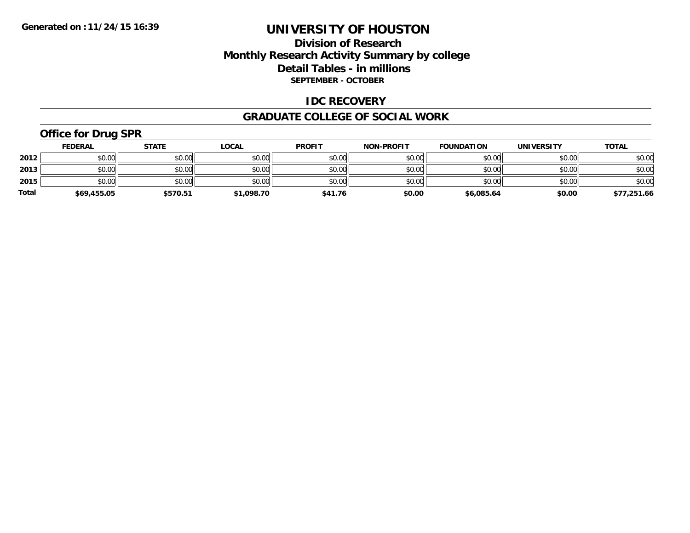### **Division of Research Monthly Research Activity Summary by college Detail Tables - in millions SEPTEMBER - OCTOBER**

#### **IDC RECOVERY**

#### **GRADUATE COLLEGE OF SOCIAL WORK**

## **Office for Drug SPR**

|              | <b>FEDERAL</b> | <b>STATE</b> | <u>LOCAL</u> | <b>PROFIT</b> | NON-PROFIT | <b>FOUNDATION</b> | <b>UNIVERSITY</b> | <b>TOTAL</b> |
|--------------|----------------|--------------|--------------|---------------|------------|-------------------|-------------------|--------------|
| 2012         | \$0.00         | \$0.00       | \$0.00       | \$0.00        | \$0.00     | \$0.00            | \$0.00            | \$0.00       |
| 2013         | \$0.00         | \$0.00       | \$0.00       | \$0.00        | \$0.00     | \$0.00            | \$0.00            | \$0.00       |
| 2015         | \$0.00         | \$0.00       | \$0.00       | \$0.00        | \$0.00     | \$0.00            | \$0.00            | \$0.00       |
| <b>Total</b> | \$69,455.05    | \$570.51     | \$1,098.70   | \$41.76       | \$0.00     | \$6,085.64        | \$0.00            | \$77,251.66  |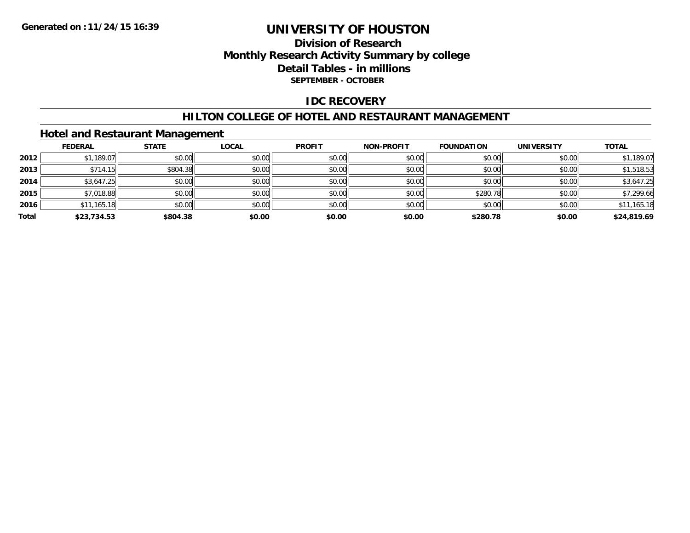## **Division of Research Monthly Research Activity Summary by college Detail Tables - in millions SEPTEMBER - OCTOBER**

## **IDC RECOVERY**

#### **HILTON COLLEGE OF HOTEL AND RESTAURANT MANAGEMENT**

## **Hotel and Restaurant Management**

|       | <b>FEDERAL</b> | <b>STATE</b> | <b>LOCAL</b> | <b>PROFIT</b> | <b>NON-PROFIT</b> | <b>FOUNDATION</b> | <b>UNIVERSITY</b> | <b>TOTAL</b> |
|-------|----------------|--------------|--------------|---------------|-------------------|-------------------|-------------------|--------------|
| 2012  | \$1,189.07     | \$0.00       | \$0.00       | \$0.00        | \$0.00            | \$0.00            | \$0.00            | \$1,189.07   |
| 2013  | \$714.15       | \$804.38     | \$0.00       | \$0.00        | \$0.00            | \$0.00            | \$0.00            | \$1,518.53   |
| 2014  | \$3,647.25     | \$0.00       | \$0.00       | \$0.00        | \$0.00            | \$0.00            | \$0.00            | \$3,647.25   |
| 2015  | \$7,018.88     | \$0.00       | \$0.00       | \$0.00        | \$0.00            | \$280.78          | \$0.00            | \$7,299.66   |
| 2016  | \$11,165.18    | \$0.00       | \$0.00       | \$0.00        | \$0.00            | \$0.00            | \$0.00            | \$11,165.18  |
| Total | \$23,734.53    | \$804.38     | \$0.00       | \$0.00        | \$0.00            | \$280.78          | \$0.00            | \$24,819.69  |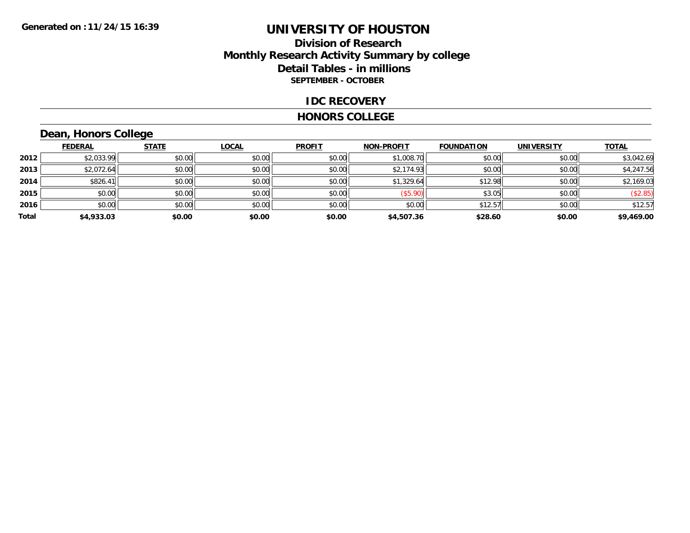## **Division of Research Monthly Research Activity Summary by college Detail Tables - in millions SEPTEMBER - OCTOBER**

#### **IDC RECOVERY**

#### **HONORS COLLEGE**

## **Dean, Honors College**

|       | <b>FEDERAL</b> | <b>STATE</b> | <b>LOCAL</b> | <b>PROFIT</b> | <b>NON-PROFIT</b> | <b>FOUNDATION</b> | <b>UNIVERSITY</b> | <b>TOTAL</b> |
|-------|----------------|--------------|--------------|---------------|-------------------|-------------------|-------------------|--------------|
| 2012  | \$2,033.99     | \$0.00       | \$0.00       | \$0.00        | \$1,008.70        | \$0.00            | \$0.00            | \$3,042.69   |
| 2013  | \$2,072.64     | \$0.00       | \$0.00       | \$0.00        | \$2,174.93        | \$0.00            | \$0.00            | \$4,247.56   |
| 2014  | \$826.41       | \$0.00       | \$0.00       | \$0.00        | \$1,329.64        | \$12.98           | \$0.00            | \$2,169.03   |
| 2015  | \$0.00         | \$0.00       | \$0.00       | \$0.00        | (\$5.90)          | \$3.05            | \$0.00            | (\$2.85)     |
| 2016  | \$0.00         | \$0.00       | \$0.00       | \$0.00        | \$0.00            | \$12.57           | \$0.00            | \$12.57      |
| Total | \$4,933.03     | \$0.00       | \$0.00       | \$0.00        | \$4,507.36        | \$28.60           | \$0.00            | \$9,469.00   |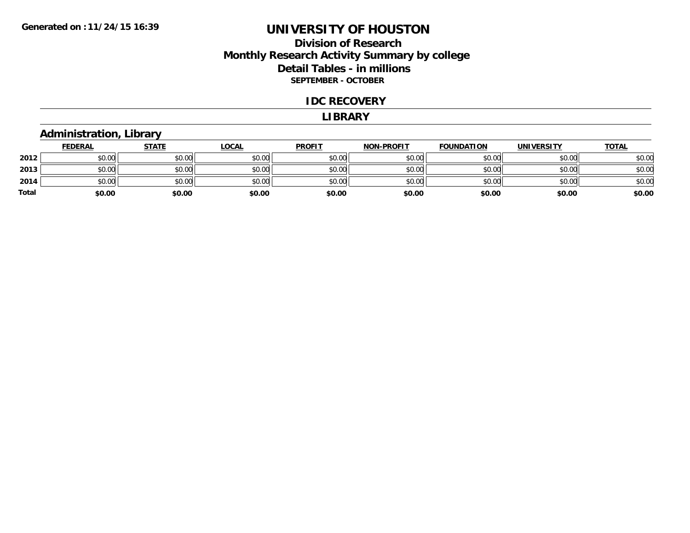## **Division of Research Monthly Research Activity Summary by college Detail Tables - in millions SEPTEMBER - OCTOBER**

#### **IDC RECOVERY**

#### **LIBRARY**

### **Administration, Library**

|       | <b>FEDERAL</b> | <b>STATE</b> | <b>LOCAL</b> | <b>PROFIT</b> | <b>NON-PROFIT</b> | <b>FOUNDATION</b> | <b>UNIVERSITY</b> | <b>TOTAL</b> |
|-------|----------------|--------------|--------------|---------------|-------------------|-------------------|-------------------|--------------|
| 2012  | \$0.00         | \$0.00       | \$0.00       | \$0.00        | \$0.00            | \$0.00            | \$0.00            | \$0.00       |
| 2013  | \$0.00         | \$0.00       | \$0.00       | \$0.00        | \$0.00            | \$0.00            | \$0.00            | \$0.00       |
| 2014  | \$0.00         | \$0.00       | \$0.00       | \$0.00        | \$0.00            | \$0.00            | \$0.00            | \$0.00       |
| Total | \$0.00         | \$0.00       | \$0.00       | \$0.00        | \$0.00            | \$0.00            | \$0.00            | \$0.00       |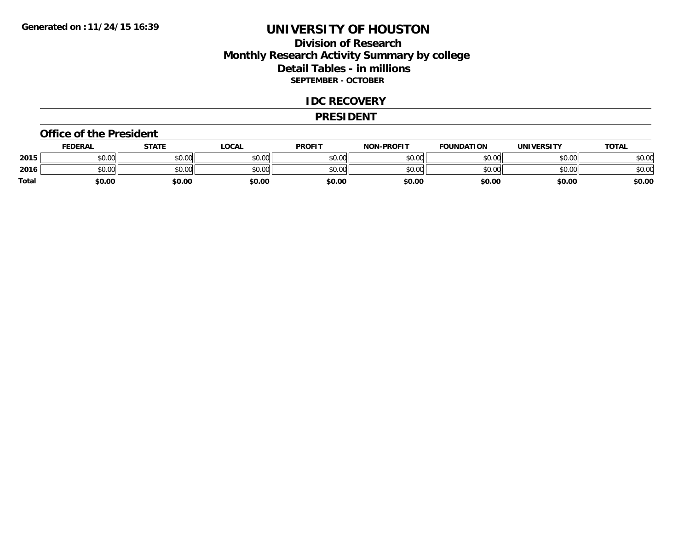## **Division of Research Monthly Research Activity Summary by college Detail Tables - in millions SEPTEMBER - OCTOBER**

#### **IDC RECOVERY**

#### **PRESIDENT**

#### **Office of the President**

|       | <b>FEDERAL</b>     | <b>STATE</b> | LOCAL  | <b>PROFIT</b> | <b>NON-PROFIT</b> | <b>FOUNDATION</b> | <b>UNIVERSITY</b> | <u>TOTAL</u> |
|-------|--------------------|--------------|--------|---------------|-------------------|-------------------|-------------------|--------------|
| 2015  | ሐሴ ሰሰ<br>PU.UU     | \$0.00       | \$0.00 | \$0.00        | \$0.00            | \$0.00            | \$0.00            | \$0.00       |
| 2016  | $\sim$ 00<br>DU.UU | \$0.00       | \$0.00 | \$0.00        | \$0.00            | \$0.00            | \$0.00            | \$0.00       |
| Total | \$0.00             | \$0.00       | \$0.00 | \$0.00        | \$0.00            | \$0.00            | \$0.00            | \$0.00       |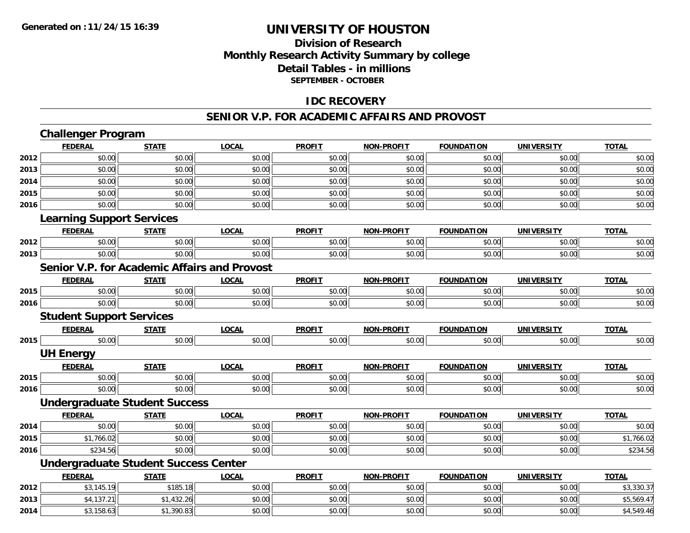## **Division of ResearchMonthly Research Activity Summary by college Detail Tables - in millions SEPTEMBER - OCTOBER**

## **IDC RECOVERY**

#### **SENIOR V.P. FOR ACADEMIC AFFAIRS AND PROVOST**

|      | <b>Challenger Program</b>                           |              |              |               |                   |                   |                   |              |
|------|-----------------------------------------------------|--------------|--------------|---------------|-------------------|-------------------|-------------------|--------------|
|      | <b>FEDERAL</b>                                      | <b>STATE</b> | <b>LOCAL</b> | <b>PROFIT</b> | <b>NON-PROFIT</b> | <b>FOUNDATION</b> | <b>UNIVERSITY</b> | <b>TOTAL</b> |
| 2012 | \$0.00                                              | \$0.00       | \$0.00       | \$0.00        | \$0.00            | \$0.00            | \$0.00            | \$0.00       |
| 2013 | \$0.00                                              | \$0.00       | \$0.00       | \$0.00        | \$0.00            | \$0.00            | \$0.00            | \$0.00       |
| 2014 | \$0.00                                              | \$0.00       | \$0.00       | \$0.00        | \$0.00            | \$0.00            | \$0.00            | \$0.00       |
| 2015 | \$0.00                                              | \$0.00       | \$0.00       | \$0.00        | \$0.00            | \$0.00            | \$0.00            | \$0.00       |
| 2016 | \$0.00                                              | \$0.00       | \$0.00       | \$0.00        | \$0.00            | \$0.00            | \$0.00            | \$0.00       |
|      | <b>Learning Support Services</b>                    |              |              |               |                   |                   |                   |              |
|      | <b>FEDERAL</b>                                      | <b>STATE</b> | <b>LOCAL</b> | <b>PROFIT</b> | <b>NON-PROFIT</b> | <b>FOUNDATION</b> | <b>UNIVERSITY</b> | <b>TOTAL</b> |
| 2012 | \$0.00                                              | \$0.00       | \$0.00       | \$0.00        | \$0.00            | \$0.00            | \$0.00            | \$0.00       |
| 2013 | \$0.00                                              | \$0.00       | \$0.00       | \$0.00        | \$0.00            | \$0.00            | \$0.00            | \$0.00       |
|      | <b>Senior V.P. for Academic Affairs and Provost</b> |              |              |               |                   |                   |                   |              |
|      | <b>FEDERAL</b>                                      | <b>STATE</b> | <b>LOCAL</b> | <b>PROFIT</b> | <b>NON-PROFIT</b> | <b>FOUNDATION</b> | <b>UNIVERSITY</b> | <b>TOTAL</b> |
| 2015 | \$0.00                                              | \$0.00       | \$0.00       | \$0.00        | \$0.00            | \$0.00            | \$0.00            | \$0.00       |
| 2016 | \$0.00                                              | \$0.00       | \$0.00       | \$0.00        | \$0.00            | \$0.00            | \$0.00            | \$0.00       |
|      | <b>Student Support Services</b>                     |              |              |               |                   |                   |                   |              |
|      | <b>FEDERAL</b>                                      | <b>STATE</b> | <b>LOCAL</b> | <b>PROFIT</b> | <b>NON-PROFIT</b> | <b>FOUNDATION</b> | <b>UNIVERSITY</b> | <b>TOTAL</b> |
| 2015 | \$0.00                                              | \$0.00       | \$0.00       | \$0.00        | \$0.00            | \$0.00            | \$0.00            | \$0.00       |
|      | <b>UH Energy</b>                                    |              |              |               |                   |                   |                   |              |
|      | <b>FEDERAL</b>                                      | <b>STATE</b> | <b>LOCAL</b> | <b>PROFIT</b> | <b>NON-PROFIT</b> | <b>FOUNDATION</b> | <b>UNIVERSITY</b> | <b>TOTAL</b> |
| 2015 | \$0.00                                              | \$0.00       | \$0.00       | \$0.00        | \$0.00            | \$0.00            | \$0.00            | \$0.00       |
| 2016 | \$0.00                                              | \$0.00       | \$0.00       | \$0.00        | \$0.00            | \$0.00            | \$0.00            | \$0.00       |
|      | <b>Undergraduate Student Success</b>                |              |              |               |                   |                   |                   |              |
|      | <b>FEDERAL</b>                                      | <b>STATE</b> | <b>LOCAL</b> | <b>PROFIT</b> | <b>NON-PROFIT</b> | <b>FOUNDATION</b> | <b>UNIVERSITY</b> | <b>TOTAL</b> |
| 2014 | \$0.00                                              | \$0.00       | \$0.00       | \$0.00        | \$0.00            | \$0.00            | \$0.00            | \$0.00       |
| 2015 | \$1,766.02                                          | \$0.00       | \$0.00       | \$0.00        | \$0.00            | \$0.00            | \$0.00            | \$1,766.02   |
| 2016 | \$234.56                                            | \$0.00       | \$0.00       | \$0.00        | \$0.00            | \$0.00            | \$0.00            | \$234.56     |
|      | <b>Undergraduate Student Success Center</b>         |              |              |               |                   |                   |                   |              |
|      | <b>FEDERAL</b>                                      | <b>STATE</b> | <b>LOCAL</b> | <b>PROFIT</b> | <b>NON-PROFIT</b> | <b>FOUNDATION</b> | <b>UNIVERSITY</b> | <b>TOTAL</b> |
| 2012 | \$3,145.19                                          | \$185.18     | \$0.00       | \$0.00        | \$0.00            | \$0.00            | \$0.00            | \$3,330.37   |
| 2013 | \$4,137.21                                          | \$1,432.26   | \$0.00       | \$0.00        | \$0.00            | \$0.00            | \$0.00            | \$5,569.47   |
| 2014 | \$3,158.63                                          | \$1,390.83   | \$0.00       | \$0.00        | \$0.00            | \$0.00            | \$0.00            | \$4,549.46   |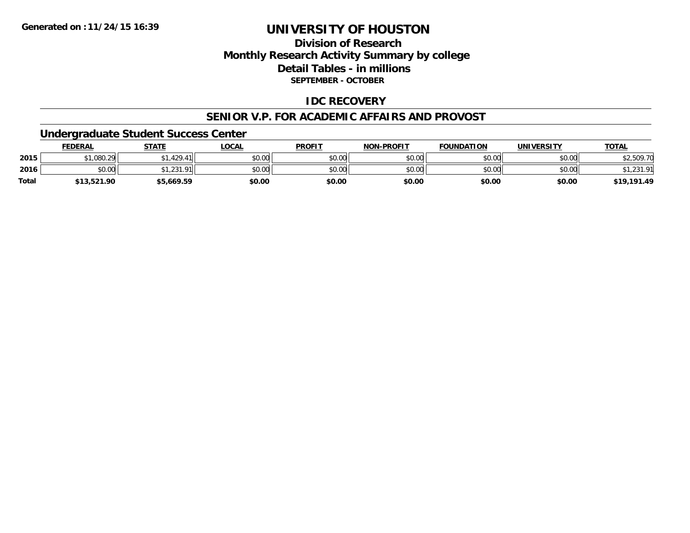## **Division of ResearchMonthly Research Activity Summary by college Detail Tables - in millions SEPTEMBER - OCTOBER**

## **IDC RECOVERY**

#### **SENIOR V.P. FOR ACADEMIC AFFAIRS AND PROVOST**

### **Undergraduate Student Success Center**

|              | FEDERAL     | <b>STATE</b> | <u>_OCAL</u> | <b>PROFIT</b> | <b>NON-PROFIT</b> | <b>FOUNDATION</b> | UNIVERSITY | <b>TOTAL</b> |
|--------------|-------------|--------------|--------------|---------------|-------------------|-------------------|------------|--------------|
| 2015         | \$1,080.29  | .429.41      | \$0.00       | \$0.00        | \$0.00            | \$0.00            | \$0.00     | 2,509.7      |
| 2016         | \$0.00      | 1.231.91     | \$0.00       | \$0.00        | \$0.00            | \$0.00            | \$0.00     |              |
| <b>Total</b> | \$13,521.90 | \$5,669.59   | \$0.00       | \$0.00        | \$0.00            | \$0.00            | \$0.00     | \$19,191.49  |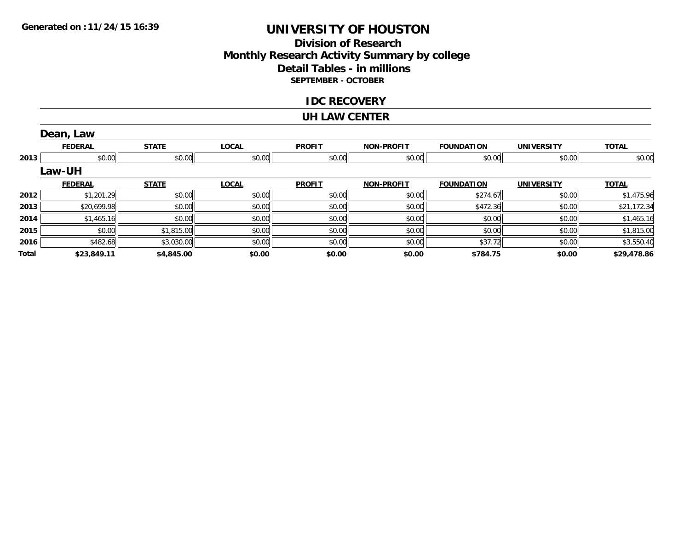## **Division of ResearchMonthly Research Activity Summary by college Detail Tables - in millions SEPTEMBER - OCTOBER**

### **IDC RECOVERY**

#### **UH LAW CENTER**

|       | Dean, Law      |              |              |               |                   |                   |                   |              |
|-------|----------------|--------------|--------------|---------------|-------------------|-------------------|-------------------|--------------|
|       | <b>FEDERAL</b> | <b>STATE</b> | <b>LOCAL</b> | <b>PROFIT</b> | <b>NON-PROFIT</b> | <b>FOUNDATION</b> | <b>UNIVERSITY</b> | <b>TOTAL</b> |
| 2013  | \$0.00         | \$0.00       | \$0.00       | \$0.00        | \$0.00            | \$0.00            | \$0.00            | \$0.00       |
|       | <b>Law-UH</b>  |              |              |               |                   |                   |                   |              |
|       | <b>FEDERAL</b> | <b>STATE</b> | <b>LOCAL</b> | <b>PROFIT</b> | <b>NON-PROFIT</b> | <b>FOUNDATION</b> | <b>UNIVERSITY</b> | <b>TOTAL</b> |
| 2012  | \$1,201.29     | \$0.00       | \$0.00       | \$0.00        | \$0.00            | \$274.67          | \$0.00            | \$1,475.96   |
| 2013  | \$20,699.98    | \$0.00       | \$0.00       | \$0.00        | \$0.00            | \$472.36          | \$0.00            | \$21,172.34  |
| 2014  | \$1,465.16     | \$0.00       | \$0.00       | \$0.00        | \$0.00            | \$0.00            | \$0.00            | \$1,465.16   |
| 2015  | \$0.00         | \$1,815.00   | \$0.00       | \$0.00        | \$0.00            | \$0.00            | \$0.00            | \$1,815.00   |
| 2016  | \$482.68       | \$3,030.00   | \$0.00       | \$0.00        | \$0.00            | \$37.72           | \$0.00            | \$3,550.40   |
| Total | \$23,849.11    | \$4,845.00   | \$0.00       | \$0.00        | \$0.00            | \$784.75          | \$0.00            | \$29,478.86  |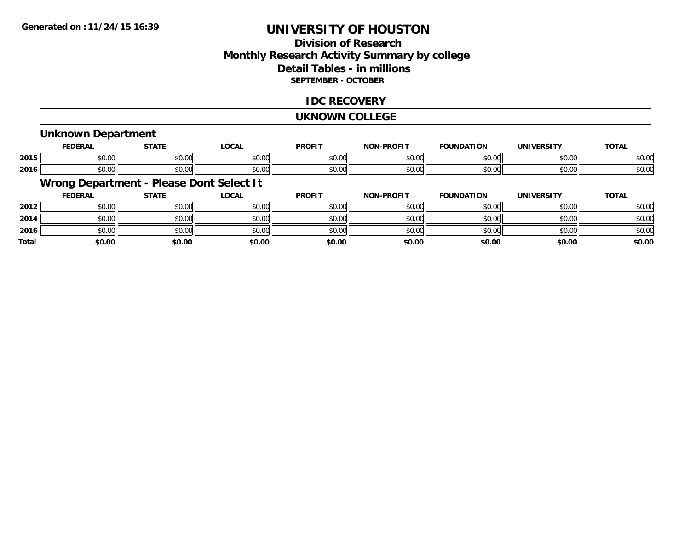## **Division of ResearchMonthly Research Activity Summary by college Detail Tables - in millions SEPTEMBER - OCTOBER**

## **IDC RECOVERY**

#### **UKNOWN COLLEGE**

### **Unknown Department**

|      | cr.                    | <b>CTATE</b>  | $\sim$ $\sim$ $\sim$<br>$\sim$ | <b>PROFIT</b>           | <b>DDAFIT</b><br>81 A B | .                      | <b>INIIVEDCIT</b>                          | <b>TOTAL</b>        |
|------|------------------------|---------------|--------------------------------|-------------------------|-------------------------|------------------------|--------------------------------------------|---------------------|
| 2015 | $\sim$ $\sim$<br>טט.טע | 0.00<br>JU.UU | JU.UU                          | 0 <sub>n</sub><br>JU.UU | 0000<br><b>JU.UU</b>    | ሐሴ ሰጠ                  | $\mathsf{A} \cap \mathsf{A} \cap$<br>JU.UU | $\sim$ 0.4<br>ง∪.∪บ |
| 2016 | $\sim$ $\sim$<br>JU.UU | 0000<br>JU.UU | JU.UU                          | 0 <sub>n</sub><br>JU.UU | ልስ ለሰ<br><b>JU.UU</b>   | $\sim$ $\sim$<br>JU.UU | ტი იი<br>JU.UU                             | $\sim$ 0.4<br>ง∪.∪บ |

## **Wrong Department - Please Dont Select It**

|              | <b>FEDERAL</b> | <b>STATE</b> | <u>LOCAL</u> | <b>PROFIT</b> | <b>NON-PROFIT</b> | <b>FOUNDATION</b> | <b>UNIVERSITY</b> | <b>TOTAL</b> |
|--------------|----------------|--------------|--------------|---------------|-------------------|-------------------|-------------------|--------------|
| 2012         | \$0.00         | \$0.00       | \$0.00       | \$0.00        | \$0.00            | \$0.00            | \$0.00            | \$0.00       |
| 2014         | \$0.00         | \$0.00       | \$0.00       | \$0.00        | \$0.00            | \$0.00            | \$0.00            | \$0.00       |
| 2016         | \$0.00         | \$0.00       | \$0.00       | \$0.00        | \$0.00            | \$0.00            | \$0.00            | \$0.00       |
| <b>Total</b> | \$0.00         | \$0.00       | \$0.00       | \$0.00        | \$0.00            | \$0.00            | \$0.00            | \$0.00       |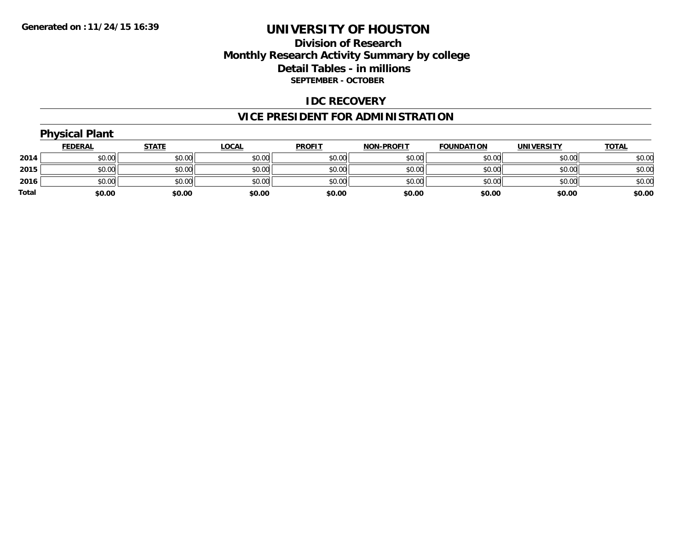## **Division of Research Monthly Research Activity Summary by college Detail Tables - in millions SEPTEMBER - OCTOBER**

### **IDC RECOVERY**

## **VICE PRESIDENT FOR ADMINISTRATION**

|       | <b>Physical Plant</b> |              |              |               |                   |                   |                   |              |  |  |  |
|-------|-----------------------|--------------|--------------|---------------|-------------------|-------------------|-------------------|--------------|--|--|--|
|       | <b>FEDERAL</b>        | <b>STATE</b> | <b>LOCAL</b> | <b>PROFIT</b> | <b>NON-PROFIT</b> | <b>FOUNDATION</b> | <b>UNIVERSITY</b> | <b>TOTAL</b> |  |  |  |
| 2014  | \$0.00                | \$0.00       | \$0.00       | \$0.00        | \$0.00            | \$0.00            | \$0.00            | \$0.00       |  |  |  |
| 2015  | \$0.00                | \$0.00       | \$0.00       | \$0.00        | \$0.00            | \$0.00            | \$0.00            | \$0.00       |  |  |  |
| 2016  | \$0.00                | \$0.00       | \$0.00       | \$0.00        | \$0.00            | \$0.00            | \$0.00            | \$0.00       |  |  |  |
| Total | \$0.00                | \$0.00       | \$0.00       | \$0.00        | \$0.00            | \$0.00            | \$0.00            | \$0.00       |  |  |  |